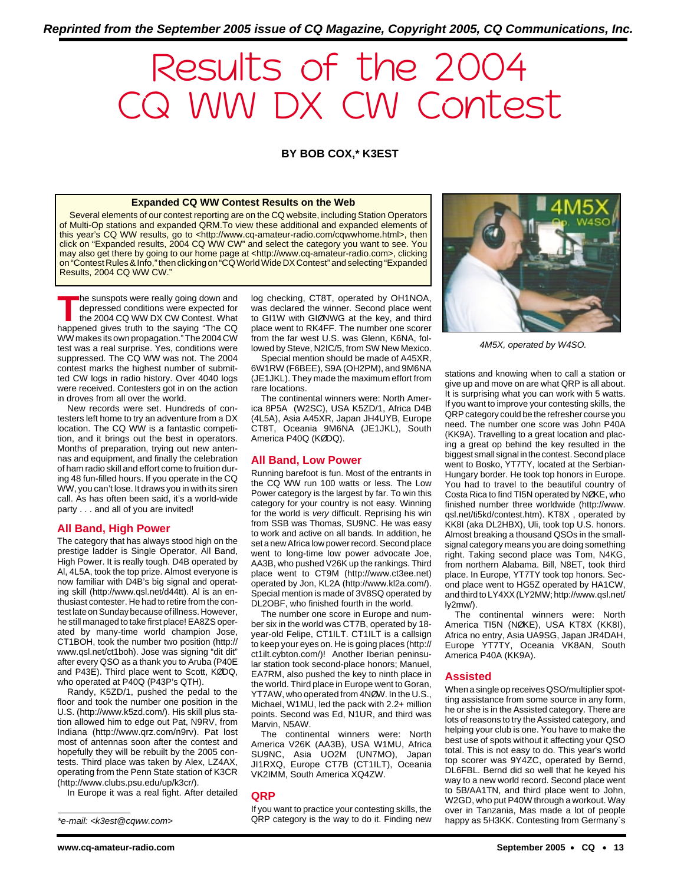# Results of the 2004 CQ WW DX CW Contest

## **BY BOB COX,\* K3EST**

#### **Expanded CQ WW Contest Results on the Web**

Several elements of our contest reporting are on the CQ website, including Station Operators of Multi-Op stations and expanded QRM. To view these additional and expanded elements of this year's CQ WW results, go to <http://www.cq-amateur-radio.com/cqwwhome.html>, then click on "Expanded results, 2004 CQ WW CW" and select the category you want to see. You may also get there by going to our home page at <http://www.cq-amateur-radio.com>, clicking on "Contest Rules & Info," then clicking on "CQ World Wide DX Contest" and selecting "Expanded Results, 2004 CQ WW CW."

**T**he sunspots were really going down and depressed conditions were expected for the 2004 CQ WW DX CW Contest. What happened gives truth to the saying "The CQ WW makes its own propagation." The 2004 CW test was a real surprise. Yes, conditions were suppressed. The CQ WW was not. The 2004 contest marks the highest number of submitted CW logs in radio history. Over 4040 logs were received. Contesters got in on the action in droves from all over the world.

New records were set. Hundreds of contesters left home to try an adventure from a DX location. The CQ WW is a fantastic competition, and it brings out the best in operators. Months of preparation, trying out new antennas and equipment, and finally the celebration of ham radio skill and effort come to fruition during 48 fun-filled hours. If you operate in the CQ WW, you can't lose. It draws you in with its siren call. As has often been said, it's a world-wide party . . . and all of you are invited!

#### **All Band, High Power**

The category that has always stood high on the prestige ladder is Single Operator, All Band, High Power. It is really tough. D4B operated by Al, 4L5A, took the top prize. Almost everyone is now familiar with D4B's big signal and operating skill (http://www.qsl.net/d44tt). Al is an enthusiast contester. He had to retire from the contest late on Sunday because of illness. However, he still managed to take first place! EA8ZS operated by many-time world champion Jose, CT1BOH, took the number two position (http:// www.qsl.net/ct1boh). Jose was signing "dit dit" after every QSO as a thank you to Aruba (P40E and P43E). Third place went to Scott, KØDQ, who operated at P40Q (P43P's QTH).

Randy, K5ZD/1, pushed the pedal to the floor and took the number one position in the U.S. (http://www.k5zd.com/). His skill plus station allowed him to edge out Pat, N9RV, from Indiana (http://www.qrz.com/n9rv). Pat lost most of antennas soon after the contest and hopefully they will be rebuilt by the 2005 contests. Third place was taken by Alex, LZ4AX, operating from the Penn State station of K3CR (http://www.clubs.psu.edu/up/k3cr/).

In Europe it was a real fight. After detailed

log checking, CT8T, operated by OH1NOA, was declared the winner. Second place went to GI1W with GIØNWG at the key, and third place went to RK4FF. The number one scorer from the far west U.S. was Glenn, K6NA, followed by Steve, N2IC/5, from SW New Mexico.

Special mention should be made of A45XR, 6W1RW (F6BEE), S9A (OH2PM), and 9M6NA (JE1JKL). They made the maximum effort from rare locations.

The continental winners were: North America 8P5A (W2SC), USA K5ZD/1, Africa D4B (4L5A), Asia A45XR, Japan JH4UYB, Europe CT8T, Oceania 9M6NA (JE1JKL), South America P40Q (KØDQ).

## **All Band, Low Power**

Running barefoot is fun. Most of the entrants in the CQ WW run 100 watts or less. The Low Power category is the largest by far. To win this category for your country is not easy. Winning for the world is very difficult. Reprising his win from SSB was Thomas, SU9NC. He was easy to work and active on all bands. In addition, he set a new Africa low power record. Second place went to long-time low power advocate Joe, AA3B, who pushed V26K up the rankings. Third place went to CT9M (http://www.ct3ee.net) operated by Jon, KL2A (http://www.kl2a.com/). Special mention is made of 3V8SQ operated by DL2OBF, who finished fourth in the world.

The number one score in Europe and number six in the world was CT7B, operated by 18 year-old Felipe, CT1ILT. CT1ILT is a callsign to keep your eyes on. He is going places (http:// ct1ilt.cybton.com/)! Another Iberian peninsular station took second-place honors; Manuel, EA7RM, also pushed the key to ninth place in the world. Third place in Europe went to Goran, YT7AW, who operated from 4NØW. In the U.S., Michael, W1MU, led the pack with 2.2+ million points. Second was Ed, N1UR, and third was Marvin, N5AW.

The continental winners were: North America V26K (AA3B), USA W1MU, Africa SU9NC, Asia UO2M (UN7MO), Japan JI1RXQ, Europe CT7B (CT1ILT), Oceania VK2IMM, South America XQ4ZW.

#### **QRP**

If you want to practice your contesting skills, the QRP category is the way to do it. Finding new



4M5X, operated by W4SO.

stations and knowing when to call a station or give up and move on are what QRP is all about. It is surprising what you can work with 5 watts. If you want to improve your contesting skills, the QRP category could be the refresher course you need. The number one score was John P40A (KK9A). Travelling to a great location and placing a great op behind the key resulted in the biggest small signal in the contest. Second place went to Bosko, YT7TY, located at the Serbian-Hungary border. He took top honors in Europe. You had to travel to the beautiful country of Costa Rica to find TI5N operated by NØKE, who finished number three worldwide (http://www. qsl.net/ti5kd/contest.htm). KT8X , operated by KK8I (aka DL2HBX), Uli, took top U.S. honors. Almost breaking a thousand QSOs in the smallsignal category means you are doing something right. Taking second place was Tom, N4KG, from northern Alabama. Bill, N8ET, took third place. In Europe, YT7TY took top honors. Second place went to HG5Z operated by HA1CW, and third to LY4XX (LY2MW; http://www.qsl.net/ ly2mw/).

The continental winners were: North America TI5N (NØKE), USA KT8X (KK8I), Africa no entry, Asia UA9SG, Japan JR4DAH, Europe YT7TY, Oceania VK8AN, South America P40A (KK9A).

#### **Assisted**

When a single op receives QSO/multiplier spotting assistance from some source in any form, he or she is in the Assisted category. There are lots of reasons to try the Assisted category, and helping your club is one. You have to make the best use of spots without it affecting your QSO total. This is not easy to do. This year's world top scorer was 9Y4ZC, operated by Bernd, DL6FBL. Bernd did so well that he keyed his way to a new world record. Second place went to 5B/AA1TN, and third place went to John, W2GD, who put P40W through a workout. Way over in Tanzania, Mas made a lot of people \*e-mail: <k3est@cqww.com> **ACKP** category is the way to do it. Finding new happy as 5H3KK. Contesting from Germany`s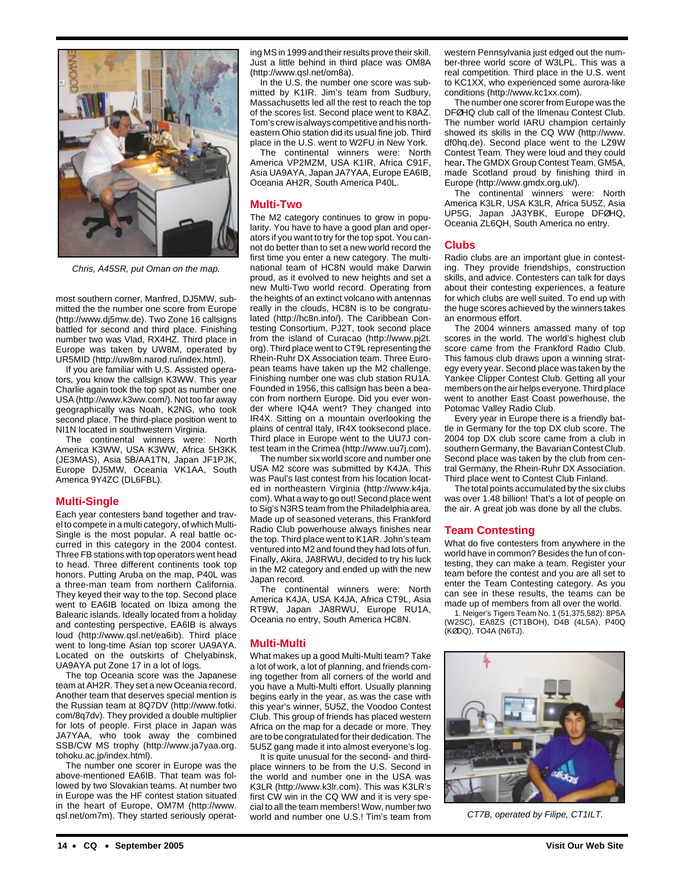

Chris, A45SR, put Oman on the map.

most southern corner, Manfred, DJ5MW, submitted the the number one score from Europe (http://www.dj5mw.de). Two Zone 16 callsigns battled for second and third place. Finishing number two was Vlad, RX4HZ. Third place in Europe was taken by UW8M, operated by UR5MID (http://uw8m.narod.ru/index.html).

If you are familiar with U.S. Assisted operators, you know the callsign K3WW. This year Charlie again took the top spot as number one USA (http://www.k3ww.com/). Not too far away geographically was Noah, K2NG, who took second place. The third-place position went to NI1N located in southwestern Virginia.

The continental winners were: North America K3WW, USA K3WW, Africa 5H3KK (JE3MAS), Asia 5B/AA1TN, Japan JF1PJK, Europe DJ5MW, Oceania VK1AA, South America 9Y4ZC (DL6FBL).

#### **Multi-Single**

Each year contesters band together and travel to compete in a multi category, of which Multi-Single is the most popular. A real battle occurred in this category in the 2004 contest. Three FB stations with top operators went head to head. Three different continents took top honors. Putting Aruba on the map, P40L was a three-man team from northern California. They keyed their way to the top. Second place went to EA6IB located on Ibiza among the Balearic islands. Ideally located from a holiday and contesting perspective, EA6IB is always loud (http://www.qsl.net/ea6ib). Third place went to long-time Asian top scorer UA9AYA. Located on the outskirts of Chelyabinsk, UA9AYA put Zone 17 in a lot of logs.

The top Oceania score was the Japanese team at AH2R. They set a new Oceania record. Another team that deserves special mention is the Russian team at 8Q7DV (http://www.fotki. com/8q7dv). They provided a double multiplier for lots of people. First place in Japan was JA7YAA, who took away the combined SSB/CW MS trophy (http://www.ja7yaa.org. tohoku.ac.jp/index.html).

The number one scorer in Europe was the above-mentioned EA6IB. That team was followed by two Slovakian teams. At number two in Europe was the HF contest station situated in the heart of Europe, OM7M (http://www. qsl.net/om7m). They started seriously operating MS in 1999 and their results prove their skill. Just a little behind in third place was OM8A (http://www.qsl.net/om8a).

In the U.S. the number one score was submitted by K1IR. Jim's team from Sudbury, Massachusetts led all the rest to reach the top of the scores list. Second place went to K8AZ. Tom's crew is always competitive and his northeastern Ohio station did its usual fine job. Third place in the U.S. went to W2FU in New York.

The continental winners were: North America VP2MZM, USA K1IR, Africa C91F, Asia UA9AYA, Japan JA7YAA, Europe EA6IB, Oceania AH2R, South America P40L.

## **Multi-Two**

The M2 category continues to grow in popularity. You have to have a good plan and operators if you want to try for the top spot. You cannot do better than to set a new world record the first time you enter a new category. The multinational team of HC8N would make Darwin proud, as it evolved to new heights and set a new Multi-Two world record. Operating from the heights of an extinct volcano with antennas really in the clouds, HC8N is to be congratulated (http://hc8n.info/). The Caribbean Contesting Consortium, PJ2T, took second place from the island of Curacao (http://www.pj2t. org). Third place went to CT9L representing the Rhein-Ruhr DX Association team. Three European teams have taken up the M2 challenge. Finishing number one was club station RU1A. Founded in 1956, this callsign has been a beacon from northern Europe. Did you ever wonder where IQ4A went? They changed into IR4X. Sitting on a mountain overlooking the plains of central Italy, IR4X tooksecond place. Third place in Europe went to the UU7J contest team in the Crimea (http://www.uu7j.com).

The number six world score and number one USA M2 score was submitted by K4JA. This was Paul's last contest from his location located in northeastern Virginia (http://www.k4ja. com). What a way to go out! Second place went to Sig's N3RS team from the Philadelphia area. Made up of seasoned veterans, this Frankford Radio Club powerhouse always finishes near the top. Third place went to K1AR. John's team ventured into M2 and found they had lots of fun. Finally, Akira, JA8RWU, decided to try his luck in the M2 category and ended up with the new Japan record.

The continental winners were: North America K4JA, USA K4JA, Africa CT9L, Asia RT9W, Japan JA8RWU, Europe RU1A, Oceania no entry, South America HC8N.

## **Multi-Multi**

What makes up a good Multi-Multi team? Take a lot of work, a lot of planning, and friends coming together from all corners of the world and you have a Multi-Multi effort. Usually planning begins early in the year, as was the case with this year's winner, 5U5Z, the Voodoo Contest Club. This group of friends has placed western Africa on the map for a decade or more. They are to be congratulated for their dedication. The 5U5Z gang made it into almost everyone's log.

It is quite unusual for the second- and thirdplace winners to be from the U.S. Second in the world and number one in the USA was K3LR (http://www.k3lr.com). This was K3LR's first CW win in the CQ WW and it is very special to all the team members! Wow, number two world and number one U.S.! Tim's team from

western Pennsylvania just edged out the number-three world score of W3LPL. This was a real competition. Third place in the U.S. went to KC1XX, who experienced some aurora-like conditions (http://www.kc1xx.com).

The number one scorer from Europe was the DFØHQ club call of the Ilmenau Contest Club. The number world IARU champion certainly showed its skills in the CQ WW (http://www. df0hq.de). Second place went to the LZ9W Contest Team. They were loud and they could hear**.** The GMDX Group Contest Team, GM5A, made Scotland proud by finishing third in Europe (http://www.gmdx.org.uk/).

The continental winners were: North America K3LR, USA K3LR, Africa 5U5Z, Asia UP5G, Japan JA3YBK, Europe DFØHQ, Oceania ZL6QH, South America no entry.

## **Clubs**

Radio clubs are an important glue in contesting. They provide friendships, construction skills, and advice. Contesters can talk for days about their contesting experiences, a feature for which clubs are well suited. To end up with the huge scores achieved by the winners takes an enormous effort.

The 2004 winners amassed many of top scores in the world. The world's highest club score came from the Frankford Radio Club. This famous club draws upon a winning strategy every year. Second place was taken by the Yankee Clipper Contest Club. Getting all your members on the air helps everyone. Third place went to another East Coast powerhouse, the Potomac Valley Radio Club.

Every year in Europe there is a friendly battle in Germany for the top DX club score. The 2004 top DX club score came from a club in southern Germany, the Bavarian Contest Club. Second place was taken by the club from central Germany, the Rhein-Ruhr DX Association. Third place went to Contest Club Finland.

The total points accumulated by the six clubs was over 1.48 billion! That's a lot of people on the air. A great job was done by all the clubs.

## **Team Contesting**

What do five contesters from anywhere in the world have in common? Besides the fun of contesting, they can make a team. Register your team before the contest and you are all set to enter the Team Contesting category. As you can see in these results, the teams can be made up of members from all over the world.

1. Neiger's Tigers Team No. 1 (51,375,582): 8P5A (W2SC), EA8ZS (CT1BOH), D4B (4L5A), P40Q (KØDQ), TO4A (N6TJ).



CT7B, operated by Filipe, CT1ILT.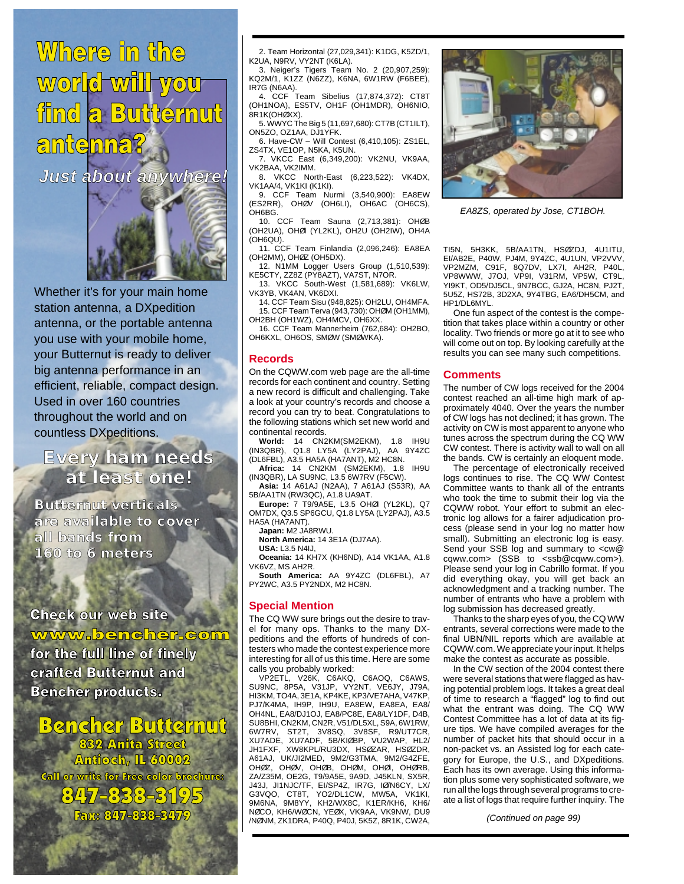## Where in the world will you find a Butternut antenna?

**Just about anywhere!**



Whether it's for your main home station antenna, a DXpedition antenna, or the portable antenna you use with your mobile home, your Butternut is ready to deliver big antenna performance in an efficient, reliable, compact design. Used in over 160 countries throughout the world and on countless DXpeditions.

**Every ham needs at least one!**

**Butternut verticals are available to cover all bands from 160 to 6 meters**

**Check our web site** www.bencher.com for the full line of finely crafted Butternut and **Bencher products.** 

**Bencher Butternut** 832 Anita Street Antioch, IL 60002 **Call or write for Free color brochure:**  $347 - 8333 - 31$ Fax: 847-838-3479

2. Team Horizontal (27,029,341): K1DG, K5ZD/1, K2UA, N9RV, VY2NT (K6LA).

3. Neiger's Tigers Team No. 2 (20,907,259): KQ2M/1, K1ZZ (N6ZZ), K6NA, 6W1RW (F6BEE), IR7G (N6AA).

4. CCF Team Sibelius (17,874,372): CT8T (OH1NOA), ES5TV, OH1F (OH1MDR), OH6NIO, 8R1K(OHØXX).

5. WWYC The Big 5 (11,697,680): CT7B (CT1ILT), ON5ZO, OZ1AA, DJ1YFK.

6. Have-CW – Will Contest (6,410,105): ZS1EL, ZS4TX, VE1OP, N5KA, K5UN. 7. VKCC East (6,349,200): VK2NU, VK9AA,

VK2BAA, VK2IMM. 8. VKCC North-East (6,223,522): VK4DX,

VK1AA/4, VK1KI (K1KI). 9. CCF Team Nurmi (3,540,900): EA8EW (ES2RR), OHØV (OH6LI), OH6AC (OH6CS), OH6BG.

10. CCF Team Sauna (2,713,381): OHØB (OH2UA), OHØI (YL2KL), OH2U (OH2IW), OH4A (OH6QU).

11. CCF Team Finlandia (2,096,246): EA8EA (OH2MM), OHØZ (OH5DX).

12. N1MM Logger Users Group (1,510,539): KE5CTY, ZZ8Z (PY8AZT), VA7ST, N7OR.

13. VKCC South-West (1,581,689): VK6LW, VK3YB, VK4AN, VK6DXI.

14. CCF Team Sisu (948,825): OH2LU, OH4MFA. 15. CCF Team Terva (943,730): OHØM (OH1MM), OH2BH (OH1WZ), OH4MCV, OH6XX.

16. CCF Team Mannerheim (762,684): OH2BO, OH6KXL, OH6OS, SMØW (SMØWKA).

## **Records**

On the CQWW.com web page are the all-time records for each continent and country. Setting a new record is difficult and challenging. Take a look at your country's records and choose a record you can try to beat. Congratulations to the following stations which set new world and continental records.

**World:** 14 CN2KM(SM2EKM), 1.8 IH9U (IN3QBR), Q1.8 LY5A (LY2PAJ), AA 9Y4ZC (DL6FBL), A3.5 HA5A (HA7ANT), M2 HC8N.

**Africa:** 14 CN2KM (SM2EKM), 1.8 IH9U (IN3QBR), LA SU9NC, L3.5 6W7RV (F5CW).

**Asia:** 14 A61AJ (N2AA), 7 A61AJ (S53R), AA 5B/AA1TN (RW3QC), A1.8 UA9AT.

**Europe:** 7 T9/9A5E, L3.5 OHØI (YL2KL), Q7 OM7DX, Q3.5 SP6GCU, Q1.8 LY5A (LY2PAJ), A3.5 HA5A (HA7ANT).

**Japan:** M2 JA8RWU.

**North America:** 14 3E1A (DJ7AA).

**USA:** L3.5 N4IJ, **Oceania:** 14 KH7X (KH6ND), A14 VK1AA, A1.8 VK6VZ, MS AH2R.

**South America:** AA 9Y4ZC (DL6FBL), A7 PY2WC, A3.5 PY2NDX, M2 HC8N.

## **Special Mention**

The CQ WW sure brings out the desire to travel for many ops. Thanks to the many DXpeditions and the efforts of hundreds of con-.<br>testers who made the contest experience more interesting for all of us this time. Here are some

calls you probably worked: VP2ETL, V26K, C6AKQ, C6AOQ, C6AWS, SU9NC, 8P5A, V31JP, VY2NT, VE6JY, J79A, HI3KM, TO4A, 3E1A, KP4KE, KP3/VE7AHA, V47KP, PJ7/K4MA, IH9P, IH9U, EA8EW, EA8EA, EA8/ OH4NL, EA8/DJ1OJ, EA8/PC8E, EA8/LY1DF, D4B, SU8BHI, CN2KM, CN2R, V51/DL5XL, S9A, 6W1RW, ST2T, 3V8SQ, 3V8SF, XU7ADE, XU7ADF, 5B/KIØBP, VU2WAP, HL2/ JH1FXF, XW8KPL/RU3DX, HSØZAR, HSØZDR, A61AJ, UK/JI2MED, 9M2/G3TMA, 9M2/G4ZFE, OHØZ, OHØV, OHØB, OHØM, OHØI, OHØRB, ZA/Z35M, OE2G, T9/9A5E, 9A9D, J45KLN, SX5R, J43J, JI1NJC/TF, EI/SP4Z, IR7G, IØ/N6CY, LX/ G3VQO, CT8T, YO2/DL1CW, MW5A, VK1KI, 9M6NA, 9M8YY, KH2/WX8C, K1ER/KH6, KH6/ NØCO, KH6/WØCN, YEØX, VK9AA, VK9NW, DU9 /NØNM, ZK1DRA, P40Q, P40J, 5K5Z, 8R1K, CW2A,



EA8ZS, operated by Jose, CT1BOH.

TI5N, 5H3KK, 5B/AA1TN, HSØZDJ, 4U1ITU, EI/AB2E, P40W, PJ4M, 9Y4ZC, 4U1UN, VP2VVV, VP2MZM, C91F, 8Q7DV, LX7I, AH2R, P40L, VP8WWW, J7OJ, VP9I, V31RM, VP5W, YI9KT, OD5/DJ5CL, 9N7BCC, GJ2A, HC8N, PJ2T, 5U5Z, HS72B, 3D2XA, 9Y4TBG, EA6/DH5CM, and HP1/DL6MYL.

One fun aspect of the contest is the competition that takes place within a country or other locality. Two friends or more go at it to see who will come out on top. By looking carefully at the results you can see many such competitions.

## **Comments**

The number of CW logs received for the 2004 contest reached an all-time high mark of approximately 4040. Over the years the number of CW logs has not declined; it has grown. The activity on CW is most apparent to anyone who tunes across the spectrum during the CQ WW CW contest. There is activity wall to wall on all the bands. CW is certainly an eloquent mode.

The percentage of electronically received logs continues to rise. The CQ WW Contest Committee wants to thank all of the entrants who took the time to submit their log via the CQWW robot. Your effort to submit an electronic log allows for a fairer adjudication process (please send in your log no matter how small). Submitting an electronic log is easy. Send your SSB log and summary to <cw@ cqww.com> (SSB to <ssb@cqww.com>). Please send your log in Cabrillo format. If you did everything okay, you will get back an acknowledgment and a tracking number. The number of entrants who have a problem with log submission has decreased greatly.

Thanks to the sharp eyes of you, the CQ WW entrants, several corrections were made to the final UBN/NIL reports which are available at CQWW.com. We appreciate your input. It helps make the contest as accurate as possible.

In the CW section of the 2004 contest there were several stations that were flagged as having potential problem logs. It takes a great deal of time to research a "flagged" log to find out what the entrant was doing. The CQ WW Contest Committee has a lot of data at its figure tips. We have compiled averages for the number of packet hits that should occur in a non-packet vs. an Assisted log for each category for Europe, the U.S., and DXpeditions. Each has its own average. Using this information plus some very sophisticated software, we run all the logs through several programs to create a list of logs that require further inquiry. The

(Continued on page 99)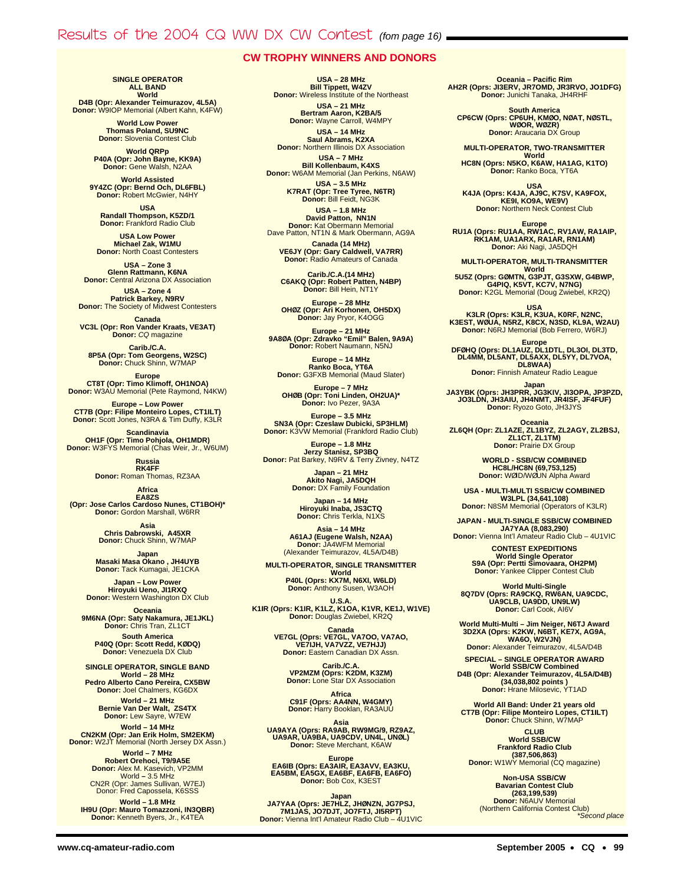## Results of the 2004 CQ WW DX CW Contest (fom page 16)

## **CW TROPHY WINNERS AND DONORS**

**SINGLE OPERATOR ALL BAND World D4B (Opr: Alexander Teimurazov, 4L5A)**

**Donor:** W9IOP Memorial (Albert Kahn, K4FW)

**World Low Power Thomas Poland, SU9NC Donor:** Slovenia Contest Club

**World QRPp P40A (Opr: John Bayne, KK9A) Donor:** Gene Walsh, N2AA

**World Assisted 9Y4ZC (Opr: Bernd Och, DL6FBL) Donor:** Robert McGwier, N4HY

**USA Randall Thompson, K5ZD/1 Donor:** Frankford Radio Club

**USA Low Power Michael Zak, W1MU Donor:** North Coast Contesters

**USA – Zone 3 Glenn Rattmann, K6NA Donor:** Central Arizona DX Association

**USA – Zone 4 Patrick Barkey, N9RV Donor:** The Society of Midwest Contesters

**Canada VC3L (Opr: Ron Vander Kraats, VE3AT) Donor:** CQ magazine

**Carib./C.A. 8P5A (Opr: Tom Georgens, W2SC) Donor:** Chuck Shinn, W7MAP

**Europe<br><b>CT8T (Opr: Timo Klimoff, OH1NOA)**<br>Donor: W3AU Memorial (Pete Raymond, N4KW)

**Europe – Low Power CT7B (Opr: Filipe Monteiro Lopes, CT1ILT) Donor:** Scott Jones, N3RA & Tim Duffy, K3LR

**Scandinavia<br>19 OH1F (Opr: Timo Pohjola, OH1MDR)<br>Donor: W3FYS Memorial (Chas Weir, Jr., W6UM)** 

**Russia RK4FF Donor:** Roman Thomas, RZ3AA

**Africa EA8ZS (Opr: Jose Carlos Cardoso Nunes, CT1BOH)\* Donor:** Gordon Marshall, W6RR

> **Asia Chris Dabrowski, A45XR Donor:** Chuck Shinn, W7MAP

**Japan<br>Masaki Masa Okano , JH4UYB<br>Donor: Tack Kumagai, JE1CKA** 

**Japan – Low Power Hiroyuki Ueno, JI1RXQ Donor:** Western Washington DX Club

**Oceania 9M6NA (Opr: Saty Nakamura, JE1JKL) Donor:** Chris Tran, ZL1CT

**South America P40Q (Opr: Scott Redd, KØDQ) Donor:** Venezuela DX Club

**SINGLE OPERATOR, SINGLE BAND World – 28 MHz**

**Pedro Alberto Cano Pereira, CX5BW Donor:** Joel Chalmers, KG6DX

**World – 21 MHz Bernie Van Der Walt, ZS4TX Donor:** Lew Sayre, W7EW

**World – 14 MHz CN2KM (Opr: Jan Erik Holm, SM2EKM) Donor:** W2JT Memorial (North Jersey DX Assn.)

**World – 7 MHz Robert Orehoci, T9/9A5E Donor:** Alex M. Kasevich, VP2MM World **–** 3.5 MHz CN2R (Opr: James Sullivan, W7EJ) Donor: Fred Capossela, K6SSS

**World – 1.8 MHz IH9U (Opr: Mauro Tomazzoni, IN3QBR) Donor:** Kenneth Byers, Jr., K4TEA

**USA – 28 MHz Bill Tippett, W4ZV Donor:** Wireless Institute of the Northeast

> **USA – 21 MHz Bertram Aaron, K2BA/5 Donor:** Wayne Carroll, W4MPY

**USA – 14 MHz Saul Abrams, K2XA Donor:** Northern Illinois DX Association

**USA – 7 MHz Bill Kollenbaum, K4XS Donor:** W6AM Memorial (Jan Perkins, N6AW)

**USA – 3.5 MHz K7RAT (Opr: Tree Tyree, N6TR) Donor:** Bill Feidt, NG3K

**USA – 1.8 MHz David Patton, NN1N Donor:** Kat Obermann Memorial Dave Patton, NT1N & Mark Obermann, AG9A

**Canada (14 MHz) VE6JY (Opr: Gary Caldwell, VA7RR) Donor:** Radio Amateurs of Canada

**Carib./C.A.(14 MHz) C6AKQ (Opr: Robert Patten, N4BP) Donor:** Bill Hein, NT1Y

**Europe – 28 MHz OHØZ (Opr: Ari Korhonen, OH5DX) Donor:** Jay Pryor, K4OGG

**Europe – 21 MHz 9A8ØA (Opr: Zdravko "Emil" Balen, 9A9A) Donor:** Robert Naumann, N5NJ

**Europe – 14 MHz Ranko Boca, YT6A Donor:** G3FXB Memorial (Maud Slater)

**Europe – 7 MHz OHØB (Opr: Toni Linden, OH2UA)\* Donor:** Ivo Pezer, 9A3A

**Europe – 3.5 MHz SN3A (Opr: Czeslaw Dubicki, SP3HLM) Donor:** K3VW Memorial (Frankford Radio Club)

**Europe – 1.8 MHz<br><b>Jerzy Stanisz, SP3BQ**<br>Donor: Pat Barkey, N9RV & Terry Zivney, N4TZ

**Japan – 21 MHz Akito Nagi, JA5DQH Donor:** DX Family Foundation

**Japan – 14 MHz Hiroyuki Inaba, JS3CTQ Donor:** Chris Terkla, N1XS

**Asia – 14 MHz A61AJ (Eugene Walsh, N2AA) Donor:** JA4WFM Memorial (Alexander Teimurazov, 4L5A/D4B)

**MULTI-OPERATOR, SINGLE TRANSMITTER World P40L (Oprs: KX7M, N6XI, W6LD) Donor:** Anthony Susen, W3AOH

**U.S.A. K1IR (Oprs: K1IR, K1LZ, K1OA, K1VR, KE1J, W1VE) Donor:** Douglas Zwiebel, KR2Q

> Canada<br>VE7GL (Oprs: VE7GL, VA7OO, VA7AO,<br>VE7IJH, VA7VZZ, VE7HJJ) **Donor:** Eastern Canadian DX Assn.

**Carib./C.A.<br>
<b>VP2MZM (Oprs: K2DM, K3ZM)**<br> **Donor:** Lone Star DX Association

**Africa**<br>C91F (Oprs: AA4NN, W4GMY)<br>Donor: Harry Booklan, RA3AUU

**Asia**

**UA9AYA (Oprs: RA9AB, RW9MG/9, RZ9AZ, UA9AR, UA9BA, UA9CDV, UN4L, UNØL) Donor:** Steve Merchant, K6AW

Europe<br> **EA6IB (Oprs: EA3AIR, EA3AVV, EA3KU,<br>
EA5BM, EA5GX, EA6BF, EA6FB, EA6FO)<br>Donor: Bob Cox, K3EST** 

**Japan JA7YAA (Oprs: JE7HLZ, JHØNZN, JG7PSJ, 7M1JAS, JO7DJT, JO7FTJ, JI5RPT) Donor:** Vienna Int'l Amateur Radio Club – 4U1VIC **Oceania – Pacific Rim AH2R (Oprs: JI3ERV, JR7OMD, JR3RVO, JO1DFG) Donor:** Junichi Tanaka, JH4RHF

**South America CP6CW (Oprs: CP6UH, KMØO, NØAT, NØSTL, WØOR, WØZR) Donor:** Araucaria DX Group

**MULTI-OPERATOR, TWO-TRANSMITTER**

**World<br><b>HC8N (Oprs: N5KO, K6AW, HA1AG, K1TO)**<br>**Donor:** Ranko Boca, YT6A

**USA K4JA (Oprs: K4JA, AJ9C, K7SV, KA9FOX, KE9I, KO9A, WE9V) Donor:** Northern Neck Contest Club

**Europe RU1A (Oprs: RU1AA, RW1AC, RV1AW, RA1AIP, RK1AM, UA1ARX, RA1AR, RN1AM) Donor:** Aki Nagi, JA5DQH

**MULTI-OPERATOR, MULTI-TRANSMITTER World 5U5Z (Oprs: GØMTN, G3PJT, G3SXW, G4BWP, G4PIQ, K5VT, KC7V, N7NG) Donor:** K2GL Memorial (Doug Zwiebel, KR2Q)

**USA K3LR (Oprs: K3LR, K3UA, K0RF, N2NC, K3EST, WØUA, N5RZ, K8CX, N3SD, KL9A, W2AU) Donor:** N6RJ Memorial (Bob Ferrero, W6RJ)

Europe<br>DFØHQ (Oprs: DL1AUZ, DL1DTL, DL3OI, DL3TD,<br>DL4MM, DL5ANT, DL5AXX, DL5YY, DL7VOA,<br>DL8WAA)

**Donor:** Finnish Amateur Radio League

**Japan JA3YBK (Oprs: JH3PRR, JG3KIV, JI3OPA, JP3PZD, JO3LDN, JH3AIU, JH4NMT, JR4ISF, JF4FUF) Donor:** Ryozo Goto, JH3JYS

**Oceania ZL6QH (Opr: ZL1AZE, ZL1BYZ, ZL2AGY, ZL2BSJ, ZL1CT, ZL1TM) Donor:** Prairie DX Group

> **WORLD - SSB/CW COMBINED HC8L/HC8N (69,753,125) Donor:** WØID/WØUN Alpha Award

**USA - MULTI-MULTI SSB/CW COMBINED W3LPL (34,641,108) Donor:** N8SM Memorial (Operators of K3LR)

**JAPAN - MULTI-SINGLE SSB/CW COMBINED**

**JA7YAA (8,083,290) Donor:** Vienna Int'l Amateur Radio Club – 4U1VIC **CONTEST EXPEDITIONS**

**World Single Operator S9A (Opr: Pertti Simovaara, OH2PM) Donor: Yankee Clipper Contest Club** 

**World Multi-Single 8Q7DV (Oprs: RA9CKQ, RW6AN, UA9CDC, UA9CLB, UA9DD, UN9LW) Donor:** Carl Cook, AI6V

**World Multi-Multi – Jim Neiger, N6TJ Award 3D2XA (Oprs: K2KW, N6BT, KE7X, AG9A, WA6O, W2VJN) Donor: Alexander Teimurazov, 4L5A/D4B** 

**SPECIAL – SINGLE OPERATOR AWARD World SSB/CW Combined D4B (Opr: Alexander Teimurazov, 4L5A/D4B) (34,038,802 points ) Donor:** Hrane Milosevic, YT1AD

**World All Band: Under 21 years old CT7B (Opr: Filipe Monteiro Lopes, CT1ILT) Donor:** Chuck Shinn, W7MAP

**CLUB World SSB/CW Frankford Radio Club (387,506,863) Donor:** W1WY Memorial (CQ magazine)

**Non-USA SSB/CW Bavarian Contest Club (263,199,539) Donor:** N6AUV Memorial (Northern California Contest Club) \*Second place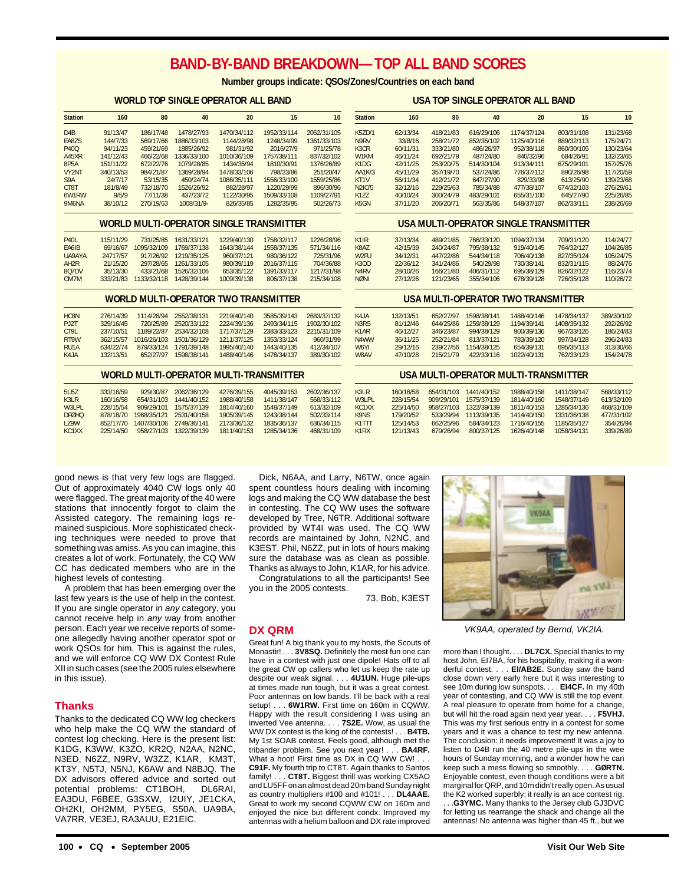## **BAND-BY-BAND BREAKDOWN—TOP ALL BAND SCORES**

**Number groups indicate: QSOs/Zones/Countries on each band**

#### **WORLD TOP SINGLE OPERATOR ALL BAND**

| <b>Station</b> | 160       | 80        | 40          | 20          | 15          | 10          |  |
|----------------|-----------|-----------|-------------|-------------|-------------|-------------|--|
|                |           |           |             |             |             |             |  |
| D4B            | 91/13/47  | 186/17/48 | 1478/27/93  | 1470/34/112 | 1952/33/114 | 2062/31/105 |  |
| <b>FA87S</b>   | 144/7/33  | 569/17/66 | 1886/33/103 | 1144/28/98  | 1248/34/99  | 1361/33/103 |  |
| P400           | 94/11/23  | 459/21/69 | 1885/26/92  | 981/31/92   | 2016/27/9   | 971/25/78   |  |
| A45XR          | 141/12/43 | 466/22/68 | 1336/33/100 | 1010/36/109 | 1757/38/111 | 837/32/102  |  |
| 8P5A           | 151/11/22 | 672/22/76 | 1079/28/85  | 1434/35/94  | 1810/30/91  | 1376/26/89  |  |
| <b>VY2NT</b>   | 340/13/53 | 984/21/87 | 1369/28/94  | 1478/33/106 | 798/23/86   | 251/20/47   |  |
| S9A            | 24/7/17   | 53/15/35  | 450/24/74   | 1086/35/111 | 1556/33/100 | 1559/25/86  |  |
| CT8T           | 181/8/49  | 732/18/70 | 1526/26/92  | 882/28/97   | 1220/29/99  | 896/30/96   |  |
| 6W1RW          | 9/5/9     | 77/11/38  | 437/23/72   | 1122/30/95  | 1509/33/108 | 1109/27/91  |  |
| <b>9M6NA</b>   | 38/10/12  | 270/19/53 | 1008/31/9-  | 826/35/85   | 1282/35/95  | 502/26/73   |  |
|                |           |           |             |             |             |             |  |

#### **WORLD MULTI-OPERATOR SINGLE TRANSMITTER**

| <b>P401</b>        | 115/11/29 | 731/25/85   | 1631/33/121 | 1229/40/130 | 1758/32/117 | 1226/28/96 |
|--------------------|-----------|-------------|-------------|-------------|-------------|------------|
| FA6IB              | 69/16/67  | 1095/32/109 | 1769/37/138 | 1643/38/144 | 1558/37/135 | 571/34/116 |
| <b>UA9AYA</b>      | 24717/57  | 917/26/92   | 1219/35/125 | 960/37/121  | 980/36/122  | 725/31/96  |
| AH <sub>2</sub> R  | 21/15/20  | 297/28/65   | 1261/33/105 | 980/39/119  | 2016/37/115 | 704/36/88  |
| 807 <sub>D</sub> V | 35/13/30  | 433/21/68   | 1526/32/106 | 653/35/122  | 1391/33/117 | 1217/31/98 |
| OM7M               | 333/21/83 | 1133/32/118 | 1428/39/144 | 1009/39/138 | 806/37/138  | 215/34/108 |

#### **WORLD MULTI-OPERATOR TWO TRANSMITTER**

| HC <sub>8N</sub>  | 276/14/39 | 1114/28/94  | 2552/38/131 | 2219/40/140 | 3585/39/143 | 2683/37/132 |
|-------------------|-----------|-------------|-------------|-------------|-------------|-------------|
| <b>P.I2T</b>      | 329/16/45 | 720/25/89   | 2520/33/122 | 2224/39/136 | 2493/34/115 | 1902/30/102 |
| CT91              | 237/10/51 | 1189/22/87  | 2534/32/108 | 1717/37/129 | 2383/33/123 | 2215/31/109 |
| RT9W              | 362/15/57 | 1016/26/103 | 1501/36/129 | 1211/37/125 | 1353/33/124 | 960/31/99   |
| RU <sub>1</sub> A | 634/22/74 | 879/33/124  | 1791/39/148 | 1995/40/140 | 1443/40/135 | 412/34/107  |
| K <sub>4</sub> JA | 132/13/51 | 652/27/97   | 1598/38/141 | 1488/40/146 | 1478/34/137 | 389/30/102  |
|                   |           |             |             |             |             |             |

#### **WORLD MULTI-OPERATOR MULTI-TRANSMITTER**

| 5U57                           | 333/16/59 | 929/30/87                         | 2062/36/129 | 4276/39/155 | 4045/39/153 | 2602/36/137 |
|--------------------------------|-----------|-----------------------------------|-------------|-------------|-------------|-------------|
| K3IR                           | 160/16/58 | 654/31/103                        | 1441/40/152 | 1988/40/158 | 1411/38/147 | 568/33/112  |
| <b>W3I PI</b>                  | 228/15/54 | 909/29/101                        | 1575/37/139 | 1814/40/160 | 1548/37/149 | 613/32/109  |
| <b>DFØHO</b>                   | 878/18/70 | 1968/35/121                       | 2531/40/158 | 1905/39/145 | 1243/38/144 | 502/33/114  |
| <b>179W</b>                    |           | 852/17/70 1407/30/106 2749/36/141 |             | 2173/36/132 | 1835/36/137 | 636/34/115  |
| KC <sub>1</sub> X <sub>X</sub> | 225/14/50 | 958/27/103                        | 1322/39/139 | 1811/40/153 | 1285/34/136 | 468/31/109  |

| <b>Station</b>                | 160      | 80        | 40         | 20          | 15         | 10        |
|-------------------------------|----------|-----------|------------|-------------|------------|-----------|
|                               |          |           |            |             |            |           |
| K57D/1                        | 62/13/34 | 418/21/83 | 616/29/106 | 1174/37/124 | 803/31/108 | 131/23/68 |
| N9RV                          | 33/8/16  | 258/21/72 | 852/35/102 | 1125/40/116 | 889/32/113 | 175/24/71 |
| K <sub>3</sub> C <sub>R</sub> | 60/11/31 | 333/21/80 | 486/26/97  | 952/38/118  | 860/30/105 | 130/23/64 |
| W1KM                          | 46/11/24 | 692/21/79 | 487/24/80  | 840/32/96   | 684/26/91  | 132/23/65 |
| K1DG                          | 42/11/25 | 253/20/75 | 514/30/104 | 913/34/111  | 675/29/101 | 157/25/76 |
| AA1K/3                        | 45/11/29 | 357/19/70 | 537/24/86  | 776/37/112  | 890/26/98  | 117/20/59 |
| KT <sub>1</sub> V             | 56/11/34 | 412/21/72 | 647/27/90  | 829/33/98   | 613/25/90  | 139/23/68 |
| N2IC/5                        | 32/12/16 | 229/25/63 | 785/34/88  | 477/38/107  | 674/32/103 | 276/29/61 |
| K177                          | 40/10/24 | 300/24/79 | 483/29/101 | 655/31/100  | 645/27/90  | 225/26/85 |

**USA TOP SINGLE OPERATOR ALL BAND**

## K5GN 37/11/20 206/20/71 563/35/86 548/37/107 862/33/111 238/26/69 **USA MULTI-OPERATOR SINGLE TRANSMITTER**

| K1IR              | 37/13/34 | 489/21/85 | 766/33/120 | 1094/37/134 | 709/31/120 | 114/24/77 |
|-------------------|----------|-----------|------------|-------------|------------|-----------|
| <b>K8A7</b>       | 42/15/39 | 240/24/87 | 795/38/132 | 919/40/145  | 764/32/127 | 104/26/85 |
| W <sub>2</sub> FU | 34/12/31 | 447/22/86 | 544/34/118 | 706/40/138  | 827/35/124 | 105/24/75 |
| K300              | 22/36/12 | 341/24/86 | 540/29/98  | 730/38/141  | 832/31/115 | 88/24/76  |
| N <sub>4</sub> RV | 28/10/26 | 166/21/80 | 406/31/112 | 695/38/129  | 826/32/122 | 116/23/74 |
| <b>NØNI</b>       | 27/12/26 | 121/23/65 | 355/34/106 | 678/39/128  | 726/35/128 | 110/26/72 |

#### **USA MULTI-OPERATOR TWO TRANSMITTER**

| K <sub>4</sub> JA | 132/13/51 | 652/27/97 | 1598/38/141 | 1488/40/146 | 1478/34/137 | 389/30/102 |
|-------------------|-----------|-----------|-------------|-------------|-------------|------------|
| N <sub>3</sub> RS | 81/12/46  | 644/25/86 | 1259/38/129 | 1194/39/141 | 1408/35/132 | 292/26/92  |
| K <sub>1</sub> AR | 46/12/27  | 346/23/87 | 994/38/129  | 900/39/136  | 967/33/126  | 186/24/83  |
| N4WW              | 36/11/25  | 252/21/84 | 813/37/121  | 783/39/120  | 997/34/128  | 296/24/83  |
| W6YI              | 29/12/16  | 239/27/56 | 1154/38/125 | 654/39/131  | 695/35/113  | 313/30/66  |
| W8AV              | 47/10/28  | 215/21/79 | 422/33/116  | 1022/40/131 | 762/33/123  | 154/24/78  |
|                   |           |           |             |             |             |            |

#### **USA MULTI-OPERATOR MULTI-TRANSMITTER**

| 6/129 | 4276/39/155 | 4045/39/153 | 2602/36/137 | K3IR                           | 160/16/58 | 654/31/103 | 1441/40/152 | 1988/40/158 | 1411/38/147 | 568/33/112 |
|-------|-------------|-------------|-------------|--------------------------------|-----------|------------|-------------|-------------|-------------|------------|
| 0/152 | 1988/40/158 | 1411/38/147 | 568/33/112  | <b>W3I PI</b>                  | 228/15/54 | 909/29/101 | 1575/37/139 | 1814/40/160 | 1548/37/149 | 613/32/109 |
| 7/139 | 1814/40/160 | 1548/37/149 | 613/32/109  | KC <sub>1</sub> X <sub>X</sub> | 225/14/50 | 958/27/103 | 1322/39/139 | 1811/40/153 | 1285/34/136 | 468/31/109 |
| 0/158 | 1905/39/145 | 1243/38/144 | 502/33/114  | K9NS                           | 179/20/52 | 533/29/94  | 1113/39/135 | 1414/40/150 | 1331/36/138 | 477/31/102 |
| 6/141 | 2173/36/132 | 1835/36/137 | 636/34/115  | K <sub>1</sub> TT              | 125/14/53 | 662/25/96  | 584/34/123  | 1716/40/155 | 1185/35/127 | 354/26/94  |
| 9/139 | 1811/40/153 | 1285/34/136 | 468/31/109  | K <sub>1</sub> R <sub>X</sub>  | 121/13/43 | 679/26/94  | 800/37/125  | 1626/40/148 | 1058/34/131 | 339/26/89  |
|       |             |             |             |                                |           |            |             |             |             |            |

good news is that very few logs are flagged. Out of approximately 4040 CW logs only 40 were flagged. The great majority of the 40 were stations that innocently forgot to claim the Assisted category. The remaining logs remained suspicious. More sophisticated checking techniques were needed to prove that something was amiss. As you can imagine, this creates a lot of work. Fortunately, the CQ WW CC has dedicated members who are in the highest levels of contesting.

A problem that has been emerging over the last few years is the use of help in the contest. If you are single operator in  $\frac{an}{x}$  category, you cannot receive help in any way from another person. Each year we receive reports of someone allegedly having another operator spot or work QSOs for him. This is against the rules, and we will enforce CQ WW DX Contest Rule XII in such cases (see the 2005 rules elsewhere in this issue).

#### **Thanks**

Thanks to the dedicated CQ WW log checkers who help make the CQ WW the standard of contest log checking. Here is the present list: K1DG, K3WW, K3ZO, KR2Q, N2AA, N2NC, N3ED, N6ZZ, N9RV, W3ZZ, K1AR, KM3T, KT3Y, N5TJ, N5NJ, K6AW and N8BJQ. The DX advisors offered advice and sorted out potential problems: CT1BOH, DL6RAI, EA3DU, F6BEE, G3SXW, I2UIY, JE1CKA, OH2KI, OH2MM, PY5EG, S50A, UA9BA, VA7RR, VE3EJ, RA3AUU, E21EIC.

Dick, N6AA, and Larry, N6TW, once again spent countless hours dealing with incoming logs and making the CQ WW database the best in contesting. The CQ WW uses the software developed by Tree, N6TR. Additional software provided by WT4I was used. The CQ WW records are maintained by John, N2NC, and K3EST. Phil, N6ZZ, put in lots of hours making sure the database was as clean as possible. Thanks as always to John, K1AR, for his advice.

Congratulations to all the participants! See you in the 2005 contests.

73, Bob, K3EST

## **DX QRM**

Great fun! A big thank you to my hosts, the Scouts of Monastir! . . . **3V8SQ.** Definitely the most fun one can have in a contest with just one dipole! Hats off to all the great CW op callers who let us keep the rate up despite our weak signal. . . . **4U1UN.** Huge pile-ups at times made run tough, but it was a great contest. Poor antennas on low bands. I'll be back with a real setup! 6W1RW. First time on 160m in COWW. Happy with the result considering I was using an inverted Vee antenna. . . . **7S2E.** Wow, as usual the WW DX contest is the king of the contests! . . . **B4TB.** My 1st SOAB contest. Feels good, although met the tribander problem. See you next year! . . . **BA4RF.** What a hoot! First time as DX in CQ WW CW! . . . **C91F.** My fourth trip to CT8T. Again thanks to Santos family! . . . **CT8T.** Biggest thrill was working CX5AO and LU5FF on an almost dead 20m band Sunday night as country multipliers #100 and #101! . . . **DL4AAE.** Great to work my second CQWW CW on 160m and enjoyed the nice but different condx. Improved my antennas with a helium balloon and DX rate improved



VK9AA, operated by Bernd, VK2IA.

more than I thought. . . . **DL7CX.** Special thanks to my host John, EI7BA, for his hospitality, making it a wonderful contest. . . . **EI/AB2E.** Sunday saw the band close down very early here but it was interesting to see 10m during low sunspots. . . . **EI4CF.** In my 40th year of contesting, and CQ WW is still the top event. A real pleasure to operate from home for a change, but will hit the road again next year year. . . . **F5VHJ.** This was my first serious entry in a contest for some years and it was a chance to test my new antenna. The conclusion: it needs improvement! It was a joy to listen to D4B run the 40 metre pile-ups in the wee hours of Sunday morning, and a wonder how he can keep such a mess flowing so smoothly. . . . **GØRTN.** Enjoyable contest, even though conditions were a bit marginal for QRP, and 10m didn't really open. As usual the K2 worked superbly; it really is an ace contest rig. . . .**G3YMC.** Many thanks to the Jersey club GJ3DVC for letting us rearrange the shack and change all the antennas! No antenna was higher than 45 ft., but we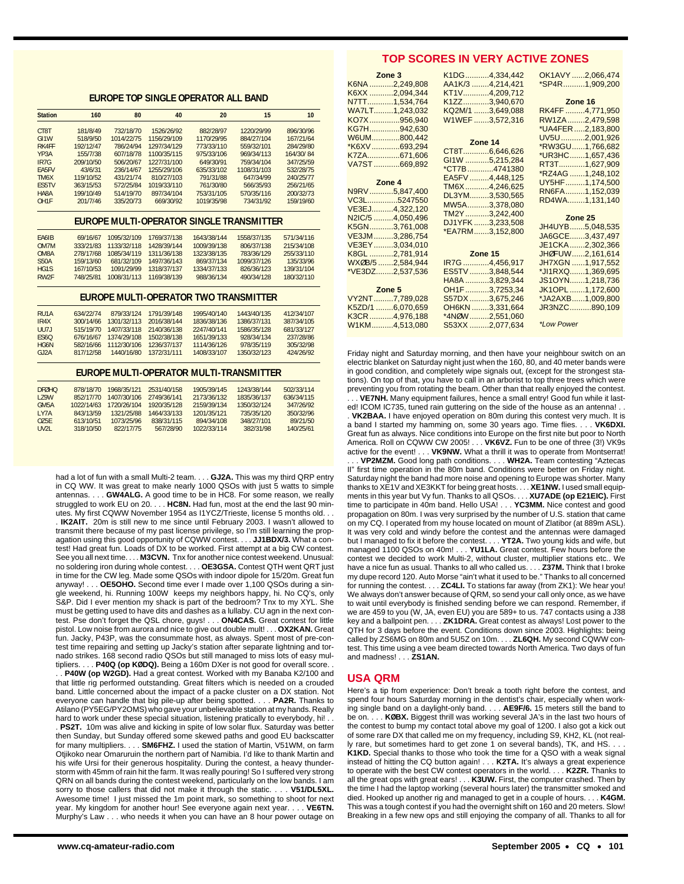## **EUROPE TOP SINGLE OPERATOR ALL BAND**

| <b>Station</b>    | 160       | 80          | 40          | 20          | 15                                       | 10         |
|-------------------|-----------|-------------|-------------|-------------|------------------------------------------|------------|
| CT8T              | 181/8/49  | 732/18/70   | 1526/26/92  | 882/28/97   | 1220/29/99                               | 896/30/96  |
| GI <sub>1</sub> W | 518/9/50  | 1014/22/75  | 1156/29/109 | 1170/29/95  | 884/27/104                               | 167/21/64  |
| RK4FF             | 192/12/47 | 786/24/94   | 1297/34/129 | 773/33/110  | 559/32/101                               | 284/29/80  |
| YP <sub>3</sub> A | 155/7/38  | 607/18/78   | 1100/35/115 | 975/33/106  | 969/34/113                               | 164/30/84  |
| IR <sub>7</sub> G | 209/10/50 | 506/20/67   | 1227/31/100 | 649/30/91   | 759/34/104                               | 347/25/59  |
| <b>FA5FV</b>      | 43/6/31   | 236/14/67   | 1255/29/106 | 635/33/102  | 1108/31/103                              | 532/28/75  |
| TM6X              | 119/10/52 | 431/21/74   | 810/27/103  | 791/31/88   | 647/34/99                                | 240/25/77  |
| ES5TV             | 363/15/53 | 572/25/84   | 1019/33/110 | 761/30/80   | 566/35/93                                | 256/21/65  |
| HA8A              | 199/10/49 | 514/19/70   | 897/34/104  | 753/31/105  | 570/35/116                               | 200/32/73  |
| OH <sub>1</sub> F | 201/7/46  | 335/20/73   | 669/30/92   | 1019/35/98  | 734/31/92                                | 159/19/60  |
|                   |           |             |             |             | EUROPE MULTI-OPERATOR SINGLE TRANSMITTER |            |
| FA6IB             | 69/16/67  | 1095/32/109 | 1769/37/138 | 1643/38/144 | 1558/37/135                              | 571/34/116 |
| OM7M              | 333/21/83 | 1133/32/118 | 1428/39/144 | 1009/39/138 | 806/37/138                               | 215/34/108 |
| OM8A              | 278/17/68 | 1085/34/119 | 1311/36/138 | 1323/38/135 | 783/36/129                               | 255/33/110 |
| <b>S50A</b>       | 159/13/60 | 681/32/109  | 1497/36/143 | 869/37/134  | 1099/37/126                              | 135/33/96  |
| HG1S              | 167/10/53 | 1091/29/99  | 1318/37/137 | 1334/37/133 | 826/36/123                               | 139/31/104 |
| RW <sub>2F</sub>  | 748/25/81 | 1008/31/113 | 1169/38/139 | 988/36/134  | 490/34/128                               | 180/32/110 |
|                   |           |             |             |             | EUROPE MULTI-OPERATOR TWO TRANSMITTER    |            |
| RU <sub>1</sub> A | 634/22/74 | 879/33/124  | 1791/39/148 | 1995/40/140 | 1443/40/135                              | 412/34/107 |
| IR4X              | 300/14/66 | 1301/32/113 | 2016/38/144 | 1836/38/136 | 1386/37/131                              | 387/34/105 |
| UU7J              | 515/19/70 | 1407/33/118 | 2140/36/138 | 2247/40/141 | 1586/35/128                              | 681/33/127 |
| <b>ES60</b>       | 676/16/67 | 1374/29/108 | 1502/38/138 | 1651/39/133 | 928/34/134                               | 237/28/86  |
| HG6N              | 582/16/66 | 1112/30/106 | 1236/37/137 | 1114/36/126 | 978/35/119                               | 305/32/98  |
| GJ2A              | 817/12/58 | 1440/16/80  | 1372/31/111 | 1408/33/107 | 1350/32/123                              | 424/26/92  |
|                   |           |             |             |             | EUROPE MULTI-OPERATOR MULTI-TRANSMITTER  |            |

| <b>DEØHO</b>      | 878/18/70  |             | 1968/35/121 2531/40/158 | 1905/39/145 | 1243/38/144 | 502/33/114 |
|-------------------|------------|-------------|-------------------------|-------------|-------------|------------|
| <b>179W</b>       | 852/17/70  | 1407/30/106 | 2749/36/141             | 2173/36/132 | 1835/36/137 | 636/34/115 |
| GM <sub>5</sub> A | 1022/14/63 | 1720/26/104 | 1920/35/128             | 2159/39/134 | 1350/32/124 | 347/26/92  |
| IY7A              | 843/13/59  | 1321/25/88  | 1464/33/133             | 1201/35/121 | 735/35/120  | 350/32/96  |
| 075F              | 613/10/51  | 1073/25/96  | 838/31/115              | 894/34/108  | 348/27/101  | 89/21/50   |
| UV21              | 318/10/50  | 822/17/75   | 567/28/90               | 1022/33/114 | 382/31/98   | 140/25/61  |

had a lot of fun with a small Multi-2 team. . . . **GJ2A.** This was my third QRP entry in CQ WW. It was great to make nearly 1000 QSOs with just 5 watts to simple antennas. . . . **GW4ALG.** A good time to be in HC8. For some reason, we really struggled to work EU on 20. . . . HC8N. Had fun, most at the end the last 90 minutes. My first CQWW November 1954 as I1YCZ/Trieste, license 5 months old. . .

. **IK2AIT.** 20m is still new to me since until February 2003. I wasn't allowed to transmit there because of my past license privilege, so I'm still learning the propagation using this good opportunity of CQWW contest. . . . **JJ1BDX/3.** What a contest! Had great fun. Loads of DX to be worked. First attempt at a big CW contest. See you all next time. . . . **M3CVN.** Tnx for another nice contest weekend. Unusual: no soldering iron during whole contest. . . . **OE3GSA.** Contest QTH went QRT just in time for the CW leg. Made some QSOs with indoor dipole for 15/20m. Great fun anyway! . . . **OE5OHO.** Second time ever I made over 1,100 QSOs during a single weekend, hi. Running 100W keeps my neighbors happy, hi. No CQ's, only S&P. Did I ever mention my shack is part of the bedroom? Tnx to my XYL. She must be getting used to have dits and dashes as a lullaby. CU agn in the next contest. Pse don't forget the QSL chore, guys! . . . **ON4CAS.** Great contest for little pistol. Low noise from aurora and nice to give out double mult! . . . **OX2KAN.** Great fun. Jacky, P43P, was the consummate host, as always. Spent most of pre-contest time repairing and setting up Jacky's station after separate lightning and tornado strikes. 168 second radio QSOs but still managed to miss lots of easy multipliers. . . . **P40Q (op KØDQ).** Being a 160m DXer is not good for overall score. .

. P40W (op W2GD). Had a great contest. Worked with my Banaba K2/100 and that little rig performed outstanding. Great filters which is needed on a crouded band. Little concerned about the impact of a packe cluster on a DX station. Not everyone can handle that big pile-up after being spotted. . . . **PA2R.** Thanks to Atilano (PY5EG/PY2OMS) who gave your unbelievable station at my hands. Really hard to work under these special situation, listening pratically to everybody, hi! . . **PS2T.** 10m was alive and kicking in spite of low solar flux. Saturday was better then Sunday, but Sunday offered some skewed paths and good EU backscatter for many multipliers. . . . **SM6FHZ.** I used the station of Martin, V51WM, on farm Otjikoko near Omaruruin the northern part of Namibia. I'd like to thank Martin and his wife Ursi for their generous hospitality. During the contest, a heavy thunderstorm with 45mm of rain hit the farm. It was really pouring! So I suffered very strong QRN on all bands during the contest weekend, particularly on the low bands. I am<br>sorry to those callers that did not make it through the static **V51/DL5XL**. sorry to those callers that did not make it through the static. . Awesome time! I just missed the 1m point mark, so something to shoot for next year. My kingdom for another hour! See everyone again next year. . . . **VE6TN.** Murphy's Law . . . who needs it when you can have an 8 hour power outage on

## **TOP SCORES IN VERY ACTIVE ZONES**

| Zone 3           | K1DG4,334,442            | OK1AVY 2,066,474  |
|------------------|--------------------------|-------------------|
| K6NA 2,249,808   | AA1K/3 4,214,421         | *SP4R1,909,200    |
| K6XX 2,094,344   | KT1V4,209,712            |                   |
| N7TT1,534,764    | K1ZZ3,940,670            | Zone 16           |
| WA7LT1,243,032   | KQ2M/1 3,649,088         | RK4FF 4,771,950   |
| KO7X956,940      | W1WEF3,572,316           | RW1ZA2,479,598    |
| KG7H942,630      |                          | *UA4FER2,183,800  |
| W6UM800,442      | Zone 14                  | UV5U 2,001,926    |
| *K6XV 693,294    | CT8T6,646,626            | *RW3GU1,766,682   |
| K7ZA671,606      | GI1W 5,215,284           | *UR3HC1,657,436   |
| VA7ST669,892     | *CT7B4741380             | RT3T1,627,909     |
|                  | EA5FV 4,448,125          | *RZ4AG 1,248,102  |
| Zone 4           | TM6X4,246,625            | UY5HF1,174,500    |
| N9RV5,847,400    | DL3YM3,530,565           | RN6FA1,152,039    |
| VC3L5247550      | MW5A3,378,080            | RD4WA1,131,140    |
|                  |                          |                   |
| VE3EJ4,322,120   |                          |                   |
| N2IC/5 4,050,496 | TM2Y3,242,400            | Zone 25           |
| K5GN3,761,008    | DJ1YFK3,233,508          | JH4UYB5,048,535   |
| VE3JM3,286,754   | *EA7RM3,152,800          | JA6GCE3,437,497   |
| VE3EY3,034,010   |                          | JE1CKA2,302,366   |
| K8GL 2,781,914   | <b>Example 20 Dec</b> 15 | JHØFUW2,161,614   |
| WXØB/5 2,584,944 | IR7G 4,456,917           | JH7XGN 1,917,552  |
| *VE3DZ2.537.536  | ES5TV 3,848,544          | *JI1RXQ1,369,695  |
|                  | HA8A 3,829,344           | JS10YN1,218,736   |
| Zone 5           | OH1F3,7253,34            | JK1OPL 1,172,600  |
| VY2NT7,789,028   | S57DX3,675,246           | *JA2AXB1,009,800  |
| K5ZD/1 6,070,659 | OH6KN 3,331,664          | JR3NZC890,109     |
| K3CR4,976,188    | *4NØW2,551,060           |                   |
| W1KM4,513,080    | S53XX 2,077,634          | <i>*Low Power</i> |

Friday night and Saturday morning, and then have your neighbour switch on an electric blanket on Saturday night just when the 160, 80, and 40 meter bands were in good condition, and completely wipe signals out, (except for the strongest stations). On top of that, you have to call in an arborist to top three trees which were preventing you from rotating the beam. Other than that really enjoyed the contest.

VE7NH. Many equipment failures, hence a small entry! Good fun while it lasted! ICOM IC735, tuned rain guttering on the side of the house as an antenna! . .

. **VK2BAA.** I have enjoyed operation on 80m during this contest very much. It is a band I started my hamming on, some 30 years ago. Time flies. . . . **VK6DXI.** Great fun as always. Nice conditions into Europe on the first nite but poor to North America. Roll on CQWW CW 2005! . . . **VK6VZ.** Fun to be one of three (3!) VK9s active for the event! . . . **VK9NW.** What a thrill it was to operate from Montserrat! . . . **VP2MZM.** Good long path conditions. . . . **WH2A.** Team contesting "Aztecas II" first time operation in the 80m band. Conditions were better on Friday night. Saturday night the band had more noise and opening to Europe was shorter. Many thanks to XE1V and XE3KKT for being great hosts. . . . **XE1NW.** I used small equipments in this year but Vy fun. Thanks to all QSOs. . . . **XU7ADE (op E21EIC).** First time to participate in 40m band. Hello USA! . . . **YC3MM.** Nice contest and good propagation on 80m. I was very surprised by the number of U.S. station that came on my CQ. I operated from my house located on mount of Zlatibor (at 889m ASL). It was very cold and windy before the contest and the antennas were damaged but I managed to fix it before the contest. . . . **YT2A.** Two young kids and wife, but managed 1100 QSOs on 40m! . . . **YU1LA.** Great contest. Few hours before the contest we decided to work Multi-2, without cluster, multiplier stations etc.. We have a nice fun as usual. Thanks to all who called us. . . . **Z37M.** Think that I broke my dupe record 120. Auto Morse "ain't what it used to be." Thanks to all concerned for running the contest. . . . **ZC4LI.** To stations far away (from ZK1): We hear you! We always don't answer because of QRM, so send your call only once, as we have to wait until everybody is finished sending before we can respond. Remember, if we are 459 to you (W, JA, even EU) you are 589+ to us. 747 contacts using a J38 key and a ballpoint pen. . . . **ZK1DRA.** Great contest as always! Lost power to the QTH for 3 days before the event. Conditions down since 2003. Highlights: being called by ZS6MG on 80m and 5U5Z on 10m. . . . **ZL6QH.** My second CQWW contest. This time using a vee beam directed towards North America. Two days of fun and madness! . . . **ZS1AN.**

#### **USA QRM**

Here's a tip from experience: Don't break a tooth right before the contest, and spend four hours Saturday morning in the dentist's chair, especially when working single band on a daylight-only band. . . . **AE9F/6.** 15 meters still the band to be on. . . . **KØBX.** Biggest thrill was working several JA's in the last two hours of the contest to bump my contact total above my goal of 1200. I also got a kick out of some rare DX that called me on my frequency, including S9, KH2, KL (not really rare, but sometimes hard to get zone 1 on several bands), TK, and HS. . . .

**K1KD.** Special thanks to those who took the time for a QSO with a weak signal instead of hitting the CQ button again! . . . **K2TA.** It's always a great experience to operate with the best CW contest operators in the world. . . . **K2ZR.** Thanks to all the great ops with great ears! . . . **K3UW.** First, the computer crashed. Then by the time I had the laptop working (several hours later) the transmitter smoked and died. Hooked up another rig and managed to get in a couple of hours. . . . **K4GM.** This was a tough contest if you had the overnight shift on 160 and 20 meters. Slow! Breaking in a few new ops and still enjoying the company of all. Thanks to all for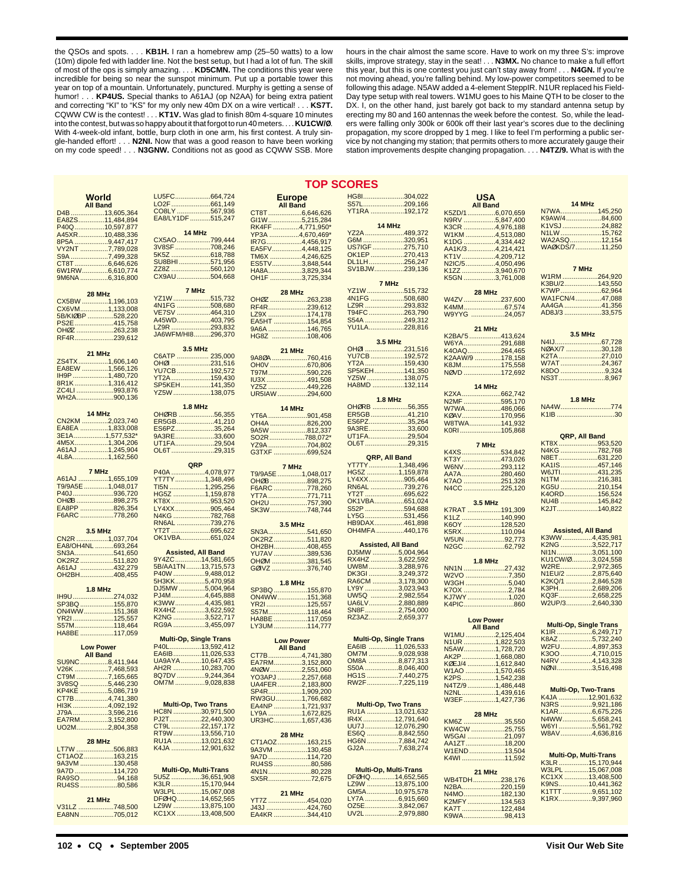the QSOs and spots. . . . **KB1H.** I ran a homebrew amp (25–50 watts) to a low (10m) dipole fed with ladder line. Not the best setup, but I had a lot of fun. The skill of most of the ops is simply amazing. . . . **KD5CMN.** The conditions this year were incredible for being so near the sunspot minimum. Put up a portable tower this year on top of a mountain. Unfortunately, punctured. Murphy is getting a sense of humor! . . . **KP4US.** Special thanks to A61AJ (op N2AA) for being extra patient and correcting "KI" to "KS" for my only new 40m DX on a wire vertical! . . . **KS7T.** CQWW CW is the contest! . . . **KT1V.** Was glad to finish 80m 4-square 10 minutes into the contest, but was so happy about it that forgot to run 40 meters. . . . **KU1CW/Ø**. With 4-week-old infant, bottle, burp cloth in one arm, his first contest. A truly single-handed effort! . . . **N2NI.** Now that was a good reason to have been working on my code speed! . . . **N3GNW.** Conditions not as good as CQWW SSB. More hours in the chair almost the same score. Have to work on my three S's: improve skills, improve strategy, stay in the seat! . . . **N3MX.** No chance to make a full effort this year, but this is one contest you just can't stay away from! . . . **N4GN.** If you're not moving ahead, you're falling behind. My low-power competitors seemed to be following this adage. N5AW added a 4-element SteppIR. N1UR replaced his Field-Day type setup with real towers. W1MU goes to his Maine QTH to be closer to the DX. I, on the other hand, just barely got back to my standard antenna setup by erecting my 80 and 160 antennas the week before the contest. So, while the leaders were falling only 300k or 600k off their last year's scores due to the declining propagation, my score dropped by 1 meg. I like to feel I'm performing a public service by not changing my station; that permits others to more accurately gauge their station improvements despite changing propagation. . . . **N4TZ/9.** What is with the

#### **TOP SCORES**

| World                         | LU5FC664,724                        | <b>Europe</b>                 | HG8I304,022                    | <b>USA</b>                |                               |
|-------------------------------|-------------------------------------|-------------------------------|--------------------------------|---------------------------|-------------------------------|
|                               |                                     |                               |                                |                           | 14 MHz                        |
| <b>All Band</b>               |                                     | <b>All Band</b>               | <u>S57L209,166</u>             | <b>All Band</b>           |                               |
| D4B13,605,364                 | CO8LY 567,936                       | CT8T6,646,626                 | YT1RA 192,172                  | K5ZD/16,070,659           | N7WA145,250                   |
|                               | EA8/LY1DF 515,247                   |                               |                                |                           | K9AW/484,600                  |
| EA8ZS11,484,894               |                                     | GI1W5,215,284                 |                                | N9RV 5,847,400            |                               |
| P40Q10,597,877                |                                     | RK4FF 4,771,950*              | 14 MHz                         | K3CR 4,976,188            | K1VSJ24,882                   |
|                               | 14 MHz                              |                               | YZ2A 489,372                   |                           | N1LW15,762                    |
| A45XR10,488,336               |                                     | YP3A 4,670,469'               |                                | W1KM 4,513,080            |                               |
| 8P5A 9,447,417                | CX5AO799,444                        | IR7G4,456,917                 | G6M 320,951                    | K1DG 4,334,442            | WA2ASQ12,154                  |
|                               | 3V8SF 708,246                       |                               | US7IGF 275,710                 |                           | WAØKDS/711,250                |
| VY2NT 7,789,028               |                                     | EA5FV4,448,125                |                                | AA1K/34,214,421           |                               |
| S9A7,499,328                  | 5K5Z 618,788                        | TM6X 4,246,625                | OK1EP 270,413                  | KT1V4,209,712             |                               |
|                               | SU8BHI571,956                       |                               | DL1LH256,247                   |                           |                               |
| CT8T6,646,626                 |                                     | ES5TV3,848,544                |                                | N2IC/54,050,496           |                               |
| 6W1RW6,610,774                | ZZ8Z 560,120                        | HA8A3,829,344                 | SV1BJW239,136                  | K1ZZ 3,940,670            | 7 MHz                         |
| 9M6NA6,316,800                | CX9AU 504,668                       | OH1F 3,725,334                |                                | K5GN 3,761,008            | W1RM264,920                   |
|                               |                                     |                               |                                |                           |                               |
|                               |                                     |                               | 7 MHz                          |                           | K3BU/2143,550                 |
|                               | 7 MHz                               | 28 MHz                        | YZ1W515,732                    | 28 MHz                    | K7WP62,964                    |
| 28 MHz                        | YZ1W 515,732                        |                               |                                |                           | WA1FCN/447,088                |
| CX5BW 1,196,103               |                                     | OH0Z 263,238                  | 4N1FG 508,680                  | W4ZV 237,600              |                               |
|                               | 4N1FG 508,680                       | RF4R239.612                   | LZ9R 293,832                   | K4MM67,574                | AA4GA41,356                   |
| CX6VM1,133,008                |                                     |                               |                                |                           | AD8J/3 33,575                 |
| 5B/KIØBP 528,220              | VE7SV 464,310                       | LZ9X 174,178                  | T94FC263,790                   | W9YYG 24,057              |                               |
|                               | A45WD403,795                        | EA5HT 154,854                 | S54A 249,312                   |                           |                               |
| PS2E415,758                   |                                     |                               |                                |                           |                               |
| OH0Z 263,238                  | LZ9R 293,832                        | 9A6A 146,765                  | YU1LA228,816                   | 21 MHz                    |                               |
|                               | JA6WFM/HI8296,370                   | HG8Z 108,406                  |                                | K2BA/'5 413,624           | 3.5 MHz                       |
| RF4R239,612                   |                                     |                               | 3.5 MHz                        |                           |                               |
|                               |                                     |                               |                                | W6YA291,688               | N4IJ<br>.67,728<br>.          |
|                               | 3.5 MHz                             | 21 MHz                        | OHØI 231,516                   | K4OAQ264,465              | NØAX/7 30,128                 |
| 21 MHz                        |                                     |                               |                                |                           |                               |
|                               | C6ATP  235,000                      | 9A80A760,416                  | YU7CB192,572                   | K2AAW/9 178,158           | <u>K2TA ……………………27,010</u>    |
| ZS4TX1,606,140                | OHØI 231,516                        | OH0V 670,806                  | <u>YT2A 159,430</u>            | K8JM175,558               | W7AT24,367                    |
| EA8EW 1,566,126               |                                     |                               |                                |                           |                               |
|                               | YU7CB 192,572                       | T97M590,226                   | SP5KEH141,350                  | NØVD 172,692              | K8DO 9,324                    |
| IH9P 1,480,720                | <u>YT2A 159,430</u>                 |                               | YZ5W 138,075                   |                           | NS3T8,967                     |
| 8R1K1,316,412                 |                                     | IU3X491,508                   |                                |                           |                               |
|                               | SP5KEH141,350                       | YZ5Z 449,226                  | HA8MD 132,114                  | 14 MHz                    |                               |
| ZC4LI 993,876                 | YZ5W 138,075                        |                               |                                |                           |                               |
| WH2A900,136                   |                                     | UR5IAW 294,600                |                                |                           |                               |
|                               |                                     |                               | 1.8 MHz                        | N2MF 595,170              | <b>1.8 MHz</b>                |
|                               | <b>1.8 MHz</b>                      |                               | OHØRB 56,355                   |                           | NA4W774                       |
|                               |                                     | 14 MHz                        |                                | W7WA486,066               |                               |
| 14 MHz                        | OHØRB 56,355                        | YT6A 901,458                  | ER5GB41,210                    | KØAV170,956               | K <sub>1</sub> IB 30          |
| CN2KM 2,023,740               | ER5GB41,210                         |                               | ES6PZ35,264                    |                           |                               |
|                               |                                     | OH4A 826,200                  |                                | W8TWA141,932              |                               |
| EA8EA 1,833,008               | 35,264<br>ES6PZ.                    | 9A5W 812,337                  | 9A3RE33,600                    | K0RI 105,868              |                               |
| 3E1A1,577,532*                | 9A3RE33,600                         |                               | UT1FA29,504                    |                           | QRP, All Band                 |
|                               |                                     | SO2R788.072*                  |                                |                           |                               |
| 4M5X1,304,206                 | UT1FA29,504                         | YZ9A 704,802                  | OL6T 29,315                    | 7 MHz                     | KT8X953,520                   |
| A61AJ 1,245,904               | OL6T 29,315                         |                               |                                |                           | N4KG 782,768                  |
|                               |                                     | G3TXF 699,524                 |                                | K4XS534,842               |                               |
| 4L8A1,162,560                 |                                     |                               | QRP, All Band                  | KT3Y473,026               | N8ET631,220                   |
|                               | QRP                                 |                               | YT7TY1,348,496                 |                           | KA1IS457,146                  |
|                               |                                     | 7 MHz                         |                                | W6NV293,112               |                               |
| 7 MHz                         | P40A 4,078,977                      | T9/9A5E 1,048,017             | HG5Z 1,159,878                 | AA7A280,460               | W6JTI431,235                  |
| A61AJ 1,655,109               | YT7TY1,348,496                      |                               | LY4XX905,464                   |                           | N1TM 216,381                  |
|                               |                                     | <b>OHØB</b><br>898,275        |                                | K7AO 251,328              |                               |
| T9/9A5E 1,048,017             | TI5N 1,295,256                      | F6ARC 778,260                 | RN6AL 739,276                  | N4CC 225,120              | KG5U 210,154                  |
| P40J936,720                   | HG5Z 1,159,878                      |                               | YT2T 695,622                   |                           | K4ORD156,524                  |
| OH0B 898,275                  |                                     | YT7A771,711                   |                                |                           |                               |
|                               |                                     |                               |                                |                           |                               |
|                               |                                     |                               |                                |                           |                               |
|                               | KT8X 953,520                        | OH2U 757,390                  | OK1VBA651,024                  | 3.5 MHz                   | NU4B 145,842                  |
| EA8PP 826,354                 | LY4XX905,464                        |                               | S52P 594,688                   | K7RAT 191,309             | K2JT140,822                   |
|                               |                                     | SK3W748,744                   |                                |                           |                               |
| F6ARC 778,260                 | N4KG 782,768                        |                               | LY5G531,456                    | K1LZ 140,990              |                               |
|                               | RN6AL 739,276                       | 3.5 MHz                       | HB9DAX461,898                  |                           |                               |
|                               |                                     |                               |                                | K6OY 128,520              |                               |
| 3.5 MHz                       | YT2T 695,622                        | SN3A541,650                   | OH4MFA 440,176                 | K5RX110,094               | <b>Assisted, All Band</b>     |
| CN2R 1,037,704                | OK1VBA651,024                       |                               |                                |                           | K3WW4,435,981                 |
|                               |                                     | OK2RZ511,820                  |                                | W5UN 92,773               |                               |
| EA8/OH4NL 693,264             |                                     | OH2BH408,455                  | <b>Assisted, All Band</b>      | N2GC 62,792               | K2NG 3,522,717                |
|                               | <b>Assisted, All Band</b>           |                               | DJ5MW 5,004,964                |                           | NI1N3,051,100                 |
| SN3A541,650                   |                                     | YU7AV 389,536                 |                                |                           |                               |
| OK2RZ511,820                  | 9Y4ZC14,581,665                     | OHØM 381,545                  | RX4HZ 3,622,592                | 1.8 MHz                   | KU1CW/03,024,558              |
|                               | 5B/AA1TN13,715,573                  |                               | UW8M3,288,976                  |                           | W2RE2,972,365                 |
| A61AJ 432,279                 |                                     | GØIVZ 376,740                 |                                | NN1N 27,432               |                               |
| OH2BH408,455                  | P40W 9,488,012                      |                               | DK3GI 3,249,372                | W2VO 7,350                | N1EU/2 2,875,640              |
|                               | 5H3KK5,470,958                      |                               | RA6CM 3,178,300                |                           | K2KQ/1 2,846,528              |
|                               |                                     | <b>1.8 MHz</b>                |                                | W3GH 5,040                |                               |
| <b>1.8 MHz</b>                | DJ5MW 5,004,964                     | SP3BQ 155,870                 | LY9Y 3,023,943                 | K7OX 2,784                | K3PH2,689,206                 |
|                               | PJ4M4,645,888                       |                               | UW5Q 2,982,554                 |                           | KQ3F2,658,225                 |
| IH9U274,032                   |                                     | ON4WW151,368                  |                                | KJ7WY1,020                |                               |
| SP3BQ155,870                  | K3WW4,435,981                       | YR21125,557                   | UA6LV2,880,889                 | K4PIC860                  | W2UP/32,640,330               |
| ON4WW151,368                  | RX4HZ 3,622,592                     | S57M118,464                   | SN8F2,754,000                  |                           |                               |
|                               |                                     |                               |                                |                           |                               |
| YR21125,557                   | K2NG 3,522,717                      | HA8BE 117,059                 | RZ3AZ2,659,377                 | <b>Low Power</b>          |                               |
| S57M118,464                   | RG9A 3,455,097                      | LY3UM114,777                  |                                |                           | <b>Multi-Op, Single Trans</b> |
|                               |                                     |                               |                                | <b>All Band</b>           | K1IR 6,249,717                |
| HA8BE 117,059                 |                                     |                               |                                | W1MU2,125,404             |                               |
|                               | <b>Multi-Op, Single Trans</b>       | <b>Low Power</b>              | <b>Multi-Op, Single Trans</b>  |                           | K8AZ 5,732,240                |
|                               | P40L13,592,412                      |                               | EA6IB 11,026,533               | N1UR 1,822,503            |                               |
| <b>Low Power</b>              |                                     | <b>All Band</b>               |                                | N5AW1,728,720             | W2FU4,897,353                 |
| <b>All Band</b>               | EA6IB11,026,533                     | CT7B4,741,380                 | OM7M9,028,938                  |                           | K3OO 4,710,015                |
|                               |                                     |                               |                                | AK2P1,668,080             |                               |
| SU9NC8,411,944                | UA9AYA10,647,435                    | EA7RM3,152,800                | OM8A 8,877,313                 | KØEJ/4 1,612,840          | N4RV 4,143,328                |
| V26K 7,468,593                | AH2R 10,283,700                     | 4NØW2,551,060                 | S50A 8,046,400                 |                           | NØNI3,516,498                 |
|                               |                                     |                               |                                | W1AO 1,570,465            |                               |
| CT9M 7,165,665                | 8Q7DV 9,244,364                     | YO3APJ 2,257,668              | HG1S 7,440,275                 | K2PS1,542,238             |                               |
| 3V8SQ 5,446,230               | OM7M 9,028,838                      | UA4FER2,183,800               | RW2F 7,225,119                 | N4TZ/9 1,486,448          |                               |
|                               |                                     |                               |                                |                           | <b>Multi-Op, Two-Trans</b>    |
| KP4KE 5,086,719               |                                     | SP4R1,909,200                 |                                | N2NL1,439,616             |                               |
| CT7B4,741,380                 |                                     | RW3GU1,766,682                |                                |                           | K4JA 12,901,632               |
|                               | <b>Multi-Op, Two Trans</b>          |                               | <b>Multi-Op, Two Trans</b>     | W3EF 1,427,736            | N3RS 9,921,186                |
| HI3K4,092,192                 |                                     | EA4NP 1,721,937               |                                |                           |                               |
| J79A3,596,216                 | HC8N 30,971,500                     | LY9A 1,672,825                | RU1A 13,021,632                | 28 MHz                    | K1AR6,675,226                 |
|                               | PJ2T22,440,300                      |                               | IR4X12,791,640                 |                           | N4WW5,658,241                 |
| EA7RM3,152,800                |                                     | UR3HC1,657,436                |                                | KM6Z 35,550               |                               |
| UO2M2,804,358                 | CT9L 22,157,172                     |                               | UU7J12,076,290                 |                           | W6YI 5,561,792                |
|                               |                                     |                               |                                | KW4CW 25,755              | W8AV4,636,816                 |
|                               | RT9W13,556,710                      | 28 MHz                        | ES6Q 8,842,550                 | W5GAI 21,097              |                               |
| 28 MHz                        | RU1A 13,021,632                     | CT1AOZ163,215                 | HG6N7,884,742                  |                           |                               |
|                               |                                     |                               |                                | AA1ZT18,200               |                               |
| LT7W 506,883                  | K4JA 12,901,632                     | 9A3VM 130,458                 | GJ2A 7,638,274                 | W1END13,504               |                               |
| CT1AOZ163,215                 |                                     | 9A7D 114,720                  |                                |                           | <b>Multi-Op, Multi-Trans</b>  |
|                               |                                     |                               |                                | K4WI 11,592               |                               |
| 9A3VM 130,458                 |                                     | RU4SS80,586                   |                                |                           | K3LR15,170,944                |
| 9A7D 114,720                  | <b>Multi-Op, Multi-Trans</b>        |                               | <b>Multi-Op, Multi-Trans</b>   |                           | W3LPL 15,067,008              |
|                               |                                     | 4N1N80,228                    |                                | 21 MHz                    |                               |
| RA9SO 94,168                  | 5U5Z 36,651,908                     | SX5R72,675                    | DFØHQ14,652,565                | WB4TDH238,176             | KC1XX 13,408,500              |
| RU4SS 80,586                  | K3LR15,170,944                      |                               | LZ9W 13,875,100                |                           | K9NS10,441,362                |
|                               |                                     |                               |                                | N2BA220,159               |                               |
|                               | W3LPL 15,067,008                    | 21 MHz                        | GM5A10,975,578                 | N4MO182,130               | K1TTT 9,651,102               |
| 21 MHz                        | DFØHQ14,652,565                     |                               | LY7A 6,915,660                 |                           | K1RX9,397,960                 |
|                               |                                     | YT7Z 454,020                  |                                | K2MFY134,563              |                               |
| V31LZ 748,500<br>EA8NN705,012 | LZ9W 13,875,100<br>KC1XX 13,408,500 | J43J 424,760<br>EA4KR 344,410 | OZ5E3,842,067<br>UV2L2,979,880 | KA7T122,484<br>K9WA98,413 |                               |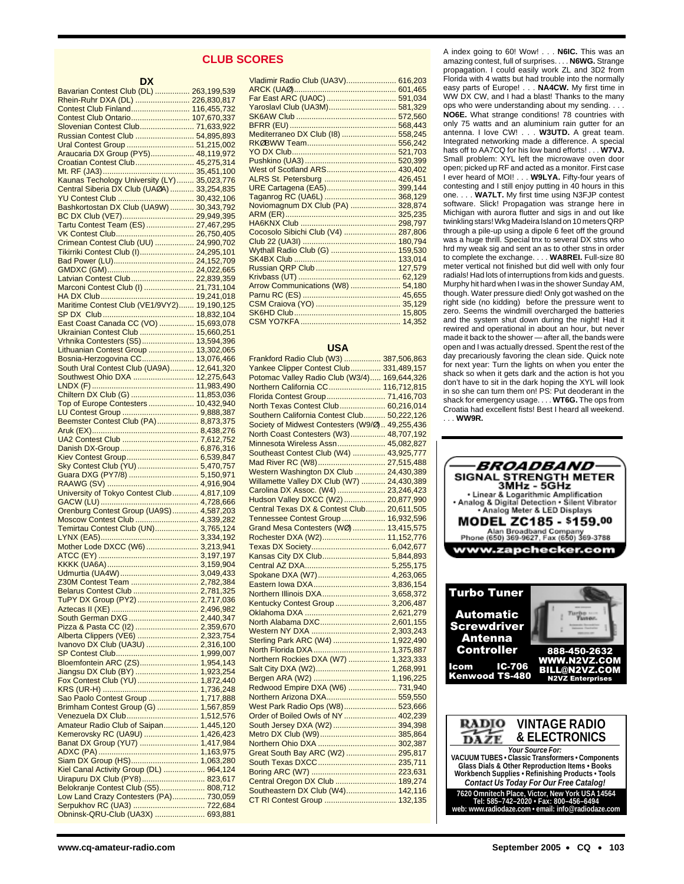#### **CLUB SCORES**

| DX                                                                          |            |
|-----------------------------------------------------------------------------|------------|
| Bavarian Contest Club (DL)  263,199,539                                     |            |
| Rhein-Ruhr DXA (DL)  226,830,817                                            |            |
| Contest Club Finland 116,455,732                                            |            |
| Contest Club Ontario 107,670,337                                            |            |
| Slovenian Contest Club 71,633,922                                           |            |
| Russian Contest Club  54,895,893<br>Ural Contest Group  51,215,002          |            |
| Araucaria DX Group (PY5) 48,119,972                                         |            |
| Croatian Contest Club 45,275,314                                            |            |
|                                                                             |            |
| Kaunas Techology University (LY) 35,023,776                                 |            |
| Central Siberia DX Club (UAØA)  33,254,835                                  |            |
|                                                                             |            |
| BC DX Club (VE7) 29,949,395                                                 |            |
| Tartu Contest Team (ES)  27,467,295                                         |            |
|                                                                             |            |
| Crimean Contest Club (UU)  24,990,702                                       |            |
| Tikirriki Contest Club (I) 24,295,101                                       |            |
|                                                                             |            |
|                                                                             |            |
| Latvian Contest Club 22,839,359                                             |            |
| Marconi Contest Club (I)  21,731,104                                        |            |
|                                                                             |            |
| Maritime Contest Club (VE1/9VY2) 19,190,125                                 |            |
|                                                                             |            |
| East Coast Canada CC (VO)  15,693,078<br>Ukrainian Contest Club  15,660,251 |            |
| Vrhnika Contesters (S5) 13,594,396                                          |            |
| Lithuanian Contest Group  13,302,065                                        |            |
| Bosnia-Herzogovina CC                                                       | 13,076,466 |
| South Ural Contest Club (UA9A) 12,641,320                                   |            |
| Southwest Ohio DXA  12,275,643                                              |            |
|                                                                             | 11,983,490 |
| Chiltern DX Club (G)  11,853,036                                            |            |
| Top of Europe Contesters 10,432,940                                         |            |
|                                                                             |            |
|                                                                             |            |
|                                                                             |            |
|                                                                             |            |
| Kiev Contest Group 6,539,847                                                |            |
| Sky Contest Club (YU)  5,470,757                                            |            |
| Guara DXG (PY7/8)  5,150,971                                                |            |
|                                                                             |            |
| University of Tokyo Contest Club 4,817,109                                  |            |
|                                                                             |            |
| Orenburg Contest Group (UA9S) 4,587,203                                     |            |
| Moscow Contest Club  4,339,282                                              |            |
| Temirtau Contest Club (UN) 3,765,124                                        |            |
|                                                                             |            |
| Mother Lode DXCC (W6)  3,213,941                                            |            |
|                                                                             |            |
|                                                                             |            |
| Z30M Contest Team  2,782,384                                                |            |
| Belarus Contest Club  2,781,325                                             |            |
| TuPY DX Group (PY2) 2,717,036                                               |            |
|                                                                             |            |
|                                                                             |            |
| Pizza & Pasta CC (I2)  2,359,670                                            |            |
| Alberta Clippers (VE6)  2,323,754                                           |            |
| Ivanovo DX Club (UA3U)  2,316,100                                           |            |
|                                                                             |            |
| Bloemfontein ARC (ZS) 1,954,143                                             |            |
| Jiangsu DX Club (BY)  1,923,254<br>Fox Contest Club (YU)  1,872,440         |            |
|                                                                             |            |
| Sao Paolo Contest Group  1,717,888                                          |            |
| Brimham Contest Group (G)  1,567,859                                        |            |
| Venezuela DX Club 1,512,576                                                 |            |
| Amateur Radio Club of Saipan 1,445,120                                      |            |
| Kemerovsky RC (UA9U)  1,426,423                                             |            |
| Banat DX Group (YU7)  1,417,984                                             |            |
|                                                                             |            |
| Siam DX Group (HS) 1,063,280                                                |            |
| Kiel Canal Activity Group (DL)  964,124                                     |            |
| Uirapuru DX Club (PY8) 823,617<br>Belokranje Contest Club (S5) 808,712      |            |
| Low Land Crazy Contesters (PA) 730,059                                      |            |
| Serpukhov RC (UA3)  722,684                                                 |            |
| Obninsk-QRU-Club (UA3X)  693,881                                            |            |

| Vladimir Radio Club (UA3V) 616,203  |  |
|-------------------------------------|--|
|                                     |  |
| Far East ARC (UA0C)  591,034        |  |
| Yaroslavl Club (UA3M) 581,329       |  |
|                                     |  |
|                                     |  |
| Mediterraneo DX Club (I8)  558,245  |  |
|                                     |  |
|                                     |  |
|                                     |  |
|                                     |  |
| ALRS St. Petersburg  426,451        |  |
| URE Cartagena (EA5) 399,144         |  |
|                                     |  |
| Noviomagnum DX Club (PA)  328,874   |  |
|                                     |  |
|                                     |  |
| Cocosolo Sibichi Club (V4)  287,806 |  |
|                                     |  |
| Wythall Radio Club (G)  159,530     |  |
|                                     |  |
|                                     |  |
|                                     |  |
| Arrow Communications (W8)  54,180   |  |
|                                     |  |
|                                     |  |
|                                     |  |
|                                     |  |
|                                     |  |

#### **USA**

| Frankford Radio Club (W3)  387,506,863                               |  |
|----------------------------------------------------------------------|--|
| Yankee Clipper Contest Club 331,489,157                              |  |
| Potomac Valley Radio Club (W3/4) 169,644,326                         |  |
| Northern California CC 116,712,815                                   |  |
| Florida Contest Group 71,416,703                                     |  |
| North Texas Contest Club 60,216,014                                  |  |
| Southern California Contest Club 50,222,126                          |  |
| Society of Midwest Contesters (W9/Ø) 49,255,436                      |  |
| North Coast Contesters (W3) 48,707,192                               |  |
| Minnesota Wireless Assn 45,082,827                                   |  |
| Southeast Contest Club (W4)  43,925,777                              |  |
| Mad River RC (W8) 27,515,488                                         |  |
| Western Washington DX Club  24,430,389                               |  |
| Willamette Valley DX Club (W7)  24,430,389                           |  |
| Carolina DX Assoc. (W4)  23,246,423                                  |  |
| Hudson Valley DXCC (W2)  20,877,990                                  |  |
| Central Texas DX & Contest Club 20,611,505                           |  |
| Tennessee Contest Group  16,932,596                                  |  |
| Grand Mesa Contesters (WØ) 13,415,575                                |  |
| Rochester DXA (W2) 11,152,776                                        |  |
|                                                                      |  |
| Kansas City DX Club 5,844,893                                        |  |
|                                                                      |  |
| Spokane DXA (W7) 4,263,065                                           |  |
|                                                                      |  |
| Northern Illinois DXA 3,658,372                                      |  |
| Kentucky Contest Group  3,206,487                                    |  |
|                                                                      |  |
| North Alabama DXC 2,601,155                                          |  |
|                                                                      |  |
| Sterling Park ARC (W4)  1,922,490                                    |  |
|                                                                      |  |
| Northern Rockies DXA (W7)  1,323,333                                 |  |
|                                                                      |  |
|                                                                      |  |
| Redwood Empire DXA (W6)  731,940                                     |  |
| Northern Arizona DXA 559,550                                         |  |
| West Park Radio Ops (W8) 523,666                                     |  |
| Order of Boiled Owls of NY  402,239                                  |  |
| South Jersey DXA (W2) 394,398                                        |  |
|                                                                      |  |
|                                                                      |  |
| Great South Bay ARC (W2)  295,817                                    |  |
|                                                                      |  |
|                                                                      |  |
|                                                                      |  |
| Central Oregon DX Club  189,274<br>Southeastern DX Club (W4) 142,116 |  |
|                                                                      |  |
|                                                                      |  |
|                                                                      |  |

A index going to 60! Wow! . . . **N6IC.** This was an amazing contest, full of surprises. . . . **N6WG.** Strange propagation. I could easily work ZL and 3D2 from Florida with 4 watts but had trouble into the normally easy parts of Europe! . . . **NA4CW.** My first time in WW DX CW, and I had a blast! Thanks to the many ops who were understanding about my sending. . . . **NO6E.** What strange conditions! 78 countries with only 75 watts and an aluminium rain gutter for an antenna. I love CW! . . . **W3UTD.** A great team. Integrated networking made a difference. A special hats off to AA7CQ for his low band efforts! . . . **W7VJ.** Small problem: XYL left the microwave oven door open; picked up RF and acted as a monitor. First case I ever heard of MOI! . . . **W9LYA.** Fifty-four years of contesting and I still enjoy putting in 40 hours in this one. . . . **WA7LT.** My first time using N3FJP contest software. Slick! Propagation was strange here in Michigan with aurora flutter and sigs in and out like twinkling stars! Wkg Madeira Island on 10 meters QRP through a pile-up using a dipole 6 feet off the ground was a huge thrill. Special tnx to several DX stns who hrd my weak sig and sent an as to other stns in order to complete the exchange. . . . **WA8REI.** Full-size 80 meter vertical not finished but did well with only four radials! Had lots of interruptions from kids and guests. Murphy hit hard when I was in the shower Sunday AM, though. Water pressure died! Only got washed on the right side (no kidding) before the pressure went to zero. Seems the windmill overcharged the batteries and the system shut down during the night! Had it rewired and operational in about an hour, but never made it back to the shower — after all, the bands were open and I was actually dressed. Spent the rest of the day precariously favoring the clean side. Quick note for next year: Turn the lights on when you enter the shack so when it gets dark and the action is hot you don't have to sit in the dark hoping the XYL will look in so she can turn them on! PS: Put deoderant in the shack for emergency usage. . . . **WT6G.** The ops from Croatia had excellent fists! Best I heard all weekend. . . . **WW9R.**

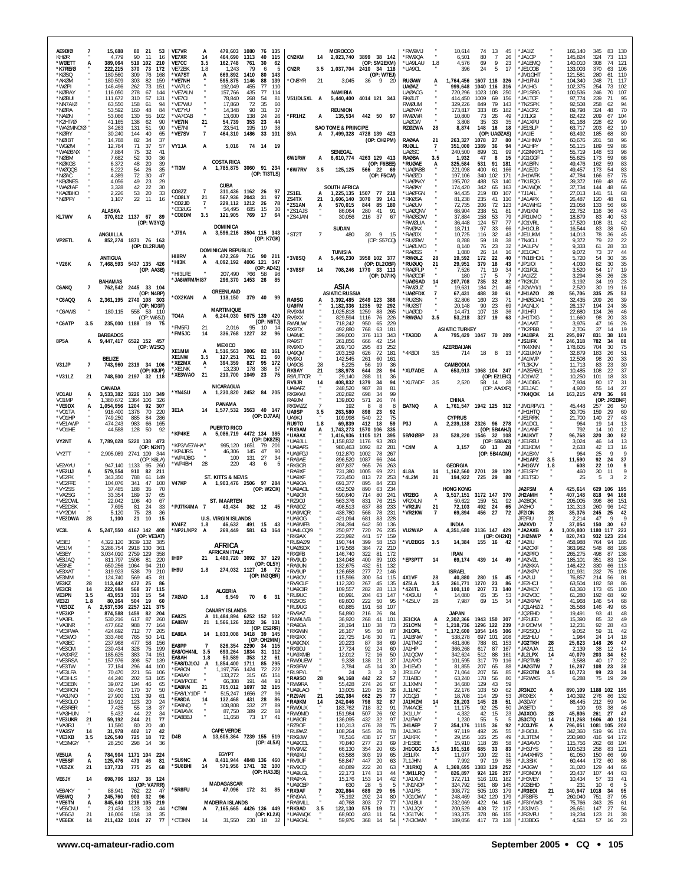| *CO8LY<br>21<br>567,936<br>2043<br>31<br>97<br>22<br>ZS4TX<br>*NØPFY<br>1,107<br>11<br>16<br>21<br>1,606,140<br>3070<br>39<br>141<br>'RKØSA<br>81,238<br>235<br>41<br>110<br>*JA1APX<br>26,487<br>120<br>48<br>61<br>*CO2JD<br>$\overline{7}$<br>229,112<br>1212<br>78<br>26<br>*JA1WHG<br>*ZS1AN<br>570,015<br>85<br>180<br>'uaøuv<br>72<br>23,058<br>844<br>72,735<br>206<br>123<br>133<br>56<br>66<br>*CO2UG<br>54,495<br>685<br>15<br>30<br><b>ALASKA</b><br>280<br><b>UAØQNV</b><br>238<br>'JM1KNI<br>*ZS1AJS<br>86,064<br>41<br>91<br>68,904<br>51<br>81<br>22,752<br>116<br>36<br>43<br>3.5<br>121,905<br>*CO8DM<br>769<br>-17<br>64<br>KL7WV<br>370,812 1137 67 89<br>*ZS4JAN<br>53<br>*JR1UMO<br>37<br>'RAØSDW<br>37,884<br>158<br>79<br>40<br>53<br>30.056<br>216<br>67<br>18,879<br>83<br>A<br>(OP: W3YQ)<br>57<br>42<br>'RWØLIA<br>36,448<br>124<br>77<br>*JO1VRL<br>17,520<br>108<br>31<br>DOMINICA<br><b>SUDAN</b><br>18,711<br>50<br>97<br>33<br>*JH1OLB<br>38<br>'RVØAX<br>66<br>16,544<br>83<br>'J79A<br>3,596,216 3504 115 343<br>A<br>*ST2T<br>$\overline{7}$<br>30 <sup>°</sup><br>9 15<br>32<br>45<br>ANGUILLA<br>480<br><b>RAØJX</b><br>10,725<br>116<br>43<br>*JE1UKM<br>14,013<br>78<br>36<br>(OP: K7GK)<br>22<br>VP2ETL<br>852,274<br>1871 76 163<br>(OP: S57CQ)<br>*RUØBW<br>8,288<br>59<br>18<br>38<br>*7N4CLI<br>9,372<br>79<br>22<br>A<br>33<br>(OP: DL2RUM)<br>76<br>23<br>*JA1LPV<br>61<br>28<br><b>UAØLMO</b><br>8,140<br>32<br>9,333<br><b>DOMINICAN REPUBLIC</b><br><b>TUNISIA</b><br><b>RAØSS</b><br>1,080<br>26<br>14<br>16<br>*JE1CAC<br>9,072<br>73<br>37<br>44<br><b>HI8RV</b><br>472,269<br>716 90 211<br>A<br>$35\,$<br>ANTIGUA<br>*3V8SQ<br>3958 102 377<br><b>RWØLZ</b><br>19,592<br>172<br>22<br>*7N1BHO/1<br>54<br>30<br>5,446,230<br>28<br>40<br>5,720<br>A<br>*нізк<br>4,092,192<br>4006 121<br>- 347<br>7,468,593 5437 135 426<br>82<br>35<br>*V26K<br>(OP: DL2OBF)<br>*ruøuq<br>21<br>29,951<br>379<br>18<br>43<br>*JP1IOI<br>4,030<br>30<br>A<br>(OP: AD4Z)<br>19<br>*3V8SF<br>708,246<br>71<br>19<br>*JG1FGL<br>54<br>17<br>(OP: AA3B)<br>1770 33 113<br>'RAØFLP<br>3,520<br>14<br>7,526<br>34<br>*HI3LFE<br>207,490<br>766<br>58<br>98<br>(OP: DJ7IK)<br><b>RAØCDF</b><br>180<br>17<br>5<br>*JA1IZZ<br>3,294<br>35<br>26<br>28<br>-7<br>*JA6WFM/HI87<br>296,370 1453<br>26<br>85<br><b>BAHAMAS</b><br>*7K2KJX<br>23<br><b>'UAØSAD</b><br>14<br>207,708<br>735<br>32<br>3,192<br>34<br>19<br>82<br>ASIA<br>762.542 2445 33 104<br>*JI2WYI/1<br>30<br>19<br>C6AKQ<br>'RWØUZ<br>19,631<br>184<br>21<br>46<br>2,520<br>16<br>7<br><b>GREENLAND</b><br>(OP: N4BP)<br><b>ASIATIC RUSSIA</b><br><b>'UAØFDX</b><br>$\overline{7}$<br>488<br>30<br>*JH1AZO<br>28<br>56,706<br>335<br>25<br>53<br>67.431<br>61<br>*OX2KAN<br>A<br>118,150<br>379 40<br>99<br>RA9SG<br>*C6AQQ<br>2,361,195 2740 108 303<br>3.392.485 2649 123<br>386<br>*RUØSN<br>32,806<br>160<br>23<br>71<br>'JHØSDA/1<br>32,435<br>209<br>26<br>39<br>A<br>35<br>UA9FM<br>1,182,336<br>1235<br>92<br>292<br>*RUØST<br>90<br>23<br>*JA1NLX<br>(OP: ND3F)<br>20.148<br>69<br>26,137<br>194<br>24<br><b>MARTINIQUE</b><br>107<br>46<br>*C6AWS<br>180,115<br>558<br>53 110<br>RV9XM<br>025,818<br>1259<br>88<br>265<br>UAØOD<br>14,471<br>18<br>36<br>'JI1HFJ<br>22,680<br>134<br>26<br>TO4A<br>5075 139 420<br>А<br>6,244,030<br>33<br>(OP: W6SJ)<br>76<br><b>'RWØAJ</b><br>3.5<br>327<br>19<br>63<br>*JH1TXG<br>11,660<br>98<br>20<br>RV9XX<br>829.594<br>1116<br>226<br>53,218<br>(OP: N6TJ)<br>*C6ATP<br>RW9UW<br>47<br>3.5<br>235.000 1188 19<br>718,242<br>950<br>65<br>229<br>'JA1AAT<br>3,976<br>16<br>26<br>- 75<br>*FM5FJ<br>95 10<br>21<br>2,016<br>$\frac{1}{2}$<br>RX9TX<br>492,880<br>768<br>63<br>181<br><b>ASIATIC TURKEY</b><br>*7K2PBB<br>2,706<br>37<br>14<br>19<br>*FM5JC<br>336,768 1227 32<br>14<br>96<br><b>BARBADOS</b><br>UA9MC<br>399,000<br>376 113<br>*TA3DD<br>795,429 1047 70 209<br>*JA1BPA<br>295,097<br>38<br>101<br>343<br>21<br>831<br>A<br>9,447,417 6522 152 457<br>8P5A<br>RA9ST<br>261,856<br>666<br>42<br>154<br><b>'JS1IFK</b><br>246,318<br>782<br>34<br>88<br>A<br><b>MEXICO</b><br>RV9XO<br>209.710<br>295<br><b>AZERBALIAN</b><br>75<br>(OP: W2SC)<br>83<br>252<br>7K4XNN<br>178,605<br>704<br>30<br>XE1MM<br>1,516,563<br>3006<br>82<br>A<br>- 161<br>UA9QM<br>203,159<br>72<br>181<br>*4K6DI<br>3.5<br>714<br>18<br>8<br>13<br>*JG1UKW<br>32,879<br>183<br>26<br>51<br>626<br>XE1NW<br>127,251<br>761<br>21<br>3.5<br>-60<br><b>BELIZE</b><br>RV9XJ<br>*JA1IWP<br>12,508<br>98<br>33<br>142,545<br>20<br>261<br>60<br>161<br>*XE2MX<br>394,359<br>827<br>95<br>$\ddot{A}$<br>172<br>CAMBODIA<br>V31JP<br>$\overline{7}$<br>743,960<br>2319 34 106<br><b>UA90S</b><br>28<br>5,225<br>56<br>19<br>36<br>*7L3KJV<br>11,713<br>83<br>23<br>30<br>*XE1NK<br>178<br>13,230<br>38<br>67<br>*XU7ADE<br>(OP: K8JP)<br>RK9AY<br>188,978<br>1068 104 247<br>*JA2EAB/1<br>10,485<br>37<br>28<br>94<br>108<br>22<br>21<br>644<br>А<br>653,913<br>21<br>*XE3WAO<br>210,700<br>1049<br>23<br>75<br>*V31LZ<br>748,500<br>2197 32 118<br>R9/UT7CR<br>JO1WIZ<br>21<br>29,140<br>288<br>11<br>36<br>(OP: E21EIC)<br>10,250<br>101<br>18<br>33<br><b>XU7ADF</b><br>408,832<br>94<br>2,520<br>*JA1DBG<br>7,934<br>80<br>31<br>RV9JR<br>14<br>1379<br>-34<br>3.5<br>58 14 28<br>-17<br>NICARAGUA<br>55<br>27<br>CANADA<br>UA9AFZ<br>248,520<br>987<br>28<br>81<br>(OP: AAAXR)<br>*JE1JAC<br>4,920<br>14<br>*YN4SU<br>1,230,820 2452 84 205<br>A<br>VO1AU<br>99<br>479<br>99<br>3,533,382<br>3226 110 349<br>RK9KWI<br>*7K4QOK<br>14<br>202,692<br>698<br>34<br>163,215<br>-36<br>(OP: JR2BNF)<br>VO1MP<br>1,380,672<br>1364 106<br>326<br>RA9JM<br>139,800<br>571<br>26<br>74<br>CHINA<br>PANAMA<br>*VE9DX<br>BA7NQ<br>*JM1RPV/1<br>1,054,956<br>1204<br>92<br>307<br>RK9WZZ<br>8<br>1,761,547 1942 125 312<br>45,448<br>192<br>-8<br>-8<br>А<br>257<br>26<br>50<br>1,577,532 3563 40 147<br>3E1A<br>14<br>92<br>JH1HTQ<br>30,705<br>*VO1TA<br>916,400<br>1376<br>70<br>220<br>UA9SP<br>263,580<br>898<br>23<br>159<br>29<br>60<br>3.5<br>(OP: DJ7AA)<br>*VO1HP<br>749,250<br>885<br>84<br>286<br>UA9KJ<br>109,998<br>540<br>22<br>75<br><b>CYPRUS</b><br>*JE1RRK<br>21,700<br>140<br>27<br>43<br>*VE1AWP<br>474,243<br>983<br>69,839<br>18<br>59<br>P <sub>3</sub> J<br>2,239,138<br>2326 96 278<br>*JA1DCL<br>19<br>13<br>RU9TO<br>1.8<br>412<br>14<br>66<br>165<br>А<br>964<br><b>PUERTO RICO</b><br>*VO1HE<br>44,588<br>128<br>*RX9AM<br>1,743,273<br>1570<br>106<br>(OP: 5B4AHJ)<br>*JA1ANF<br>792<br>14<br>10<br>12<br>50<br>92<br>А<br>335<br>*KP4KE<br>4472 134 385<br>5,086,719<br>A<br>*UA9AX<br>5B/KIØBP<br>28<br>528,220<br>*JA1KVT<br>320<br>30<br>82<br>1,416,936<br>1105<br>121<br>395<br>1546 32 108<br>96,768<br>(OP: DK8ZB)<br>VY2NT<br>7,789,028 5220 138 473<br>*UA9JLL<br>(OP: 5B8AD)<br>*JE1REU<br>46<br>14<br>13<br>.158.832<br>1176<br>-93<br>283<br>3.024<br>'KP3/VE7AHA'<br>995.120<br>1651<br>79<br>-201<br>(OP: N2NT)<br>980,463<br>°C4M<br>3,157<br>42<br>*UA9AFS<br>1092<br>82<br>281<br>60 13 28<br>*JE1KDM<br>13<br>16<br>А<br>2.633<br>*KP4JRS<br>46,306<br>145<br>47<br>90<br>VY2TT<br>2,905,089 2741 109<br>'UA9FGJ<br>912,870<br>1002<br>78<br>(OP: 5B4AGM)<br>*JA1BXV<br>25<br>9<br>9<br>-344<br>267<br>964<br>*WP4JBG<br>131<br>27<br>100<br>34<br>*JH1APZ<br>92<br>37<br>(OP: K6LA)<br>'RA9AE<br>896,520<br>1087<br>244<br>11,590<br>24<br>66<br>3.5<br>28<br>*WP4BH<br>220<br>43<br>6<br>'JH1GVY<br>22<br>10<br>9<br>VE2AYU<br>947,140<br>1133<br>95<br>'RK9CR<br>807,837<br>965<br>76<br>263<br><b>GEORGIA</b><br>608<br>260<br>1.8<br>9<br>*VE2UJ<br>4L8A<br>2701<br>39 129<br>579,554<br>910<br>82<br>*RA9XF<br>731,380<br>1005<br>1,162,560<br>*JE1SPY<br>30<br>211<br>69<br>221<br>14<br>460<br>11<br>$\overline{2}$<br>*VE2FK<br>343,350<br>788<br>61<br>149<br>ST. KITTS & NEVIS<br>*UA9XF<br>723,450<br>813<br>72<br>253<br>*4L2M<br>21<br>194,922<br>725<br>29<br>*JE1TSD<br>25<br>5<br>3<br>88<br><b>V47KP</b><br>1,903,476 2506 97 284<br>*VE2FFE<br>*UA9OA<br>691,377<br>104.076<br>341<br>47<br>100<br>895<br>84<br>233<br>(OP: W2OX)<br>*VY2SS<br>37,485<br>188<br>35<br>70<br>*UA9AOL<br>652,509<br>890<br>63<br>234<br>HONG KONG<br>JA2FSM<br>425,614<br>629<br>106<br>195<br>A<br>VR2BG<br>3172 147 370<br>*VA2SG<br>189<br>37<br>590,640<br>714<br>JH2AMH<br>94<br>168<br>33.354<br>65<br>*UA9CR<br>80<br>241<br>3,517,151<br>407,148<br>818<br>A<br>VR2XLN<br>*VE2OWL<br>22,042<br>108<br>40<br>67<br><b>ST. MAARTEN</b><br>'RZ9OJ<br>563,376<br>831<br>76<br>215<br>50,622<br>159<br>51<br>92<br>JA2BQX<br>205,005<br>396<br>86<br>151<br>*VE2DSK<br>7,695<br>81<br>24<br>33<br>*PJ7/K4MA 7<br>43,434<br>362 12<br>*RA9DZ<br>498,513<br>637<br>233<br>*VR2JN<br>21<br>72,103<br>492<br>24<br>65<br>JA2HO<br>131,313<br>260<br>96<br>142<br>-45<br>88<br>*VY2DM<br>28<br>UA9MOR<br>438,780<br>78<br>'VR2KW<br>27<br>JF2ION<br>25<br>42<br>5,120<br>75<br>36<br>$\overline{7}$<br>69,894<br>456<br>72<br>28<br>35,376<br>245<br>568<br>231<br>*VE2DWA<br>28<br>1,100<br>21<br>10<br>15<br><b>U.S. VIRGIN ISLANDS</b><br>*UA9OG<br>421,094<br>681<br>83<br>228<br>JF2FIU<br>47<br>9<br>-9<br>21<br>2.214<br>KV4FZ<br>46,632<br>491<br>*UA9MFB<br>INDIA<br>JA2KVD<br>1.8<br>15<br>284.394<br>642<br>50<br>136<br>$\overline{7}$<br>37.054<br>150<br>30<br>-67<br>43<br>VC3L<br>5,247,550 4167 142 408<br>*NP2L/KP2 A<br>VU2WAP<br>269,449<br>581<br>164<br>*UA4LCQ/9<br>250,977<br>720<br>76<br>235<br>4,351,680 3136 147 429<br>*JA2AXB<br>1.009.800<br>1180<br>117<br>223<br>63<br>A<br>(OP: VE3AT)<br>RK9AX<br>223,992<br>159<br>(OP: OH2KI)<br>*JH2NWP<br>234<br>441<br>57<br>820,743<br>932<br>123<br>*VU2BGS<br>VE3EJ<br>4,322,120 3639 132<br>*RU9AZ/9<br>190,744<br>399<br>58<br>153<br>3.5<br>14,384<br>155 16 42<br>*JA2IU<br>764<br>94<br>185<br>-385<br>458.988<br><b>AFRICA</b><br>VE3JM<br>3,286,754 2918 130<br>361<br>'UAØSDX<br>179,568<br>384<br>72<br>210<br>`JA2CXF<br>363,982<br>548<br>88<br>166<br>AFRICAN ITALY<br>VE3EY<br>3,034,010 2759 129<br>358<br>'RX9FB<br>146,740<br>322<br>81<br>172<br><b>IRAN</b><br>*JA2PFO<br>265,275<br>498<br>87<br>138<br>1,480,720 3092 37 129<br>IH9P<br>21<br>*EP3PTT<br>*RV9UD<br>439 14<br>*JA2VZL<br>VE3JAQ<br>811,797 1508<br>81<br>220<br>134,048<br>400<br>39<br>103<br>14<br>69,174<br>49<br>185,101<br>351<br>83<br>134<br>(OP: OL5Y)<br>VE3NE<br>650,256 1064<br>94<br>210<br>*RA9UN<br>132,675<br>432<br>51<br>132<br>*JA2KKA<br>146,422<br>330<br>113<br>66<br>274,032 1127 16 72<br>IH9U<br>1.8<br>79<br>VE3XAT<br>*RV9UP<br>277<br>72<br><b>ISRAEL</b><br>*JA2KPV<br>108<br>319,923<br>538<br>210<br>126,658<br>146<br>101,931<br>232<br>75<br>(OP: IN3QBR)<br>VE3MM<br>124,740<br>569<br>45<br>81<br>*UA9OV<br>115,596<br>300<br>54<br>115<br>4X1VF<br>28<br>40,880<br>280 15<br>45<br>*JA2UJ<br>76,857<br>214<br>56<br>81<br>28<br>*RV9CLF<br>4Z5LA<br>*JE2HCJ<br>86<br>VE3KZ<br>113,442<br>472<br>25<br>-86<br>112,320<br>267<br>45<br>135<br>3.5<br>361,771<br>1270<br>23<br>-86<br>63,504<br>182<br>58<br>*JA2KCY<br>VE3CR<br>14<br>222,984<br>568<br>37<br>115<br>*UA9CIR<br>109,557<br>282<br>28<br>113<br>*4Z4TL<br>А<br>100,110<br>207<br>73<br>140<br>63,360<br>173<br>65<br>100<br>ALGERIA<br><b>VE3PN</b><br>3.5<br>43,953<br>331<br>15<br>54<br>*RU9UC<br>80,991<br>204<br>147<br>*4X6UU<br>14,080<br>65<br>35<br>53<br>*JK2VOC<br>61,280<br>192<br>68<br>92<br>7XØAD<br>63<br>70<br>1.8<br>6,549<br>6 31<br>28<br>*JA2KPW<br>VE3ZI<br>80,264<br>504<br>- 19<br>*RZ9OS<br>69,600<br>222<br>50<br>95<br>*4Z5LV<br>7,987<br>69<br>146<br>68<br>1.8<br>60<br>15<br>34<br>41.968<br>54<br>*VE3DZ<br>2,537,536 2257 121<br>375<br>'RU9UG<br>60,885<br>191<br>58<br>107<br>*JQ1AHZ/2<br>35,568<br>146<br>49<br>65<br>А<br><b>CANARY ISLANDS</b><br>*VE3KP<br><b>JAPAN</b><br>*JQ2EHD<br>41<br>48<br>874,588 1459<br>204<br>RV9A7<br>54,890<br>216<br>19,491<br>93<br>-82<br>26<br>84<br>EA8ZS<br>A 11,484,894 6252 152 502<br>*VA3PL<br>530,216<br>617<br>87<br>260<br>*RW9UVB<br>36,920<br>268<br>41<br>101<br><b>JE1CKA</b><br>2,302,366<br>1943 150<br>*JF2UED<br>15,390<br>85<br>32<br>49<br>А<br>- 307<br>EA8EW<br>21 1,566,126 3232 36 131<br>*VA3NR<br>988<br>77<br>JS10YN<br>*JH2OMM<br>92<br>28<br>43<br>477,662<br>*RA9DA<br>28,194<br>110<br>38<br>73<br>1,218,736<br>1296 122<br>239<br>12,231<br>164<br>(OP: ES2RR)<br>*VE3FWA<br>424,692<br>712<br>77<br>205<br>*RX9WN<br>95<br>50<br>87<br>JK10PL<br>1,172,600<br>1054 145<br>*JR2SQU<br>9,052<br>59<br>31<br>42<br>26,167<br>-306<br>EA8EA<br>1,833,008 3418 39 145<br>14<br>*VE3WO<br>333,486<br>141<br>*RK9XX<br>22,725<br>30<br>JA1BNW<br>*JE2HLU<br>1,984<br>24<br>18<br>765<br>50<br>146<br>-71<br>538,278<br>697 101<br>208<br>-14<br>(OP: OH2MM)<br>*VA3EC<br>237,968<br>477<br>58<br>156<br>'UA9CNX<br>20,223<br>87<br>38<br>69<br>JA1TMG<br>481,806<br>788<br>81<br>153<br>*JG2TKH<br>28<br>25,623<br>148<br>26<br>47<br>EA8PP<br>7<br>826,354<br>2290<br>34 115<br>*VE3OM<br>230,434<br>328<br>75<br>92<br>24<br>87<br>199<br>*RX9DJ<br>17,724<br>60<br>JA1HP<br>366,268<br>617<br>167<br>*JA2AJA<br>21<br>2,139<br>38<br>12<br>14<br>EA8/OH4NL 3.5<br>693,264<br>1834<br>31 112<br>*VA3XRZ<br>*JL2LPX<br>185,625<br>383<br>74<br>151<br>'UA9XMB<br>12,012<br>72<br>16<br>50<br>JA1QOW<br>342,624<br>512<br>88<br>161<br>40,079<br>203<br>34<br>62<br>14<br>EA8AH<br>50,589<br>353<br>12<br>1.8<br>- 61<br>*VE3RSA<br>157,976<br>*RW9UEW<br>37<br>*JR2TMB<br>22<br>398<br>57<br>139<br>9,338<br>138<br>-21<br>JA1AYO<br>101,595<br>317<br>-79<br>116<br>3,588<br>40<br>17<br>*EA8/DJ10J A<br>1,854,400<br>1711<br>85 295<br>*VE3TW<br>JA2GTW<br>$\overline{7}$<br>38<br>77,184<br>296<br>44<br>100<br>*RX9FW<br>3,784<br>45<br>14<br>30<br>JH1EVD<br>81,855<br>207<br>65<br>88<br>16,287<br>108<br>23<br>*EA8CN<br>1,197,756<br>1424<br>72<br>222<br>*VE3LFA<br>70,470<br>*RL9FYL<br>JR1LEV<br>*JE2OTM<br>99<br>23<br>34<br>221<br>56<br>106<br>-24<br>્ર<br>$\mathcal{R}$<br>-3<br>71,064<br>207<br>56<br>85<br>3.5<br>10,773<br>*EA8AY<br>133,272<br>315<br>65<br>151<br>*VE3HLS<br>44,240<br>22<br>75<br>29<br>202<br>53<br>105<br>*RA9SO<br>28<br>94,168<br>442<br>57<br>7J1ABD<br>63,240<br>178<br>56<br>80<br>*JF2WXS<br>6,288<br>19<br>*EA8/PC8E<br>66,308<br>191<br>44<br>93<br>*VE3EBN<br>39,072<br>194<br>46<br>65<br>'RW9RA<br>55,428<br>274<br>26<br>67<br>JL1XMN<br>34,680<br>129<br>43<br>59<br>21<br>*EA8NN<br>705,012 1697<br>32<br>115<br>*VE3RCN<br>30,450<br>*UA9LAO<br>JR3NZC<br>1188 102 195<br>170<br>37<br>50<br>13,005<br>JL1LNC<br>22,176<br>103<br>50<br>890,109<br>120<br>15<br>36<br>62<br>Ą.<br>*EA8/LY1DF<br>515,247<br>1656<br>27<br>96<br>*VA3JNO<br>27,900<br>131<br>39<br>*RZ9AN<br>21<br>162,384<br>662<br>25<br>77<br>JO1QZI<br>114<br>29<br>53<br>JR3XEX<br>140,392<br>132<br>61<br>18,708<br>276<br>86<br>*EA8DA<br>14<br>132,468<br>431<br>28<br>86<br>×<br>*VE3GLO<br>10,912<br>798<br>32<br>JA1MZM<br>28<br>JA3DAY<br>94<br>123<br>20<br>*RA9KM<br>242,046<br>87<br>14<br>28,203<br>145<br>212<br>59<br>-24<br>14<br>51<br>86,445<br>332<br>*EA8NQ<br>108,808<br>27<br>-89<br>٠<br>*VE3RER<br>7,425<br>55<br>18<br>37<br>'RW9UX<br>183,762<br>718<br>32<br>91<br>7M4AOE<br>11,175<br>92<br>25<br>50<br>JA3ETD<br>100<br>38<br>46<br>93<br>*EA8AVK<br>87,750<br>389<br>22<br>68<br>٠<br>*VA3HUN<br>34<br>*RW9MD<br>92<br>JA3XOG<br>47<br>5,432<br>44<br>22<br>151,984<br>JK1LUY<br>42<br>15<br>23<br>28<br>45,806<br>261<br>27<br>507<br>26<br>4,332<br>73 17<br>*EA8BBJ<br>11,658<br>41<br>77<br>*VE3UKR<br>21<br>59,192<br>244<br>21<br>*UA9OR<br>136,095<br>432<br>32<br>97<br>JA1FWY<br>1,230<br>55<br>5<br>JS3CTQ<br>40<br>124<br>-5<br>14<br>711,268<br>1606<br>$\overline{\cdot}$<br>*JO3JYE<br>*VA3RJ<br>11,580<br>40<br>*RZ9OF<br>110,313<br>28<br>75<br>JH1AEP<br>354, 176 1115<br>36<br>92<br>202<br>-80<br>20<br>476<br>А<br>796,051<br>1081<br>105<br><b>CAPE VERDE</b><br>31,978<br>78<br>*VA3SY<br>14<br>402<br>17<br>42<br>*RU9WZ<br>108,264<br>545<br>26<br>JA1JKG<br>97,119<br>492<br>26<br>55<br>*JH3CUL<br>342,360<br>519<br>96<br>174<br>13,605,364 7239 155 519<br>D4B<br>A<br>*VE3XB<br>126,540<br>*RX9JW<br>438<br>49<br>*JL3TEM<br>94 172<br>3.5<br>725 18<br>72<br>76,516<br>-17<br>57<br>JA1KFX<br>29,156<br>165<br>25<br>230,980<br>416<br>*VE3MGY<br>28,250<br>298<br>(OP: 4L5A)<br>14<br>36<br>*UA9CCL<br>70,840<br>277<br>23<br>69<br>JH1SBE<br>15,910<br>118<br>28<br>58<br>*JA3AVO<br>115,756<br>262<br>68<br>104<br>JH10GC<br>191,516<br>33<br>*JH3JYS<br>121<br>*RV9MZ<br>66,130<br>354<br>-20<br>65<br>3.5<br>685<br>83<br>100,523<br>258<br>83<br>EGYPT<br>784,904 1171 104<br>303<br>*JA4XHF/3<br><b>VE5UA</b><br>224<br>*RA9XU<br>63,588<br>19<br>65<br>JE1LFX<br>11,077<br>100<br>22<br>31<br>61,050<br>150<br>99<br>А<br>66<br>8,411,944 4848 136 460<br>*SU9NC<br>A<br>*VE5SF<br>*JL3SIK<br>86<br>А<br>125,476<br>473 46<br>-81<br>*RV9UF<br>58,847<br>447<br>20<br>63<br>7L1JHN<br>7,992<br>97<br>-19<br>35<br>60,444<br>172<br>60<br>775 25<br>*SU8BHI<br>14<br>571,956 1741 32 100<br>*VE5ZX<br>21<br>137,733<br>68<br>*RV9CQ<br>40,089<br>222<br>20<br>63<br>*JI1RXQ<br>А<br>1,369,695<br>1383 129<br>252<br>*JA3GW<br>31,020<br>129<br>44<br>66<br>(OP: HA3JB)<br>*UA9LGL<br>22,173<br>174<br>13<br>44<br>*JM1LRQ<br>826,897<br>924 126<br>257<br>*JR3NDM<br>20,437<br>107<br>44<br>63<br><b>VE6JY</b><br>698,706 1817 38 124<br>*JH3VEY<br>*RA9YA<br>15,176<br>153<br>14<br>42<br>*JA1XUY<br>372,711<br>516 101<br>182<br>10,434<br>57<br>33<br>41<br>14<br><b>MADAGASCAR</b><br>(OP: VA7RR)<br>'UA9CEP<br>28<br>5<br>*JN1NOP<br>324,792<br>89<br>*JG3EHD<br>10<br>-5<br>630<br>-5<br>561<br>145<br>231<br>6<br>*5R8FU<br>47,096 172 31 85<br>88,941<br>14<br>29<br>95<br>505 103<br>*JR3E0I<br>95<br><b>VF6AKY</b><br>*RX9AF<br>202,864<br>689<br>* JA1PS<br>308,772<br>21<br>340,947<br>1018<br>762 22<br>7<br>179<br>34<br>-47<br>VE6WQ<br>$\overline{7}$<br>245,760<br>903<br>32<br>96<br>'RN9AA<br>75,192<br>292<br>24<br>80<br>*JG10WV<br>248,469<br>342 120<br>179<br>*JF3BFS<br>260,040<br>751<br>37<br>95<br><b>MADEIRA ISLANDS</b><br>27<br>77<br>*VE6TN<br>845,640 1218 105<br>219<br>*RA9MI I<br>303<br>* JA1BUI<br>422 94 145<br>*JF3IYW/3<br>343<br>25<br>61<br>40.768<br>232.069<br>75,766<br>A<br>*VE6CNU<br>21,434<br>123<br>- 32<br>*CT9M<br>7,165,665 4426 136 449<br>*RK9AD<br>3.5<br>122,130<br>575<br>19<br>71<br>*JA1JQY<br>200,529<br>408<br>72 117<br>*JI3JMG<br>147<br>27<br>54<br>44<br>А<br>26,651<br>*JR3VFU<br>38<br>21<br>16,006<br>158<br>18<br>35<br>(OP: KL2A)<br>*UA9WQK<br>11<br>*JG1TVK<br>193,375<br>378<br>21<br>*VE6GJ<br>68,900<br>403<br>54<br>- 86<br>155<br>19,234<br>123<br>211,432 1014 27<br>*CT3KN<br>54<br>*VE6EX<br>14<br>77<br>31,550 230 18 32<br>*UA9OAL<br>59,976<br>368<br>14<br>*7K3OWM<br>189,056<br>417 73 138<br>*JJ3BDG<br>4,563<br>57<br>16<br>23<br>14 | AE9B/Ø<br>KHØR<br>*WØETT<br>*K7RE/Ø<br>*KØSQ<br>*AKØM<br>*WØPI<br>*KØRAY<br>*NØBUI<br>*NN7A/Ø<br>*NØRA<br>*NAØN<br>*K2HT/Ø<br>*WA2MNO/Ø<br>*KØRY<br>*NØIBT<br>*WGØM<br>*WAØBNX<br>*NØBM<br>*KØKGS<br>*WØQQS<br>*NØAC<br>*KBØNES<br>*WAØIAF<br>*KAØBHO | 15,688<br>4,779<br>389,064<br>222,215<br>180,560<br>180,509<br>146,496<br>116,050<br>111,672<br>63,550<br>53,592<br>53,066<br>41,165<br>34,263<br>30,240<br>14,768<br>12,784<br>7,884<br>7,682<br>6,372<br>6,222<br>4,389<br>4,056<br>3,328<br>2,226 | 80<br>-21<br>53<br>90<br>11<br>16<br>519 102<br>210<br>370<br>73<br>172<br>309<br>76<br>168<br>159<br>303<br>82<br>262<br>73<br>151<br>278<br>67<br>144<br>310<br>57<br>131<br>158<br>94<br>61<br>160<br>48<br>84<br>130<br>55<br>102<br>138<br>62<br>90<br>90<br>131<br>51<br>144<br>40<br>65<br>37<br>82<br>-34<br>37<br>71<br>57<br>75<br>32<br>41<br>30<br>52<br>36<br>48<br>20<br>39<br>54<br>26<br>35<br>72<br>30<br>47<br>49<br>29<br>23<br>42<br>22<br>30<br>53<br>20<br>33 | <b>VE7VR</b><br>VE7XR<br>VE7CC<br>VF77BK<br>*VA7ST<br>*VE7NH<br>*VA7LC<br>*VE7ALN<br>*VE7CI<br>*VE7WU<br>*VE7YU<br>*VA7CAB<br>*VE7IN<br>*VE7NI<br>*VE7SV<br>VY1JA<br>*TI3M<br>CO8ZZ | 479,603<br>1080<br>76<br>14<br>464,690<br>1313<br>40<br>162,748<br>761<br>3.5<br>30<br>1.243<br>1.8<br>79<br>6<br>669,892<br>1410<br>80<br>595,875<br>1146<br>88<br>192,049<br>455<br>77<br>435<br>77<br>157,766<br>78,840<br>268<br>54<br>17,860<br>-72<br>35<br>14,348<br>90<br>31<br>13,600<br>138<br>24<br>353<br>21<br>54,739<br>23<br>23,541<br>195<br>19<br>$\overline{7}$<br>464,310<br>1486<br>33<br>5,016<br>74 14<br><b>COSTA RICA</b><br>1,785,875 3060 91 234<br>A<br>(OP: TI3TLS)<br>CUBA<br>311,436<br>1162<br>-7<br>-26 | - 135<br>CN2KM<br>115<br>62<br>CN <sub>2R</sub><br>5<br>143<br>'CN8YR<br>139<br>110<br>114<br>81<br>V51/DL5XL A<br>60<br>37<br>*FR1HZ<br>26<br>44<br>38<br>S9A<br>101<br>- 19<br>6W1RW<br>*6W7RV<br>97<br>ZS1EL | 14<br>3.5<br>21<br>А<br>A<br>А<br>3.5 | MOROCCO<br>2,023,740<br>1,037,704<br>3,045<br><b>NAMIBIA</b><br>5,440,400<br><b>REUNION</b><br>135,534<br><b>SAO TOME &amp; PRINCIPE</b><br>SENEGAL<br>6,610,774<br>125.125<br><b>SOUTH AFRICA</b><br>1,225,135 | 3899 38 142<br>(OP: SM2EKM)<br>2410 34 118<br>(OP: W7EJ)<br>36 <sup>2</sup><br>9 20<br>4014 121 343<br>442 50<br>7,499,328 4728 139 423<br>(OP: OH2PM)<br>4263 129 413<br>(OP: F6BEE)<br>566 22 69<br>(OP: F5CW)<br>1507<br>77 218 | 97 | 'RW9MJ<br>'RW9QA<br>*UA9LAU<br>UA9CL*<br><b>RUØAW</b><br><b>UAØAZ</b><br><b>UAØACG</b><br>RKØUT<br>RWØUM<br>UAØYAY<br><b>RWØWR</b><br><b>UAØCW</b><br><b>RZØZWA</b><br>RAØAA<br><b>RUØLL</b><br><b>UAØSC</b><br><b>RAØBA</b><br>*RUØAE<br><b>UAØABB</b><br>'RAØZD<br><b>UAØAKY</b><br>'RAØAY<br><b>'UAØFGN</b> | 1.8<br>А<br>28<br>21<br>$\overline{7}$<br>3.5<br>А | 10,614<br>6,501<br>4,576<br>396<br>1,764,456<br>999,648<br>720.296<br>414,450<br>329,226<br>173,817<br>10,800<br>3,808<br>8,874<br>263,327<br>351,000<br>240,500<br>1.932<br>325,584<br>221,098<br>197,106<br>195,702<br>174,420<br>94,435 | 74<br>-13<br>80<br>69<br>24<br>1607 118 326<br>1040<br>116<br>1023<br>108<br>1009<br>69<br>79<br>849<br>333<br>85<br>73<br>26<br>35<br>33<br>148<br>-16<br>1078<br>27<br>1389<br>899<br>31<br>47<br>531<br>91<br>400<br>61<br>340<br>102<br>488<br>53<br>342<br>65<br>219<br>80 | 45<br>$\overline{7}$<br>26<br>9<br>23<br>17<br>5<br>316<br>250<br>156<br>143<br>182<br>49<br>35<br>18<br>(OP: UAØZAS)<br>80<br>36<br>94<br>99<br>8<br>15<br>181<br>166<br>171<br>140<br>163<br>107 | *JA1IZ<br>*JA1CP<br>*JA1EMQ<br>* JE1COB<br>*JM1GHT<br>*JH1FNU<br>'JA1HG<br>'JP1SRG<br>*JA1TCF<br>*7N2SPK<br>JA1CPZ<br>*JJ1JGI<br>*JA1XPU<br>*JE1SLP<br>'JA1IE<br>*JA1HNW<br>'JA1HFY<br>*JG3NKP/1<br>*JG1GGF<br>*JA1BFN<br>JA1EJD<br>*JH1WFK<br>*7K1EQG<br>*JA1WQX<br>*7J1AIL | 166,140<br>145,824<br>140,010<br>133,003<br>121,581<br>104,340<br>102,375<br>100,536<br>97,774<br>92,508<br>89,798<br>82,422<br>81,168<br>63,717<br>63,492<br>60,676<br>56,115<br>55,719<br>55,625<br>49,476<br>49,457<br>47,784<br>39,372<br>37,734<br>27,013 | 345<br>324<br>308<br>370<br>280<br>248<br>254<br>246<br>239<br>258<br>324<br>209<br>228<br>203<br>185<br>201<br>189<br>148<br>173<br>162<br>173<br>166<br>169<br>144<br>141 | 83<br>- 130<br>73<br>113<br>74<br>121<br>63<br>106<br>110<br>61<br>71<br>117<br>73<br>102<br>70<br>107<br>71<br>95<br>94<br>62<br>48<br>70<br>67<br>104<br>62<br>90<br>10<br>62<br>68<br>80<br>96<br>58<br>59<br>86<br>53<br>98<br>59<br>66<br>59<br>83<br>54<br>83<br>57<br>75<br>48<br>65<br>48<br>66<br>51<br>68 |
|-----------------------------------------------------------------------------------------------------------------------------------------------------------------------------------------------------------------------------------------------------------------------------------------------------------------------------------------------------------------------------------------------------------------------------------------------------------------------------------------------------------------------------------------------------------------------------------------------------------------------------------------------------------------------------------------------------------------------------------------------------------------------------------------------------------------------------------------------------------------------------------------------------------------------------------------------------------------------------------------------------------------------------------------------------------------------------------------------------------------------------------------------------------------------------------------------------------------------------------------------------------------------------------------------------------------------------------------------------------------------------------------------------------------------------------------------------------------------------------------------------------------------------------------------------------------------------------------------------------------------------------------------------------------------------------------------------------------------------------------------------------------------------------------------------------------------------------------------------------------------------------------------------------------------------------------------------------------------------------------------------------------------------------------------------------------------------------------------------------------------------------------------------------------------------------------------------------------------------------------------------------------------------------------------------------------------------------------------------------------------------------------------------------------------------------------------------------------------------------------------------------------------------------------------------------------------------------------------------------------------------------------------------------------------------------------------------------------------------------------------------------------------------------------------------------------------------------------------------------------------------------------------------------------------------------------------------------------------------------------------------------------------------------------------------------------------------------------------------------------------------------------------------------------------------------------------------------------------------------------------------------------------------------------------------------------------------------------------------------------------------------------------------------------------------------------------------------------------------------------------------------------------------------------------------------------------------------------------------------------------------------------------------------------------------------------------------------------------------------------------------------------------------------------------------------------------------------------------------------------------------------------------------------------------------------------------------------------------------------------------------------------------------------------------------------------------------------------------------------------------------------------------------------------------------------------------------------------------------------------------------------------------------------------------------------------------------------------------------------------------------------------------------------------------------------------------------------------------------------------------------------------------------------------------------------------------------------------------------------------------------------------------------------------------------------------------------------------------------------------------------------------------------------------------------------------------------------------------------------------------------------------------------------------------------------------------------------------------------------------------------------------------------------------------------------------------------------------------------------------------------------------------------------------------------------------------------------------------------------------------------------------------------------------------------------------------------------------------------------------------------------------------------------------------------------------------------------------------------------------------------------------------------------------------------------------------------------------------------------------------------------------------------------------------------------------------------------------------------------------------------------------------------------------------------------------------------------------------------------------------------------------------------------------------------------------------------------------------------------------------------------------------------------------------------------------------------------------------------------------------------------------------------------------------------------------------------------------------------------------------------------------------------------------------------------------------------------------------------------------------------------------------------------------------------------------------------------------------------------------------------------------------------------------------------------------------------------------------------------------------------------------------------------------------------------------------------------------------------------------------------------------------------------------------------------------------------------------------------------------------------------------------------------------------------------------------------------------------------------------------------------------------------------------------------------------------------------------------------------------------------------------------------------------------------------------------------------------------------------------------------------------------------------------------------------------------------------------------------------------------------------------------------------------------------------------------------------------------------------------------------------------------------------------------------------------------------------------------------------------------------------------------------------------------------------------------------------------------------------------------------------------------------------------------------------------------------------------------------------------------------------------------------------------------------------------------------------------------------------------------------------------------------------------------------------------------------------------------------------------------------------------------------------------------------------------------------------------------------------------------------------------------------------------------------------------------------------------------------------------------------------------------------------------------------------------------------------------------------------------------------------------------------------------------------------------------------------------------------------------------------------------------------------------------------------------------------------------------------------------------------------------------------------------------------------------------------------------------------------------------------------------------------------------------------------------------------------------------------------------------------------------------------------------------------------------------------------------------------------------------------------------------------------------------------------------------------------------------------------------------------------------------------------------------------------------------------------------------------------------------------------------------------------------------------------------------------------------------------------------------------------------------------------------------------------------------------------------------------------------------------------------------------------------------------------------------------------------------------------------------------------------------------------------------------------------------------------------------------------------------------------------------------------------------------------------------------------------------------------------------------------------------------------------------------------------------------------------------------------------------------------------------------------------------------------------------------------------------------------------------------------------------------------------------------------------------------------------------------------------------------------------------------------------------------------------------------------------------------------------------------------------------------------------------------------------------------------------------------------------------------------------------------------------------------------------------------------------------------------------------------------------------------------------------------------------------------------------------------------------------------------------------------------------------------------------------------------------------------------------------------------------------------------------------------------------------------------------------------------------------------------------------------------------------------------------------------------------------------------------------------------------------------------------------------------------------------------------------------------------------------------------------------------------------------------------------------------------------------------------------------------------------------------------------------------------------------------------------------------------------------------------------------------------------------------------------------------------------------------------------------------------------------------------------------------------------------------------------------------------------------------------------------------------------------------------------------------------------------------------------------------------------------------------------------------------------------------------------------------------------------------------------------------------------------------------------------------------------------------------------------------------------------------------------------------------------------------------------------------------------------------------------------------------------------------------------------------------------------------------------------------------------------------------------------------------------------------------------------------------------------------------------------------------------------------------------------------------------------------------------------------------------------------------------------------------------------------------------------------------------------------------------------------------------------------------------------------------------------------------------------------------------------------------------------------------------------------------------------------------------------------------------------------------------------------------------------------------------------------------------------------------------------------------------------------------------------------------------------------------------------------------------------------------------------------------------------------------------------------------------------------------------------------------------------------------------------------------------------------------------------------------------------------------------------------------------------------------------------------------------------------------------------------------------------------------------------------------------------------------------------------------------------------------------------------------------------------------------------------------------------------------------------------------------------------------------------------------------------------------------------------------------------------------------------------------------------------------------------------------------------------------------------------------------------------------------------------------------------------------------------------------------------------------------------------------------------------------------------------------------------------------------------------------------------------------------------------------------------------------------------------------------------------------------------------------------------------------------------------------------------------------------------------------------------------------------------------------------------------------------------------------------------------------------------------------------------------------------------------------------------------------------------------------------------------------------------------------------------------------------------------------------------------------------------------------------------------------------------------------------------------------------------------------------------------------------------------------------------------------------------------------------------------------------------------------------------------------------------------------------------------------------------------------------------------------------------------------------------------------------------------------------------------------------------------------------------------------------------------------------------------------------------------------------------------------------------------------------------------------------------------------------------------------------------------------------------------------------------------------------------------------------------------------------------------------------------------------------------------------------------------------------------------------------------------------------------------------------------------------------------------------------------------------------------------------------------------------------------------------------------------------------------------------------------------------------------------------------------------------------------------------------------------------------------------------------------------------------------------------------------------------------------------------------------------------------------------------------------------------------------------------------------------------------------------------------------------------------------------------------------------------------------------------------------------------------------------------------------------------------------------------------------------------------------------------------------------------------------------------------------------------------------------------------------------------------------------------------------------------------------------------------------------------------------------------------------------------------------------------------------------------------------------------------------------------------------------------------------------------------------------------------------------------------------------------------------------------------------------------------------------------------------------------------------------------------------------------------------------------------------------------------------------------------------------------------------------------------------------------------------------------------------------------------------------------------------------------------------------------------------------------------------------------------------------------------------------------------------------------------------------------------------------------------------------------------------------------------------------------------------------------------------------------------------------------------------------------------------------------------------------------------------------------------------------------------------------------------------------------------------------------------------------------------------------------------------------------------------------------------------------------------------------------------------------------------------------------------------------------------------------------------------------------------------------------------------------------------------------------------------------------------------------------------------------------------------------------|-------------------------------------------------------------------------------------------------------------------------------------------------------------------------------------------------------------------------------------------------------|------------------------------------------------------------------------------------------------------------------------------------------------------------------------------------------------------------------------------------------------------|-------------------------------------------------------------------------------------------------------------------------------------------------------------------------------------------------------------------------------------------------------------------------------------------------------------------------------------------------------------------------------------------------------------------------------------------------------------------------------------|-------------------------------------------------------------------------------------------------------------------------------------------------------------------------------------|-----------------------------------------------------------------------------------------------------------------------------------------------------------------------------------------------------------------------------------------------------------------------------------------------------------------------------------------------------------------------------------------------------------------------------------------------------------------------------------------------------------------------------------------|-----------------------------------------------------------------------------------------------------------------------------------------------------------------------------------------------------------------|---------------------------------------|-----------------------------------------------------------------------------------------------------------------------------------------------------------------------------------------------------------------|------------------------------------------------------------------------------------------------------------------------------------------------------------------------------------------------------------------------------------|----|----------------------------------------------------------------------------------------------------------------------------------------------------------------------------------------------------------------------------------------------------------------------------------------------------------------|----------------------------------------------------|--------------------------------------------------------------------------------------------------------------------------------------------------------------------------------------------------------------------------------------------|---------------------------------------------------------------------------------------------------------------------------------------------------------------------------------------------------------------------------------------------------------------------------------|----------------------------------------------------------------------------------------------------------------------------------------------------------------------------------------------------|------------------------------------------------------------------------------------------------------------------------------------------------------------------------------------------------------------------------------------------------------------------------------|----------------------------------------------------------------------------------------------------------------------------------------------------------------------------------------------------------------------------------------------------------------|-----------------------------------------------------------------------------------------------------------------------------------------------------------------------------|---------------------------------------------------------------------------------------------------------------------------------------------------------------------------------------------------------------------------------------------------------------------------------------------------------------------|
|                                                                                                                                                                                                                                                                                                                                                                                                                                                                                                                                                                                                                                                                                                                                                                                                                                                                                                                                                                                                                                                                                                                                                                                                                                                                                                                                                                                                                                                                                                                                                                                                                                                                                                                                                                                                                                                                                                                                                                                                                                                                                                                                                                                                                                                                                                                                                                                                                                                                                                                                                                                                                                                                                                                                                                                                                                                                                                                                                                                                                                                                                                                                                                                                                                                                                                                                                                                                                                                                                                                                                                                                                                                                                                                                                                                                                                                                                                                                                                                                                                                                                                                                                                                                                                                                                                                                                                                                                                                                                                                                                                                                                                                                                                                                                                                                                                                                                                                                                                                                                                                                                                                                                                                                                                                                                                                                                                                                                                                                                                                                                                                                                                                                                                                                                                                                                                                                                                                                                                                                                                                                                                                                                                                                                                                                                                                                                                                                                                                                                                                                                                                                                                                                                                                                                                                                                                                                                                                                                                                                                                                                                                                                                                                                                                                                                                                                                                                                                                                                                                                                                                                                                                                                                                                                                                                                                                                                                                                                                                                                                                                                                                                                                                                                                                                                                                                                                                                                                                                                                                                                                                                                                                                                                                                                                                                                                                                                                                                                                                                                                                                                                                                                                                                                                                                                                                                                                                                                                                                                                                                                                                                                                                                                                                                                                                                                                                                                                                                                                                                                                                                                                                                                                                                                                                                                                                                                                                                                                                                                                                                                                                                                                                                                                                                                                                                                                                                                                                                                                                                                                                                                                                                                                                                                                                                                                                                                                                                                                                                                                                                                                                                                                                                                                                                                                                                                                                                                                                                                                                                                                                                                                                                                                                                                                                                                                                                                                                                                                                                                                                                                                                                                                                                                                                                                                                                                                                                                                                                                                                                                                                                                                                                                                                                                                                                                                                                                                                                                                                                                                                                                                                                                                                                                                                                                                                                                                                                                                                                                                                                                                                                                                                                                                                                                                                                                                                                                                                                                                                                                                                                                                                                                                                                                                                                                                                                                                                                                                                                                                                                                                                                                                                                                                                                                                                                                                                                                                                                                                                                                                                                                                                                                                                                                                                                                                                                                                                                                                                                                                                                                                                                                                                                                                                                                                                                                                                                                                                                                                                                                                                                                                                                                                                                                                                                                                                                                                                                                                                                                                                                                                                                                                                                                                                                                                                                                                                                                                                                                                                                                                                                                                                                                                                                                                                                                                                                                                                                                                                                                                                                                                                                                                                                                                                                                                                                                                                                                                                                                                                                                                                                                                                                                                                                                                                                                                                                                                                                                                                                                                                 |                                                                                                                                                                                                                                                       |                                                                                                                                                                                                                                                      |                                                                                                                                                                                                                                                                                                                                                                                                                                                                                     |                                                                                                                                                                                     |                                                                                                                                                                                                                                                                                                                                                                                                                                                                                                                                         |                                                                                                                                                                                                                 |                                       |                                                                                                                                                                                                                 |                                                                                                                                                                                                                                    |    |                                                                                                                                                                                                                                                                                                                |                                                    |                                                                                                                                                                                                                                            |                                                                                                                                                                                                                                                                                 |                                                                                                                                                                                                    |                                                                                                                                                                                                                                                                              |                                                                                                                                                                                                                                                                |                                                                                                                                                                             |                                                                                                                                                                                                                                                                                                                     |
|                                                                                                                                                                                                                                                                                                                                                                                                                                                                                                                                                                                                                                                                                                                                                                                                                                                                                                                                                                                                                                                                                                                                                                                                                                                                                                                                                                                                                                                                                                                                                                                                                                                                                                                                                                                                                                                                                                                                                                                                                                                                                                                                                                                                                                                                                                                                                                                                                                                                                                                                                                                                                                                                                                                                                                                                                                                                                                                                                                                                                                                                                                                                                                                                                                                                                                                                                                                                                                                                                                                                                                                                                                                                                                                                                                                                                                                                                                                                                                                                                                                                                                                                                                                                                                                                                                                                                                                                                                                                                                                                                                                                                                                                                                                                                                                                                                                                                                                                                                                                                                                                                                                                                                                                                                                                                                                                                                                                                                                                                                                                                                                                                                                                                                                                                                                                                                                                                                                                                                                                                                                                                                                                                                                                                                                                                                                                                                                                                                                                                                                                                                                                                                                                                                                                                                                                                                                                                                                                                                                                                                                                                                                                                                                                                                                                                                                                                                                                                                                                                                                                                                                                                                                                                                                                                                                                                                                                                                                                                                                                                                                                                                                                                                                                                                                                                                                                                                                                                                                                                                                                                                                                                                                                                                                                                                                                                                                                                                                                                                                                                                                                                                                                                                                                                                                                                                                                                                                                                                                                                                                                                                                                                                                                                                                                                                                                                                                                                                                                                                                                                                                                                                                                                                                                                                                                                                                                                                                                                                                                                                                                                                                                                                                                                                                                                                                                                                                                                                                                                                                                                                                                                                                                                                                                                                                                                                                                                                                                                                                                                                                                                                                                                                                                                                                                                                                                                                                                                                                                                                                                                                                                                                                                                                                                                                                                                                                                                                                                                                                                                                                                                                                                                                                                                                                                                                                                                                                                                                                                                                                                                                                                                                                                                                                                                                                                                                                                                                                                                                                                                                                                                                                                                                                                                                                                                                                                                                                                                                                                                                                                                                                                                                                                                                                                                                                                                                                                                                                                                                                                                                                                                                                                                                                                                                                                                                                                                                                                                                                                                                                                                                                                                                                                                                                                                                                                                                                                                                                                                                                                                                                                                                                                                                                                                                                                                                                                                                                                                                                                                                                                                                                                                                                                                                                                                                                                                                                                                                                                                                                                                                                                                                                                                                                                                                                                                                                                                                                                                                                                                                                                                                                                                                                                                                                                                                                                                                                                                                                                                                                                                                                                                                                                                                                                                                                                                                                                                                                                                                                                                                                                                                                                                                                                                                                                                                                                                                                                                                                                                                                                                                                                                                                                                                                                                                                                                                                                                                                                                                                                                                 |                                                                                                                                                                                                                                                       |                                                                                                                                                                                                                                                      |                                                                                                                                                                                                                                                                                                                                                                                                                                                                                     |                                                                                                                                                                                     |                                                                                                                                                                                                                                                                                                                                                                                                                                                                                                                                         |                                                                                                                                                                                                                 |                                       |                                                                                                                                                                                                                 |                                                                                                                                                                                                                                    |    |                                                                                                                                                                                                                                                                                                                |                                                    |                                                                                                                                                                                                                                            |                                                                                                                                                                                                                                                                                 |                                                                                                                                                                                                    |                                                                                                                                                                                                                                                                              |                                                                                                                                                                                                                                                                |                                                                                                                                                                             |                                                                                                                                                                                                                                                                                                                     |
|                                                                                                                                                                                                                                                                                                                                                                                                                                                                                                                                                                                                                                                                                                                                                                                                                                                                                                                                                                                                                                                                                                                                                                                                                                                                                                                                                                                                                                                                                                                                                                                                                                                                                                                                                                                                                                                                                                                                                                                                                                                                                                                                                                                                                                                                                                                                                                                                                                                                                                                                                                                                                                                                                                                                                                                                                                                                                                                                                                                                                                                                                                                                                                                                                                                                                                                                                                                                                                                                                                                                                                                                                                                                                                                                                                                                                                                                                                                                                                                                                                                                                                                                                                                                                                                                                                                                                                                                                                                                                                                                                                                                                                                                                                                                                                                                                                                                                                                                                                                                                                                                                                                                                                                                                                                                                                                                                                                                                                                                                                                                                                                                                                                                                                                                                                                                                                                                                                                                                                                                                                                                                                                                                                                                                                                                                                                                                                                                                                                                                                                                                                                                                                                                                                                                                                                                                                                                                                                                                                                                                                                                                                                                                                                                                                                                                                                                                                                                                                                                                                                                                                                                                                                                                                                                                                                                                                                                                                                                                                                                                                                                                                                                                                                                                                                                                                                                                                                                                                                                                                                                                                                                                                                                                                                                                                                                                                                                                                                                                                                                                                                                                                                                                                                                                                                                                                                                                                                                                                                                                                                                                                                                                                                                                                                                                                                                                                                                                                                                                                                                                                                                                                                                                                                                                                                                                                                                                                                                                                                                                                                                                                                                                                                                                                                                                                                                                                                                                                                                                                                                                                                                                                                                                                                                                                                                                                                                                                                                                                                                                                                                                                                                                                                                                                                                                                                                                                                                                                                                                                                                                                                                                                                                                                                                                                                                                                                                                                                                                                                                                                                                                                                                                                                                                                                                                                                                                                                                                                                                                                                                                                                                                                                                                                                                                                                                                                                                                                                                                                                                                                                                                                                                                                                                                                                                                                                                                                                                                                                                                                                                                                                                                                                                                                                                                                                                                                                                                                                                                                                                                                                                                                                                                                                                                                                                                                                                                                                                                                                                                                                                                                                                                                                                                                                                                                                                                                                                                                                                                                                                                                                                                                                                                                                                                                                                                                                                                                                                                                                                                                                                                                                                                                                                                                                                                                                                                                                                                                                                                                                                                                                                                                                                                                                                                                                                                                                                                                                                                                                                                                                                                                                                                                                                                                                                                                                                                                                                                                                                                                                                                                                                                                                                                                                                                                                                                                                                                                                                                                                                                                                                                                                                                                                                                                                                                                                                                                                                                                                                                                                                                                                                                                                                                                                                                                                                                                                                                                                                                                                                                                 |                                                                                                                                                                                                                                                       |                                                                                                                                                                                                                                                      |                                                                                                                                                                                                                                                                                                                                                                                                                                                                                     |                                                                                                                                                                                     |                                                                                                                                                                                                                                                                                                                                                                                                                                                                                                                                         |                                                                                                                                                                                                                 |                                       |                                                                                                                                                                                                                 |                                                                                                                                                                                                                                    |    |                                                                                                                                                                                                                                                                                                                |                                                    |                                                                                                                                                                                                                                            |                                                                                                                                                                                                                                                                                 |                                                                                                                                                                                                    |                                                                                                                                                                                                                                                                              |                                                                                                                                                                                                                                                                |                                                                                                                                                                             |                                                                                                                                                                                                                                                                                                                     |
|                                                                                                                                                                                                                                                                                                                                                                                                                                                                                                                                                                                                                                                                                                                                                                                                                                                                                                                                                                                                                                                                                                                                                                                                                                                                                                                                                                                                                                                                                                                                                                                                                                                                                                                                                                                                                                                                                                                                                                                                                                                                                                                                                                                                                                                                                                                                                                                                                                                                                                                                                                                                                                                                                                                                                                                                                                                                                                                                                                                                                                                                                                                                                                                                                                                                                                                                                                                                                                                                                                                                                                                                                                                                                                                                                                                                                                                                                                                                                                                                                                                                                                                                                                                                                                                                                                                                                                                                                                                                                                                                                                                                                                                                                                                                                                                                                                                                                                                                                                                                                                                                                                                                                                                                                                                                                                                                                                                                                                                                                                                                                                                                                                                                                                                                                                                                                                                                                                                                                                                                                                                                                                                                                                                                                                                                                                                                                                                                                                                                                                                                                                                                                                                                                                                                                                                                                                                                                                                                                                                                                                                                                                                                                                                                                                                                                                                                                                                                                                                                                                                                                                                                                                                                                                                                                                                                                                                                                                                                                                                                                                                                                                                                                                                                                                                                                                                                                                                                                                                                                                                                                                                                                                                                                                                                                                                                                                                                                                                                                                                                                                                                                                                                                                                                                                                                                                                                                                                                                                                                                                                                                                                                                                                                                                                                                                                                                                                                                                                                                                                                                                                                                                                                                                                                                                                                                                                                                                                                                                                                                                                                                                                                                                                                                                                                                                                                                                                                                                                                                                                                                                                                                                                                                                                                                                                                                                                                                                                                                                                                                                                                                                                                                                                                                                                                                                                                                                                                                                                                                                                                                                                                                                                                                                                                                                                                                                                                                                                                                                                                                                                                                                                                                                                                                                                                                                                                                                                                                                                                                                                                                                                                                                                                                                                                                                                                                                                                                                                                                                                                                                                                                                                                                                                                                                                                                                                                                                                                                                                                                                                                                                                                                                                                                                                                                                                                                                                                                                                                                                                                                                                                                                                                                                                                                                                                                                                                                                                                                                                                                                                                                                                                                                                                                                                                                                                                                                                                                                                                                                                                                                                                                                                                                                                                                                                                                                                                                                                                                                                                                                                                                                                                                                                                                                                                                                                                                                                                                                                                                                                                                                                                                                                                                                                                                                                                                                                                                                                                                                                                                                                                                                                                                                                                                                                                                                                                                                                                                                                                                                                                                                                                                                                                                                                                                                                                                                                                                                                                                                                                                                                                                                                                                                                                                                                                                                                                                                                                                                                                                                                                                                                                                                                                                                                                                                                                                                                                                                                                                                                                                                 |                                                                                                                                                                                                                                                       |                                                                                                                                                                                                                                                      |                                                                                                                                                                                                                                                                                                                                                                                                                                                                                     |                                                                                                                                                                                     |                                                                                                                                                                                                                                                                                                                                                                                                                                                                                                                                         |                                                                                                                                                                                                                 |                                       |                                                                                                                                                                                                                 |                                                                                                                                                                                                                                    |    |                                                                                                                                                                                                                                                                                                                |                                                    |                                                                                                                                                                                                                                            |                                                                                                                                                                                                                                                                                 |                                                                                                                                                                                                    |                                                                                                                                                                                                                                                                              |                                                                                                                                                                                                                                                                |                                                                                                                                                                             |                                                                                                                                                                                                                                                                                                                     |
|                                                                                                                                                                                                                                                                                                                                                                                                                                                                                                                                                                                                                                                                                                                                                                                                                                                                                                                                                                                                                                                                                                                                                                                                                                                                                                                                                                                                                                                                                                                                                                                                                                                                                                                                                                                                                                                                                                                                                                                                                                                                                                                                                                                                                                                                                                                                                                                                                                                                                                                                                                                                                                                                                                                                                                                                                                                                                                                                                                                                                                                                                                                                                                                                                                                                                                                                                                                                                                                                                                                                                                                                                                                                                                                                                                                                                                                                                                                                                                                                                                                                                                                                                                                                                                                                                                                                                                                                                                                                                                                                                                                                                                                                                                                                                                                                                                                                                                                                                                                                                                                                                                                                                                                                                                                                                                                                                                                                                                                                                                                                                                                                                                                                                                                                                                                                                                                                                                                                                                                                                                                                                                                                                                                                                                                                                                                                                                                                                                                                                                                                                                                                                                                                                                                                                                                                                                                                                                                                                                                                                                                                                                                                                                                                                                                                                                                                                                                                                                                                                                                                                                                                                                                                                                                                                                                                                                                                                                                                                                                                                                                                                                                                                                                                                                                                                                                                                                                                                                                                                                                                                                                                                                                                                                                                                                                                                                                                                                                                                                                                                                                                                                                                                                                                                                                                                                                                                                                                                                                                                                                                                                                                                                                                                                                                                                                                                                                                                                                                                                                                                                                                                                                                                                                                                                                                                                                                                                                                                                                                                                                                                                                                                                                                                                                                                                                                                                                                                                                                                                                                                                                                                                                                                                                                                                                                                                                                                                                                                                                                                                                                                                                                                                                                                                                                                                                                                                                                                                                                                                                                                                                                                                                                                                                                                                                                                                                                                                                                                                                                                                                                                                                                                                                                                                                                                                                                                                                                                                                                                                                                                                                                                                                                                                                                                                                                                                                                                                                                                                                                                                                                                                                                                                                                                                                                                                                                                                                                                                                                                                                                                                                                                                                                                                                                                                                                                                                                                                                                                                                                                                                                                                                                                                                                                                                                                                                                                                                                                                                                                                                                                                                                                                                                                                                                                                                                                                                                                                                                                                                                                                                                                                                                                                                                                                                                                                                                                                                                                                                                                                                                                                                                                                                                                                                                                                                                                                                                                                                                                                                                                                                                                                                                                                                                                                                                                                                                                                                                                                                                                                                                                                                                                                                                                                                                                                                                                                                                                                                                                                                                                                                                                                                                                                                                                                                                                                                                                                                                                                                                                                                                                                                                                                                                                                                                                                                                                                                                                                                                                                                                                                                                                                                                                                                                                                                                                                                                                                                                                                                                                                 |                                                                                                                                                                                                                                                       |                                                                                                                                                                                                                                                      |                                                                                                                                                                                                                                                                                                                                                                                                                                                                                     |                                                                                                                                                                                     |                                                                                                                                                                                                                                                                                                                                                                                                                                                                                                                                         |                                                                                                                                                                                                                 |                                       |                                                                                                                                                                                                                 |                                                                                                                                                                                                                                    |    |                                                                                                                                                                                                                                                                                                                |                                                    |                                                                                                                                                                                                                                            |                                                                                                                                                                                                                                                                                 |                                                                                                                                                                                                    |                                                                                                                                                                                                                                                                              |                                                                                                                                                                                                                                                                |                                                                                                                                                                             |                                                                                                                                                                                                                                                                                                                     |
|                                                                                                                                                                                                                                                                                                                                                                                                                                                                                                                                                                                                                                                                                                                                                                                                                                                                                                                                                                                                                                                                                                                                                                                                                                                                                                                                                                                                                                                                                                                                                                                                                                                                                                                                                                                                                                                                                                                                                                                                                                                                                                                                                                                                                                                                                                                                                                                                                                                                                                                                                                                                                                                                                                                                                                                                                                                                                                                                                                                                                                                                                                                                                                                                                                                                                                                                                                                                                                                                                                                                                                                                                                                                                                                                                                                                                                                                                                                                                                                                                                                                                                                                                                                                                                                                                                                                                                                                                                                                                                                                                                                                                                                                                                                                                                                                                                                                                                                                                                                                                                                                                                                                                                                                                                                                                                                                                                                                                                                                                                                                                                                                                                                                                                                                                                                                                                                                                                                                                                                                                                                                                                                                                                                                                                                                                                                                                                                                                                                                                                                                                                                                                                                                                                                                                                                                                                                                                                                                                                                                                                                                                                                                                                                                                                                                                                                                                                                                                                                                                                                                                                                                                                                                                                                                                                                                                                                                                                                                                                                                                                                                                                                                                                                                                                                                                                                                                                                                                                                                                                                                                                                                                                                                                                                                                                                                                                                                                                                                                                                                                                                                                                                                                                                                                                                                                                                                                                                                                                                                                                                                                                                                                                                                                                                                                                                                                                                                                                                                                                                                                                                                                                                                                                                                                                                                                                                                                                                                                                                                                                                                                                                                                                                                                                                                                                                                                                                                                                                                                                                                                                                                                                                                                                                                                                                                                                                                                                                                                                                                                                                                                                                                                                                                                                                                                                                                                                                                                                                                                                                                                                                                                                                                                                                                                                                                                                                                                                                                                                                                                                                                                                                                                                                                                                                                                                                                                                                                                                                                                                                                                                                                                                                                                                                                                                                                                                                                                                                                                                                                                                                                                                                                                                                                                                                                                                                                                                                                                                                                                                                                                                                                                                                                                                                                                                                                                                                                                                                                                                                                                                                                                                                                                                                                                                                                                                                                                                                                                                                                                                                                                                                                                                                                                                                                                                                                                                                                                                                                                                                                                                                                                                                                                                                                                                                                                                                                                                                                                                                                                                                                                                                                                                                                                                                                                                                                                                                                                                                                                                                                                                                                                                                                                                                                                                                                                                                                                                                                                                                                                                                                                                                                                                                                                                                                                                                                                                                                                                                                                                                                                                                                                                                                                                                                                                                                                                                                                                                                                                                                                                                                                                                                                                                                                                                                                                                                                                                                                                                                                                                                                                                                                                                                                                                                                                                                                                                                                                                                                                                                                                 |                                                                                                                                                                                                                                                       |                                                                                                                                                                                                                                                      |                                                                                                                                                                                                                                                                                                                                                                                                                                                                                     |                                                                                                                                                                                     |                                                                                                                                                                                                                                                                                                                                                                                                                                                                                                                                         |                                                                                                                                                                                                                 |                                       |                                                                                                                                                                                                                 |                                                                                                                                                                                                                                    |    |                                                                                                                                                                                                                                                                                                                |                                                    |                                                                                                                                                                                                                                            |                                                                                                                                                                                                                                                                                 |                                                                                                                                                                                                    |                                                                                                                                                                                                                                                                              |                                                                                                                                                                                                                                                                |                                                                                                                                                                             |                                                                                                                                                                                                                                                                                                                     |
|                                                                                                                                                                                                                                                                                                                                                                                                                                                                                                                                                                                                                                                                                                                                                                                                                                                                                                                                                                                                                                                                                                                                                                                                                                                                                                                                                                                                                                                                                                                                                                                                                                                                                                                                                                                                                                                                                                                                                                                                                                                                                                                                                                                                                                                                                                                                                                                                                                                                                                                                                                                                                                                                                                                                                                                                                                                                                                                                                                                                                                                                                                                                                                                                                                                                                                                                                                                                                                                                                                                                                                                                                                                                                                                                                                                                                                                                                                                                                                                                                                                                                                                                                                                                                                                                                                                                                                                                                                                                                                                                                                                                                                                                                                                                                                                                                                                                                                                                                                                                                                                                                                                                                                                                                                                                                                                                                                                                                                                                                                                                                                                                                                                                                                                                                                                                                                                                                                                                                                                                                                                                                                                                                                                                                                                                                                                                                                                                                                                                                                                                                                                                                                                                                                                                                                                                                                                                                                                                                                                                                                                                                                                                                                                                                                                                                                                                                                                                                                                                                                                                                                                                                                                                                                                                                                                                                                                                                                                                                                                                                                                                                                                                                                                                                                                                                                                                                                                                                                                                                                                                                                                                                                                                                                                                                                                                                                                                                                                                                                                                                                                                                                                                                                                                                                                                                                                                                                                                                                                                                                                                                                                                                                                                                                                                                                                                                                                                                                                                                                                                                                                                                                                                                                                                                                                                                                                                                                                                                                                                                                                                                                                                                                                                                                                                                                                                                                                                                                                                                                                                                                                                                                                                                                                                                                                                                                                                                                                                                                                                                                                                                                                                                                                                                                                                                                                                                                                                                                                                                                                                                                                                                                                                                                                                                                                                                                                                                                                                                                                                                                                                                                                                                                                                                                                                                                                                                                                                                                                                                                                                                                                                                                                                                                                                                                                                                                                                                                                                                                                                                                                                                                                                                                                                                                                                                                                                                                                                                                                                                                                                                                                                                                                                                                                                                                                                                                                                                                                                                                                                                                                                                                                                                                                                                                                                                                                                                                                                                                                                                                                                                                                                                                                                                                                                                                                                                                                                                                                                                                                                                                                                                                                                                                                                                                                                                                                                                                                                                                                                                                                                                                                                                                                                                                                                                                                                                                                                                                                                                                                                                                                                                                                                                                                                                                                                                                                                                                                                                                                                                                                                                                                                                                                                                                                                                                                                                                                                                                                                                                                                                                                                                                                                                                                                                                                                                                                                                                                                                                                                                                                                                                                                                                                                                                                                                                                                                                                                                                                                                                                                                                                                                                                                                                                                                                                                                                                                                                                                                                                                                                 |                                                                                                                                                                                                                                                       |                                                                                                                                                                                                                                                      |                                                                                                                                                                                                                                                                                                                                                                                                                                                                                     |                                                                                                                                                                                     |                                                                                                                                                                                                                                                                                                                                                                                                                                                                                                                                         |                                                                                                                                                                                                                 |                                       |                                                                                                                                                                                                                 |                                                                                                                                                                                                                                    |    |                                                                                                                                                                                                                                                                                                                |                                                    |                                                                                                                                                                                                                                            |                                                                                                                                                                                                                                                                                 |                                                                                                                                                                                                    |                                                                                                                                                                                                                                                                              |                                                                                                                                                                                                                                                                |                                                                                                                                                                             |                                                                                                                                                                                                                                                                                                                     |
|                                                                                                                                                                                                                                                                                                                                                                                                                                                                                                                                                                                                                                                                                                                                                                                                                                                                                                                                                                                                                                                                                                                                                                                                                                                                                                                                                                                                                                                                                                                                                                                                                                                                                                                                                                                                                                                                                                                                                                                                                                                                                                                                                                                                                                                                                                                                                                                                                                                                                                                                                                                                                                                                                                                                                                                                                                                                                                                                                                                                                                                                                                                                                                                                                                                                                                                                                                                                                                                                                                                                                                                                                                                                                                                                                                                                                                                                                                                                                                                                                                                                                                                                                                                                                                                                                                                                                                                                                                                                                                                                                                                                                                                                                                                                                                                                                                                                                                                                                                                                                                                                                                                                                                                                                                                                                                                                                                                                                                                                                                                                                                                                                                                                                                                                                                                                                                                                                                                                                                                                                                                                                                                                                                                                                                                                                                                                                                                                                                                                                                                                                                                                                                                                                                                                                                                                                                                                                                                                                                                                                                                                                                                                                                                                                                                                                                                                                                                                                                                                                                                                                                                                                                                                                                                                                                                                                                                                                                                                                                                                                                                                                                                                                                                                                                                                                                                                                                                                                                                                                                                                                                                                                                                                                                                                                                                                                                                                                                                                                                                                                                                                                                                                                                                                                                                                                                                                                                                                                                                                                                                                                                                                                                                                                                                                                                                                                                                                                                                                                                                                                                                                                                                                                                                                                                                                                                                                                                                                                                                                                                                                                                                                                                                                                                                                                                                                                                                                                                                                                                                                                                                                                                                                                                                                                                                                                                                                                                                                                                                                                                                                                                                                                                                                                                                                                                                                                                                                                                                                                                                                                                                                                                                                                                                                                                                                                                                                                                                                                                                                                                                                                                                                                                                                                                                                                                                                                                                                                                                                                                                                                                                                                                                                                                                                                                                                                                                                                                                                                                                                                                                                                                                                                                                                                                                                                                                                                                                                                                                                                                                                                                                                                                                                                                                                                                                                                                                                                                                                                                                                                                                                                                                                                                                                                                                                                                                                                                                                                                                                                                                                                                                                                                                                                                                                                                                                                                                                                                                                                                                                                                                                                                                                                                                                                                                                                                                                                                                                                                                                                                                                                                                                                                                                                                                                                                                                                                                                                                                                                                                                                                                                                                                                                                                                                                                                                                                                                                                                                                                                                                                                                                                                                                                                                                                                                                                                                                                                                                                                                                                                                                                                                                                                                                                                                                                                                                                                                                                                                                                                                                                                                                                                                                                                                                                                                                                                                                                                                                                                                                                                                                                                                                                                                                                                                                                                                                                                                                                                                                                                                                 |                                                                                                                                                                                                                                                       |                                                                                                                                                                                                                                                      |                                                                                                                                                                                                                                                                                                                                                                                                                                                                                     |                                                                                                                                                                                     |                                                                                                                                                                                                                                                                                                                                                                                                                                                                                                                                         |                                                                                                                                                                                                                 |                                       |                                                                                                                                                                                                                 |                                                                                                                                                                                                                                    |    |                                                                                                                                                                                                                                                                                                                |                                                    |                                                                                                                                                                                                                                            |                                                                                                                                                                                                                                                                                 |                                                                                                                                                                                                    |                                                                                                                                                                                                                                                                              |                                                                                                                                                                                                                                                                |                                                                                                                                                                             |                                                                                                                                                                                                                                                                                                                     |
|                                                                                                                                                                                                                                                                                                                                                                                                                                                                                                                                                                                                                                                                                                                                                                                                                                                                                                                                                                                                                                                                                                                                                                                                                                                                                                                                                                                                                                                                                                                                                                                                                                                                                                                                                                                                                                                                                                                                                                                                                                                                                                                                                                                                                                                                                                                                                                                                                                                                                                                                                                                                                                                                                                                                                                                                                                                                                                                                                                                                                                                                                                                                                                                                                                                                                                                                                                                                                                                                                                                                                                                                                                                                                                                                                                                                                                                                                                                                                                                                                                                                                                                                                                                                                                                                                                                                                                                                                                                                                                                                                                                                                                                                                                                                                                                                                                                                                                                                                                                                                                                                                                                                                                                                                                                                                                                                                                                                                                                                                                                                                                                                                                                                                                                                                                                                                                                                                                                                                                                                                                                                                                                                                                                                                                                                                                                                                                                                                                                                                                                                                                                                                                                                                                                                                                                                                                                                                                                                                                                                                                                                                                                                                                                                                                                                                                                                                                                                                                                                                                                                                                                                                                                                                                                                                                                                                                                                                                                                                                                                                                                                                                                                                                                                                                                                                                                                                                                                                                                                                                                                                                                                                                                                                                                                                                                                                                                                                                                                                                                                                                                                                                                                                                                                                                                                                                                                                                                                                                                                                                                                                                                                                                                                                                                                                                                                                                                                                                                                                                                                                                                                                                                                                                                                                                                                                                                                                                                                                                                                                                                                                                                                                                                                                                                                                                                                                                                                                                                                                                                                                                                                                                                                                                                                                                                                                                                                                                                                                                                                                                                                                                                                                                                                                                                                                                                                                                                                                                                                                                                                                                                                                                                                                                                                                                                                                                                                                                                                                                                                                                                                                                                                                                                                                                                                                                                                                                                                                                                                                                                                                                                                                                                                                                                                                                                                                                                                                                                                                                                                                                                                                                                                                                                                                                                                                                                                                                                                                                                                                                                                                                                                                                                                                                                                                                                                                                                                                                                                                                                                                                                                                                                                                                                                                                                                                                                                                                                                                                                                                                                                                                                                                                                                                                                                                                                                                                                                                                                                                                                                                                                                                                                                                                                                                                                                                                                                                                                                                                                                                                                                                                                                                                                                                                                                                                                                                                                                                                                                                                                                                                                                                                                                                                                                                                                                                                                                                                                                                                                                                                                                                                                                                                                                                                                                                                                                                                                                                                                                                                                                                                                                                                                                                                                                                                                                                                                                                                                                                                                                                                                                                                                                                                                                                                                                                                                                                                                                                                                                                                                                                                                                                                                                                                                                                                                                                                                                                                                                                                                                                                 |                                                                                                                                                                                                                                                       |                                                                                                                                                                                                                                                      |                                                                                                                                                                                                                                                                                                                                                                                                                                                                                     |                                                                                                                                                                                     |                                                                                                                                                                                                                                                                                                                                                                                                                                                                                                                                         |                                                                                                                                                                                                                 |                                       |                                                                                                                                                                                                                 |                                                                                                                                                                                                                                    |    |                                                                                                                                                                                                                                                                                                                |                                                    |                                                                                                                                                                                                                                            |                                                                                                                                                                                                                                                                                 |                                                                                                                                                                                                    |                                                                                                                                                                                                                                                                              |                                                                                                                                                                                                                                                                |                                                                                                                                                                             |                                                                                                                                                                                                                                                                                                                     |
|                                                                                                                                                                                                                                                                                                                                                                                                                                                                                                                                                                                                                                                                                                                                                                                                                                                                                                                                                                                                                                                                                                                                                                                                                                                                                                                                                                                                                                                                                                                                                                                                                                                                                                                                                                                                                                                                                                                                                                                                                                                                                                                                                                                                                                                                                                                                                                                                                                                                                                                                                                                                                                                                                                                                                                                                                                                                                                                                                                                                                                                                                                                                                                                                                                                                                                                                                                                                                                                                                                                                                                                                                                                                                                                                                                                                                                                                                                                                                                                                                                                                                                                                                                                                                                                                                                                                                                                                                                                                                                                                                                                                                                                                                                                                                                                                                                                                                                                                                                                                                                                                                                                                                                                                                                                                                                                                                                                                                                                                                                                                                                                                                                                                                                                                                                                                                                                                                                                                                                                                                                                                                                                                                                                                                                                                                                                                                                                                                                                                                                                                                                                                                                                                                                                                                                                                                                                                                                                                                                                                                                                                                                                                                                                                                                                                                                                                                                                                                                                                                                                                                                                                                                                                                                                                                                                                                                                                                                                                                                                                                                                                                                                                                                                                                                                                                                                                                                                                                                                                                                                                                                                                                                                                                                                                                                                                                                                                                                                                                                                                                                                                                                                                                                                                                                                                                                                                                                                                                                                                                                                                                                                                                                                                                                                                                                                                                                                                                                                                                                                                                                                                                                                                                                                                                                                                                                                                                                                                                                                                                                                                                                                                                                                                                                                                                                                                                                                                                                                                                                                                                                                                                                                                                                                                                                                                                                                                                                                                                                                                                                                                                                                                                                                                                                                                                                                                                                                                                                                                                                                                                                                                                                                                                                                                                                                                                                                                                                                                                                                                                                                                                                                                                                                                                                                                                                                                                                                                                                                                                                                                                                                                                                                                                                                                                                                                                                                                                                                                                                                                                                                                                                                                                                                                                                                                                                                                                                                                                                                                                                                                                                                                                                                                                                                                                                                                                                                                                                                                                                                                                                                                                                                                                                                                                                                                                                                                                                                                                                                                                                                                                                                                                                                                                                                                                                                                                                                                                                                                                                                                                                                                                                                                                                                                                                                                                                                                                                                                                                                                                                                                                                                                                                                                                                                                                                                                                                                                                                                                                                                                                                                                                                                                                                                                                                                                                                                                                                                                                                                                                                                                                                                                                                                                                                                                                                                                                                                                                                                                                                                                                                                                                                                                                                                                                                                                                                                                                                                                                                                                                                                                                                                                                                                                                                                                                                                                                                                                                                                                                                                                                                                                                                                                                                                                                                                                                                                                                                                                                                                                                                 |                                                                                                                                                                                                                                                       |                                                                                                                                                                                                                                                      |                                                                                                                                                                                                                                                                                                                                                                                                                                                                                     |                                                                                                                                                                                     |                                                                                                                                                                                                                                                                                                                                                                                                                                                                                                                                         |                                                                                                                                                                                                                 |                                       |                                                                                                                                                                                                                 |                                                                                                                                                                                                                                    |    |                                                                                                                                                                                                                                                                                                                |                                                    |                                                                                                                                                                                                                                            |                                                                                                                                                                                                                                                                                 |                                                                                                                                                                                                    |                                                                                                                                                                                                                                                                              |                                                                                                                                                                                                                                                                |                                                                                                                                                                             |                                                                                                                                                                                                                                                                                                                     |
|                                                                                                                                                                                                                                                                                                                                                                                                                                                                                                                                                                                                                                                                                                                                                                                                                                                                                                                                                                                                                                                                                                                                                                                                                                                                                                                                                                                                                                                                                                                                                                                                                                                                                                                                                                                                                                                                                                                                                                                                                                                                                                                                                                                                                                                                                                                                                                                                                                                                                                                                                                                                                                                                                                                                                                                                                                                                                                                                                                                                                                                                                                                                                                                                                                                                                                                                                                                                                                                                                                                                                                                                                                                                                                                                                                                                                                                                                                                                                                                                                                                                                                                                                                                                                                                                                                                                                                                                                                                                                                                                                                                                                                                                                                                                                                                                                                                                                                                                                                                                                                                                                                                                                                                                                                                                                                                                                                                                                                                                                                                                                                                                                                                                                                                                                                                                                                                                                                                                                                                                                                                                                                                                                                                                                                                                                                                                                                                                                                                                                                                                                                                                                                                                                                                                                                                                                                                                                                                                                                                                                                                                                                                                                                                                                                                                                                                                                                                                                                                                                                                                                                                                                                                                                                                                                                                                                                                                                                                                                                                                                                                                                                                                                                                                                                                                                                                                                                                                                                                                                                                                                                                                                                                                                                                                                                                                                                                                                                                                                                                                                                                                                                                                                                                                                                                                                                                                                                                                                                                                                                                                                                                                                                                                                                                                                                                                                                                                                                                                                                                                                                                                                                                                                                                                                                                                                                                                                                                                                                                                                                                                                                                                                                                                                                                                                                                                                                                                                                                                                                                                                                                                                                                                                                                                                                                                                                                                                                                                                                                                                                                                                                                                                                                                                                                                                                                                                                                                                                                                                                                                                                                                                                                                                                                                                                                                                                                                                                                                                                                                                                                                                                                                                                                                                                                                                                                                                                                                                                                                                                                                                                                                                                                                                                                                                                                                                                                                                                                                                                                                                                                                                                                                                                                                                                                                                                                                                                                                                                                                                                                                                                                                                                                                                                                                                                                                                                                                                                                                                                                                                                                                                                                                                                                                                                                                                                                                                                                                                                                                                                                                                                                                                                                                                                                                                                                                                                                                                                                                                                                                                                                                                                                                                                                                                                                                                                                                                                                                                                                                                                                                                                                                                                                                                                                                                                                                                                                                                                                                                                                                                                                                                                                                                                                                                                                                                                                                                                                                                                                                                                                                                                                                                                                                                                                                                                                                                                                                                                                                                                                                                                                                                                                                                                                                                                                                                                                                                                                                                                                                                                                                                                                                                                                                                                                                                                                                                                                                                                                                                                                                                                                                                                                                                                                                                                                                                                                                                                                                                                                                                                 |                                                                                                                                                                                                                                                       |                                                                                                                                                                                                                                                      |                                                                                                                                                                                                                                                                                                                                                                                                                                                                                     |                                                                                                                                                                                     |                                                                                                                                                                                                                                                                                                                                                                                                                                                                                                                                         |                                                                                                                                                                                                                 |                                       |                                                                                                                                                                                                                 |                                                                                                                                                                                                                                    |    |                                                                                                                                                                                                                                                                                                                |                                                    |                                                                                                                                                                                                                                            |                                                                                                                                                                                                                                                                                 |                                                                                                                                                                                                    |                                                                                                                                                                                                                                                                              |                                                                                                                                                                                                                                                                |                                                                                                                                                                             |                                                                                                                                                                                                                                                                                                                     |
|                                                                                                                                                                                                                                                                                                                                                                                                                                                                                                                                                                                                                                                                                                                                                                                                                                                                                                                                                                                                                                                                                                                                                                                                                                                                                                                                                                                                                                                                                                                                                                                                                                                                                                                                                                                                                                                                                                                                                                                                                                                                                                                                                                                                                                                                                                                                                                                                                                                                                                                                                                                                                                                                                                                                                                                                                                                                                                                                                                                                                                                                                                                                                                                                                                                                                                                                                                                                                                                                                                                                                                                                                                                                                                                                                                                                                                                                                                                                                                                                                                                                                                                                                                                                                                                                                                                                                                                                                                                                                                                                                                                                                                                                                                                                                                                                                                                                                                                                                                                                                                                                                                                                                                                                                                                                                                                                                                                                                                                                                                                                                                                                                                                                                                                                                                                                                                                                                                                                                                                                                                                                                                                                                                                                                                                                                                                                                                                                                                                                                                                                                                                                                                                                                                                                                                                                                                                                                                                                                                                                                                                                                                                                                                                                                                                                                                                                                                                                                                                                                                                                                                                                                                                                                                                                                                                                                                                                                                                                                                                                                                                                                                                                                                                                                                                                                                                                                                                                                                                                                                                                                                                                                                                                                                                                                                                                                                                                                                                                                                                                                                                                                                                                                                                                                                                                                                                                                                                                                                                                                                                                                                                                                                                                                                                                                                                                                                                                                                                                                                                                                                                                                                                                                                                                                                                                                                                                                                                                                                                                                                                                                                                                                                                                                                                                                                                                                                                                                                                                                                                                                                                                                                                                                                                                                                                                                                                                                                                                                                                                                                                                                                                                                                                                                                                                                                                                                                                                                                                                                                                                                                                                                                                                                                                                                                                                                                                                                                                                                                                                                                                                                                                                                                                                                                                                                                                                                                                                                                                                                                                                                                                                                                                                                                                                                                                                                                                                                                                                                                                                                                                                                                                                                                                                                                                                                                                                                                                                                                                                                                                                                                                                                                                                                                                                                                                                                                                                                                                                                                                                                                                                                                                                                                                                                                                                                                                                                                                                                                                                                                                                                                                                                                                                                                                                                                                                                                                                                                                                                                                                                                                                                                                                                                                                                                                                                                                                                                                                                                                                                                                                                                                                                                                                                                                                                                                                                                                                                                                                                                                                                                                                                                                                                                                                                                                                                                                                                                                                                                                                                                                                                                                                                                                                                                                                                                                                                                                                                                                                                                                                                                                                                                                                                                                                                                                                                                                                                                                                                                                                                                                                                                                                                                                                                                                                                                                                                                                                                                                                                                                                                                                                                                                                                                                                                                                                                                                                                                                                                                                                                                 |                                                                                                                                                                                                                                                       |                                                                                                                                                                                                                                                      |                                                                                                                                                                                                                                                                                                                                                                                                                                                                                     |                                                                                                                                                                                     |                                                                                                                                                                                                                                                                                                                                                                                                                                                                                                                                         |                                                                                                                                                                                                                 |                                       |                                                                                                                                                                                                                 |                                                                                                                                                                                                                                    |    |                                                                                                                                                                                                                                                                                                                |                                                    |                                                                                                                                                                                                                                            |                                                                                                                                                                                                                                                                                 |                                                                                                                                                                                                    |                                                                                                                                                                                                                                                                              |                                                                                                                                                                                                                                                                |                                                                                                                                                                             |                                                                                                                                                                                                                                                                                                                     |
|                                                                                                                                                                                                                                                                                                                                                                                                                                                                                                                                                                                                                                                                                                                                                                                                                                                                                                                                                                                                                                                                                                                                                                                                                                                                                                                                                                                                                                                                                                                                                                                                                                                                                                                                                                                                                                                                                                                                                                                                                                                                                                                                                                                                                                                                                                                                                                                                                                                                                                                                                                                                                                                                                                                                                                                                                                                                                                                                                                                                                                                                                                                                                                                                                                                                                                                                                                                                                                                                                                                                                                                                                                                                                                                                                                                                                                                                                                                                                                                                                                                                                                                                                                                                                                                                                                                                                                                                                                                                                                                                                                                                                                                                                                                                                                                                                                                                                                                                                                                                                                                                                                                                                                                                                                                                                                                                                                                                                                                                                                                                                                                                                                                                                                                                                                                                                                                                                                                                                                                                                                                                                                                                                                                                                                                                                                                                                                                                                                                                                                                                                                                                                                                                                                                                                                                                                                                                                                                                                                                                                                                                                                                                                                                                                                                                                                                                                                                                                                                                                                                                                                                                                                                                                                                                                                                                                                                                                                                                                                                                                                                                                                                                                                                                                                                                                                                                                                                                                                                                                                                                                                                                                                                                                                                                                                                                                                                                                                                                                                                                                                                                                                                                                                                                                                                                                                                                                                                                                                                                                                                                                                                                                                                                                                                                                                                                                                                                                                                                                                                                                                                                                                                                                                                                                                                                                                                                                                                                                                                                                                                                                                                                                                                                                                                                                                                                                                                                                                                                                                                                                                                                                                                                                                                                                                                                                                                                                                                                                                                                                                                                                                                                                                                                                                                                                                                                                                                                                                                                                                                                                                                                                                                                                                                                                                                                                                                                                                                                                                                                                                                                                                                                                                                                                                                                                                                                                                                                                                                                                                                                                                                                                                                                                                                                                                                                                                                                                                                                                                                                                                                                                                                                                                                                                                                                                                                                                                                                                                                                                                                                                                                                                                                                                                                                                                                                                                                                                                                                                                                                                                                                                                                                                                                                                                                                                                                                                                                                                                                                                                                                                                                                                                                                                                                                                                                                                                                                                                                                                                                                                                                                                                                                                                                                                                                                                                                                                                                                                                                                                                                                                                                                                                                                                                                                                                                                                                                                                                                                                                                                                                                                                                                                                                                                                                                                                                                                                                                                                                                                                                                                                                                                                                                                                                                                                                                                                                                                                                                                                                                                                                                                                                                                                                                                                                                                                                                                                                                                                                                                                                                                                                                                                                                                                                                                                                                                                                                                                                                                                                                                                                                                                                                                                                                                                                                                                                                                                                                                                                                                                                 |                                                                                                                                                                                                                                                       |                                                                                                                                                                                                                                                      |                                                                                                                                                                                                                                                                                                                                                                                                                                                                                     |                                                                                                                                                                                     |                                                                                                                                                                                                                                                                                                                                                                                                                                                                                                                                         |                                                                                                                                                                                                                 |                                       |                                                                                                                                                                                                                 |                                                                                                                                                                                                                                    |    |                                                                                                                                                                                                                                                                                                                |                                                    |                                                                                                                                                                                                                                            |                                                                                                                                                                                                                                                                                 |                                                                                                                                                                                                    |                                                                                                                                                                                                                                                                              |                                                                                                                                                                                                                                                                |                                                                                                                                                                             |                                                                                                                                                                                                                                                                                                                     |
|                                                                                                                                                                                                                                                                                                                                                                                                                                                                                                                                                                                                                                                                                                                                                                                                                                                                                                                                                                                                                                                                                                                                                                                                                                                                                                                                                                                                                                                                                                                                                                                                                                                                                                                                                                                                                                                                                                                                                                                                                                                                                                                                                                                                                                                                                                                                                                                                                                                                                                                                                                                                                                                                                                                                                                                                                                                                                                                                                                                                                                                                                                                                                                                                                                                                                                                                                                                                                                                                                                                                                                                                                                                                                                                                                                                                                                                                                                                                                                                                                                                                                                                                                                                                                                                                                                                                                                                                                                                                                                                                                                                                                                                                                                                                                                                                                                                                                                                                                                                                                                                                                                                                                                                                                                                                                                                                                                                                                                                                                                                                                                                                                                                                                                                                                                                                                                                                                                                                                                                                                                                                                                                                                                                                                                                                                                                                                                                                                                                                                                                                                                                                                                                                                                                                                                                                                                                                                                                                                                                                                                                                                                                                                                                                                                                                                                                                                                                                                                                                                                                                                                                                                                                                                                                                                                                                                                                                                                                                                                                                                                                                                                                                                                                                                                                                                                                                                                                                                                                                                                                                                                                                                                                                                                                                                                                                                                                                                                                                                                                                                                                                                                                                                                                                                                                                                                                                                                                                                                                                                                                                                                                                                                                                                                                                                                                                                                                                                                                                                                                                                                                                                                                                                                                                                                                                                                                                                                                                                                                                                                                                                                                                                                                                                                                                                                                                                                                                                                                                                                                                                                                                                                                                                                                                                                                                                                                                                                                                                                                                                                                                                                                                                                                                                                                                                                                                                                                                                                                                                                                                                                                                                                                                                                                                                                                                                                                                                                                                                                                                                                                                                                                                                                                                                                                                                                                                                                                                                                                                                                                                                                                                                                                                                                                                                                                                                                                                                                                                                                                                                                                                                                                                                                                                                                                                                                                                                                                                                                                                                                                                                                                                                                                                                                                                                                                                                                                                                                                                                                                                                                                                                                                                                                                                                                                                                                                                                                                                                                                                                                                                                                                                                                                                                                                                                                                                                                                                                                                                                                                                                                                                                                                                                                                                                                                                                                                                                                                                                                                                                                                                                                                                                                                                                                                                                                                                                                                                                                                                                                                                                                                                                                                                                                                                                                                                                                                                                                                                                                                                                                                                                                                                                                                                                                                                                                                                                                                                                                                                                                                                                                                                                                                                                                                                                                                                                                                                                                                                                                                                                                                                                                                                                                                                                                                                                                                                                                                                                                                                                                                                                                                                                                                                                                                                                                                                                                                                                                                                                                                                                                 |                                                                                                                                                                                                                                                       |                                                                                                                                                                                                                                                      |                                                                                                                                                                                                                                                                                                                                                                                                                                                                                     |                                                                                                                                                                                     |                                                                                                                                                                                                                                                                                                                                                                                                                                                                                                                                         |                                                                                                                                                                                                                 |                                       |                                                                                                                                                                                                                 |                                                                                                                                                                                                                                    |    |                                                                                                                                                                                                                                                                                                                |                                                    |                                                                                                                                                                                                                                            |                                                                                                                                                                                                                                                                                 |                                                                                                                                                                                                    |                                                                                                                                                                                                                                                                              |                                                                                                                                                                                                                                                                |                                                                                                                                                                             |                                                                                                                                                                                                                                                                                                                     |
|                                                                                                                                                                                                                                                                                                                                                                                                                                                                                                                                                                                                                                                                                                                                                                                                                                                                                                                                                                                                                                                                                                                                                                                                                                                                                                                                                                                                                                                                                                                                                                                                                                                                                                                                                                                                                                                                                                                                                                                                                                                                                                                                                                                                                                                                                                                                                                                                                                                                                                                                                                                                                                                                                                                                                                                                                                                                                                                                                                                                                                                                                                                                                                                                                                                                                                                                                                                                                                                                                                                                                                                                                                                                                                                                                                                                                                                                                                                                                                                                                                                                                                                                                                                                                                                                                                                                                                                                                                                                                                                                                                                                                                                                                                                                                                                                                                                                                                                                                                                                                                                                                                                                                                                                                                                                                                                                                                                                                                                                                                                                                                                                                                                                                                                                                                                                                                                                                                                                                                                                                                                                                                                                                                                                                                                                                                                                                                                                                                                                                                                                                                                                                                                                                                                                                                                                                                                                                                                                                                                                                                                                                                                                                                                                                                                                                                                                                                                                                                                                                                                                                                                                                                                                                                                                                                                                                                                                                                                                                                                                                                                                                                                                                                                                                                                                                                                                                                                                                                                                                                                                                                                                                                                                                                                                                                                                                                                                                                                                                                                                                                                                                                                                                                                                                                                                                                                                                                                                                                                                                                                                                                                                                                                                                                                                                                                                                                                                                                                                                                                                                                                                                                                                                                                                                                                                                                                                                                                                                                                                                                                                                                                                                                                                                                                                                                                                                                                                                                                                                                                                                                                                                                                                                                                                                                                                                                                                                                                                                                                                                                                                                                                                                                                                                                                                                                                                                                                                                                                                                                                                                                                                                                                                                                                                                                                                                                                                                                                                                                                                                                                                                                                                                                                                                                                                                                                                                                                                                                                                                                                                                                                                                                                                                                                                                                                                                                                                                                                                                                                                                                                                                                                                                                                                                                                                                                                                                                                                                                                                                                                                                                                                                                                                                                                                                                                                                                                                                                                                                                                                                                                                                                                                                                                                                                                                                                                                                                                                                                                                                                                                                                                                                                                                                                                                                                                                                                                                                                                                                                                                                                                                                                                                                                                                                                                                                                                                                                                                                                                                                                                                                                                                                                                                                                                                                                                                                                                                                                                                                                                                                                                                                                                                                                                                                                                                                                                                                                                                                                                                                                                                                                                                                                                                                                                                                                                                                                                                                                                                                                                                                                                                                                                                                                                                                                                                                                                                                                                                                                                                                                                                                                                                                                                                                                                                                                                                                                                                                                                                                                                                                                                                                                                                                                                                                                                                                                                                                                                                                                                                                                 |                                                                                                                                                                                                                                                       |                                                                                                                                                                                                                                                      |                                                                                                                                                                                                                                                                                                                                                                                                                                                                                     |                                                                                                                                                                                     |                                                                                                                                                                                                                                                                                                                                                                                                                                                                                                                                         |                                                                                                                                                                                                                 |                                       |                                                                                                                                                                                                                 |                                                                                                                                                                                                                                    |    |                                                                                                                                                                                                                                                                                                                |                                                    |                                                                                                                                                                                                                                            |                                                                                                                                                                                                                                                                                 |                                                                                                                                                                                                    |                                                                                                                                                                                                                                                                              |                                                                                                                                                                                                                                                                |                                                                                                                                                                             |                                                                                                                                                                                                                                                                                                                     |
|                                                                                                                                                                                                                                                                                                                                                                                                                                                                                                                                                                                                                                                                                                                                                                                                                                                                                                                                                                                                                                                                                                                                                                                                                                                                                                                                                                                                                                                                                                                                                                                                                                                                                                                                                                                                                                                                                                                                                                                                                                                                                                                                                                                                                                                                                                                                                                                                                                                                                                                                                                                                                                                                                                                                                                                                                                                                                                                                                                                                                                                                                                                                                                                                                                                                                                                                                                                                                                                                                                                                                                                                                                                                                                                                                                                                                                                                                                                                                                                                                                                                                                                                                                                                                                                                                                                                                                                                                                                                                                                                                                                                                                                                                                                                                                                                                                                                                                                                                                                                                                                                                                                                                                                                                                                                                                                                                                                                                                                                                                                                                                                                                                                                                                                                                                                                                                                                                                                                                                                                                                                                                                                                                                                                                                                                                                                                                                                                                                                                                                                                                                                                                                                                                                                                                                                                                                                                                                                                                                                                                                                                                                                                                                                                                                                                                                                                                                                                                                                                                                                                                                                                                                                                                                                                                                                                                                                                                                                                                                                                                                                                                                                                                                                                                                                                                                                                                                                                                                                                                                                                                                                                                                                                                                                                                                                                                                                                                                                                                                                                                                                                                                                                                                                                                                                                                                                                                                                                                                                                                                                                                                                                                                                                                                                                                                                                                                                                                                                                                                                                                                                                                                                                                                                                                                                                                                                                                                                                                                                                                                                                                                                                                                                                                                                                                                                                                                                                                                                                                                                                                                                                                                                                                                                                                                                                                                                                                                                                                                                                                                                                                                                                                                                                                                                                                                                                                                                                                                                                                                                                                                                                                                                                                                                                                                                                                                                                                                                                                                                                                                                                                                                                                                                                                                                                                                                                                                                                                                                                                                                                                                                                                                                                                                                                                                                                                                                                                                                                                                                                                                                                                                                                                                                                                                                                                                                                                                                                                                                                                                                                                                                                                                                                                                                                                                                                                                                                                                                                                                                                                                                                                                                                                                                                                                                                                                                                                                                                                                                                                                                                                                                                                                                                                                                                                                                                                                                                                                                                                                                                                                                                                                                                                                                                                                                                                                                                                                                                                                                                                                                                                                                                                                                                                                                                                                                                                                                                                                                                                                                                                                                                                                                                                                                                                                                                                                                                                                                                                                                                                                                                                                                                                                                                                                                                                                                                                                                                                                                                                                                                                                                                                                                                                                                                                                                                                                                                                                                                                                                                                                                                                                                                                                                                                                                                                                                                                                                                                                                                                                                                                                                                                                                                                                                                                                                                                                                                                                                                                                                                                                 |                                                                                                                                                                                                                                                       |                                                                                                                                                                                                                                                      |                                                                                                                                                                                                                                                                                                                                                                                                                                                                                     |                                                                                                                                                                                     |                                                                                                                                                                                                                                                                                                                                                                                                                                                                                                                                         |                                                                                                                                                                                                                 |                                       |                                                                                                                                                                                                                 |                                                                                                                                                                                                                                    |    |                                                                                                                                                                                                                                                                                                                |                                                    |                                                                                                                                                                                                                                            |                                                                                                                                                                                                                                                                                 |                                                                                                                                                                                                    |                                                                                                                                                                                                                                                                              |                                                                                                                                                                                                                                                                |                                                                                                                                                                             |                                                                                                                                                                                                                                                                                                                     |
|                                                                                                                                                                                                                                                                                                                                                                                                                                                                                                                                                                                                                                                                                                                                                                                                                                                                                                                                                                                                                                                                                                                                                                                                                                                                                                                                                                                                                                                                                                                                                                                                                                                                                                                                                                                                                                                                                                                                                                                                                                                                                                                                                                                                                                                                                                                                                                                                                                                                                                                                                                                                                                                                                                                                                                                                                                                                                                                                                                                                                                                                                                                                                                                                                                                                                                                                                                                                                                                                                                                                                                                                                                                                                                                                                                                                                                                                                                                                                                                                                                                                                                                                                                                                                                                                                                                                                                                                                                                                                                                                                                                                                                                                                                                                                                                                                                                                                                                                                                                                                                                                                                                                                                                                                                                                                                                                                                                                                                                                                                                                                                                                                                                                                                                                                                                                                                                                                                                                                                                                                                                                                                                                                                                                                                                                                                                                                                                                                                                                                                                                                                                                                                                                                                                                                                                                                                                                                                                                                                                                                                                                                                                                                                                                                                                                                                                                                                                                                                                                                                                                                                                                                                                                                                                                                                                                                                                                                                                                                                                                                                                                                                                                                                                                                                                                                                                                                                                                                                                                                                                                                                                                                                                                                                                                                                                                                                                                                                                                                                                                                                                                                                                                                                                                                                                                                                                                                                                                                                                                                                                                                                                                                                                                                                                                                                                                                                                                                                                                                                                                                                                                                                                                                                                                                                                                                                                                                                                                                                                                                                                                                                                                                                                                                                                                                                                                                                                                                                                                                                                                                                                                                                                                                                                                                                                                                                                                                                                                                                                                                                                                                                                                                                                                                                                                                                                                                                                                                                                                                                                                                                                                                                                                                                                                                                                                                                                                                                                                                                                                                                                                                                                                                                                                                                                                                                                                                                                                                                                                                                                                                                                                                                                                                                                                                                                                                                                                                                                                                                                                                                                                                                                                                                                                                                                                                                                                                                                                                                                                                                                                                                                                                                                                                                                                                                                                                                                                                                                                                                                                                                                                                                                                                                                                                                                                                                                                                                                                                                                                                                                                                                                                                                                                                                                                                                                                                                                                                                                                                                                                                                                                                                                                                                                                                                                                                                                                                                                                                                                                                                                                                                                                                                                                                                                                                                                                                                                                                                                                                                                                                                                                                                                                                                                                                                                                                                                                                                                                                                                                                                                                                                                                                                                                                                                                                                                                                                                                                                                                                                                                                                                                                                                                                                                                                                                                                                                                                                                                                                                                                                                                                                                                                                                                                                                                                                                                                                                                                                                                                                                                                                                                                                                                                                                                                                                                                                                                                                                                                                                                                                 |                                                                                                                                                                                                                                                       |                                                                                                                                                                                                                                                      |                                                                                                                                                                                                                                                                                                                                                                                                                                                                                     |                                                                                                                                                                                     |                                                                                                                                                                                                                                                                                                                                                                                                                                                                                                                                         |                                                                                                                                                                                                                 |                                       |                                                                                                                                                                                                                 |                                                                                                                                                                                                                                    |    |                                                                                                                                                                                                                                                                                                                |                                                    |                                                                                                                                                                                                                                            |                                                                                                                                                                                                                                                                                 |                                                                                                                                                                                                    |                                                                                                                                                                                                                                                                              |                                                                                                                                                                                                                                                                |                                                                                                                                                                             |                                                                                                                                                                                                                                                                                                                     |
|                                                                                                                                                                                                                                                                                                                                                                                                                                                                                                                                                                                                                                                                                                                                                                                                                                                                                                                                                                                                                                                                                                                                                                                                                                                                                                                                                                                                                                                                                                                                                                                                                                                                                                                                                                                                                                                                                                                                                                                                                                                                                                                                                                                                                                                                                                                                                                                                                                                                                                                                                                                                                                                                                                                                                                                                                                                                                                                                                                                                                                                                                                                                                                                                                                                                                                                                                                                                                                                                                                                                                                                                                                                                                                                                                                                                                                                                                                                                                                                                                                                                                                                                                                                                                                                                                                                                                                                                                                                                                                                                                                                                                                                                                                                                                                                                                                                                                                                                                                                                                                                                                                                                                                                                                                                                                                                                                                                                                                                                                                                                                                                                                                                                                                                                                                                                                                                                                                                                                                                                                                                                                                                                                                                                                                                                                                                                                                                                                                                                                                                                                                                                                                                                                                                                                                                                                                                                                                                                                                                                                                                                                                                                                                                                                                                                                                                                                                                                                                                                                                                                                                                                                                                                                                                                                                                                                                                                                                                                                                                                                                                                                                                                                                                                                                                                                                                                                                                                                                                                                                                                                                                                                                                                                                                                                                                                                                                                                                                                                                                                                                                                                                                                                                                                                                                                                                                                                                                                                                                                                                                                                                                                                                                                                                                                                                                                                                                                                                                                                                                                                                                                                                                                                                                                                                                                                                                                                                                                                                                                                                                                                                                                                                                                                                                                                                                                                                                                                                                                                                                                                                                                                                                                                                                                                                                                                                                                                                                                                                                                                                                                                                                                                                                                                                                                                                                                                                                                                                                                                                                                                                                                                                                                                                                                                                                                                                                                                                                                                                                                                                                                                                                                                                                                                                                                                                                                                                                                                                                                                                                                                                                                                                                                                                                                                                                                                                                                                                                                                                                                                                                                                                                                                                                                                                                                                                                                                                                                                                                                                                                                                                                                                                                                                                                                                                                                                                                                                                                                                                                                                                                                                                                                                                                                                                                                                                                                                                                                                                                                                                                                                                                                                                                                                                                                                                                                                                                                                                                                                                                                                                                                                                                                                                                                                                                                                                                                                                                                                                                                                                                                                                                                                                                                                                                                                                                                                                                                                                                                                                                                                                                                                                                                                                                                                                                                                                                                                                                                                                                                                                                                                                                                                                                                                                                                                                                                                                                                                                                                                                                                                                                                                                                                                                                                                                                                                                                                                                                                                                                                                                                                                                                                                                                                                                                                                                                                                                                                                                                                                                                                                                                                                                                                                                                                                                                                                                                                                                                                                                                                                                 |                                                                                                                                                                                                                                                       |                                                                                                                                                                                                                                                      |                                                                                                                                                                                                                                                                                                                                                                                                                                                                                     |                                                                                                                                                                                     |                                                                                                                                                                                                                                                                                                                                                                                                                                                                                                                                         |                                                                                                                                                                                                                 |                                       |                                                                                                                                                                                                                 |                                                                                                                                                                                                                                    |    |                                                                                                                                                                                                                                                                                                                |                                                    |                                                                                                                                                                                                                                            |                                                                                                                                                                                                                                                                                 |                                                                                                                                                                                                    |                                                                                                                                                                                                                                                                              |                                                                                                                                                                                                                                                                |                                                                                                                                                                             |                                                                                                                                                                                                                                                                                                                     |
|                                                                                                                                                                                                                                                                                                                                                                                                                                                                                                                                                                                                                                                                                                                                                                                                                                                                                                                                                                                                                                                                                                                                                                                                                                                                                                                                                                                                                                                                                                                                                                                                                                                                                                                                                                                                                                                                                                                                                                                                                                                                                                                                                                                                                                                                                                                                                                                                                                                                                                                                                                                                                                                                                                                                                                                                                                                                                                                                                                                                                                                                                                                                                                                                                                                                                                                                                                                                                                                                                                                                                                                                                                                                                                                                                                                                                                                                                                                                                                                                                                                                                                                                                                                                                                                                                                                                                                                                                                                                                                                                                                                                                                                                                                                                                                                                                                                                                                                                                                                                                                                                                                                                                                                                                                                                                                                                                                                                                                                                                                                                                                                                                                                                                                                                                                                                                                                                                                                                                                                                                                                                                                                                                                                                                                                                                                                                                                                                                                                                                                                                                                                                                                                                                                                                                                                                                                                                                                                                                                                                                                                                                                                                                                                                                                                                                                                                                                                                                                                                                                                                                                                                                                                                                                                                                                                                                                                                                                                                                                                                                                                                                                                                                                                                                                                                                                                                                                                                                                                                                                                                                                                                                                                                                                                                                                                                                                                                                                                                                                                                                                                                                                                                                                                                                                                                                                                                                                                                                                                                                                                                                                                                                                                                                                                                                                                                                                                                                                                                                                                                                                                                                                                                                                                                                                                                                                                                                                                                                                                                                                                                                                                                                                                                                                                                                                                                                                                                                                                                                                                                                                                                                                                                                                                                                                                                                                                                                                                                                                                                                                                                                                                                                                                                                                                                                                                                                                                                                                                                                                                                                                                                                                                                                                                                                                                                                                                                                                                                                                                                                                                                                                                                                                                                                                                                                                                                                                                                                                                                                                                                                                                                                                                                                                                                                                                                                                                                                                                                                                                                                                                                                                                                                                                                                                                                                                                                                                                                                                                                                                                                                                                                                                                                                                                                                                                                                                                                                                                                                                                                                                                                                                                                                                                                                                                                                                                                                                                                                                                                                                                                                                                                                                                                                                                                                                                                                                                                                                                                                                                                                                                                                                                                                                                                                                                                                                                                                                                                                                                                                                                                                                                                                                                                                                                                                                                                                                                                                                                                                                                                                                                                                                                                                                                                                                                                                                                                                                                                                                                                                                                                                                                                                                                                                                                                                                                                                                                                                                                                                                                                                                                                                                                                                                                                                                                                                                                                                                                                                                                                                                                                                                                                                                                                                                                                                                                                                                                                                                                                                                                                                                                                                                                                                                                                                                                                                                                                                                                                                                                                                                 |                                                                                                                                                                                                                                                       |                                                                                                                                                                                                                                                      |                                                                                                                                                                                                                                                                                                                                                                                                                                                                                     |                                                                                                                                                                                     |                                                                                                                                                                                                                                                                                                                                                                                                                                                                                                                                         |                                                                                                                                                                                                                 |                                       |                                                                                                                                                                                                                 |                                                                                                                                                                                                                                    |    |                                                                                                                                                                                                                                                                                                                |                                                    |                                                                                                                                                                                                                                            |                                                                                                                                                                                                                                                                                 |                                                                                                                                                                                                    |                                                                                                                                                                                                                                                                              |                                                                                                                                                                                                                                                                |                                                                                                                                                                             |                                                                                                                                                                                                                                                                                                                     |
|                                                                                                                                                                                                                                                                                                                                                                                                                                                                                                                                                                                                                                                                                                                                                                                                                                                                                                                                                                                                                                                                                                                                                                                                                                                                                                                                                                                                                                                                                                                                                                                                                                                                                                                                                                                                                                                                                                                                                                                                                                                                                                                                                                                                                                                                                                                                                                                                                                                                                                                                                                                                                                                                                                                                                                                                                                                                                                                                                                                                                                                                                                                                                                                                                                                                                                                                                                                                                                                                                                                                                                                                                                                                                                                                                                                                                                                                                                                                                                                                                                                                                                                                                                                                                                                                                                                                                                                                                                                                                                                                                                                                                                                                                                                                                                                                                                                                                                                                                                                                                                                                                                                                                                                                                                                                                                                                                                                                                                                                                                                                                                                                                                                                                                                                                                                                                                                                                                                                                                                                                                                                                                                                                                                                                                                                                                                                                                                                                                                                                                                                                                                                                                                                                                                                                                                                                                                                                                                                                                                                                                                                                                                                                                                                                                                                                                                                                                                                                                                                                                                                                                                                                                                                                                                                                                                                                                                                                                                                                                                                                                                                                                                                                                                                                                                                                                                                                                                                                                                                                                                                                                                                                                                                                                                                                                                                                                                                                                                                                                                                                                                                                                                                                                                                                                                                                                                                                                                                                                                                                                                                                                                                                                                                                                                                                                                                                                                                                                                                                                                                                                                                                                                                                                                                                                                                                                                                                                                                                                                                                                                                                                                                                                                                                                                                                                                                                                                                                                                                                                                                                                                                                                                                                                                                                                                                                                                                                                                                                                                                                                                                                                                                                                                                                                                                                                                                                                                                                                                                                                                                                                                                                                                                                                                                                                                                                                                                                                                                                                                                                                                                                                                                                                                                                                                                                                                                                                                                                                                                                                                                                                                                                                                                                                                                                                                                                                                                                                                                                                                                                                                                                                                                                                                                                                                                                                                                                                                                                                                                                                                                                                                                                                                                                                                                                                                                                                                                                                                                                                                                                                                                                                                                                                                                                                                                                                                                                                                                                                                                                                                                                                                                                                                                                                                                                                                                                                                                                                                                                                                                                                                                                                                                                                                                                                                                                                                                                                                                                                                                                                                                                                                                                                                                                                                                                                                                                                                                                                                                                                                                                                                                                                                                                                                                                                                                                                                                                                                                                                                                                                                                                                                                                                                                                                                                                                                                                                                                                                                                                                                                                                                                                                                                                                                                                                                                                                                                                                                                                                                                                                                                                                                                                                                                                                                                                                                                                                                                                                                                                                                                                                                                                                                                                                                                                                                                                                                                                                                                                                                                                                 |                                                                                                                                                                                                                                                       |                                                                                                                                                                                                                                                      |                                                                                                                                                                                                                                                                                                                                                                                                                                                                                     |                                                                                                                                                                                     |                                                                                                                                                                                                                                                                                                                                                                                                                                                                                                                                         |                                                                                                                                                                                                                 |                                       |                                                                                                                                                                                                                 |                                                                                                                                                                                                                                    |    |                                                                                                                                                                                                                                                                                                                |                                                    |                                                                                                                                                                                                                                            |                                                                                                                                                                                                                                                                                 |                                                                                                                                                                                                    |                                                                                                                                                                                                                                                                              |                                                                                                                                                                                                                                                                |                                                                                                                                                                             |                                                                                                                                                                                                                                                                                                                     |
|                                                                                                                                                                                                                                                                                                                                                                                                                                                                                                                                                                                                                                                                                                                                                                                                                                                                                                                                                                                                                                                                                                                                                                                                                                                                                                                                                                                                                                                                                                                                                                                                                                                                                                                                                                                                                                                                                                                                                                                                                                                                                                                                                                                                                                                                                                                                                                                                                                                                                                                                                                                                                                                                                                                                                                                                                                                                                                                                                                                                                                                                                                                                                                                                                                                                                                                                                                                                                                                                                                                                                                                                                                                                                                                                                                                                                                                                                                                                                                                                                                                                                                                                                                                                                                                                                                                                                                                                                                                                                                                                                                                                                                                                                                                                                                                                                                                                                                                                                                                                                                                                                                                                                                                                                                                                                                                                                                                                                                                                                                                                                                                                                                                                                                                                                                                                                                                                                                                                                                                                                                                                                                                                                                                                                                                                                                                                                                                                                                                                                                                                                                                                                                                                                                                                                                                                                                                                                                                                                                                                                                                                                                                                                                                                                                                                                                                                                                                                                                                                                                                                                                                                                                                                                                                                                                                                                                                                                                                                                                                                                                                                                                                                                                                                                                                                                                                                                                                                                                                                                                                                                                                                                                                                                                                                                                                                                                                                                                                                                                                                                                                                                                                                                                                                                                                                                                                                                                                                                                                                                                                                                                                                                                                                                                                                                                                                                                                                                                                                                                                                                                                                                                                                                                                                                                                                                                                                                                                                                                                                                                                                                                                                                                                                                                                                                                                                                                                                                                                                                                                                                                                                                                                                                                                                                                                                                                                                                                                                                                                                                                                                                                                                                                                                                                                                                                                                                                                                                                                                                                                                                                                                                                                                                                                                                                                                                                                                                                                                                                                                                                                                                                                                                                                                                                                                                                                                                                                                                                                                                                                                                                                                                                                                                                                                                                                                                                                                                                                                                                                                                                                                                                                                                                                                                                                                                                                                                                                                                                                                                                                                                                                                                                                                                                                                                                                                                                                                                                                                                                                                                                                                                                                                                                                                                                                                                                                                                                                                                                                                                                                                                                                                                                                                                                                                                                                                                                                                                                                                                                                                                                                                                                                                                                                                                                                                                                                                                                                                                                                                                                                                                                                                                                                                                                                                                                                                                                                                                                                                                                                                                                                                                                                                                                                                                                                                                                                                                                                                                                                                                                                                                                                                                                                                                                                                                                                                                                                                                                                                                                                                                                                                                                                                                                                                                                                                                                                                                                                                                                                                                                                                                                                                                                                                                                                                                                                                                                                                                                                                                                                                                                                                                                                                                                                                                                                                                                                                                                                                                                                                                                 |                                                                                                                                                                                                                                                       |                                                                                                                                                                                                                                                      |                                                                                                                                                                                                                                                                                                                                                                                                                                                                                     |                                                                                                                                                                                     |                                                                                                                                                                                                                                                                                                                                                                                                                                                                                                                                         |                                                                                                                                                                                                                 |                                       |                                                                                                                                                                                                                 |                                                                                                                                                                                                                                    |    |                                                                                                                                                                                                                                                                                                                |                                                    |                                                                                                                                                                                                                                            |                                                                                                                                                                                                                                                                                 |                                                                                                                                                                                                    |                                                                                                                                                                                                                                                                              |                                                                                                                                                                                                                                                                |                                                                                                                                                                             |                                                                                                                                                                                                                                                                                                                     |
|                                                                                                                                                                                                                                                                                                                                                                                                                                                                                                                                                                                                                                                                                                                                                                                                                                                                                                                                                                                                                                                                                                                                                                                                                                                                                                                                                                                                                                                                                                                                                                                                                                                                                                                                                                                                                                                                                                                                                                                                                                                                                                                                                                                                                                                                                                                                                                                                                                                                                                                                                                                                                                                                                                                                                                                                                                                                                                                                                                                                                                                                                                                                                                                                                                                                                                                                                                                                                                                                                                                                                                                                                                                                                                                                                                                                                                                                                                                                                                                                                                                                                                                                                                                                                                                                                                                                                                                                                                                                                                                                                                                                                                                                                                                                                                                                                                                                                                                                                                                                                                                                                                                                                                                                                                                                                                                                                                                                                                                                                                                                                                                                                                                                                                                                                                                                                                                                                                                                                                                                                                                                                                                                                                                                                                                                                                                                                                                                                                                                                                                                                                                                                                                                                                                                                                                                                                                                                                                                                                                                                                                                                                                                                                                                                                                                                                                                                                                                                                                                                                                                                                                                                                                                                                                                                                                                                                                                                                                                                                                                                                                                                                                                                                                                                                                                                                                                                                                                                                                                                                                                                                                                                                                                                                                                                                                                                                                                                                                                                                                                                                                                                                                                                                                                                                                                                                                                                                                                                                                                                                                                                                                                                                                                                                                                                                                                                                                                                                                                                                                                                                                                                                                                                                                                                                                                                                                                                                                                                                                                                                                                                                                                                                                                                                                                                                                                                                                                                                                                                                                                                                                                                                                                                                                                                                                                                                                                                                                                                                                                                                                                                                                                                                                                                                                                                                                                                                                                                                                                                                                                                                                                                                                                                                                                                                                                                                                                                                                                                                                                                                                                                                                                                                                                                                                                                                                                                                                                                                                                                                                                                                                                                                                                                                                                                                                                                                                                                                                                                                                                                                                                                                                                                                                                                                                                                                                                                                                                                                                                                                                                                                                                                                                                                                                                                                                                                                                                                                                                                                                                                                                                                                                                                                                                                                                                                                                                                                                                                                                                                                                                                                                                                                                                                                                                                                                                                                                                                                                                                                                                                                                                                                                                                                                                                                                                                                                                                                                                                                                                                                                                                                                                                                                                                                                                                                                                                                                                                                                                                                                                                                                                                                                                                                                                                                                                                                                                                                                                                                                                                                                                                                                                                                                                                                                                                                                                                                                                                                                                                                                                                                                                                                                                                                                                                                                                                                                                                                                                                                                                                                                                                                                                                                                                                                                                                                                                                                                                                                                                                                                                                                                                                                                                                                                                                                                                                                                                                                                                                                                                                                 |                                                                                                                                                                                                                                                       |                                                                                                                                                                                                                                                      |                                                                                                                                                                                                                                                                                                                                                                                                                                                                                     |                                                                                                                                                                                     |                                                                                                                                                                                                                                                                                                                                                                                                                                                                                                                                         |                                                                                                                                                                                                                 |                                       |                                                                                                                                                                                                                 |                                                                                                                                                                                                                                    |    |                                                                                                                                                                                                                                                                                                                |                                                    |                                                                                                                                                                                                                                            |                                                                                                                                                                                                                                                                                 |                                                                                                                                                                                                    |                                                                                                                                                                                                                                                                              |                                                                                                                                                                                                                                                                |                                                                                                                                                                             |                                                                                                                                                                                                                                                                                                                     |
|                                                                                                                                                                                                                                                                                                                                                                                                                                                                                                                                                                                                                                                                                                                                                                                                                                                                                                                                                                                                                                                                                                                                                                                                                                                                                                                                                                                                                                                                                                                                                                                                                                                                                                                                                                                                                                                                                                                                                                                                                                                                                                                                                                                                                                                                                                                                                                                                                                                                                                                                                                                                                                                                                                                                                                                                                                                                                                                                                                                                                                                                                                                                                                                                                                                                                                                                                                                                                                                                                                                                                                                                                                                                                                                                                                                                                                                                                                                                                                                                                                                                                                                                                                                                                                                                                                                                                                                                                                                                                                                                                                                                                                                                                                                                                                                                                                                                                                                                                                                                                                                                                                                                                                                                                                                                                                                                                                                                                                                                                                                                                                                                                                                                                                                                                                                                                                                                                                                                                                                                                                                                                                                                                                                                                                                                                                                                                                                                                                                                                                                                                                                                                                                                                                                                                                                                                                                                                                                                                                                                                                                                                                                                                                                                                                                                                                                                                                                                                                                                                                                                                                                                                                                                                                                                                                                                                                                                                                                                                                                                                                                                                                                                                                                                                                                                                                                                                                                                                                                                                                                                                                                                                                                                                                                                                                                                                                                                                                                                                                                                                                                                                                                                                                                                                                                                                                                                                                                                                                                                                                                                                                                                                                                                                                                                                                                                                                                                                                                                                                                                                                                                                                                                                                                                                                                                                                                                                                                                                                                                                                                                                                                                                                                                                                                                                                                                                                                                                                                                                                                                                                                                                                                                                                                                                                                                                                                                                                                                                                                                                                                                                                                                                                                                                                                                                                                                                                                                                                                                                                                                                                                                                                                                                                                                                                                                                                                                                                                                                                                                                                                                                                                                                                                                                                                                                                                                                                                                                                                                                                                                                                                                                                                                                                                                                                                                                                                                                                                                                                                                                                                                                                                                                                                                                                                                                                                                                                                                                                                                                                                                                                                                                                                                                                                                                                                                                                                                                                                                                                                                                                                                                                                                                                                                                                                                                                                                                                                                                                                                                                                                                                                                                                                                                                                                                                                                                                                                                                                                                                                                                                                                                                                                                                                                                                                                                                                                                                                                                                                                                                                                                                                                                                                                                                                                                                                                                                                                                                                                                                                                                                                                                                                                                                                                                                                                                                                                                                                                                                                                                                                                                                                                                                                                                                                                                                                                                                                                                                                                                                                                                                                                                                                                                                                                                                                                                                                                                                                                                                                                                                                                                                                                                                                                                                                                                                                                                                                                                                                                                                                                                                                                                                                                                                                                                                                                                                                                                                                                                                                                                                 |                                                                                                                                                                                                                                                       |                                                                                                                                                                                                                                                      |                                                                                                                                                                                                                                                                                                                                                                                                                                                                                     |                                                                                                                                                                                     |                                                                                                                                                                                                                                                                                                                                                                                                                                                                                                                                         |                                                                                                                                                                                                                 |                                       |                                                                                                                                                                                                                 |                                                                                                                                                                                                                                    |    |                                                                                                                                                                                                                                                                                                                |                                                    |                                                                                                                                                                                                                                            |                                                                                                                                                                                                                                                                                 |                                                                                                                                                                                                    |                                                                                                                                                                                                                                                                              |                                                                                                                                                                                                                                                                |                                                                                                                                                                             |                                                                                                                                                                                                                                                                                                                     |
|                                                                                                                                                                                                                                                                                                                                                                                                                                                                                                                                                                                                                                                                                                                                                                                                                                                                                                                                                                                                                                                                                                                                                                                                                                                                                                                                                                                                                                                                                                                                                                                                                                                                                                                                                                                                                                                                                                                                                                                                                                                                                                                                                                                                                                                                                                                                                                                                                                                                                                                                                                                                                                                                                                                                                                                                                                                                                                                                                                                                                                                                                                                                                                                                                                                                                                                                                                                                                                                                                                                                                                                                                                                                                                                                                                                                                                                                                                                                                                                                                                                                                                                                                                                                                                                                                                                                                                                                                                                                                                                                                                                                                                                                                                                                                                                                                                                                                                                                                                                                                                                                                                                                                                                                                                                                                                                                                                                                                                                                                                                                                                                                                                                                                                                                                                                                                                                                                                                                                                                                                                                                                                                                                                                                                                                                                                                                                                                                                                                                                                                                                                                                                                                                                                                                                                                                                                                                                                                                                                                                                                                                                                                                                                                                                                                                                                                                                                                                                                                                                                                                                                                                                                                                                                                                                                                                                                                                                                                                                                                                                                                                                                                                                                                                                                                                                                                                                                                                                                                                                                                                                                                                                                                                                                                                                                                                                                                                                                                                                                                                                                                                                                                                                                                                                                                                                                                                                                                                                                                                                                                                                                                                                                                                                                                                                                                                                                                                                                                                                                                                                                                                                                                                                                                                                                                                                                                                                                                                                                                                                                                                                                                                                                                                                                                                                                                                                                                                                                                                                                                                                                                                                                                                                                                                                                                                                                                                                                                                                                                                                                                                                                                                                                                                                                                                                                                                                                                                                                                                                                                                                                                                                                                                                                                                                                                                                                                                                                                                                                                                                                                                                                                                                                                                                                                                                                                                                                                                                                                                                                                                                                                                                                                                                                                                                                                                                                                                                                                                                                                                                                                                                                                                                                                                                                                                                                                                                                                                                                                                                                                                                                                                                                                                                                                                                                                                                                                                                                                                                                                                                                                                                                                                                                                                                                                                                                                                                                                                                                                                                                                                                                                                                                                                                                                                                                                                                                                                                                                                                                                                                                                                                                                                                                                                                                                                                                                                                                                                                                                                                                                                                                                                                                                                                                                                                                                                                                                                                                                                                                                                                                                                                                                                                                                                                                                                                                                                                                                                                                                                                                                                                                                                                                                                                                                                                                                                                                                                                                                                                                                                                                                                                                                                                                                                                                                                                                                                                                                                                                                                                                                                                                                                                                                                                                                                                                                                                                                                                                                                                                                                                                                                                                                                                                                                                                                                                                                                                                                                                                                                                                 |                                                                                                                                                                                                                                                       |                                                                                                                                                                                                                                                      |                                                                                                                                                                                                                                                                                                                                                                                                                                                                                     |                                                                                                                                                                                     |                                                                                                                                                                                                                                                                                                                                                                                                                                                                                                                                         |                                                                                                                                                                                                                 |                                       |                                                                                                                                                                                                                 |                                                                                                                                                                                                                                    |    |                                                                                                                                                                                                                                                                                                                |                                                    |                                                                                                                                                                                                                                            |                                                                                                                                                                                                                                                                                 |                                                                                                                                                                                                    |                                                                                                                                                                                                                                                                              |                                                                                                                                                                                                                                                                |                                                                                                                                                                             |                                                                                                                                                                                                                                                                                                                     |
|                                                                                                                                                                                                                                                                                                                                                                                                                                                                                                                                                                                                                                                                                                                                                                                                                                                                                                                                                                                                                                                                                                                                                                                                                                                                                                                                                                                                                                                                                                                                                                                                                                                                                                                                                                                                                                                                                                                                                                                                                                                                                                                                                                                                                                                                                                                                                                                                                                                                                                                                                                                                                                                                                                                                                                                                                                                                                                                                                                                                                                                                                                                                                                                                                                                                                                                                                                                                                                                                                                                                                                                                                                                                                                                                                                                                                                                                                                                                                                                                                                                                                                                                                                                                                                                                                                                                                                                                                                                                                                                                                                                                                                                                                                                                                                                                                                                                                                                                                                                                                                                                                                                                                                                                                                                                                                                                                                                                                                                                                                                                                                                                                                                                                                                                                                                                                                                                                                                                                                                                                                                                                                                                                                                                                                                                                                                                                                                                                                                                                                                                                                                                                                                                                                                                                                                                                                                                                                                                                                                                                                                                                                                                                                                                                                                                                                                                                                                                                                                                                                                                                                                                                                                                                                                                                                                                                                                                                                                                                                                                                                                                                                                                                                                                                                                                                                                                                                                                                                                                                                                                                                                                                                                                                                                                                                                                                                                                                                                                                                                                                                                                                                                                                                                                                                                                                                                                                                                                                                                                                                                                                                                                                                                                                                                                                                                                                                                                                                                                                                                                                                                                                                                                                                                                                                                                                                                                                                                                                                                                                                                                                                                                                                                                                                                                                                                                                                                                                                                                                                                                                                                                                                                                                                                                                                                                                                                                                                                                                                                                                                                                                                                                                                                                                                                                                                                                                                                                                                                                                                                                                                                                                                                                                                                                                                                                                                                                                                                                                                                                                                                                                                                                                                                                                                                                                                                                                                                                                                                                                                                                                                                                                                                                                                                                                                                                                                                                                                                                                                                                                                                                                                                                                                                                                                                                                                                                                                                                                                                                                                                                                                                                                                                                                                                                                                                                                                                                                                                                                                                                                                                                                                                                                                                                                                                                                                                                                                                                                                                                                                                                                                                                                                                                                                                                                                                                                                                                                                                                                                                                                                                                                                                                                                                                                                                                                                                                                                                                                                                                                                                                                                                                                                                                                                                                                                                                                                                                                                                                                                                                                                                                                                                                                                                                                                                                                                                                                                                                                                                                                                                                                                                                                                                                                                                                                                                                                                                                                                                                                                                                                                                                                                                                                                                                                                                                                                                                                                                                                                                                                                                                                                                                                                                                                                                                                                                                                                                                                                                                                                                                                                                                                                                                                                                                                                                                                                                                                                                                                                                                                                 |                                                                                                                                                                                                                                                       |                                                                                                                                                                                                                                                      |                                                                                                                                                                                                                                                                                                                                                                                                                                                                                     |                                                                                                                                                                                     |                                                                                                                                                                                                                                                                                                                                                                                                                                                                                                                                         |                                                                                                                                                                                                                 |                                       |                                                                                                                                                                                                                 |                                                                                                                                                                                                                                    |    |                                                                                                                                                                                                                                                                                                                |                                                    |                                                                                                                                                                                                                                            |                                                                                                                                                                                                                                                                                 |                                                                                                                                                                                                    |                                                                                                                                                                                                                                                                              |                                                                                                                                                                                                                                                                |                                                                                                                                                                             |                                                                                                                                                                                                                                                                                                                     |
|                                                                                                                                                                                                                                                                                                                                                                                                                                                                                                                                                                                                                                                                                                                                                                                                                                                                                                                                                                                                                                                                                                                                                                                                                                                                                                                                                                                                                                                                                                                                                                                                                                                                                                                                                                                                                                                                                                                                                                                                                                                                                                                                                                                                                                                                                                                                                                                                                                                                                                                                                                                                                                                                                                                                                                                                                                                                                                                                                                                                                                                                                                                                                                                                                                                                                                                                                                                                                                                                                                                                                                                                                                                                                                                                                                                                                                                                                                                                                                                                                                                                                                                                                                                                                                                                                                                                                                                                                                                                                                                                                                                                                                                                                                                                                                                                                                                                                                                                                                                                                                                                                                                                                                                                                                                                                                                                                                                                                                                                                                                                                                                                                                                                                                                                                                                                                                                                                                                                                                                                                                                                                                                                                                                                                                                                                                                                                                                                                                                                                                                                                                                                                                                                                                                                                                                                                                                                                                                                                                                                                                                                                                                                                                                                                                                                                                                                                                                                                                                                                                                                                                                                                                                                                                                                                                                                                                                                                                                                                                                                                                                                                                                                                                                                                                                                                                                                                                                                                                                                                                                                                                                                                                                                                                                                                                                                                                                                                                                                                                                                                                                                                                                                                                                                                                                                                                                                                                                                                                                                                                                                                                                                                                                                                                                                                                                                                                                                                                                                                                                                                                                                                                                                                                                                                                                                                                                                                                                                                                                                                                                                                                                                                                                                                                                                                                                                                                                                                                                                                                                                                                                                                                                                                                                                                                                                                                                                                                                                                                                                                                                                                                                                                                                                                                                                                                                                                                                                                                                                                                                                                                                                                                                                                                                                                                                                                                                                                                                                                                                                                                                                                                                                                                                                                                                                                                                                                                                                                                                                                                                                                                                                                                                                                                                                                                                                                                                                                                                                                                                                                                                                                                                                                                                                                                                                                                                                                                                                                                                                                                                                                                                                                                                                                                                                                                                                                                                                                                                                                                                                                                                                                                                                                                                                                                                                                                                                                                                                                                                                                                                                                                                                                                                                                                                                                                                                                                                                                                                                                                                                                                                                                                                                                                                                                                                                                                                                                                                                                                                                                                                                                                                                                                                                                                                                                                                                                                                                                                                                                                                                                                                                                                                                                                                                                                                                                                                                                                                                                                                                                                                                                                                                                                                                                                                                                                                                                                                                                                                                                                                                                                                                                                                                                                                                                                                                                                                                                                                                                                                                                                                                                                                                                                                                                                                                                                                                                                                                                                                                                                                                                                                                                                                                                                                                                                                                                                                                                                                                                                                                                                 |                                                                                                                                                                                                                                                       |                                                                                                                                                                                                                                                      |                                                                                                                                                                                                                                                                                                                                                                                                                                                                                     |                                                                                                                                                                                     |                                                                                                                                                                                                                                                                                                                                                                                                                                                                                                                                         |                                                                                                                                                                                                                 |                                       |                                                                                                                                                                                                                 |                                                                                                                                                                                                                                    |    |                                                                                                                                                                                                                                                                                                                |                                                    |                                                                                                                                                                                                                                            |                                                                                                                                                                                                                                                                                 |                                                                                                                                                                                                    |                                                                                                                                                                                                                                                                              |                                                                                                                                                                                                                                                                |                                                                                                                                                                             |                                                                                                                                                                                                                                                                                                                     |
|                                                                                                                                                                                                                                                                                                                                                                                                                                                                                                                                                                                                                                                                                                                                                                                                                                                                                                                                                                                                                                                                                                                                                                                                                                                                                                                                                                                                                                                                                                                                                                                                                                                                                                                                                                                                                                                                                                                                                                                                                                                                                                                                                                                                                                                                                                                                                                                                                                                                                                                                                                                                                                                                                                                                                                                                                                                                                                                                                                                                                                                                                                                                                                                                                                                                                                                                                                                                                                                                                                                                                                                                                                                                                                                                                                                                                                                                                                                                                                                                                                                                                                                                                                                                                                                                                                                                                                                                                                                                                                                                                                                                                                                                                                                                                                                                                                                                                                                                                                                                                                                                                                                                                                                                                                                                                                                                                                                                                                                                                                                                                                                                                                                                                                                                                                                                                                                                                                                                                                                                                                                                                                                                                                                                                                                                                                                                                                                                                                                                                                                                                                                                                                                                                                                                                                                                                                                                                                                                                                                                                                                                                                                                                                                                                                                                                                                                                                                                                                                                                                                                                                                                                                                                                                                                                                                                                                                                                                                                                                                                                                                                                                                                                                                                                                                                                                                                                                                                                                                                                                                                                                                                                                                                                                                                                                                                                                                                                                                                                                                                                                                                                                                                                                                                                                                                                                                                                                                                                                                                                                                                                                                                                                                                                                                                                                                                                                                                                                                                                                                                                                                                                                                                                                                                                                                                                                                                                                                                                                                                                                                                                                                                                                                                                                                                                                                                                                                                                                                                                                                                                                                                                                                                                                                                                                                                                                                                                                                                                                                                                                                                                                                                                                                                                                                                                                                                                                                                                                                                                                                                                                                                                                                                                                                                                                                                                                                                                                                                                                                                                                                                                                                                                                                                                                                                                                                                                                                                                                                                                                                                                                                                                                                                                                                                                                                                                                                                                                                                                                                                                                                                                                                                                                                                                                                                                                                                                                                                                                                                                                                                                                                                                                                                                                                                                                                                                                                                                                                                                                                                                                                                                                                                                                                                                                                                                                                                                                                                                                                                                                                                                                                                                                                                                                                                                                                                                                                                                                                                                                                                                                                                                                                                                                                                                                                                                                                                                                                                                                                                                                                                                                                                                                                                                                                                                                                                                                                                                                                                                                                                                                                                                                                                                                                                                                                                                                                                                                                                                                                                                                                                                                                                                                                                                                                                                                                                                                                                                                                                                                                                                                                                                                                                                                                                                                                                                                                                                                                                                                                                                                                                                                                                                                                                                                                                                                                                                                                                                                                                                                                                                                                                                                                                                                                                                                                                                                                                                                                                                                                                                                 |                                                                                                                                                                                                                                                       |                                                                                                                                                                                                                                                      |                                                                                                                                                                                                                                                                                                                                                                                                                                                                                     |                                                                                                                                                                                     |                                                                                                                                                                                                                                                                                                                                                                                                                                                                                                                                         |                                                                                                                                                                                                                 |                                       |                                                                                                                                                                                                                 |                                                                                                                                                                                                                                    |    |                                                                                                                                                                                                                                                                                                                |                                                    |                                                                                                                                                                                                                                            |                                                                                                                                                                                                                                                                                 |                                                                                                                                                                                                    |                                                                                                                                                                                                                                                                              |                                                                                                                                                                                                                                                                |                                                                                                                                                                             |                                                                                                                                                                                                                                                                                                                     |
|                                                                                                                                                                                                                                                                                                                                                                                                                                                                                                                                                                                                                                                                                                                                                                                                                                                                                                                                                                                                                                                                                                                                                                                                                                                                                                                                                                                                                                                                                                                                                                                                                                                                                                                                                                                                                                                                                                                                                                                                                                                                                                                                                                                                                                                                                                                                                                                                                                                                                                                                                                                                                                                                                                                                                                                                                                                                                                                                                                                                                                                                                                                                                                                                                                                                                                                                                                                                                                                                                                                                                                                                                                                                                                                                                                                                                                                                                                                                                                                                                                                                                                                                                                                                                                                                                                                                                                                                                                                                                                                                                                                                                                                                                                                                                                                                                                                                                                                                                                                                                                                                                                                                                                                                                                                                                                                                                                                                                                                                                                                                                                                                                                                                                                                                                                                                                                                                                                                                                                                                                                                                                                                                                                                                                                                                                                                                                                                                                                                                                                                                                                                                                                                                                                                                                                                                                                                                                                                                                                                                                                                                                                                                                                                                                                                                                                                                                                                                                                                                                                                                                                                                                                                                                                                                                                                                                                                                                                                                                                                                                                                                                                                                                                                                                                                                                                                                                                                                                                                                                                                                                                                                                                                                                                                                                                                                                                                                                                                                                                                                                                                                                                                                                                                                                                                                                                                                                                                                                                                                                                                                                                                                                                                                                                                                                                                                                                                                                                                                                                                                                                                                                                                                                                                                                                                                                                                                                                                                                                                                                                                                                                                                                                                                                                                                                                                                                                                                                                                                                                                                                                                                                                                                                                                                                                                                                                                                                                                                                                                                                                                                                                                                                                                                                                                                                                                                                                                                                                                                                                                                                                                                                                                                                                                                                                                                                                                                                                                                                                                                                                                                                                                                                                                                                                                                                                                                                                                                                                                                                                                                                                                                                                                                                                                                                                                                                                                                                                                                                                                                                                                                                                                                                                                                                                                                                                                                                                                                                                                                                                                                                                                                                                                                                                                                                                                                                                                                                                                                                                                                                                                                                                                                                                                                                                                                                                                                                                                                                                                                                                                                                                                                                                                                                                                                                                                                                                                                                                                                                                                                                                                                                                                                                                                                                                                                                                                                                                                                                                                                                                                                                                                                                                                                                                                                                                                                                                                                                                                                                                                                                                                                                                                                                                                                                                                                                                                                                                                                                                                                                                                                                                                                                                                                                                                                                                                                                                                                                                                                                                                                                                                                                                                                                                                                                                                                                                                                                                                                                                                                                                                                                                                                                                                                                                                                                                                                                                                                                                                                                                                                                                                                                                                                                                                                                                                                                                                                                                                                                                                                                                 |                                                                                                                                                                                                                                                       |                                                                                                                                                                                                                                                      |                                                                                                                                                                                                                                                                                                                                                                                                                                                                                     |                                                                                                                                                                                     |                                                                                                                                                                                                                                                                                                                                                                                                                                                                                                                                         |                                                                                                                                                                                                                 |                                       |                                                                                                                                                                                                                 |                                                                                                                                                                                                                                    |    |                                                                                                                                                                                                                                                                                                                |                                                    |                                                                                                                                                                                                                                            |                                                                                                                                                                                                                                                                                 |                                                                                                                                                                                                    |                                                                                                                                                                                                                                                                              |                                                                                                                                                                                                                                                                |                                                                                                                                                                             |                                                                                                                                                                                                                                                                                                                     |
|                                                                                                                                                                                                                                                                                                                                                                                                                                                                                                                                                                                                                                                                                                                                                                                                                                                                                                                                                                                                                                                                                                                                                                                                                                                                                                                                                                                                                                                                                                                                                                                                                                                                                                                                                                                                                                                                                                                                                                                                                                                                                                                                                                                                                                                                                                                                                                                                                                                                                                                                                                                                                                                                                                                                                                                                                                                                                                                                                                                                                                                                                                                                                                                                                                                                                                                                                                                                                                                                                                                                                                                                                                                                                                                                                                                                                                                                                                                                                                                                                                                                                                                                                                                                                                                                                                                                                                                                                                                                                                                                                                                                                                                                                                                                                                                                                                                                                                                                                                                                                                                                                                                                                                                                                                                                                                                                                                                                                                                                                                                                                                                                                                                                                                                                                                                                                                                                                                                                                                                                                                                                                                                                                                                                                                                                                                                                                                                                                                                                                                                                                                                                                                                                                                                                                                                                                                                                                                                                                                                                                                                                                                                                                                                                                                                                                                                                                                                                                                                                                                                                                                                                                                                                                                                                                                                                                                                                                                                                                                                                                                                                                                                                                                                                                                                                                                                                                                                                                                                                                                                                                                                                                                                                                                                                                                                                                                                                                                                                                                                                                                                                                                                                                                                                                                                                                                                                                                                                                                                                                                                                                                                                                                                                                                                                                                                                                                                                                                                                                                                                                                                                                                                                                                                                                                                                                                                                                                                                                                                                                                                                                                                                                                                                                                                                                                                                                                                                                                                                                                                                                                                                                                                                                                                                                                                                                                                                                                                                                                                                                                                                                                                                                                                                                                                                                                                                                                                                                                                                                                                                                                                                                                                                                                                                                                                                                                                                                                                                                                                                                                                                                                                                                                                                                                                                                                                                                                                                                                                                                                                                                                                                                                                                                                                                                                                                                                                                                                                                                                                                                                                                                                                                                                                                                                                                                                                                                                                                                                                                                                                                                                                                                                                                                                                                                                                                                                                                                                                                                                                                                                                                                                                                                                                                                                                                                                                                                                                                                                                                                                                                                                                                                                                                                                                                                                                                                                                                                                                                                                                                                                                                                                                                                                                                                                                                                                                                                                                                                                                                                                                                                                                                                                                                                                                                                                                                                                                                                                                                                                                                                                                                                                                                                                                                                                                                                                                                                                                                                                                                                                                                                                                                                                                                                                                                                                                                                                                                                                                                                                                                                                                                                                                                                                                                                                                                                                                                                                                                                                                                                                                                                                                                                                                                                                                                                                                                                                                                                                                                                                                                                                                                                                                                                                                                                                                                                                                                                                                                                                                                                                 |                                                                                                                                                                                                                                                       |                                                                                                                                                                                                                                                      |                                                                                                                                                                                                                                                                                                                                                                                                                                                                                     |                                                                                                                                                                                     |                                                                                                                                                                                                                                                                                                                                                                                                                                                                                                                                         |                                                                                                                                                                                                                 |                                       |                                                                                                                                                                                                                 |                                                                                                                                                                                                                                    |    |                                                                                                                                                                                                                                                                                                                |                                                    |                                                                                                                                                                                                                                            |                                                                                                                                                                                                                                                                                 |                                                                                                                                                                                                    |                                                                                                                                                                                                                                                                              |                                                                                                                                                                                                                                                                |                                                                                                                                                                             |                                                                                                                                                                                                                                                                                                                     |
|                                                                                                                                                                                                                                                                                                                                                                                                                                                                                                                                                                                                                                                                                                                                                                                                                                                                                                                                                                                                                                                                                                                                                                                                                                                                                                                                                                                                                                                                                                                                                                                                                                                                                                                                                                                                                                                                                                                                                                                                                                                                                                                                                                                                                                                                                                                                                                                                                                                                                                                                                                                                                                                                                                                                                                                                                                                                                                                                                                                                                                                                                                                                                                                                                                                                                                                                                                                                                                                                                                                                                                                                                                                                                                                                                                                                                                                                                                                                                                                                                                                                                                                                                                                                                                                                                                                                                                                                                                                                                                                                                                                                                                                                                                                                                                                                                                                                                                                                                                                                                                                                                                                                                                                                                                                                                                                                                                                                                                                                                                                                                                                                                                                                                                                                                                                                                                                                                                                                                                                                                                                                                                                                                                                                                                                                                                                                                                                                                                                                                                                                                                                                                                                                                                                                                                                                                                                                                                                                                                                                                                                                                                                                                                                                                                                                                                                                                                                                                                                                                                                                                                                                                                                                                                                                                                                                                                                                                                                                                                                                                                                                                                                                                                                                                                                                                                                                                                                                                                                                                                                                                                                                                                                                                                                                                                                                                                                                                                                                                                                                                                                                                                                                                                                                                                                                                                                                                                                                                                                                                                                                                                                                                                                                                                                                                                                                                                                                                                                                                                                                                                                                                                                                                                                                                                                                                                                                                                                                                                                                                                                                                                                                                                                                                                                                                                                                                                                                                                                                                                                                                                                                                                                                                                                                                                                                                                                                                                                                                                                                                                                                                                                                                                                                                                                                                                                                                                                                                                                                                                                                                                                                                                                                                                                                                                                                                                                                                                                                                                                                                                                                                                                                                                                                                                                                                                                                                                                                                                                                                                                                                                                                                                                                                                                                                                                                                                                                                                                                                                                                                                                                                                                                                                                                                                                                                                                                                                                                                                                                                                                                                                                                                                                                                                                                                                                                                                                                                                                                                                                                                                                                                                                                                                                                                                                                                                                                                                                                                                                                                                                                                                                                                                                                                                                                                                                                                                                                                                                                                                                                                                                                                                                                                                                                                                                                                                                                                                                                                                                                                                                                                                                                                                                                                                                                                                                                                                                                                                                                                                                                                                                                                                                                                                                                                                                                                                                                                                                                                                                                                                                                                                                                                                                                                                                                                                                                                                                                                                                                                                                                                                                                                                                                                                                                                                                                                                                                                                                                                                                                                                                                                                                                                                                                                                                                                                                                                                                                                                                                                                                                                                                                                                                                                                                                                                                                                                                                                                                                                                                                                                 |                                                                                                                                                                                                                                                       |                                                                                                                                                                                                                                                      |                                                                                                                                                                                                                                                                                                                                                                                                                                                                                     |                                                                                                                                                                                     |                                                                                                                                                                                                                                                                                                                                                                                                                                                                                                                                         |                                                                                                                                                                                                                 |                                       |                                                                                                                                                                                                                 |                                                                                                                                                                                                                                    |    |                                                                                                                                                                                                                                                                                                                |                                                    |                                                                                                                                                                                                                                            |                                                                                                                                                                                                                                                                                 |                                                                                                                                                                                                    |                                                                                                                                                                                                                                                                              |                                                                                                                                                                                                                                                                |                                                                                                                                                                             |                                                                                                                                                                                                                                                                                                                     |
|                                                                                                                                                                                                                                                                                                                                                                                                                                                                                                                                                                                                                                                                                                                                                                                                                                                                                                                                                                                                                                                                                                                                                                                                                                                                                                                                                                                                                                                                                                                                                                                                                                                                                                                                                                                                                                                                                                                                                                                                                                                                                                                                                                                                                                                                                                                                                                                                                                                                                                                                                                                                                                                                                                                                                                                                                                                                                                                                                                                                                                                                                                                                                                                                                                                                                                                                                                                                                                                                                                                                                                                                                                                                                                                                                                                                                                                                                                                                                                                                                                                                                                                                                                                                                                                                                                                                                                                                                                                                                                                                                                                                                                                                                                                                                                                                                                                                                                                                                                                                                                                                                                                                                                                                                                                                                                                                                                                                                                                                                                                                                                                                                                                                                                                                                                                                                                                                                                                                                                                                                                                                                                                                                                                                                                                                                                                                                                                                                                                                                                                                                                                                                                                                                                                                                                                                                                                                                                                                                                                                                                                                                                                                                                                                                                                                                                                                                                                                                                                                                                                                                                                                                                                                                                                                                                                                                                                                                                                                                                                                                                                                                                                                                                                                                                                                                                                                                                                                                                                                                                                                                                                                                                                                                                                                                                                                                                                                                                                                                                                                                                                                                                                                                                                                                                                                                                                                                                                                                                                                                                                                                                                                                                                                                                                                                                                                                                                                                                                                                                                                                                                                                                                                                                                                                                                                                                                                                                                                                                                                                                                                                                                                                                                                                                                                                                                                                                                                                                                                                                                                                                                                                                                                                                                                                                                                                                                                                                                                                                                                                                                                                                                                                                                                                                                                                                                                                                                                                                                                                                                                                                                                                                                                                                                                                                                                                                                                                                                                                                                                                                                                                                                                                                                                                                                                                                                                                                                                                                                                                                                                                                                                                                                                                                                                                                                                                                                                                                                                                                                                                                                                                                                                                                                                                                                                                                                                                                                                                                                                                                                                                                                                                                                                                                                                                                                                                                                                                                                                                                                                                                                                                                                                                                                                                                                                                                                                                                                                                                                                                                                                                                                                                                                                                                                                                                                                                                                                                                                                                                                                                                                                                                                                                                                                                                                                                                                                                                                                                                                                                                                                                                                                                                                                                                                                                                                                                                                                                                                                                                                                                                                                                                                                                                                                                                                                                                                                                                                                                                                                                                                                                                                                                                                                                                                                                                                                                                                                                                                                                                                                                                                                                                                                                                                                                                                                                                                                                                                                                                                                                                                                                                                                                                                                                                                                                                                                                                                                                                                                                                                                                                                                                                                                                                                                                                                                                                                                                                                                                                                                                                 |                                                                                                                                                                                                                                                       |                                                                                                                                                                                                                                                      |                                                                                                                                                                                                                                                                                                                                                                                                                                                                                     |                                                                                                                                                                                     |                                                                                                                                                                                                                                                                                                                                                                                                                                                                                                                                         |                                                                                                                                                                                                                 |                                       |                                                                                                                                                                                                                 |                                                                                                                                                                                                                                    |    |                                                                                                                                                                                                                                                                                                                |                                                    |                                                                                                                                                                                                                                            |                                                                                                                                                                                                                                                                                 |                                                                                                                                                                                                    |                                                                                                                                                                                                                                                                              |                                                                                                                                                                                                                                                                |                                                                                                                                                                             |                                                                                                                                                                                                                                                                                                                     |
|                                                                                                                                                                                                                                                                                                                                                                                                                                                                                                                                                                                                                                                                                                                                                                                                                                                                                                                                                                                                                                                                                                                                                                                                                                                                                                                                                                                                                                                                                                                                                                                                                                                                                                                                                                                                                                                                                                                                                                                                                                                                                                                                                                                                                                                                                                                                                                                                                                                                                                                                                                                                                                                                                                                                                                                                                                                                                                                                                                                                                                                                                                                                                                                                                                                                                                                                                                                                                                                                                                                                                                                                                                                                                                                                                                                                                                                                                                                                                                                                                                                                                                                                                                                                                                                                                                                                                                                                                                                                                                                                                                                                                                                                                                                                                                                                                                                                                                                                                                                                                                                                                                                                                                                                                                                                                                                                                                                                                                                                                                                                                                                                                                                                                                                                                                                                                                                                                                                                                                                                                                                                                                                                                                                                                                                                                                                                                                                                                                                                                                                                                                                                                                                                                                                                                                                                                                                                                                                                                                                                                                                                                                                                                                                                                                                                                                                                                                                                                                                                                                                                                                                                                                                                                                                                                                                                                                                                                                                                                                                                                                                                                                                                                                                                                                                                                                                                                                                                                                                                                                                                                                                                                                                                                                                                                                                                                                                                                                                                                                                                                                                                                                                                                                                                                                                                                                                                                                                                                                                                                                                                                                                                                                                                                                                                                                                                                                                                                                                                                                                                                                                                                                                                                                                                                                                                                                                                                                                                                                                                                                                                                                                                                                                                                                                                                                                                                                                                                                                                                                                                                                                                                                                                                                                                                                                                                                                                                                                                                                                                                                                                                                                                                                                                                                                                                                                                                                                                                                                                                                                                                                                                                                                                                                                                                                                                                                                                                                                                                                                                                                                                                                                                                                                                                                                                                                                                                                                                                                                                                                                                                                                                                                                                                                                                                                                                                                                                                                                                                                                                                                                                                                                                                                                                                                                                                                                                                                                                                                                                                                                                                                                                                                                                                                                                                                                                                                                                                                                                                                                                                                                                                                                                                                                                                                                                                                                                                                                                                                                                                                                                                                                                                                                                                                                                                                                                                                                                                                                                                                                                                                                                                                                                                                                                                                                                                                                                                                                                                                                                                                                                                                                                                                                                                                                                                                                                                                                                                                                                                                                                                                                                                                                                                                                                                                                                                                                                                                                                                                                                                                                                                                                                                                                                                                                                                                                                                                                                                                                                                                                                                                                                                                                                                                                                                                                                                                                                                                                                                                                                                                                                                                                                                                                                                                                                                                                                                                                                                                                                                                                                                                                                                                                                                                                                                                                                                                                                                                                                                                                                                                 |                                                                                                                                                                                                                                                       |                                                                                                                                                                                                                                                      |                                                                                                                                                                                                                                                                                                                                                                                                                                                                                     |                                                                                                                                                                                     |                                                                                                                                                                                                                                                                                                                                                                                                                                                                                                                                         |                                                                                                                                                                                                                 |                                       |                                                                                                                                                                                                                 |                                                                                                                                                                                                                                    |    |                                                                                                                                                                                                                                                                                                                |                                                    |                                                                                                                                                                                                                                            |                                                                                                                                                                                                                                                                                 |                                                                                                                                                                                                    |                                                                                                                                                                                                                                                                              |                                                                                                                                                                                                                                                                |                                                                                                                                                                             |                                                                                                                                                                                                                                                                                                                     |
|                                                                                                                                                                                                                                                                                                                                                                                                                                                                                                                                                                                                                                                                                                                                                                                                                                                                                                                                                                                                                                                                                                                                                                                                                                                                                                                                                                                                                                                                                                                                                                                                                                                                                                                                                                                                                                                                                                                                                                                                                                                                                                                                                                                                                                                                                                                                                                                                                                                                                                                                                                                                                                                                                                                                                                                                                                                                                                                                                                                                                                                                                                                                                                                                                                                                                                                                                                                                                                                                                                                                                                                                                                                                                                                                                                                                                                                                                                                                                                                                                                                                                                                                                                                                                                                                                                                                                                                                                                                                                                                                                                                                                                                                                                                                                                                                                                                                                                                                                                                                                                                                                                                                                                                                                                                                                                                                                                                                                                                                                                                                                                                                                                                                                                                                                                                                                                                                                                                                                                                                                                                                                                                                                                                                                                                                                                                                                                                                                                                                                                                                                                                                                                                                                                                                                                                                                                                                                                                                                                                                                                                                                                                                                                                                                                                                                                                                                                                                                                                                                                                                                                                                                                                                                                                                                                                                                                                                                                                                                                                                                                                                                                                                                                                                                                                                                                                                                                                                                                                                                                                                                                                                                                                                                                                                                                                                                                                                                                                                                                                                                                                                                                                                                                                                                                                                                                                                                                                                                                                                                                                                                                                                                                                                                                                                                                                                                                                                                                                                                                                                                                                                                                                                                                                                                                                                                                                                                                                                                                                                                                                                                                                                                                                                                                                                                                                                                                                                                                                                                                                                                                                                                                                                                                                                                                                                                                                                                                                                                                                                                                                                                                                                                                                                                                                                                                                                                                                                                                                                                                                                                                                                                                                                                                                                                                                                                                                                                                                                                                                                                                                                                                                                                                                                                                                                                                                                                                                                                                                                                                                                                                                                                                                                                                                                                                                                                                                                                                                                                                                                                                                                                                                                                                                                                                                                                                                                                                                                                                                                                                                                                                                                                                                                                                                                                                                                                                                                                                                                                                                                                                                                                                                                                                                                                                                                                                                                                                                                                                                                                                                                                                                                                                                                                                                                                                                                                                                                                                                                                                                                                                                                                                                                                                                                                                                                                                                                                                                                                                                                                                                                                                                                                                                                                                                                                                                                                                                                                                                                                                                                                                                                                                                                                                                                                                                                                                                                                                                                                                                                                                                                                                                                                                                                                                                                                                                                                                                                                                                                                                                                                                                                                                                                                                                                                                                                                                                                                                                                                                                                                                                                                                                                                                                                                                                                                                                                                                                                                                                                                                                                                                                                                                                                                                                                                                                                                                                                                                                                                                                                                                 |                                                                                                                                                                                                                                                       |                                                                                                                                                                                                                                                      |                                                                                                                                                                                                                                                                                                                                                                                                                                                                                     |                                                                                                                                                                                     |                                                                                                                                                                                                                                                                                                                                                                                                                                                                                                                                         |                                                                                                                                                                                                                 |                                       |                                                                                                                                                                                                                 |                                                                                                                                                                                                                                    |    |                                                                                                                                                                                                                                                                                                                |                                                    |                                                                                                                                                                                                                                            |                                                                                                                                                                                                                                                                                 |                                                                                                                                                                                                    |                                                                                                                                                                                                                                                                              |                                                                                                                                                                                                                                                                |                                                                                                                                                                             |                                                                                                                                                                                                                                                                                                                     |
|                                                                                                                                                                                                                                                                                                                                                                                                                                                                                                                                                                                                                                                                                                                                                                                                                                                                                                                                                                                                                                                                                                                                                                                                                                                                                                                                                                                                                                                                                                                                                                                                                                                                                                                                                                                                                                                                                                                                                                                                                                                                                                                                                                                                                                                                                                                                                                                                                                                                                                                                                                                                                                                                                                                                                                                                                                                                                                                                                                                                                                                                                                                                                                                                                                                                                                                                                                                                                                                                                                                                                                                                                                                                                                                                                                                                                                                                                                                                                                                                                                                                                                                                                                                                                                                                                                                                                                                                                                                                                                                                                                                                                                                                                                                                                                                                                                                                                                                                                                                                                                                                                                                                                                                                                                                                                                                                                                                                                                                                                                                                                                                                                                                                                                                                                                                                                                                                                                                                                                                                                                                                                                                                                                                                                                                                                                                                                                                                                                                                                                                                                                                                                                                                                                                                                                                                                                                                                                                                                                                                                                                                                                                                                                                                                                                                                                                                                                                                                                                                                                                                                                                                                                                                                                                                                                                                                                                                                                                                                                                                                                                                                                                                                                                                                                                                                                                                                                                                                                                                                                                                                                                                                                                                                                                                                                                                                                                                                                                                                                                                                                                                                                                                                                                                                                                                                                                                                                                                                                                                                                                                                                                                                                                                                                                                                                                                                                                                                                                                                                                                                                                                                                                                                                                                                                                                                                                                                                                                                                                                                                                                                                                                                                                                                                                                                                                                                                                                                                                                                                                                                                                                                                                                                                                                                                                                                                                                                                                                                                                                                                                                                                                                                                                                                                                                                                                                                                                                                                                                                                                                                                                                                                                                                                                                                                                                                                                                                                                                                                                                                                                                                                                                                                                                                                                                                                                                                                                                                                                                                                                                                                                                                                                                                                                                                                                                                                                                                                                                                                                                                                                                                                                                                                                                                                                                                                                                                                                                                                                                                                                                                                                                                                                                                                                                                                                                                                                                                                                                                                                                                                                                                                                                                                                                                                                                                                                                                                                                                                                                                                                                                                                                                                                                                                                                                                                                                                                                                                                                                                                                                                                                                                                                                                                                                                                                                                                                                                                                                                                                                                                                                                                                                                                                                                                                                                                                                                                                                                                                                                                                                                                                                                                                                                                                                                                                                                                                                                                                                                                                                                                                                                                                                                                                                                                                                                                                                                                                                                                                                                                                                                                                                                                                                                                                                                                                                                                                                                                                                                                                                                                                                                                                                                                                                                                                                                                                                                                                                                                                                                                                                                                                                                                                                                                                                                                                                                                                                                                                                                                                                                 |                                                                                                                                                                                                                                                       |                                                                                                                                                                                                                                                      |                                                                                                                                                                                                                                                                                                                                                                                                                                                                                     |                                                                                                                                                                                     |                                                                                                                                                                                                                                                                                                                                                                                                                                                                                                                                         |                                                                                                                                                                                                                 |                                       |                                                                                                                                                                                                                 |                                                                                                                                                                                                                                    |    |                                                                                                                                                                                                                                                                                                                |                                                    |                                                                                                                                                                                                                                            |                                                                                                                                                                                                                                                                                 |                                                                                                                                                                                                    |                                                                                                                                                                                                                                                                              |                                                                                                                                                                                                                                                                |                                                                                                                                                                             |                                                                                                                                                                                                                                                                                                                     |
|                                                                                                                                                                                                                                                                                                                                                                                                                                                                                                                                                                                                                                                                                                                                                                                                                                                                                                                                                                                                                                                                                                                                                                                                                                                                                                                                                                                                                                                                                                                                                                                                                                                                                                                                                                                                                                                                                                                                                                                                                                                                                                                                                                                                                                                                                                                                                                                                                                                                                                                                                                                                                                                                                                                                                                                                                                                                                                                                                                                                                                                                                                                                                                                                                                                                                                                                                                                                                                                                                                                                                                                                                                                                                                                                                                                                                                                                                                                                                                                                                                                                                                                                                                                                                                                                                                                                                                                                                                                                                                                                                                                                                                                                                                                                                                                                                                                                                                                                                                                                                                                                                                                                                                                                                                                                                                                                                                                                                                                                                                                                                                                                                                                                                                                                                                                                                                                                                                                                                                                                                                                                                                                                                                                                                                                                                                                                                                                                                                                                                                                                                                                                                                                                                                                                                                                                                                                                                                                                                                                                                                                                                                                                                                                                                                                                                                                                                                                                                                                                                                                                                                                                                                                                                                                                                                                                                                                                                                                                                                                                                                                                                                                                                                                                                                                                                                                                                                                                                                                                                                                                                                                                                                                                                                                                                                                                                                                                                                                                                                                                                                                                                                                                                                                                                                                                                                                                                                                                                                                                                                                                                                                                                                                                                                                                                                                                                                                                                                                                                                                                                                                                                                                                                                                                                                                                                                                                                                                                                                                                                                                                                                                                                                                                                                                                                                                                                                                                                                                                                                                                                                                                                                                                                                                                                                                                                                                                                                                                                                                                                                                                                                                                                                                                                                                                                                                                                                                                                                                                                                                                                                                                                                                                                                                                                                                                                                                                                                                                                                                                                                                                                                                                                                                                                                                                                                                                                                                                                                                                                                                                                                                                                                                                                                                                                                                                                                                                                                                                                                                                                                                                                                                                                                                                                                                                                                                                                                                                                                                                                                                                                                                                                                                                                                                                                                                                                                                                                                                                                                                                                                                                                                                                                                                                                                                                                                                                                                                                                                                                                                                                                                                                                                                                                                                                                                                                                                                                                                                                                                                                                                                                                                                                                                                                                                                                                                                                                                                                                                                                                                                                                                                                                                                                                                                                                                                                                                                                                                                                                                                                                                                                                                                                                                                                                                                                                                                                                                                                                                                                                                                                                                                                                                                                                                                                                                                                                                                                                                                                                                                                                                                                                                                                                                                                                                                                                                                                                                                                                                                                                                                                                                                                                                                                                                                                                                                                                                                                                                                                                                                                                                                                                                                                                                                                                                                                                                                                                                                                                                                                                                 |                                                                                                                                                                                                                                                       |                                                                                                                                                                                                                                                      |                                                                                                                                                                                                                                                                                                                                                                                                                                                                                     |                                                                                                                                                                                     |                                                                                                                                                                                                                                                                                                                                                                                                                                                                                                                                         |                                                                                                                                                                                                                 |                                       |                                                                                                                                                                                                                 |                                                                                                                                                                                                                                    |    |                                                                                                                                                                                                                                                                                                                |                                                    |                                                                                                                                                                                                                                            |                                                                                                                                                                                                                                                                                 |                                                                                                                                                                                                    |                                                                                                                                                                                                                                                                              |                                                                                                                                                                                                                                                                |                                                                                                                                                                             |                                                                                                                                                                                                                                                                                                                     |
|                                                                                                                                                                                                                                                                                                                                                                                                                                                                                                                                                                                                                                                                                                                                                                                                                                                                                                                                                                                                                                                                                                                                                                                                                                                                                                                                                                                                                                                                                                                                                                                                                                                                                                                                                                                                                                                                                                                                                                                                                                                                                                                                                                                                                                                                                                                                                                                                                                                                                                                                                                                                                                                                                                                                                                                                                                                                                                                                                                                                                                                                                                                                                                                                                                                                                                                                                                                                                                                                                                                                                                                                                                                                                                                                                                                                                                                                                                                                                                                                                                                                                                                                                                                                                                                                                                                                                                                                                                                                                                                                                                                                                                                                                                                                                                                                                                                                                                                                                                                                                                                                                                                                                                                                                                                                                                                                                                                                                                                                                                                                                                                                                                                                                                                                                                                                                                                                                                                                                                                                                                                                                                                                                                                                                                                                                                                                                                                                                                                                                                                                                                                                                                                                                                                                                                                                                                                                                                                                                                                                                                                                                                                                                                                                                                                                                                                                                                                                                                                                                                                                                                                                                                                                                                                                                                                                                                                                                                                                                                                                                                                                                                                                                                                                                                                                                                                                                                                                                                                                                                                                                                                                                                                                                                                                                                                                                                                                                                                                                                                                                                                                                                                                                                                                                                                                                                                                                                                                                                                                                                                                                                                                                                                                                                                                                                                                                                                                                                                                                                                                                                                                                                                                                                                                                                                                                                                                                                                                                                                                                                                                                                                                                                                                                                                                                                                                                                                                                                                                                                                                                                                                                                                                                                                                                                                                                                                                                                                                                                                                                                                                                                                                                                                                                                                                                                                                                                                                                                                                                                                                                                                                                                                                                                                                                                                                                                                                                                                                                                                                                                                                                                                                                                                                                                                                                                                                                                                                                                                                                                                                                                                                                                                                                                                                                                                                                                                                                                                                                                                                                                                                                                                                                                                                                                                                                                                                                                                                                                                                                                                                                                                                                                                                                                                                                                                                                                                                                                                                                                                                                                                                                                                                                                                                                                                                                                                                                                                                                                                                                                                                                                                                                                                                                                                                                                                                                                                                                                                                                                                                                                                                                                                                                                                                                                                                                                                                                                                                                                                                                                                                                                                                                                                                                                                                                                                                                                                                                                                                                                                                                                                                                                                                                                                                                                                                                                                                                                                                                                                                                                                                                                                                                                                                                                                                                                                                                                                                                                                                                                                                                                                                                                                                                                                                                                                                                                                                                                                                                                                                                                                                                                                                                                                                                                                                                                                                                                                                                                                                                                                                                                                                                                                                                                                                                                                                                                                                                                                                                                                                                                 |                                                                                                                                                                                                                                                       |                                                                                                                                                                                                                                                      |                                                                                                                                                                                                                                                                                                                                                                                                                                                                                     |                                                                                                                                                                                     |                                                                                                                                                                                                                                                                                                                                                                                                                                                                                                                                         |                                                                                                                                                                                                                 |                                       |                                                                                                                                                                                                                 |                                                                                                                                                                                                                                    |    |                                                                                                                                                                                                                                                                                                                |                                                    |                                                                                                                                                                                                                                            |                                                                                                                                                                                                                                                                                 |                                                                                                                                                                                                    |                                                                                                                                                                                                                                                                              |                                                                                                                                                                                                                                                                |                                                                                                                                                                             |                                                                                                                                                                                                                                                                                                                     |
|                                                                                                                                                                                                                                                                                                                                                                                                                                                                                                                                                                                                                                                                                                                                                                                                                                                                                                                                                                                                                                                                                                                                                                                                                                                                                                                                                                                                                                                                                                                                                                                                                                                                                                                                                                                                                                                                                                                                                                                                                                                                                                                                                                                                                                                                                                                                                                                                                                                                                                                                                                                                                                                                                                                                                                                                                                                                                                                                                                                                                                                                                                                                                                                                                                                                                                                                                                                                                                                                                                                                                                                                                                                                                                                                                                                                                                                                                                                                                                                                                                                                                                                                                                                                                                                                                                                                                                                                                                                                                                                                                                                                                                                                                                                                                                                                                                                                                                                                                                                                                                                                                                                                                                                                                                                                                                                                                                                                                                                                                                                                                                                                                                                                                                                                                                                                                                                                                                                                                                                                                                                                                                                                                                                                                                                                                                                                                                                                                                                                                                                                                                                                                                                                                                                                                                                                                                                                                                                                                                                                                                                                                                                                                                                                                                                                                                                                                                                                                                                                                                                                                                                                                                                                                                                                                                                                                                                                                                                                                                                                                                                                                                                                                                                                                                                                                                                                                                                                                                                                                                                                                                                                                                                                                                                                                                                                                                                                                                                                                                                                                                                                                                                                                                                                                                                                                                                                                                                                                                                                                                                                                                                                                                                                                                                                                                                                                                                                                                                                                                                                                                                                                                                                                                                                                                                                                                                                                                                                                                                                                                                                                                                                                                                                                                                                                                                                                                                                                                                                                                                                                                                                                                                                                                                                                                                                                                                                                                                                                                                                                                                                                                                                                                                                                                                                                                                                                                                                                                                                                                                                                                                                                                                                                                                                                                                                                                                                                                                                                                                                                                                                                                                                                                                                                                                                                                                                                                                                                                                                                                                                                                                                                                                                                                                                                                                                                                                                                                                                                                                                                                                                                                                                                                                                                                                                                                                                                                                                                                                                                                                                                                                                                                                                                                                                                                                                                                                                                                                                                                                                                                                                                                                                                                                                                                                                                                                                                                                                                                                                                                                                                                                                                                                                                                                                                                                                                                                                                                                                                                                                                                                                                                                                                                                                                                                                                                                                                                                                                                                                                                                                                                                                                                                                                                                                                                                                                                                                                                                                                                                                                                                                                                                                                                                                                                                                                                                                                                                                                                                                                                                                                                                                                                                                                                                                                                                                                                                                                                                                                                                                                                                                                                                                                                                                                                                                                                                                                                                                                                                                                                                                                                                                                                                                                                                                                                                                                                                                                                                                                                                                                                                                                                                                                                                                                                                                                                                                                                                                                                                                                                 |                                                                                                                                                                                                                                                       |                                                                                                                                                                                                                                                      |                                                                                                                                                                                                                                                                                                                                                                                                                                                                                     |                                                                                                                                                                                     |                                                                                                                                                                                                                                                                                                                                                                                                                                                                                                                                         |                                                                                                                                                                                                                 |                                       |                                                                                                                                                                                                                 |                                                                                                                                                                                                                                    |    |                                                                                                                                                                                                                                                                                                                |                                                    |                                                                                                                                                                                                                                            |                                                                                                                                                                                                                                                                                 |                                                                                                                                                                                                    |                                                                                                                                                                                                                                                                              |                                                                                                                                                                                                                                                                |                                                                                                                                                                             |                                                                                                                                                                                                                                                                                                                     |
|                                                                                                                                                                                                                                                                                                                                                                                                                                                                                                                                                                                                                                                                                                                                                                                                                                                                                                                                                                                                                                                                                                                                                                                                                                                                                                                                                                                                                                                                                                                                                                                                                                                                                                                                                                                                                                                                                                                                                                                                                                                                                                                                                                                                                                                                                                                                                                                                                                                                                                                                                                                                                                                                                                                                                                                                                                                                                                                                                                                                                                                                                                                                                                                                                                                                                                                                                                                                                                                                                                                                                                                                                                                                                                                                                                                                                                                                                                                                                                                                                                                                                                                                                                                                                                                                                                                                                                                                                                                                                                                                                                                                                                                                                                                                                                                                                                                                                                                                                                                                                                                                                                                                                                                                                                                                                                                                                                                                                                                                                                                                                                                                                                                                                                                                                                                                                                                                                                                                                                                                                                                                                                                                                                                                                                                                                                                                                                                                                                                                                                                                                                                                                                                                                                                                                                                                                                                                                                                                                                                                                                                                                                                                                                                                                                                                                                                                                                                                                                                                                                                                                                                                                                                                                                                                                                                                                                                                                                                                                                                                                                                                                                                                                                                                                                                                                                                                                                                                                                                                                                                                                                                                                                                                                                                                                                                                                                                                                                                                                                                                                                                                                                                                                                                                                                                                                                                                                                                                                                                                                                                                                                                                                                                                                                                                                                                                                                                                                                                                                                                                                                                                                                                                                                                                                                                                                                                                                                                                                                                                                                                                                                                                                                                                                                                                                                                                                                                                                                                                                                                                                                                                                                                                                                                                                                                                                                                                                                                                                                                                                                                                                                                                                                                                                                                                                                                                                                                                                                                                                                                                                                                                                                                                                                                                                                                                                                                                                                                                                                                                                                                                                                                                                                                                                                                                                                                                                                                                                                                                                                                                                                                                                                                                                                                                                                                                                                                                                                                                                                                                                                                                                                                                                                                                                                                                                                                                                                                                                                                                                                                                                                                                                                                                                                                                                                                                                                                                                                                                                                                                                                                                                                                                                                                                                                                                                                                                                                                                                                                                                                                                                                                                                                                                                                                                                                                                                                                                                                                                                                                                                                                                                                                                                                                                                                                                                                                                                                                                                                                                                                                                                                                                                                                                                                                                                                                                                                                                                                                                                                                                                                                                                                                                                                                                                                                                                                                                                                                                                                                                                                                                                                                                                                                                                                                                                                                                                                                                                                                                                                                                                                                                                                                                                                                                                                                                                                                                                                                                                                                                                                                                                                                                                                                                                                                                                                                                                                                                                                                                                                                                                                                                                                                                                                                                                                                                                                                                                                                                                                                                                                 |                                                                                                                                                                                                                                                       |                                                                                                                                                                                                                                                      |                                                                                                                                                                                                                                                                                                                                                                                                                                                                                     |                                                                                                                                                                                     |                                                                                                                                                                                                                                                                                                                                                                                                                                                                                                                                         |                                                                                                                                                                                                                 |                                       |                                                                                                                                                                                                                 |                                                                                                                                                                                                                                    |    |                                                                                                                                                                                                                                                                                                                |                                                    |                                                                                                                                                                                                                                            |                                                                                                                                                                                                                                                                                 |                                                                                                                                                                                                    |                                                                                                                                                                                                                                                                              |                                                                                                                                                                                                                                                                |                                                                                                                                                                             |                                                                                                                                                                                                                                                                                                                     |
|                                                                                                                                                                                                                                                                                                                                                                                                                                                                                                                                                                                                                                                                                                                                                                                                                                                                                                                                                                                                                                                                                                                                                                                                                                                                                                                                                                                                                                                                                                                                                                                                                                                                                                                                                                                                                                                                                                                                                                                                                                                                                                                                                                                                                                                                                                                                                                                                                                                                                                                                                                                                                                                                                                                                                                                                                                                                                                                                                                                                                                                                                                                                                                                                                                                                                                                                                                                                                                                                                                                                                                                                                                                                                                                                                                                                                                                                                                                                                                                                                                                                                                                                                                                                                                                                                                                                                                                                                                                                                                                                                                                                                                                                                                                                                                                                                                                                                                                                                                                                                                                                                                                                                                                                                                                                                                                                                                                                                                                                                                                                                                                                                                                                                                                                                                                                                                                                                                                                                                                                                                                                                                                                                                                                                                                                                                                                                                                                                                                                                                                                                                                                                                                                                                                                                                                                                                                                                                                                                                                                                                                                                                                                                                                                                                                                                                                                                                                                                                                                                                                                                                                                                                                                                                                                                                                                                                                                                                                                                                                                                                                                                                                                                                                                                                                                                                                                                                                                                                                                                                                                                                                                                                                                                                                                                                                                                                                                                                                                                                                                                                                                                                                                                                                                                                                                                                                                                                                                                                                                                                                                                                                                                                                                                                                                                                                                                                                                                                                                                                                                                                                                                                                                                                                                                                                                                                                                                                                                                                                                                                                                                                                                                                                                                                                                                                                                                                                                                                                                                                                                                                                                                                                                                                                                                                                                                                                                                                                                                                                                                                                                                                                                                                                                                                                                                                                                                                                                                                                                                                                                                                                                                                                                                                                                                                                                                                                                                                                                                                                                                                                                                                                                                                                                                                                                                                                                                                                                                                                                                                                                                                                                                                                                                                                                                                                                                                                                                                                                                                                                                                                                                                                                                                                                                                                                                                                                                                                                                                                                                                                                                                                                                                                                                                                                                                                                                                                                                                                                                                                                                                                                                                                                                                                                                                                                                                                                                                                                                                                                                                                                                                                                                                                                                                                                                                                                                                                                                                                                                                                                                                                                                                                                                                                                                                                                                                                                                                                                                                                                                                                                                                                                                                                                                                                                                                                                                                                                                                                                                                                                                                                                                                                                                                                                                                                                                                                                                                                                                                                                                                                                                                                                                                                                                                                                                                                                                                                                                                                                                                                                                                                                                                                                                                                                                                                                                                                                                                                                                                                                                                                                                                                                                                                                                                                                                                                                                                                                                                                                                                                                                                                                                                                                                                                                                                                                                                                                                                                                                                                                                                 |                                                                                                                                                                                                                                                       |                                                                                                                                                                                                                                                      |                                                                                                                                                                                                                                                                                                                                                                                                                                                                                     |                                                                                                                                                                                     |                                                                                                                                                                                                                                                                                                                                                                                                                                                                                                                                         |                                                                                                                                                                                                                 |                                       |                                                                                                                                                                                                                 |                                                                                                                                                                                                                                    |    |                                                                                                                                                                                                                                                                                                                |                                                    |                                                                                                                                                                                                                                            |                                                                                                                                                                                                                                                                                 |                                                                                                                                                                                                    |                                                                                                                                                                                                                                                                              |                                                                                                                                                                                                                                                                |                                                                                                                                                                             |                                                                                                                                                                                                                                                                                                                     |
|                                                                                                                                                                                                                                                                                                                                                                                                                                                                                                                                                                                                                                                                                                                                                                                                                                                                                                                                                                                                                                                                                                                                                                                                                                                                                                                                                                                                                                                                                                                                                                                                                                                                                                                                                                                                                                                                                                                                                                                                                                                                                                                                                                                                                                                                                                                                                                                                                                                                                                                                                                                                                                                                                                                                                                                                                                                                                                                                                                                                                                                                                                                                                                                                                                                                                                                                                                                                                                                                                                                                                                                                                                                                                                                                                                                                                                                                                                                                                                                                                                                                                                                                                                                                                                                                                                                                                                                                                                                                                                                                                                                                                                                                                                                                                                                                                                                                                                                                                                                                                                                                                                                                                                                                                                                                                                                                                                                                                                                                                                                                                                                                                                                                                                                                                                                                                                                                                                                                                                                                                                                                                                                                                                                                                                                                                                                                                                                                                                                                                                                                                                                                                                                                                                                                                                                                                                                                                                                                                                                                                                                                                                                                                                                                                                                                                                                                                                                                                                                                                                                                                                                                                                                                                                                                                                                                                                                                                                                                                                                                                                                                                                                                                                                                                                                                                                                                                                                                                                                                                                                                                                                                                                                                                                                                                                                                                                                                                                                                                                                                                                                                                                                                                                                                                                                                                                                                                                                                                                                                                                                                                                                                                                                                                                                                                                                                                                                                                                                                                                                                                                                                                                                                                                                                                                                                                                                                                                                                                                                                                                                                                                                                                                                                                                                                                                                                                                                                                                                                                                                                                                                                                                                                                                                                                                                                                                                                                                                                                                                                                                                                                                                                                                                                                                                                                                                                                                                                                                                                                                                                                                                                                                                                                                                                                                                                                                                                                                                                                                                                                                                                                                                                                                                                                                                                                                                                                                                                                                                                                                                                                                                                                                                                                                                                                                                                                                                                                                                                                                                                                                                                                                                                                                                                                                                                                                                                                                                                                                                                                                                                                                                                                                                                                                                                                                                                                                                                                                                                                                                                                                                                                                                                                                                                                                                                                                                                                                                                                                                                                                                                                                                                                                                                                                                                                                                                                                                                                                                                                                                                                                                                                                                                                                                                                                                                                                                                                                                                                                                                                                                                                                                                                                                                                                                                                                                                                                                                                                                                                                                                                                                                                                                                                                                                                                                                                                                                                                                                                                                                                                                                                                                                                                                                                                                                                                                                                                                                                                                                                                                                                                                                                                                                                                                                                                                                                                                                                                                                                                                                                                                                                                                                                                                                                                                                                                                                                                                                                                                                                                                                                                                                                                                                                                                                                                                                                                                                                                                                                                                                                                 |                                                                                                                                                                                                                                                       |                                                                                                                                                                                                                                                      |                                                                                                                                                                                                                                                                                                                                                                                                                                                                                     |                                                                                                                                                                                     |                                                                                                                                                                                                                                                                                                                                                                                                                                                                                                                                         |                                                                                                                                                                                                                 |                                       |                                                                                                                                                                                                                 |                                                                                                                                                                                                                                    |    |                                                                                                                                                                                                                                                                                                                |                                                    |                                                                                                                                                                                                                                            |                                                                                                                                                                                                                                                                                 |                                                                                                                                                                                                    |                                                                                                                                                                                                                                                                              |                                                                                                                                                                                                                                                                |                                                                                                                                                                             |                                                                                                                                                                                                                                                                                                                     |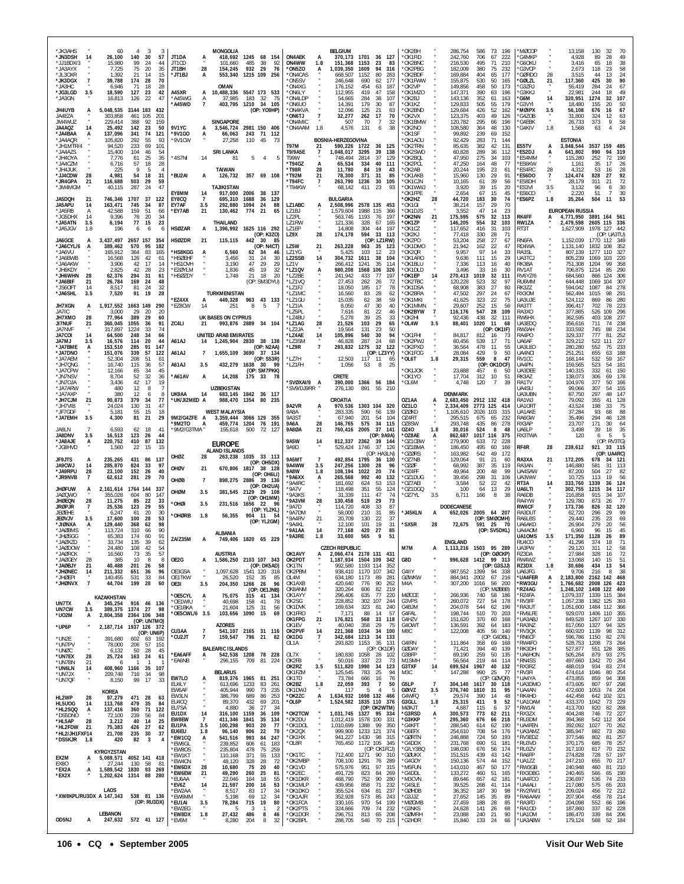| *JK3AHS<br>60<br>3<br>4<br>3<br>*JN3DSH<br>26,100<br>140<br>30<br>57<br>14<br>*JJ1BDX/3<br>15,980<br>99<br>24<br>44<br>*JA3AYX<br>7,725<br>75<br>20<br>35<br>*JL3OXR<br>1,392<br>21<br>14<br>15<br>*JK3DGX<br>$\overline{7}$<br>39,788<br>174<br>28<br>70<br>*ЈАЗНС<br>6,946<br>-71<br>18<br>28<br>*JG3LGD<br>3.5<br>18,590<br>127<br>23<br>42<br>*JA3GN<br>16,813<br>126<br>22<br>47<br>JH4UYB<br>5,048,535<br>3144 183<br>432<br>А<br>461<br>JA4EZA<br>303,858<br>105<br>201<br>JM4WUZ<br>229,414<br>388<br>92<br>159<br>JA4AQZ<br>25,492<br>142<br>23<br>50<br>14 | <b>MONGOLIA</b><br>JT1DA<br>418,692<br>1245 68 154<br>JT1CD<br>92<br>101.660<br>485<br>-38<br>JT1BH<br>28<br>154,245<br>932 29<br>76<br>*JT1BJ<br>A<br>553,340<br>1215 109<br>- 256<br>OMAN<br>10,488,336 5547 173 533<br>A45XR<br>A<br>*A45WG<br>Α<br>37.985<br>183 32<br>- 75<br>*A45WD<br>$\overline{7}$<br>403,795<br>1210 34 105<br>(OP: YO9HP)<br><b>SINGAPORE</b><br>9V1YC<br>2981 150 406<br>3,546,724<br>A                                                                                                                                                                 | <b>BELGIUM</b><br><b>ON4AEK</b><br>370,173<br>1701<br>36 127<br>А<br>ON4WW<br>151,368<br>1.8<br>1153<br>23<br>83<br>ON5ZO*<br>1,039,350<br>1609<br>94<br>316<br>A<br>*ON4CAS<br>668,507<br>1152<br>80<br>263<br>'ON5SV<br>246,648<br>690<br>62<br>177<br>454<br>*ON4XG<br>176,152<br>63<br>187<br>*ON6LY<br>112,955<br>419<br>47<br>158<br>*ON4LDP<br>38<br>54,665<br>284<br>107<br>ON6UO <sup>*</sup><br>14.391<br>179<br>30<br>87<br>*ON4KVA<br>12,096<br>125<br>21<br>63<br>$\overline{1}$<br>17<br><b>'ON6TJ</b><br>32,277<br>262<br>70<br>*ON4MIC<br>70<br>32<br>507<br>-7<br>1.8<br>4,576<br>131<br>38<br>ON4AAM*<br>6 | 'OK2BH<br>286,754<br>586<br>73<br>196<br>'OK1FID<br>242,760<br>706<br>67<br>222<br>*OK2BNC<br>495<br>71<br>210<br>216,530<br>'OK2PBG<br>182,009<br>380<br>75<br>232<br>'OK2BDF<br>169,884<br>404<br>65<br>177<br>'OK1FWW<br>155,875<br>530<br>50<br>165<br>*OK2VP<br>149,856<br>458<br>50<br>173<br>*OK1MZO<br>147,371<br>390<br>63<br>196<br>*OK2BJ<br>143,136<br>352<br>61<br>163<br>*OK1KZ<br>129.833<br>505<br>55<br>179<br>'OK2BND<br>129,684<br>426<br>52<br>162<br>123,375<br>49<br>*OK2VX<br>403<br>126<br>'OK1BMW<br>120,782<br>295<br>66<br>196<br>*OK2NO<br>48<br>108.580<br>130<br>364 | *MØCOP<br>13.158<br>130<br>32<br>70<br>'G4MKP<br>4,928<br>89<br>28<br>49<br>'G6OKU<br>65<br>38<br>3.416<br>18<br>'G3VCP<br>2,673<br>118<br>23<br>58<br>24<br><b>GØRDO</b><br>28<br>3.515<br>44<br>13<br>90<br><b>GØLZL</b><br>21<br>117,360<br>425<br>30<br>67<br>`G3ZRJ<br>55,419<br>284<br>24<br><b>G3KKJ</b><br>22,981<br>244<br>18<br>49<br>'G6M<br>1274<br>107<br>14<br>320,951<br>-32<br>G3VYI<br>50<br>18.480<br>155<br>20<br>*MØIPX<br>3.5<br>56,108<br>676<br>16<br>67<br>*G4ZOB<br>324<br>12<br>63<br>31.800<br>$\bullet$<br>'G4EBK<br>26,733<br>373<br>9<br>58<br>24<br>1.8<br>$\overline{4}$<br>'G4KIV<br>1,568<br>63 |
|----------------------------------------------------------------------------------------------------------------------------------------------------------------------------------------------------------------------------------------------------------------------------------------------------------------------------------------------------------------------------------------------------------------------------------------------------------------------------------------------------------------------------------------------------------------------|-------------------------------------------------------------------------------------------------------------------------------------------------------------------------------------------------------------------------------------------------------------------------------------------------------------------------------------------------------------------------------------------------------------------------------------------------------------------------------------------------------------------------------------------------------------------------------------|------------------------------------------------------------------------------------------------------------------------------------------------------------------------------------------------------------------------------------------------------------------------------------------------------------------------------------------------------------------------------------------------------------------------------------------------------------------------------------------------------------------------------------------------------------------------------------------------------------------------------|----------------------------------------------------------------------------------------------------------------------------------------------------------------------------------------------------------------------------------------------------------------------------------------------------------------------------------------------------------------------------------------------------------------------------------------------------------------------------------------------------------------------------------------------------------------------------------------------------|-----------------------------------------------------------------------------------------------------------------------------------------------------------------------------------------------------------------------------------------------------------------------------------------------------------------------------------------------------------------------------------------------------------------------------------------------------------------------------------------------------------------------------------------------------------------------------------------------------------------------------------|
| *JA4BAA<br>137,096<br>341<br>74<br>121<br>A<br>292<br>*JA4AQR<br>55<br>105.820<br>93<br>*JH1MTR/4<br>94,520<br>233<br>69<br>101<br>15,400<br>104<br>54<br>*JA4AZS<br>46<br>*JH4OYA<br>7,776<br>61<br>25<br>35<br>*JA4CZM<br>6,716<br>57<br>18<br>28<br>*JH4JUK<br>225<br>9<br>5<br>*JJ4CDW<br>28<br>4,981<br>54<br>18<br>31<br>*JR4GPA<br>59<br>21<br>116,688<br>503<br>29<br>287<br>47<br>*JM4MGM<br>40,115<br>24<br>JA5DQH<br>746,346<br>1707<br>37<br>122<br>21                                                                                                   | *9V1GO<br>66,063<br>243 71<br>112<br>А<br>*9V1CW<br>110<br>45<br>27.258<br>-73<br><b>SRI LANKA</b><br>*4S7NI<br>14<br>5<br>$\overline{4}$<br>5<br>81<br><b>TAIWAN</b><br>*BU2AI<br>357 69 108<br>A<br>126,732<br><b>TAJIKISTAN</b><br>EY8MM<br>917.000<br>2006 38 137<br>-14<br>EY8CQ<br>$\overline{7}$<br>695,310<br>1688<br>129<br>36                                                                                                                                                                                                                                             | BOSNIA-HERZEGOVINA<br>T97M<br>590,226<br>36<br>125<br>21<br>1722<br><b>T9/9A5E</b><br>1,048,017<br>3295<br>39<br>138<br>7<br>37<br>T99W<br>748,494<br>2814<br>129<br>40<br>*T94GZ<br>А<br>65,534<br>334<br>111<br>*T98R<br>28<br>11,780<br>84<br>19<br>43<br>371<br>85<br>*T92M<br>21<br>78,300<br>31<br>263,790<br>30<br>*T94FC<br>7<br>1236<br>105<br>*T94KW<br>68,142<br>411<br>-23<br>93<br>BULGARIA                                                                                                                                                                                                                     | 'OK1SF<br>99,892<br>239<br>69<br>152<br>OK1AOU<br>71<br>144<br>92,429<br>283<br>*OK2TRN<br>85,635<br>382<br>42<br>131<br>*OK2SWD<br>60,828<br>289<br>36<br>112<br>275<br>34<br>'OK2BQL<br>47,950<br>103<br>'OK2PCL<br>48<br>47,250<br>164<br>-77<br>195<br>'OK2AB<br>20,244<br>23<br>-61<br>29<br>*OK1AKB<br>15,960<br>130<br>91<br>39<br>*OK1CJN<br>10,165<br>61<br>56<br>*OK1WWJ<br>39<br>15<br>3,920<br>20<br>'OK1FPE<br>2,654<br>67<br>15<br>45<br>*OK2HZ<br>28<br>44,720<br>183<br>30<br>74                                                                                                   | <b>ESTONIA</b><br>ES5TV<br>3,848,544<br>3537 159<br>485<br>A<br>*ES2DJ<br>641,802<br>990<br>94<br>319<br>'ES4MM<br>115,280<br>252<br>72<br>190<br>*ES6KW<br>1.161<br>35<br>17<br>26<br>53<br>*ES4RC<br>28<br>4,312<br>28<br>16<br>92<br>'ES6DO<br>$\overline{1}$<br>124,474<br>828<br>27<br>72<br><b>ES8DH</b><br>28,179<br>311<br>21<br>3.5<br>30<br>'ES3VI<br>3,132<br>96<br>6<br>51<br>30<br>*ES6CO<br>2.220<br>$\overline{7}$<br>*ES6PZ<br>1.8<br>35,264<br>504<br>11<br>53                                                                                                                                                   |
| JA5APU<br>163,471<br>745<br>34<br>87<br>14<br>*JA5RB<br>42,588<br>159<br>51<br>A<br>66<br>*JG5DHX<br>9.396<br>76<br>20<br>-14<br>-34<br>*JA5ATN<br>6,194<br>77<br>15<br>23<br>3.5<br>*JA5JGV<br>1.8<br>196<br>6<br>6<br>6<br>3,437,497<br>JA6GCE<br>2657 157<br>354<br>A<br>*JA6CYL/6<br>389,462<br>570<br>95<br>182<br>A<br>*JA6VU<br>165,912<br>364<br>83<br>165<br>*JA6BWB<br>16,568<br>126<br>42<br>61<br>17<br>*JA6AKW<br>3.906<br>42<br>14<br>*JH6KDY<br>2,825<br>42<br>28<br>23<br>*JH6WHN<br>294<br>61<br>-28<br>62,376<br>31                                | EY7AF<br>1094<br>24<br>292.880<br>88<br>3.5<br>*EY7AB<br>21<br>130,462<br>774<br>21<br>65<br>THAILAND<br><b>HSØZAR</b><br>1,396,992 1625 116 292<br>А<br>(OP: K3ZO)<br><b>HSØZDR</b><br>21<br>115,115<br>442 30<br>-85<br>(OP: N4CT)<br>*HS8KGG<br>6,560<br>62<br>34<br>46<br>*HSØEHF<br>3,456<br>24<br>30<br>31<br>*HS10VH<br>29<br>29<br>3.190<br>47<br>*E2ØYLM<br>1,836<br>45<br>19<br>32<br>*HSØZDY<br>1.748<br>21 18<br>-20                                                                                                                                                    | LZ1ABC<br>2,508,996<br>2578 135<br>453<br>А<br>LZ1BJ<br>1,579,604<br>1988<br>115<br>366<br>LZ2PL<br>563,745<br>1193<br>76<br>197<br>LZ1RW<br>121,336<br>328<br>67<br>165<br><b>171FP</b><br>304<br>44<br>197<br>14.808<br>LZ9X<br>28<br>174,178<br>594<br>33<br>113<br>(OP: LZ1RW)<br>LZ5W<br>21<br>263,228<br>963<br>35<br>-123<br>LZ1YG<br>5,425<br>103<br>12<br>-23<br><b>LZ2SSB</b><br>14<br>304,732<br>1611<br>38<br>104<br>35<br>LZ1V<br>266,412<br>1241<br>114<br>*LZ1QV<br>980,208<br>1568<br>106<br>326<br>Ą<br>*LZ2BE<br>241.942<br>433<br>77<br>197                                                               | 29<br>*OK1GI<br>38,214<br>157<br>70<br>*OK1DJS<br>3,552<br>47<br>14<br>23<br>*OK2NN<br>175,595<br>575<br>32<br>21<br>113<br>*OK1ZP<br>146,205<br>554<br>32<br>103<br>OK1CZ*<br>416<br>31<br>117.652<br>103<br>*OK2KJ<br>77,418<br>330<br>28<br>71<br>OK2PO*<br>53,204<br>258<br>27<br>67<br>'OK1DMO<br>22<br>21,942<br>162<br>47<br>97<br>14<br>*OK2QR<br>9.957<br>33<br>*OK1ARO<br>9,636<br>111<br>15<br>29<br>*OK1BLU<br>7,336<br>113<br>16<br>40<br>*OK1DLD<br>3,496<br>33<br>16<br>30<br>270,413<br>1019<br>32<br>*OK1EP<br>14<br>111                                                          | <b>EUROPEAN RUSSIA</b><br><b>RK4FF</b><br>4,771,950<br>3891 164 561<br>A<br>RW1ZA<br>2,479,598<br>2605 115<br>336<br>1978 127 442<br>RT3T<br>1,627,909<br>(OP: UA3TU)<br>RN6FA<br>1,152,039<br>1770 112<br>- 349<br>RD4WA<br>1,131,140<br>1832<br>108<br>352<br>RA3SL<br>807.139<br>1277<br>110<br>-327<br>UA3TCJ<br>805,239<br>1069<br>103<br>220<br>RK3BA<br>751,308<br>1204<br>99<br>358<br>RV1AT<br>706,875<br>1214<br>85<br>290<br>RV6YZ/6<br>684,560<br>866<br>124<br>-306                                                                                                                                                  |
| *JA6BIF<br>26,784<br>169<br>24<br>48<br>21<br>*JS60FT<br>14<br>8,517<br>81<br>24<br>32<br>19<br>*JA6SHL<br>7,520<br>91<br>28<br>3.5<br>JH7XGN<br>1,917,552<br>1663 149<br>290<br>Ą.<br>JA7IC<br>3,000<br>29<br>20<br>20<br>JH7XMO<br>77,964<br>389<br>29<br>28<br>60<br><b>JI7NUF</b><br>360,045<br>1055<br>91<br>21<br>36<br>317,897<br>1224<br>74<br>JA7NVF<br>33<br>JA7COI<br>64,500<br>248<br>34<br>66<br>14<br>20<br><b>JA7MJ</b><br>3.5<br>16,576<br>114<br>44<br>*JA7BME<br>153,510<br>285<br>91<br>147<br>A<br>*JA7DNO<br>151,076<br>339<br>57<br>122        | (OP: SM3DYU)<br><b>TURKMENISTAN</b><br>*EZ4XX<br>449,328<br>963 43 133<br>*EZ8CW<br>14<br>8<br>5<br>251<br>UK BASES ON CYPRUS<br>ZC4LI<br>993.876 2889 34 104<br>21<br>UNITED ARAB EMIRATES<br>A61AJ<br>1,245,904 2830<br>38 138<br>14<br>(OP: N2AA)<br>A61AJ<br>1,655,109 3690 37 134<br>7                                                                                                                                                                                                                                                                                         | *LZ1VQ<br>27.453<br>262<br>26<br>72<br>*LZ1FJ<br>18,050<br>185<br>17<br>78<br>83<br>28<br>*1.71MC<br>16,560<br>62<br>*LZ1GU<br>15,035<br>38<br>59<br>62<br>*LZ1IA<br>47<br>30<br>40<br>8,050<br>*LZ5PL<br>7,616<br>81<br>22<br>46<br>25<br>*I 74BU<br>5.278<br>39<br>33<br>*LZ1AG<br>28<br>21,526<br>103<br>29<br>65<br>131<br>*I 72.IA<br>19.564<br>23<br>50<br>30<br>*LZ4AE<br>14<br>105,896<br>540<br>94<br>*LZ3SM<br>287<br>68<br>46,828<br>24<br>32<br>*LZ9R<br>$\overline{7}$<br>293,832<br>1275<br>122<br>(OP: LZ3YY)                                                                                                 | OK2TBC<br>32<br>120.228<br>523<br>97<br>'OK1DSA<br>68,908<br>383<br>27<br>80<br>47,502<br>297<br>24<br>'OK2BRA<br>-67<br>*OK1MKI<br>41,625<br>323<br>22<br>75<br>*OK1MMN<br>29,607<br>252<br>15<br>56<br>*OK2BYW<br>$\overline{7}$<br>116,176<br>547<br>28<br>109<br>32<br>'OK2HI<br>92.436<br>438<br>111<br>*OL4W<br>3.5<br>88,401<br>1020<br>-11<br>68<br>(OP: OK1IF)<br>'OK1FHI<br>84,817<br>812<br>16<br>-73<br>*OK2PWJ<br>60,456<br>539<br>-17<br>-71<br>*OK2PXD<br>36,564<br>478<br>11<br>55<br>*OK1FOG<br>28,084<br>9<br>429<br>50                                                          | RU6MM<br>644,448<br>1069<br>104<br>307<br>RK3ZZ<br>594,042<br>1087<br>84<br>278<br>562,494<br>RX30M<br>1015<br>98<br>291<br>UA3UJE<br>524,112<br>280<br>869<br>86<br>223<br>RA3TT<br>396,417<br>702<br>78<br>RA3XO<br>377,865<br>526<br>109<br>296<br>237<br>RW6HX<br>362,595<br>403<br>108<br>UA3EDQ<br>356,616<br>711<br>74<br>238<br>234<br>RW3AH<br>333,592<br>745<br>88<br>RA4PO<br>329,337<br>777<br>81<br>252<br>329,212<br>522<br>227<br>UA6AF<br>111<br>UA3LEO<br>280,280<br>552<br>75<br>233<br>188<br>UA4NCI<br>251,251<br>655<br>63                                                                                   |
| *JA7AEM<br>52,304<br>208<br>51<br>61<br>*JH7QNG<br>16,740<br>115<br>36<br>57<br>*JA7CPW<br>12,166<br>65<br>45<br>34<br>*JN7NSV<br>8,704<br>52<br>32<br>36<br>42<br>17<br>19<br>*JN7OJA<br>3,436<br>*JA7ARW<br>12<br>8<br>$\overline{7}$<br>480<br>* JA7AXP<br>380<br>12<br>8<br>6<br>*JH7CJM<br>21<br>90,873<br>379<br>34<br>77<br>* JH7VIB<br>130<br>47<br>24.024<br>-31<br>*JF7GDF<br>5,181<br>55<br>15<br>18<br>*JA7EMH<br>4,300<br>21<br>29<br>3.5<br>81<br>6,593<br>JA8LN<br>62<br>18<br>41<br>JA8DNV<br>16,513<br>44<br>3.5<br>123<br>26                       | (OP: S53R)<br>432,279 1638 30<br>A61AJ<br>3.5<br>-99<br>(OP: SM7PKK)<br>*A61AV<br>14,208<br>175 33<br>A<br><b>UZBEKISTAN</b><br>UK9AA<br>683,145 1842 36 117<br>14<br>*UK/JI2MED A<br>988,470 1354<br>80<br>- 235<br><b>WEST MALAYSIA</b><br>9M2/G4ZFE A<br>3,359,444 3066 129 355<br>'9M2TO<br>459,774 1204<br>76<br>191<br>А<br>*9M2/G3TMA *<br>155.618<br>500<br>72<br>- 127                                                                                                                                                                                                     | LZ7H<br>12,503<br>$117 - 11$<br>65<br>1,056<br>*LZ1FH<br>53<br>8<br>25<br>CRETE<br><b>SVØXAI/9</b><br>390,000<br>1366 56 184<br>A<br>'SV9/DJ9RR<br>276,130<br>55<br>210<br>891<br>CROATIA<br>9A2VR<br>1303 104<br>970,536<br>320<br>A<br>9A8A<br>590<br>56<br>283.335<br>139<br>9A3ST<br>201<br>67,940<br>54<br>104<br>9A6A<br>28<br>146,765<br>575<br>34<br>115<br><b>9A8ØA</b><br>21<br>760,416<br>2005<br>-37<br>-141<br>(OP: 9A9A)                                                                                                                                                                                       | *OL6T<br>1.8<br>29,315<br>559<br>8<br>47<br>(OP:<br>OK1DCF)<br>'OK1JOK<br>457<br>23,688<br>50<br>6<br>'OK1YO<br>17,704<br>312<br>10<br>51<br>4,748<br>OL6M*<br>120<br>$\overline{7}$<br>39<br><b>DENMARK</b><br>OZ1AA<br>2,683,450<br>2912 132 418<br>OZ1LO<br>2,334,409<br>2773 125<br>414<br><b>OZØKD</b><br>2026<br>103<br>1.105.610<br>315<br>0Z4RT<br>295,515<br>675<br>-65<br>232<br>OZ8SW<br>293,748<br>435<br>86<br>278<br>524<br>0Z40<br>1.8<br>30,016<br>8<br>48<br>'OZ8AE<br>862,687<br>1017 116<br>375<br>A                                                                            | RV1CC<br>168,144<br>532<br>59<br>167<br>159,565<br>523<br>181<br>UA4PN<br>54<br>UA3DEE<br>140,315<br>332<br>61<br>150<br>RK3AZ<br>138,073<br>178<br>306<br>69<br>RA1TV<br>377<br>104,976<br>50<br>166<br>UA4SU<br>99,066<br>307<br>54<br>155<br>87.750<br>297<br>147<br>UA3UBN<br>48<br>RA1WJ<br>79,092<br>355<br>41<br>128<br>198<br>75<br>UA10R1<br>33<br>43.524<br>UA1AKE<br>37,284<br>93<br>68<br>88<br>RA6GW<br>294<br>128<br>35.496<br>46<br>RX3AP<br>23,707<br>171<br>30<br>64<br>35<br>UA6LP<br>18<br>3,498<br>-39<br>5<br>RX3TWA<br>120<br>6<br>5                                                                        |
| 410<br>87<br>132<br>*JA8AJE<br>A<br>220,752<br>*JG8HVD<br>1,560<br>22<br>15<br>15<br>JF9JTS<br>431<br>235,265<br>86<br>137<br>A<br>JA9CWJ<br>14<br>285,870<br>824<br>33<br>97<br>*JA9RPU<br>28<br>23,100<br>152<br>26<br>40<br>*JR9NVB<br>62,612<br>281<br>70<br>-7<br>29<br><b>JHØFUW</b><br>2,161,614<br>1764<br>337<br>A<br>144<br>80<br><b>JAØQWO</b><br>355,028<br>604<br>147<br><b>JHØEQN</b><br>28<br>11,275<br>85<br>22<br>33<br><b>JRØPJR</b><br>25,536<br>123<br>29<br>55<br>7<br><b>JEØEHE</b><br>6,247<br>61<br>20<br>30                                 | <b>EUROPE</b><br><b>ALAND ISLANDS</b><br>OHØZ<br>28<br>263,238<br>1035 33 113<br>(OP: OH5DX)<br>OHØV<br>670,806<br>21<br>1817<br>38 128<br>(OP: OH6LI)<br>OHØB<br>898,275 2886 39 136<br>-7<br>(OP: OH2UA)<br>OHØM<br>381,545 2129 29 108<br>3.5<br>(OP: OH1MM)<br>*OHØI<br>231,516 1656 22<br>3.5<br>(OP: YL2KL)                                                                                                                                                                                                                                                                   | <b>9A5W</b><br>812,337<br>2362<br>39<br>14<br>144<br>9A9D<br>529,424<br>1746<br>37<br>126<br>(OP: HA3LN)<br>9A5MT<br>492,854<br>1795<br>$\overline{7}$<br>36<br>130<br>9A4WW<br>3.5<br>247,256<br>1300<br>28<br>96<br><b>9A8W</b><br>108,194<br>1022<br>20<br>74<br>1.8<br>*9A6XX<br>265,568<br>992<br>40<br>132<br>A<br>*9A4RC<br>181,692<br>53<br>624<br>153<br>*9A7V<br>118,498<br>351<br>55<br>124<br>47<br>'9A3KS<br>31.339<br>111<br>74<br>*9A3VM<br>28<br>130,458<br>519<br>29<br>73<br>*9A7D<br>114.720<br>408<br>33<br>87<br>*9A7DM<br>58,000<br>210<br>31<br>85                                                    | *OZ1CBW<br>279.900<br>633<br>-72<br>228<br>*OZ1BMA<br>186,450<br>495<br>60<br>166<br>49<br>OZØRS*<br>163,982<br>542<br>172<br>'OZ7NB<br>91<br>21<br>129.064<br>60<br>*OZØF<br>68,992<br>387<br>35<br>119<br>'OZ4FF<br>49,964<br>200<br>48<br>99<br>*OZ1DUG<br>39,456<br>298<br>31<br>106<br>52<br>22<br>O77AFI<br>3,584<br>42<br>OZ1DGQ*<br>100<br>64<br>13<br>29<br>3.5<br>'OZ7YL<br>6,711<br>166<br>8<br>-38<br><b>DODECANESE</b><br>J45KLN<br>652,026 2005<br>64 207<br>A                                                                                                                       | (OP: RV3TG)<br>RF4R<br>239,612<br>28<br>921<br>33 115<br>(OP: UA4RC)<br>RA3XA<br>172,205<br>21<br>34 121<br>678<br>RA3AN<br>146,880<br>581<br>31<br>113<br>UA4SAW<br>87,200<br>504<br>27<br>82<br>UA3WW<br>10,725<br>113<br>19<br>56<br>RT3A<br>333,760<br>1339<br>36<br>124<br>14<br>UA6LTI<br>302,755<br>1215<br>34<br>117<br>RA6DB<br>915<br>34<br>107<br>216,858<br>RA4YW<br>129,780<br>873<br>26<br>77<br>RW6CF<br>120<br>173,736<br>826<br>-32<br>RA3DUT<br>62,720<br>296<br>29<br>99                                                                                                                                       |
| <b>JEØVJV</b><br>3.5<br>17,600<br>100<br>28<br>53<br>*JIØNXA<br>129,440<br>368<br>98<br>62<br>A<br>90<br>*JAØBMS<br>113,724<br>310<br>66<br>*JHØSGG<br>65,383<br>174<br>60<br>91<br>JAØXZD<br>135<br>62<br>33,734<br>39<br>*JAØDOW<br>108<br>42<br>54<br>24.480<br>*JAØRCK<br>16,560<br>73<br>35<br>57<br>*JAØGEY<br>28<br>385<br>10<br>8<br>-8<br>*JAØBJY<br>21<br>40,488<br>201<br>26<br>58<br>*JHØNEC<br>211,332<br>96<br>14<br>651<br>-36<br>*JHØEPI<br>140,455<br>531<br>84<br>33<br>*JHØNVX<br>$\overline{7}$<br>44,704<br>199<br>28<br>60                     | *OHØRB<br>1.8<br>56,355<br>904 11<br>(OP: YL2GM)<br><b>ALBANIA</b><br>ZA/Z35M<br>1820 65 229<br>A<br>749.406<br><b>AUSTRIA</b><br>OE2G<br>1,586,250 2103 107 343<br>A<br>(OP: DK5AD)<br>OE3GSA<br>1,097,628<br>1541 120 318<br>OE1TKW<br>26,520<br>152 35<br>-85<br>204,350<br>96<br>OE3I<br>3.5<br>1266 26<br>(OP: OE1JNB)                                                                                                                                                                                                                                                         | 22<br>37<br>*9A4RV<br>21<br>20.709<br>130<br>*9A4KL<br>12,100<br>101<br>19<br>31<br>14<br>27<br>85<br>*9A1AA<br>77,168<br>420<br>*9A3RE<br>33,600<br>565<br>9<br>51<br>1.8<br><b>CZECH REPUBLIC</b><br>OK1AVY<br>2,066,474 2178 131<br>431<br>1,187,934 1504 109<br>OK2PDT<br>-342<br>OK1TN<br>992,580<br>1193 114<br>352<br>1170 107<br>OK2PBM<br>938,410<br>342<br>OL4M<br>634,180<br>1173<br>89<br>281<br>OK1AXB<br>90<br>420,640<br>776<br>262<br>OK8ANM<br>320,264<br>606<br>82<br>219                                                                                                                                  | (OP: SMØCMH)<br>'SX5R<br>28<br>72,675<br>591 25<br>70<br>(OP: SV5DKL)<br><b>ENGLAND</b><br>M7M<br>1,113,216 1503 95 289<br>А<br>(OP: GØCKP)<br>G8D<br>996,628<br>1412 99 313<br>(OP: G3SJJ)<br>G4IIY<br>987,552<br>1399 94 338<br><b>GØWKW</b><br>884,941<br>2002<br>67 216<br>M4A<br>307,200<br>1016<br>56<br>- 200<br>(OP: MØBBB)                                                                                                                                                                                                                                                                | 69<br>RA6LBS<br>29.440<br>235<br>-23<br>UA6AKD<br>26,904<br>279<br>20<br>56<br>UA4AOM<br>45<br>6,960<br>96<br>15<br>UA10MS<br>3.5<br>171,350<br>1128<br>26<br>89<br>RU4CO<br>41, Z Y U<br>UA3PW<br>29,120<br>311<br>12<br>58<br>RZ3DA<br>27,984<br>328<br>72<br>16<br>RW4WZ<br>51<br>140<br>13.068<br>15<br>RZ3DX<br>1.8<br>30,686<br>434<br>13<br>54<br>38<br>UA6JFG<br>9.706<br>216<br>-8<br>*UA4FER<br>А<br>2,183,800<br>2162 142 468<br>*RW3GU<br>2008 126<br>423<br>1,766,682<br>*RZ4AG<br>1,248,102<br>1408<br>122<br>400                                                                                                   |
| KAZAKHSTAN<br>UN7TX<br>345,254 916 46 136<br>A<br><b>UN7CW</b><br>389,375 1374<br>27<br>3.5<br>-98<br>*U02M<br>2364 106 348<br>2,804,358<br>А<br>(OP: UN7MO)<br>*UP6P<br>2,187,714<br>1937 126 372<br>(OP: UN6P)<br>*UN2E<br>602 63 192<br>391,680<br>*UN7PV<br>78,000<br>206<br>57<br>151<br>*UNØC<br>6,132<br>50<br>45<br>-28<br>*UN7EX<br>28<br>25,724<br>163<br>24<br>61<br>*UN7BN<br>21<br>-6                                                                                                                                                                   | *OE5CYL<br>75,075<br>315 41<br>134<br>A<br>*OE1WIU<br>40,698<br>158<br>41<br>78<br>*OE1BKA<br>21,604<br>125<br>-31<br>56<br>*OE5CWL/6 3.5<br>103,656<br>1090<br>15<br>69<br><b>AZORES</b><br>CU3AA<br>$\overline{7}$<br>541,107 2165 31 116<br>*CU2JT<br>$\overline{7}$<br>796 21<br>82<br>159,547<br><b>BALEARIC ISLANDS</b><br>*EA6AFF<br>542,538 1208 78 228<br>А<br>*EA6NB<br>296,155<br>709 81 224                                                                                                                                                                             | 77<br>OK1AYY<br>296,406<br>635<br>220<br>OK2SG<br>228,852<br>302 107<br>244<br>OK1DVK<br>169,634<br>323<br>-81<br>240<br>OK1FRO<br>7,171<br>88<br>14<br>57<br>OK1FPG<br>21<br>176,821<br>568<br>33<br>118<br>OK1EV<br>40,040<br>358<br>29<br>75<br>OK2PVF<br>14<br>221,368<br>100<br>1034<br>- 34<br>OK1DG<br>342,684<br>1213<br>34<br>7<br>133<br>293,820<br>35<br>131<br>OL1A<br>1153<br>(OP: OK1DF)<br>OL7X<br>180,830<br>1058<br>28<br>102<br>$\cdot$<br>OK2FB<br>50.016<br>337<br>73<br>-23<br>1990                                                                                                                     | MØCCE<br>740<br>266,936<br>58<br>186<br>G3VPS<br>260,072<br>727<br>54<br>178<br>G4BJM<br>204,078<br>544<br>62<br>196<br>G4FAL<br>198,744<br>510<br>70<br>203<br>G4HZV<br>151,620<br>370<br>60<br>168<br>G40WT<br>136,591<br>392<br>64<br>183<br>122,008<br>M8C<br>405<br>56<br>146<br>(OP: G4DBL)<br>G4IRN<br>111,864<br>358<br>69<br>168<br>GØDAY<br>139<br>71,421<br>394<br>40<br>G3BFP<br>69,190<br>259<br>50<br>135<br>M1SMH<br>219<br>44<br>56,564<br>114<br>40                                                                                                                               | *RZ4FA<br>1339 115<br>384<br>1,079,337<br>*RV3FF<br>1,057,238<br>1382<br>125<br>393<br>*RA3UT<br>1,051,600<br>1484 112<br>- 366<br>*RV6LFE<br>929,070<br>1406<br>110<br>355<br>*UA3ABJ<br>849,528<br>107<br>330<br>1267<br>*RA3NZ<br>817,050<br>1327<br>94<br>325<br>*RV3QX<br>98<br>312<br>660,920<br>1139<br>RN6CF<br>1150<br>276<br>596,786<br>82<br>*RW4FO<br>528,753<br>1208<br>73<br>264<br>*RK3DH<br>527,877<br>551<br>128<br>385<br>*UA6HON<br>505,264<br>879<br>93<br>275<br>497,660<br>*RN4SS<br>1342<br>70<br>264<br>*RX3RZ<br>934<br>83                                                                               |
| *UN6LN<br>408,960 1166<br>35<br>107<br>14<br>*UN7JX<br>209,748<br>716<br>-34<br>98<br>99<br>*UN7QF<br>8,150<br>17<br>33<br>KOREA<br>HL2WP<br>28<br>471 28<br>97,279<br>63<br>HL5UOG<br>84<br>113,768<br>479<br>35<br>14<br>*HL2SQQ<br>137,416<br>360<br>71<br>122<br>A<br>*DS5DNO<br>239<br>84<br>72,100<br>56<br>28<br>*HL5AP<br>3,212<br>40<br>14<br>25<br>*HL2FDW<br>426<br>21<br>75,383<br>27<br>62<br>*HL2/JH1FXF14<br>21,708<br>235<br>30<br>37<br>*DS5KJR 1.8<br>82<br>420<br>-3<br>4                                                                         | <b>BELARUS</b><br>EW7LO<br>819,376<br>1965 81 251<br>A<br>EU4LY<br>613,696<br>1233<br>83<br>261<br>EW6AF<br>405,944<br>990<br>73<br>235<br>689<br>EW3LN<br>386,799<br>86<br>253<br>EU4CQ<br>89,370<br>432<br>69<br>201<br>EU7SA<br>4,880<br>36<br>27<br>-34<br>EU1DX<br>316,100<br>1159<br>109<br>14<br>36<br>EW8EW<br>$\overline{7}$<br>411,346<br>1841<br>35<br>134<br>EU1PA<br>100,298<br>903<br>77<br>3.5<br>20<br>EU6EU<br>96,140<br>906<br>70<br>1.8<br>22<br>993<br>84<br>*EW1CQ<br>541,516<br>247<br>A<br>61                                                                | OK2RZ<br>3.5<br>511,820<br>34<br>123<br>OK1FZM<br>25<br>125,545<br>783<br>94<br>٠<br>OK1TD<br>73,784<br>16<br>76<br>666<br>393<br>50<br>OK2BZ<br>1.8<br>22,059<br>$\overline{7}$<br>OK1DWJ<br>117<br>5<br>-5<br>1,634,932<br>1698 132 466<br>*OK2ZC<br>А<br>*OL6P<br>1,524,582<br>1835 110 376<br>(OP: OK2WTM)<br><b>*OK2TCW</b><br>1,031,745<br>1327<br>95 334<br>*OK2DU<br>1,012,419<br>1578 100<br>331<br>*OK1DOL<br>1,010,699<br>1388<br>- 99<br>350<br>*OK2QX<br>999,900<br>1233 121<br>374<br>98<br>*OK1HX<br>941,227<br>1430<br>315<br>345                                                                            | G3TXF<br>14<br>699,524<br>1967<br>132<br>990<br>-25<br>M3C<br>147,288<br>- 77<br>(OP: GØVQR)<br>G5LP<br>304,140<br>7<br>1617<br>30 118<br>GØIVZ<br>3.5<br>376,740<br>1810<br>31<br>95<br>G4WFQ<br>29,574<br>390<br>14<br>48<br>G3GLL<br>1.8<br>25,315<br>411<br>9<br>52<br>MØAJT<br>4,687<br>115<br>6<br>-37<br>*G3RSD<br>А<br>300,573<br>773<br>62<br>211<br>*G3ККР<br>295,360<br>676<br>66<br>218<br><b>G4KFT</b><br>190<br>288,540<br>614<br>62<br>*G6EFX<br>254,610<br>708<br>176<br>-54<br><b>GØRTN</b><br>50<br>246,888<br>724<br>193<br>51                                                  | 488,019<br>274<br>254<br>*RV3FI<br>474,614<br>1046<br>80<br>*UA4YA<br>473,855<br>859<br>94<br>308<br>*UA3DMO<br>298<br>473,605<br>807<br>97<br>'UA4AN<br>472,600<br>1053<br>74<br>204<br>642<br>102<br>*RK4HD<br>442,458<br>321<br>*UA10AM<br>433,370<br>1042<br>73<br>229<br>*RW1AI<br>413,700<br>820<br>-82<br>-268<br>'RX3ZX<br>404,248<br>746<br>72<br>227<br>*RU3DM<br>112 304<br>394,368<br>542<br>*UA4FEN<br>392,092<br>1027<br>262<br>70<br>*UA3AMZ<br>385,947<br>73<br>260<br>882<br>*RV3EDZ<br>377,546<br>257<br>802<br>81<br>78                                                                                        |
| KYRGYZSTAN<br>EX2M<br>5,069,571 4052 141 418<br>A<br><b>EX80</b><br>27,244<br>130<br>58<br>81<br>*EX2A<br>A<br>1,589,542<br>1830<br>93<br>269<br>*EX2X<br>1,202,624<br>1314<br>88 280<br>LAOS<br>*XW8KPL/RU3DX A 147,343<br>538 81 136<br>(OP: RU3DX)<br>LEBANON<br>OD5NJ<br>572 41 127<br>A<br>247,632                                                                                                                                                                                                                                                              | *EW6GL<br>239,852<br>606<br>183<br>75<br>*EW8OS<br>235,804<br>478<br>259<br>*EW1KT<br>110,168<br>371<br>55<br>133<br>*EW4CN<br>72<br>48,120<br>328<br>28<br>*EW6DX<br>28<br>10,680<br>75<br>20<br>40<br>21<br>260<br>*EW6EW<br>49,290<br>25<br>81<br>*EU6AA<br>22,046<br>164<br>18<br>55<br>14<br>21,597<br>200<br>53<br>*EV6Z<br>16<br>*EW2AA<br>8,517<br>83<br>17<br>34<br>*EW6MM<br>5,198<br>69<br>12<br>34<br>*EU1AI<br>715<br>19<br>80<br>78,284<br>3.5<br>*EW2EG<br>-3<br>$\mathbf{1}$<br>-2<br>27,432<br>486<br>*EW8DX<br>1.8<br>8<br>46<br>*EV6M<br>8,280<br>204<br>8<br>32 | *OL8R<br>765,450<br>1172 105<br>(OP: OK1FCJ)<br>*OK1TC<br>712,400<br>1271<br>90<br>310<br>*OK2MBP<br>708,100<br>1291<br>76<br>289<br>*OK1VD<br>575,976<br>951<br>97<br>315<br>*OK2EC<br>491,729<br>823<br>84<br>269<br>*OK1DKR<br>468,790<br>752<br>90<br>280<br>*OK1MLP<br>439,956<br>858<br>71<br>232<br>*OK1DKO<br>355,524<br>634<br>81<br>237<br>85<br>243<br>*OK1AJR<br>352,928<br>573<br>*OK1FCA<br>330,165<br>970<br>54<br>199<br>*OK2PTS<br>232<br>324,666<br>709<br>74<br>*OK1DOR<br>296,751<br>813<br>208<br>65<br>*OK2BPL<br>288,705<br>546<br>70<br>215                                                          | 'G4DDX<br>231,768<br>690<br>181<br>G/LY3BQ<br>198,030<br>676<br>56<br>174<br>'GØUKX<br>151,515<br>439<br>43<br>142<br>"G4GOY<br>150,136<br>574<br>44<br>152<br>*M5FUN<br>143,010<br>467<br>50<br>177<br>'G4DDL<br>133,272<br>460<br>51<br>165<br>M3CVN*<br>89,646<br>657<br>42<br>181<br>"G4SLE<br>39,525<br>268<br>41<br>114<br><b>GØHDB</b><br>36,352<br>187<br>30<br>98<br>145<br>'G3JJZ<br>27,652<br>-35<br>89<br>*MØGMB<br>27,459<br>188<br>28<br>85<br>*G3NKS<br>24,628<br>141<br>26<br>68<br>*GØMRH<br>240<br>21<br>90<br>23,088<br>"G2HDR<br>15,840<br>133<br>24<br>66                     | *RU3VD<br>370,175<br>685<br>257<br>317,100<br>817<br>232<br>*RU3ZV<br>70<br>*RA6FP<br>274,828<br>728<br>57 197<br>217<br>*UA1ZZ<br>247,210<br>655<br>70<br>*RW3GB<br>240,948<br>460<br>81<br>210<br>*RX3DBG<br>190<br>240,465<br>566<br>65<br>*UA4FCO<br>236,697<br>536<br>74<br>233<br>*UA4ALI<br>203<br>217,080<br>575<br>65<br>'RV2FW/1<br>209,024<br>456<br>72<br>212<br>207,904<br>214<br>*RA6AAW<br>458<br>78<br>204,098<br>*RA3FD<br>552<br>196<br>66<br>228<br>*RA1OD<br>187,860<br>337<br>82<br>*UA10M<br>186,470<br>339<br>84 206<br>*UA3ABW<br>179,124<br>568<br>52 184                                                |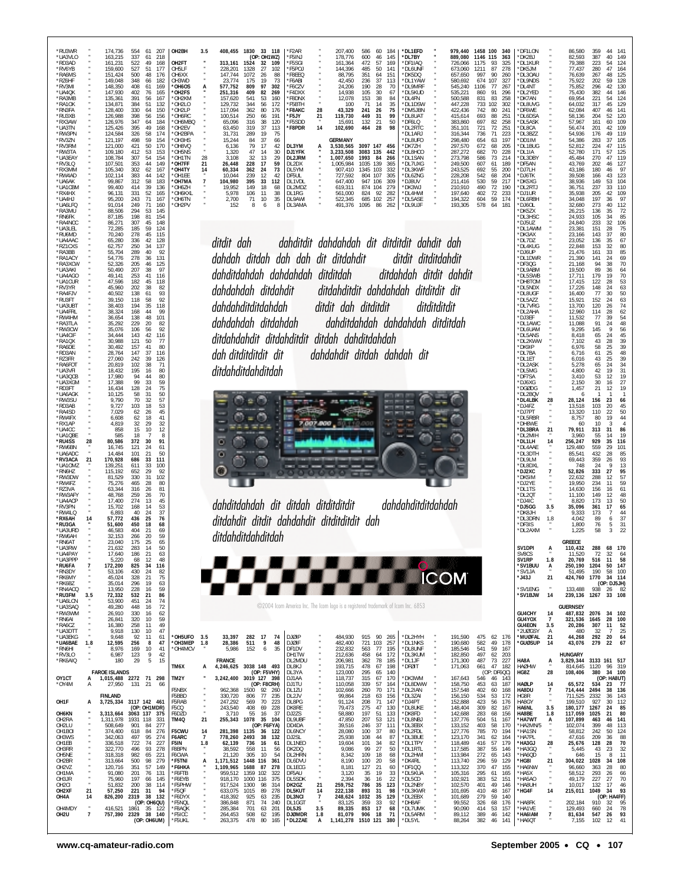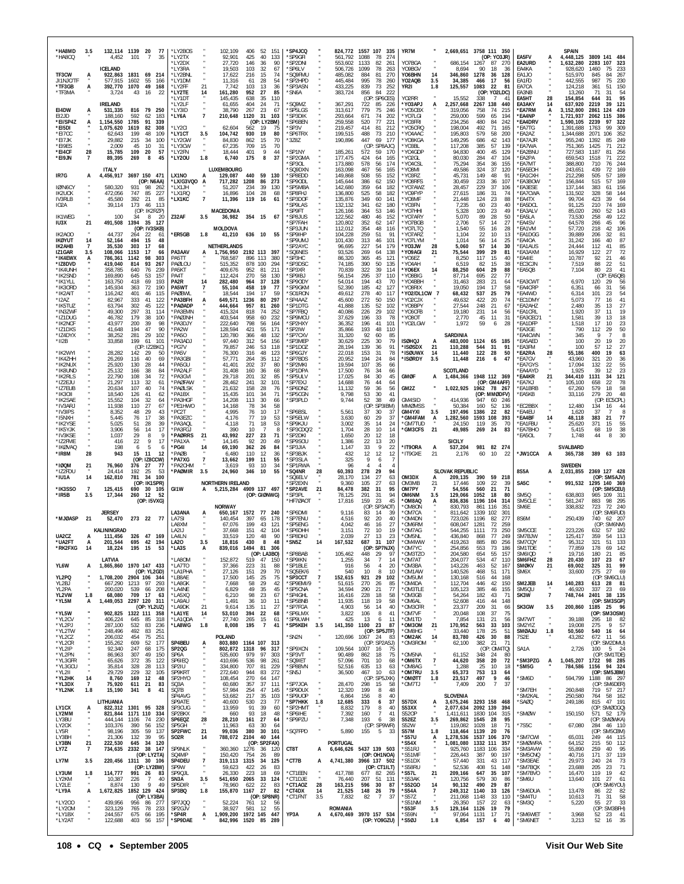| *HA8MD<br>*HA8CQ                       | 3.5                   | 132.114 1139<br>4.452<br><b>ICELAND</b>  | 20<br>77<br>$\overline{7}$<br>101<br>35                                    | *LY2BOS<br>*LY2TX<br>*LY2DX<br>*LY3RA    |                | 102,109<br>92,901<br>27,720                    | 406<br>52<br>151<br>425<br>40<br>133<br>146<br>36<br>90<br>103                             | *SP4JCQ<br>*SP9GFI<br>*SP2DNI<br>*SP6LV    |                | 824,772<br>561,792<br>553,602                       | 1557 107<br>335<br>1088<br>78<br>274<br>1133<br>82<br>261<br>1099<br>78               | YR7M<br>Y07BGA<br>Y09BGV                         |                             | 686,154                                   | 2,669,651 3758 111 350<br>(OP: YO3JR)<br>1267<br>87<br>90<br>18 | -270<br>-36                         | EA5FV<br>EA2URD                           | А              | <b>SPAIN</b><br>4,448,125<br>1,632,280             | 3809 141 484<br>2283<br>107<br>323<br>1460<br>75                                  |
|----------------------------------------|-----------------------|------------------------------------------|----------------------------------------------------------------------------|------------------------------------------|----------------|------------------------------------------------|--------------------------------------------------------------------------------------------|--------------------------------------------|----------------|-----------------------------------------------------|---------------------------------------------------------------------------------------|--------------------------------------------------|-----------------------------|-------------------------------------------|-----------------------------------------------------------------|-------------------------------------|-------------------------------------------|----------------|----------------------------------------------------|-----------------------------------------------------------------------------------|
| TF3CW<br>JI1NJC/TF<br>*TF3GB<br>*TF3MA | A<br>A                | 922,863<br>577.915<br>392,770<br>3.724   | 1831<br>69 214<br>55<br>1602<br>166<br>1070<br>49<br>168<br>43<br>16<br>22 | *LY2BNL<br>*LY1DM<br>*LY2FF<br>*LY2TE    | 21             | 19,503<br>17,622<br>11,316<br>7,742<br>161,280 | 32<br>67<br>216<br>15<br>74<br>28<br>61<br>54<br>103<br>13<br>36<br>952<br>27<br>-85       | 'SQ9FMU<br>*SP2HPD<br>*SP3ASN<br>*SN6A     |                | 506,726<br>485,082<br>445,484<br>433,225<br>383,724 | 263<br>884<br>81<br>270<br>995<br>78<br>260<br>839<br>73<br>252<br>856<br>-84<br>-222 | Y06BHN<br>YO2AQB<br>YR2I                         | 14<br>3.5<br>1.8            | 8,694<br>346,860<br>34,385<br>125,557     | 1278<br>36<br>466<br>17<br>1083<br>22<br>(OP: YO2LDC)           | 128<br>56<br>81                     | EA4KA<br>EA1JO<br>EA1FD<br>EA7CA<br>EA3NB |                | 928,620<br>515,970<br>442.555<br>124,218<br>13,260 | 233<br>845<br>84<br>267<br>230<br>987<br>75<br>361<br>51<br>150<br>54<br>71<br>31 |
| E14DW                                  |                       | <b>IRELAND</b><br>531,335                | 816<br>- 79<br>250                                                         | *LY1DT<br>*LY2LF<br>*I Y3ID              |                | 145,435<br>61,655<br>38.790                    | 638<br>35<br>110<br>404<br>24<br>71<br>267<br>23<br>67                                     | 'SQ9MZ<br><i><b>SP5LGS</b></i>             |                | 367,291<br>313,617                                  | (OP)<br>: SP6CES)<br>722<br>85<br>226<br>779<br>75<br>246                             | Y02RR<br>*YO3APJ<br>*Y05CBX                      |                             | 15,552<br>2,257,668<br>319,056            | 338<br>$\overline{7}$<br>2267<br>138<br>758<br>74               | $\mathbf{4}^{\prime}$<br>440<br>215 | EA5HT<br>EA3AKY<br>*EA7RM                 | 28<br>14<br>A  | 154,854<br>637,920<br>3,152,800                    | 95<br>644<br>31<br>2219<br>39<br>121<br>439<br>124<br>2861                        |
| EI2JD<br>*EI/SP4Z<br>*EI5DI            | A                     | 188,160<br>1,154,550<br>1,075,620        | 592<br>62<br>183<br>1785<br>91<br>339<br>1619<br>82<br>308                 | *LY6A<br>*LY2CI                          | $\overline{7}$ | 210,648<br>62,604                              | 1120<br>31<br>103<br>(OP: LY2BM)<br>19<br>562<br>75                                        | *SP3DIK<br>'SP6BEN<br>*SP3V                |                | 293,664<br>259,558<br>219,457                       | 671<br>74<br>202<br>77<br>520<br>221<br>414<br>81<br>212                              | *YO7LGI<br>*Y03FRI<br>*Y05CRO                    |                             | 259,000<br>234.256<br>198,004             | 599<br>65<br>480<br>84<br>492<br>71                             | 194<br>242<br>165                   | *EA4NP<br>*EA4DRV<br>`EA7TG               |                | 1,721,937<br>1,590,105<br>1,391,688                | 386<br>2062<br>115<br>322<br>2239<br>97<br>99<br>309<br>1763                      |
| *FI7CC<br>*EI7JK<br>*FI9FS             |                       | 62.643<br>29,882<br>2.009                | 199<br>48<br>109<br>215<br>34<br>100<br>45<br>10<br>31                     | *LY1CT<br>*LY2GW<br>*I Y3CW              | 3.5            | 104,742<br>84,830<br>67,235                    | 930<br>19<br>80<br>862<br>15<br>70<br>709<br>15<br>70                                      | *SP6TRX<br>*3Z8Z                           |                | 199,515<br>190,896                                  | 488<br>73<br>210<br>447<br>69<br>177<br>(OP: SP8AJC)                                  | *YO4AAC<br>*YO8KGA<br>*YO3BL                     |                             | 195,803<br>149,295<br>117,208             | 579<br>58<br>686<br>42<br>385<br>57                             | 200<br>143<br>139                   | *EA2AZ<br>*EA7AJR<br>*EA7WA               |                | 1,344,688<br>955,240<br>751,365                    | 2071<br>106<br>352<br>85<br>249<br>1392<br>212<br>71<br>1425                      |
| *EI4CF<br>*E19JN                       | 28<br>$\overline{7}$  | 15,785<br>89,395                         | 109<br>20<br>57<br>269<br>8<br>45                                          | *LY2FN<br>*LY20U                         | 1.8            | 18,444<br>6,740                                | 401<br>9<br>44<br>175<br>8<br>37                                                           | 'SP1NY<br>*SP2GMA                          |                | 185,261<br>177,475                                  | 572<br>59<br>170<br>424<br>64<br>165                                                  | 'YO4GDP<br>'YO2GL                                |                             | 94,830<br>80,030                          | 400<br>45<br>284<br>47                                          | 129<br>104                          | <b>EA2BNU</b><br>`EA2PA                   |                | 727,583<br>659.543                                 | 1187<br>81<br>256<br>222<br>1518<br>71                                            |
| IR7G                                   | A                     | <b>ITALY</b><br>4,456,917                | 3697 150 471                                                               | LX1NO                                    | А              | LUXEMBOURG<br>129,087                          | 440<br>59<br>130                                                                           | SP30L*<br>'SQ9DXN<br>*SP8EDD               |                | 173,880<br>163,098<br>149,868                       | 578<br>174<br>56<br>467<br>56<br>165<br>508<br>55<br>152                              | *Y04CSL<br>'YO8MI<br>'Y03RZ                      |                             | 75,294<br>49,586<br>45,731                | 354<br>36<br>324<br>37<br>149<br>48                             | 155<br>120<br>91                    | 'EA7MT<br>*EA5EOH<br>'EA1CXH              |                | 388,800<br>243,651<br>212,298                      | 710<br>76<br>244<br>169<br>439<br>72<br>505<br>57<br>189                          |
| IØ/N6CY                                |                       | 580,320                                  | (OP: N6AA)<br>931<br>98<br>262                                             | *LX/G3VQO<br>*LX1JH                      | A              | 717.282<br>51,207                              | 1208<br>86<br>273<br>234<br>39<br>130                                                      | *SP9ODL<br>*SP5MBA                         |                | 145,644<br>142,680                                  | 386<br>62<br>150<br>359<br>64<br>182                                                  | *Y08RFS<br>*Y07AWZ                               |                             | 30,459<br>28,457                          | 233<br>36<br>229<br>37                                          | 107<br>106                          | *EA3BOW<br>*EA3ESE                        |                | 156,844<br>137,144                                 | 57<br>169<br>515<br>383<br>61<br>156                                              |
| <b>IK2UCK</b><br>IV3RLB<br><b>IO2A</b> |                       | 472,056<br>45.580<br>39,114              | 747<br>85<br>227<br>392<br>21<br>85<br>173<br>46<br>113                    | *LX1RQ<br>*LX1KC                         | $\overline{7}$ | 16,896<br>11,396                               | 104<br>28<br>68<br>119 16<br>61                                                            | *SP8FHJ<br>*SP3DOF<br>'SP9LAS              |                | 136,800<br>135,876<br>132,132                       | 525<br>58<br>182<br>349<br>60<br>141<br>341<br>62<br>180                              | *YO9FYP<br>*YO8MF<br>*YO3FN                      |                             | 27,615<br>21,448<br>7,235                 | 186<br>31<br>23<br>124<br>60<br>23                              | 74<br>88<br>40                      | *EA7CWA<br>*EA4TX<br>*EA5DCL              |                | 131,502<br>99,704<br>91,125                        | 328<br>58<br>144<br>39<br>423<br>64<br>210<br>74<br>169                           |
| <b>IK1WEG</b><br><b>IU3X</b>           | 21                    | 100<br>491,508                           | (OP: IK2RZP)<br>34<br>8<br>-20<br>1394<br>35<br>127                        | Z32AF                                    | 3.5            | <b>MACEDONIA</b><br>36,982                     | 354 15<br>67                                                                               | 'SP9FT<br>*SP8JUS<br>'SP7FAH               |                | 126,166<br>122,562<br>120,802                       | 364<br>53<br>146<br>480<br>46<br>152<br>352<br>147<br>62                              | *YO7HHI<br>*Y07ARY<br>'YO7BGB                    |                             | 5,328<br>5,070<br>2,706                   | 100<br>23<br>89<br>28<br>57<br>14                               | 49<br>50<br>27                      | EA3ALV<br>*EA5LA<br><b>EA4SV</b>          |                | 85.020<br>73.530<br>64,578                         | 260<br>143<br>52<br>258<br>49<br>122<br>96<br>45<br>266                           |
| IK2A00<br><b>IKØYUT</b>                | 14                    | 44.737<br>52,164                         | (OP: IV3SKB)<br>264<br>22<br>61<br>494<br>15<br>48                         | *ER5GB                                   | 1.8            | MOLDOVA<br>41,210                              | 636 10 55                                                                                  | 'SP3JUN<br>*SP9IHP<br>'SP9UMJ              |                | 112,012<br>104,228<br>101,430                       | 354<br>48<br>116<br>259<br>51<br>91<br>313<br>46<br>101                               | *YO7LTQ<br>*Y07ARZ<br>*YO7LYM                    |                             | 1,540<br>1,104<br>1,014                   | 55<br>16<br>22<br>10<br>56<br>14                                | 28<br>-13<br>25                     | *EA1VM<br>*EA1DGG<br>*EA4OA               |                | 57,720<br>39.889<br>31,242                         | 218<br>42<br>106<br>32<br>206<br>81<br>166<br>40<br>87                            |
| IK2AHB<br>IZ1GAR                       | 7<br>3.5              | 35,530<br>108,066                        | 303<br>-17<br>68<br>1153<br>17<br>66                                       | PA3AAV                                   | А              | <b>NETHERLANDS</b><br>1,756,950                | 2192 113<br>397                                                                            | 'SP2AYC<br>'SQ6NES                         |                | 96,695<br>93,526                                    | 227<br>54<br>179<br>269<br>64<br>138                                                  | *YO3JW<br>*YO9AGI                                | 28<br>21                    | 5,060<br>75,544                           | 57<br>14<br>399<br>29                                           | 30<br>81                            | *EA1AUS<br>'EA3AXM                        |                | 24.444<br>16,929                                   | 41<br>85<br>112<br>72<br>122<br>27                                                |
| *IK4EWX<br>*IZ8DVD<br>*IK4UNH          | A                     | 786,361<br>419,040<br>358,785            | 1142<br>98<br>303<br>814<br>93<br>267<br>640<br>76<br>239                  | PA5TT<br>PAØLOU<br>PA5KT                 |                | 768.587<br>515,352<br>409,676                  | 896 113<br>380<br>878 100<br>294<br>952<br>-81<br>211                                      | 'SP3HC<br>'SP3DSC<br>'SP3XR                |                | 86,320<br>74,185<br>70,839                          | 45<br>365<br>121<br>390<br>50<br>135<br>322<br>39<br>114                              | 'YO6EZ<br>*YO4AH<br>*YO6EX                       | 14                          | 8,250<br>6,519<br>88,250                  | 117<br>15<br>82<br>15<br>604<br>29                              | 40<br>38<br>88                      | *EA4IE<br>*EC3CJN<br>'EA5QB               |                | 10,787<br>7,519<br>7,104                           | 21<br>92<br>46<br>88<br>22<br>51<br>80<br>41<br>23                                |
| *IK2SND<br>*IK1YLL                     |                       | 169,890<br>163,750                       | 645<br>53<br>157<br>418<br>69<br>193                                       | PA4T<br>PA2R                             | 14             | 112,424<br>282,480                             | 270<br>58<br>130<br>964<br>37<br>128                                                       | *SP9IBJ<br>'SP9ODY                         |                | 56,154<br>54,014                                    | 295<br>37<br>110<br>194<br>43<br>70                                                   | 'YO8BIG<br>*YO4BBH                               |                             | 87,714<br>31,463                          | 22<br>695<br>283<br>21                                          | 77<br>64                            | <b>EA3CWT</b>                             |                | 6,970                                              | (OP: EA5QB)<br>120<br>29<br>56                                                    |
| *IK30RD<br>*IK2AIT<br>$*12A7$          |                       | 145,934<br>116,242<br>82,967             | 190<br>363<br>72<br>46<br>401<br>115<br>41<br>333<br>122                   | PA5WT<br>PAØBWL<br>*PA3BFH               | 7<br>A         | 55,104<br>18,544<br>649,571                    | 458<br>19<br>-77<br>194<br>17<br>59<br>297<br>1236<br>80                                   | *SP9GKM<br>*SO1RON<br><i><b>SP4AAZ</b></i> |                | 52,390<br>49,612<br>45,600                          | 185<br>42<br>127<br>278<br>40<br>117<br>272<br>50<br>150                              | *Y08RIX<br>*Y02/DL1CW 7<br>*YO2CJX               |                             | 19.050<br>68,432<br>49,632                | 194<br>17<br>537<br>25<br>422<br>20                             | 58<br>79<br>74                      | *EA4CRP<br>*EA4WD<br>*EC1DMY              |                | 6,351<br>6,314<br>5.073                            | 31<br>56<br>66<br>101<br>23<br>54<br>41<br>77<br>16                               |
| *IK5TUZ<br>*IN3ZWF                     |                       | 63,794<br>49.300                         | 302<br>45<br>122<br>31<br>297<br>114                                       | *PAØADP<br><b>PA3FMN</b>                 |                | 444,664<br>415.324                             | 957<br>81<br>260<br>818<br>74<br>252                                                       | 'SP1DTG<br>*SP7FBQ                         |                | 41,888<br>40,086                                    | 135<br>52<br>102<br>226<br>29<br>102                                                  | *Y08BPY<br>*YO6CFB                               |                             | 27,544<br>19,180                          | 248<br>21<br>231<br>14                                          | 67<br>56                            | *EA2AHZ<br>*EA1CRL                        |                | 2,480<br>1.920                                     | 35<br>27<br>13<br>37<br>19<br>11                                                  |
| *IZ1DUG<br>*IK2NCF<br>*IZ1DXS          |                       | 46,782<br>43,977<br>41,648               | 179<br>38<br>100<br>200<br>39<br>98<br>194<br>47<br>90                     | *PAØJNH<br>*PA3DJY<br>*PA2W              |                | 403,544<br>222,640<br>128,594                  | 958<br>60<br>232<br>798<br>56<br>164<br>421<br>55<br>171                                   | 'SP9MCU<br>'SP2HXY<br>'SP2IW               |                | 37,629<br>36,352<br>35,866                          | 196<br>33<br>78<br>41<br>196<br>101<br>193<br>48<br>110                               | *Y080T<br>YO2LGW                                 |                             | 2,770<br>1,972                            | 45<br>11<br>59<br>6                                             | 31<br>28                            | EA3CEC/1<br>*EA1DFP<br>'EA3GE             |                | 1,581<br>1,518<br>790                              | 39<br>18<br>13<br>17<br>23<br>10<br>50<br>112<br>29                               |
| *IZ4DYX<br>$^*$ II2B                   |                       | 38,252<br>33,858                         | 281<br>29<br>102<br>199<br>61<br>101                                       | *PA50<br>*PA3ADJ                         |                | 120,780<br>97,440                              | 48<br>366<br>132<br>312<br>54<br>156                                                       | *SP7CXV<br>*SP3MEP                         |                | 31,320<br>30,629                                    | 92<br>60<br>85<br>225<br>30<br>79                                                     | <b>ISØHQJ</b>                                    | A                           | SARDINIA<br>483,000                       | 1124 65 185                                                     |                                     | 'EA4CWN<br>*EA5AED                        |                | 345<br>100                                         | 8<br>20<br>20<br>19                                                               |
| *IK2WYI<br>*IK4ZHH                     |                       | 28,282<br>26,269                         | (OP: IZ2BKC)<br>142<br>-29<br>50<br>40<br>116<br>69                        | *PG7V<br>*PA5V<br>*PA3GBI                |                | 79,857<br>76,300<br>57.771                     | 53<br>118<br>246<br>316<br>48<br>123<br>35<br>264<br>112                                   | 'SP1DOZ<br>'SP6GJY<br>'SP7BDS              |                | 28,194<br>22,018<br>20,952                          | 91<br>139<br>36<br>153<br>31<br>78<br>194<br>24<br>84                                 | *ISØSDX<br>*ISØUWX<br>*ISØRDY                    | -21<br>14<br>3.5            | 110.288<br>11,440<br>11,448               | 544<br>-31<br>122<br>28<br>216<br>6                             | -91<br>50<br>47                     | *EA3FM<br>*EA2RA<br>*EA7GV                | 28             | 100<br>55,186<br>43,960                            | 57<br>12<br>27<br>400<br>19<br>63<br>20<br>36<br>321                              |
| *IK2NUX<br>*IK8UND                     |                       | 25,920<br>25,132                         | 130<br>28<br>44<br>38<br>84<br>166                                         | *PA5GU<br>*PA2ALF                        |                | 41,401<br>31,408                               | 202<br>37<br>80<br>160<br>36<br>68                                                         | 'SP2MKI<br>'SP1DPA                         |                | 19,594<br>17,500                                    | 107<br>35<br>66<br>76<br>66<br>34                                                     |                                                  |                             | SCOTLAND                                  |                                                                 |                                     | 'EA7GYS<br>'EA4AYD                        |                | 17,094<br>1,925                                    | 55<br>132<br>22<br>23<br>39<br>12                                                 |
| *IK2RLS<br>*IZ2EJU<br>*IZ7EUB          |                       | 22,790<br>21,297<br>20,634               | 108<br>34<br>72<br>113<br>32<br>61<br>107<br>40<br>74                      | *PA3GVI<br>*PAØFAW<br>*PAØI SK           |                | 29,718<br>28,462<br>21,632                     | 201<br>32<br>85<br>241<br>32<br>101<br>158<br>28<br>76                                     | 'SP5ULV<br>*SP7EXJ<br>*SP6DNZ              |                | 17,025<br>14,688<br>11,132                          | 84<br>30<br>45<br>76<br>44<br>64<br>59<br>36<br>56                                    | <b>GMØF</b><br>GM2Z                              | A                           | 1,484,366<br>1,022,925                    | 1948 112 369<br>(OP: GM4AFF)<br>1962<br>78 267                  |                                     | *EA4KR<br>'EA7KJ<br>*EA1BRB               | 21             | 344,410<br>105,100<br>67,260                       | 121<br>1131<br>34<br>658<br>22<br>78<br>579<br>18<br>58                           |
| *IK30II<br>*IK2SAE                     |                       | 18,540<br>15,552                         | 41<br>126<br>62<br>32<br>104<br>64                                         | *PA1BX<br>*PA3HGF                        |                | 15,435<br>14,208                               | 101<br>71<br>34<br>113<br>30<br>66                                                         | *SP5CGN<br>'SP3PLD                         |                | 9,798<br>9,744                                      | 53<br>30<br>41<br>52<br>49<br>38                                                      | GM4SID                                           |                             | 414.936                                   | (OP: MMØDFV)<br>947                                             | 60 246                              | *EA5KB                                    |                | 33,116                                             | 279<br>20<br>48<br>(OP)<br>: EC5CPL)                                              |
| *IV3ARJ<br>*IV3IPS<br>*I5NXH           |                       | 11,938<br>8,352<br>5,445                 | 110<br>27<br>67<br>29<br>48<br>43<br>76<br>17<br>38                        | *PE1HWO<br>*PC2T<br>*PA3EZC              |                | 14,168<br>4.995<br>4,176                       | 78<br>34<br>58<br>17<br>76<br>10<br>77<br>19<br>53                                         | 'SP6BSL<br>*SP5ELW                         |                | 5,561<br>3,630                                      | (OP<br>SP3IBM)<br>37<br>30<br>-37<br>60<br>29<br>37                                   | <b>MMØMSS</b><br><b>GM4YXI</b><br><b>'GM4FAM</b> | 3.5<br>A                    | 50,384<br>197,496<br>1,282,560            | 160<br>52<br>22<br>1386<br>1593<br>108                          | 136<br>82<br>393                    | EC2BBX<br>EA4EU<br><b>EA4BF</b>           | 14             | 12,480<br>1,620<br>48,118                          | 134<br>16<br>44<br>37<br>383<br>21<br>77                                          |
| *IK2YSE<br>*IK5YJK                     |                       | 5,025<br>3,906                           | 39<br>51<br>28<br>56<br>14<br>17                                           | *PA3AQL<br>*PA3FGJ                       |                | 4,118<br>390                                   | 18<br>53<br>-71<br>10<br>8                                                                 | *SP9KJU<br>SP3CDQ/2                        |                | 3,002<br>1,704                                      | 35<br>14<br>24<br>28<br>10<br>14                                                      | 'GM7TUD<br><b>'GM3CFS</b>                        | 21                          | 24,150<br>49,985                          | 119<br>35<br>269<br>24                                          | - 70<br>83                          | <b>EA1FBU</b><br>'EA7BHO                  |                | 25,620<br>5,415                                    | 55<br>371<br>15<br>38<br>68<br>19                                                 |
|                                        |                       |                                          |                                                                            |                                          |                |                                                |                                                                                            |                                            |                |                                                     |                                                                                       |                                                  |                             |                                           |                                                                 |                                     |                                           |                |                                                    |                                                                                   |
| *IV3KSE<br>*IZ2FME<br>*IKØVAQ          |                       | 1,037<br>416<br>198                      | 29<br>-9<br>8<br>22<br>9<br>17<br>6<br>-5<br>6                             | *PAØRRS<br>*PA1XA<br>*PG4I               | 21<br>14       | 43,992<br>14,145<br>69,190                     | 227<br>23<br>71<br>92<br>20<br>49<br>362<br>-26<br>84                                      | *SP2DKI<br>*SP9SOU<br>*SP3JIA              |                | 1,650<br>1,386<br>1,147                             | 12<br>18<br>20<br>22<br>13<br>20<br>9<br>33<br>22                                     | *IT9ORA                                          | А                           | <b>SICILY</b><br>537,204                  | 981<br>82 274                                                   |                                     | 'EA5OL                                    | $\overline{7}$ | 1,748<br><b>SVALBARD</b>                           | 30<br>44<br>8                                                                     |
| *IR8M                                  | 28                    | 943                                      | 15<br>11<br>12<br>(OP: IZ8CCW)                                             | *PAØB<br>*PA7XG                          | $\overline{7}$ | 6,480<br>13,662                                | 110<br>12<br>36<br>199<br>11<br>55                                                         | 'SP3BJK<br>*SP3SLA                         |                | 432<br>325                                          | 12<br>12<br>12<br>9<br>6                                                              | *IT9GXE                                          | 21                          | 2,176                                     | 60<br>10                                                        | 22                                  | <b>JW1CCA</b>                             | А              | 365,738                                            | 389<br>63 103                                                                     |
| $*$ IØOM<br>*IZ2FDU<br>*IU1A           | 21<br>14              | 76,960<br>24,414<br>162,810              | 376<br>27<br>77<br>192<br>25<br>53<br>781<br>34<br>100                     | *PA2CHM<br>*PAØMIR                       | 3.5            | 3,619<br>24,960                                | 93<br>10<br>34<br>346<br>10<br>55                                                          | *SP1RWA<br>*SQ4NR<br>'SO6FI V              | 28             | 96<br>60,393<br>28,170                              | Δ<br>Δ<br>278<br>29<br>94<br>134<br>27<br>63                                          | OM3DX                                            | А                           | <b>SLOVAK REPUBLIC</b><br>209,135         | 59<br>390                                                       | 218                                 | 8S5A                                      | А              | <b>SWEDEN</b><br>2,031,855                         | 2369 127 428<br>(OP: SM5AJV)                                                      |
| *IK3SSO<br>*IR5B                       | $\overline{7}$<br>3.5 | 125,415<br>17,344                        | (OP: IK1SPR)<br>30<br>690<br>105<br>260<br>12<br>-52                       | GI1W                                     | A              | <b>NORTHERN IRELAND</b>                        | 5,215,284 4909 137 497<br>(OP: GIØNWG)                                                     | 'SP2EXN<br>*SP2AVE<br>*SP3PL               | 21             | 9,360<br>84,478<br>78.125                           | 105<br>27<br>63<br>95<br>382<br>31<br>291<br>94<br>31                                 | OM3MB<br>OM7PY<br>OM6NM                          | 21<br>$\overline{7}$<br>3.5 | 17.446<br>54,556<br>129,066               | 109<br>22<br>21<br>560<br>1052<br>18                            | 39<br>71<br>80                      | SA5C<br>SM5Q                              |                | 991,532<br>638,803                                 | 1295 140 369<br>(OP: SM5CEU)<br>109 311<br>965                                    |
|                                        |                       | <b>JERSEY</b>                            | (OP: I5VXG)                                                                |                                          |                | <b>NORWAY</b>                                  | -240                                                                                       | HF7ØAOT                                    |                | 17,816                                              | 159<br>45<br>23<br>(OP)<br>SP3AOT)<br>83<br>14<br>39                                  | *OM8AQ<br>OM80N                                  | A                           | 836,836<br>830,793                        | 1196 104<br>861<br>116<br>102                                   | 314<br>351<br>$30^\circ$            | SM5CLE<br>SM6E                            |                | 581,247<br>338,832                                 | 98 295<br>883<br>723<br>72 240                                                    |
| *MJØASP                                | 21                    | 52,470                                   | 273 22 77                                                                  | LA3ANA<br>LA7SI<br>LA8XM                 |                | 650,167<br>140,454<br>67,076                   | 1572 77<br>397<br>178<br>65<br>199<br>43<br>121                                            | 'SP6DMI<br>*SP7ENU<br>'SP5ENG              |                | 9,116<br>4,516<br>4,042                             | 92<br>20<br>40<br>46<br>16<br>27                                                      | *OM7CA<br>'OM4DN<br>'OM6RM                       |                             | 811,642<br>723,026<br>608,047             | 1339<br>1196<br>82<br>1281<br>72                                | 277<br>259                          | 8S6M                                      |                | 250,439                                            | (OP: SM6FUD)<br>740<br>62 207<br>(OP: SM6NM)                                      |
| UA2CZ<br><b>'UA2FT</b>                 |                       | <b>KALININGRAD</b><br>111,456<br>201.544 | 326 47 169<br>695<br>42 194                                                | LA2IJ<br>LA4LN<br>LA20                   | 3.5            | 37.668<br>33,519<br>18.816                     | 151<br>42<br>104<br>120<br>48<br>90<br>430<br>48<br>8                                      | 'SP6DHH<br>*SP8DHJ<br>*SN5Z                | 14             | 3,151<br>2,039                                      | 72<br>10<br>19<br>27<br>13<br>23<br>687<br>31<br>107                                  | 'OM7AG<br>*OM5NL<br>*OM4WW                       |                             | 544,255<br>436,840<br>419.263             | 1111<br>73<br>77<br>868<br>885<br>80                            | 250<br>249<br>256                   | SM5CCE<br>SM7BJW<br>SM7COY                |                | 223,226<br>125,417<br>95.312                       | 57<br>182<br>632<br>359<br>-54<br>113<br>321<br>51<br>133                         |
| *RK2FXG                                | 14                    | 18,224                                   | 195 15 53                                                                  | *LA3S                                    | A              |                                                | 839,016 1494 81 306<br>(OP: LA3BO)                                                         | <b>SP8BAB</b>                              |                | 167,532<br>105,462                                  | (OP: SP7NJX)<br>448 29<br>-97                                                         | *OM7YC<br>*OM3TZO                                |                             | 254,856<br>204,580                        | 553<br>73<br>654<br>55                                          | 186<br>157                          | SM1TDE<br>SM6IOD                          |                | 77,859<br>19,716                                   | 178<br>69<br>142<br>180<br>21<br>85                                               |
| YL6W                                   | A                     | LATVIA                                   | 1,865,860 1970 147 433<br>(OP: YL2GD)                                      | *LA8OM<br>*LA7TO<br>*LA1PHA              |                | 152,872<br>37,366<br>27,126                    | 519 47<br>150<br>223<br>-31<br>-88<br>151<br>29<br>70                                      | 'SP9IKN<br>*SP1BLE<br>*SQ5EK/6             |                | 1,255<br>916<br>540                                 | 34<br>$\overline{7}$<br>14<br>56<br>20<br>$\overline{4}$<br>10<br>8<br>10             | *OM7AT<br>*OM3BA<br>*OM1AW                       |                             | 204,077<br>143,226<br>140,526             | 534<br>47<br>463<br>52<br>468<br>51                             | 110<br>-167<br>171                  | SM6FHZ<br><b>SMØKV</b><br>SM6X            | 28<br>21       | 20,430<br>69,002<br>33,600                         | 107<br>23<br>67<br>99<br>325<br>31<br>275<br>27<br>69                             |
| YL2PQ<br>YL2BJ                         |                       | 667,290                                  | 1,708,200 2904 106 344<br>1213<br>97<br>293                                | *I B8AF<br>*LA8GK                        |                | 17,500<br>7,668                                | 145<br>25<br>75<br>29<br>58<br>42<br>45                                                    | *SP3CCT<br>*SP9EMI/9                       | $\overline{1}$ | 152,615<br>51,615                                   | 921<br>29<br>102<br>270<br>85<br>26                                                   | *OM5UM<br>*OM4DA                                 |                             | 130,168<br>112,704                        | 516<br>44<br>446<br>42                                          | 168<br>150                          | SM2JEB                                    | 14             | 140,283                                            | (OP: SM6CLU)<br>613<br>28<br>81                                                   |
| YL2PA<br>YL2VW<br>*YL5M                | 1.8<br>А              | 200.020<br>68,080<br>1,449,053           | 539<br>66<br>208<br>709<br>17<br>-63<br>2297 120 311                       | *LA4NE<br>*LA5XQ<br>*LA9AU               |                | 6,829<br>6,210<br>1,491                        | 49<br>35<br>98<br>23<br>67<br>36<br>10<br>11                                               | *SP5CNA<br>*SP4GHL<br>*SP5BNB              |                | 34,594<br>16,416<br>11,935                          | 77<br>290<br>21<br>228<br>18<br>58<br>58<br>118<br>-19                                | *OM3TLE<br>*OM3GB<br>*OM6AL                      |                             | 105,123<br>54,264<br>52,608               | 385<br>46<br>182<br>43<br>416<br>44                             | 155<br>71<br>148                    | SM5QU<br>SK3W                             | $\overline{7}$ | 46,920<br>748,744                                  | 337<br>- 69<br>23<br>2401<br>38 135<br>(OP: SM3SGP)                               |
| *YL5W                                  |                       |                                          | (OP: YL2UZ)<br>902,825 1322 111 358                                        | *LA9DK<br>*LA1YE                         | 21<br>14       | 9,614<br>53,010                                | 135<br>11<br>27<br>394<br>22<br>68<br>61                                                   | *SP7FGA<br>*SP6LMX                         | $\cdot$        | 4,903<br>3,822                                      | 56<br>14<br>40<br>106<br>-8<br>41<br>6                                                | *OM3CFR<br>*OM7VF                                |                             | 23,377<br>20,048                          | 31<br>209<br>108<br>37                                          | 66<br>75                            | SK3GW                                     | 3.5<br>$\cdot$ | 200,860                                            | 1185<br>25 96<br>(OP: SM3OSM)                                                     |
| *YL2CV<br>*YL2PJ<br>*YL2TW             |                       | 406,224<br>287,100<br>248,496            | 645<br>85<br>318<br>532<br>83<br>236<br>492<br>83<br>251                   | *LA1QDA<br>*LA8WG                        | 1.8            | 27,740<br>8,008                                | 265<br>15<br>195<br>$\overline{7}$<br>41                                                   | *SP9LWH<br>*SP5KEH                         | 3.5            | 425<br>141,350                                      | 13<br>11<br>1100<br>23<br>-87<br>(OP: SP5JTF)                                         | *OM1TD<br>*OM3OM<br>*OM8HG                       | 21                          | 7,854<br>170,952<br>33,440                | 131<br>21<br>563<br>33<br>178<br>25                             | 56<br>103<br>51                     | SM7WT<br>SM2YIZ<br>SMØAJU                 | $\cdot$<br>1.8 | 39,188<br>19,008<br>50,560                         | 295<br>18<br>- 82<br>57<br>275<br>- 9<br>540<br>16 64                             |
| *YL2CZ<br>*YL2CR                       |                       | 206,032<br>155,262                       | 454<br>75<br>251<br>609<br>177<br>52<br>247<br>68<br>175                   | SP4BEU<br><b>SP20G</b>                   | Ă.             | POLAND                                         | 803,880 1164 107 313<br>96<br>-317                                                         | 'SN2N<br>*SP9XCN                           |                | 120,696<br>109,564                                  | 1067<br>24<br>-83<br>(OP: SP2ASJ)<br>1007<br>-75                                      | *OM2AK<br>*OM3ROM                                | 14                          | 83,780<br>62,100                          | 426<br>30<br>382<br>21<br>(OP: OM4TQ)                           | 88<br>71                            | 7S2E                                      |                | 43,282                                             | 672<br>11<br>56<br>(OP: SM2DMU)<br>100<br>5 24                                    |
| *YL2IP<br>*YL2PN<br>*YL3GFR            |                       | 92,340<br>86,963<br>65,626               | 307<br>49<br>150<br>372<br>35<br>122                                       | SP <sub>6</sub> A<br>SP6IEQ              |                | 802,872 1318<br>535.600<br>410,696             | 979<br>97<br>303<br>536<br>98<br>261                                                       | *SP3VT<br>'SQ9IET                          |                | 90,489<br>57,096                                    | 16<br>75<br>862<br>18<br>701<br>10<br>68                                              | *OM5NA<br>*OM6TX                                 | $\boldsymbol{7}$            | 61,152<br>44,620                          | 348<br>24<br>358<br>20                                          | -80<br>72                           | SA1A<br>*SM3PZG                           | А              | 2,726<br>1,045,207                                 | (OP: SM1TDE)<br>1722 98 285                                                       |
| *YL3GCU<br>*YL2II<br>*YL2HK            | 14                    | 35.814<br>29,729<br>8,760                | 328<br>28<br>113<br>229<br>32<br>105<br>169<br>12<br>48                    | SP <sub>2</sub> III<br>SP9KRT<br>SP2HYO  |                | 334,800<br>272,640<br>108,454                  | 707<br>81<br>229<br>944<br>83<br>272<br>270<br>64<br>147                                   | *SP8BVN<br>*SN5J                           |                | 52,516<br>36,500                                    | 13<br>635<br>63<br>467<br>10<br>63<br>(OP: SP5JXK)                                    | *OM8AG<br>*OM7RU<br>*OMØTT                       | 3.5<br>1.8                  | 1.288<br>65,373<br>23,517                 | - 25<br>10 <sup>1</sup><br>753<br>13<br>497<br>9                | 18<br>64<br>46                      | 'SM5G<br>'SM6D                            |                | 784,586<br>594,799                                 | 1156<br>94 324<br>(OP: SM5JBM)<br>86 297<br>1188                                  |
| *YL3DX<br>*YL2NK                       | $\overline{7}$<br>1.8 | 75,920<br>15,190                         | 611<br>21<br>83<br>341<br>8<br>41                                          | SQ3A<br>SQ7B                             |                | 60,680<br>57,984                               | 357<br>37<br>111<br>254<br>47<br>145                                                       | 'SP7JOA<br>*SP9DUX                         |                | 28,470<br>12,320                                    | 298<br>15<br>58<br>199<br>8<br>48                                                     | *OM7TJ                                           |                             | 7,409                                     | 200<br>$\overline{7}$                                           | 37                                  | 'SM7EH                                    | ٠              | 260,848                                            | (OP: SM6DER)<br>57 217<br>719                                                     |
| LY1CX                                  | A                     | LITHUANIA                                | 822,312 1301 95 328                                                        | SP4AVG<br>SP9ATE<br>SP3CUG               |                | 53,682<br>40,600<br>13,959                     | 217<br>35<br>103<br>530<br>23<br>-77<br>91<br>39<br>60                                     | *SP9UOP<br>*SP7HKK<br>'SP2HMT              | 1.8            | 6,864<br>12,685<br>8,832                            | 156<br>8<br>40<br>37<br>333<br>6<br>179<br>8<br>40                                    | S57DX<br>S53XX                                   | А                           | <b>SLOVENIA</b><br>3,675,246<br>2,077,634 | 3293 158 468<br>2092 139                                        | 394                                 | 'SM2KAL<br>*SAØQ                          | $\bullet$      | 250,580<br>249,186                                 | 58 162<br>764<br>815<br>47 191<br>(OP: SMØOGQ)                                    |
| LY2MM<br>LY3BU                         |                       | 444,144 1106                             | 821,844 1171 110<br>334<br>74<br>230                                       | SP <sub>2</sub> B <sub>K</sub><br>SP6EQZ | 28             | 660<br>28,210                                  | 93<br>18<br>48<br>161<br>27<br>64                                                          | *SP6IHE<br>*SP9PZU                         |                | 7,392<br>7,348                                      | 160<br>7<br>41<br>193<br>6<br>38                                                      | S520P<br>S52EZ                                   | 3.5                         | 1,411,611<br>269,862                      | 1830 104<br>1545<br>28                                          | 315<br>95                           | 'SMØW                                     |                | 150,150                                            | 571 52 179<br>(OP: SMØWKA)                                                        |
| LY20X<br>LY5R<br>LY3BH                 |                       | 103,376<br>98,196<br>21,306              | 390<br>56<br>152<br>305<br>59<br>137<br>132<br>39<br>95                    | SP5GH<br>SP2FWC<br>SO2R                  | 21<br>14       | 11,963<br>99,036<br>788,072 2104               | 63<br>30<br>64<br>380<br>30<br>101<br>40<br>144                                            | *SQ7FPD                                    |                | 5,890                                               | (OP: SP9WR)<br>5<br>155<br>-33                                                        | <b>S52W</b><br><b>S57M</b><br>*S57U              | 1.8                         | 119,082<br>118,464<br>1,278,536           | 1028<br>18<br>1139<br>20<br>1537<br>106                         | 71<br>76<br>370                     | *7S5C<br>'SM7CWI                          |                | 67,080<br>65,031                                   | 284<br>46 110<br>(OP: SM5CBM)<br>249<br>44<br>115                                 |
| LY3BN<br>LY7Z                          | 21<br>$\overline{7}$  | 222,530                                  | 645<br>34<br>120<br>734,635 2332 38<br>147                                 | SP9NLK<br>SQ4MP                          |                | 360,360                                        | (OP: SP2FAX)<br>1276<br>36 120<br>754<br>-89                                               | CT8T                                       | А              | <b>PORTUGAL</b><br>6,646,626                        | 5437 139 503                                                                          | *S54X<br>*S51RJ<br>*S51MF                        | Ą                           | 1,081,080<br>925,760                      | 1332 111<br>1183<br>106<br>387<br>90                            | 357<br>334<br>197                   | *SMØWRA<br>*SM3AVW<br>'SM5CNQ             |                | 64,152<br>55,890                                   | 215<br>50 112<br>259<br>40<br>95<br>171<br>37                                     |
| LY7M                                   | 3.5                   |                                          | (OP: LY2TA)<br>220,456 1311 30 106<br>(OP: LY2BW)                          | SP4DEU<br>SP9W                           | $\overline{7}$ | 150,420<br>319,113 1315<br>59,623              | 26<br>34<br>125<br>422<br>-26<br>-83                                                       | *CT7B                                      | A              | 4,741,380                                           | (OP: OH1NOA)<br>3966 137 502<br>(OP: CT1ILT)                                          | *S51DX<br>*S58RU                                 |                             | 226,443<br>57,440<br>52,536               | 331<br>43<br>408<br>51                                          | 117<br>148                          | 'SM3EAE<br>'SM7BQX                        |                | 40,716<br>29,973<br>23,688                         | 119<br>240<br>24<br>73<br>71<br>205<br>-23                                        |
| LY3UM<br>LY2KM<br>LY2LE                | 1.8                   | 114,777<br>10,387<br>8,874               | 991 26<br>83<br>226<br>-7<br>40<br>9<br>130<br>49                          | SP9QJL<br>SN3A<br>SP5DIR                 | 3.5            | 26,330<br>541,650 2065<br>78,960               | 223<br>18<br>69<br>33<br>124<br>622<br>83                                                  | *CT1EEN<br>*CT1DJE<br>*CT1AOZ              | ٠.<br>28       | 417,788<br>76,440<br>163,215                        | 677<br>82 265<br>207<br>51<br>131<br>596<br>30<br>87                                  | *S57L<br>*S53AK<br>*S52GO                        | 21                          | 209,166<br>120,756<br>90,132              | 647<br>35<br>579<br>30<br>490<br>29                             | 107<br>86<br>87                     | *SM7BVO<br>'SM6U                          |                | 16,470<br>13,640                                   | 42<br>119<br>19<br>27<br>61<br>101                                                |
| *LY9A                                  | А                     | 1,672,825                                | 1852 129 424<br>(OP: LY3BA)                                                | SP3BQ                                    | 1.8            | 155,870                                        | 22<br>27<br>1167<br>-82<br>(OP: SP8NR)                                                     | *CT4DX<br>*CT1FNT                          | 14<br>3.5      | 21,525<br>7,832                                     | 79<br>148<br>26<br>$\overline{7}$<br>37<br>82                                         | *S54A<br>$*$ S57Z                                | 14<br>7                     | 249,312<br>211,068                        | 1140<br>33<br>1148<br>33                                        | 126<br>110                          | 'SM6DUA<br>*SM4TU                         |                | 13,478<br>10,613                                   | (OP: SM6YOU)<br>22<br>86<br>82<br>58<br>71<br>31                                  |
| *LY200<br>*LY20M<br>*LY1BX<br>*LY2AT   |                       | 439,956<br>323,129<br>244,557<br>122,688 | 956 86 277<br>765<br>78 233<br>675<br>66<br>195<br>403<br>157<br>56        | SP7JQQ<br>SP2GJV<br>*SP4R<br>*SP9DAE     | А              | 52,224<br>38,927                               | 761<br>12<br>-56<br>581<br>12<br>55<br>1,909,200 1972 145<br>447<br>842,996 1520 85<br>289 | YP3A                                       | A              | <b>ROMANIA</b><br>4,670,469                         | 3970 157 534<br>(OP: YO9GZU)                                                          | *S51NM<br>*S53F<br>*S59N<br>*S5ØJ                | 3.5<br>1.8                  | 26,350<br>129,164<br>97,064<br>6,854      | 157<br>22<br>1126<br>19<br>1131<br>17<br>157<br>6               | 63<br>79<br>71<br>40                | 'SM3Q<br>*SM6WET<br>*SM6NET               | ×              | 5,220<br>3,968<br>3,213                            | 33<br>55<br>- 27<br>(OP: SM3BFH)<br>52<br>23<br>-41<br>35<br>52<br>16             |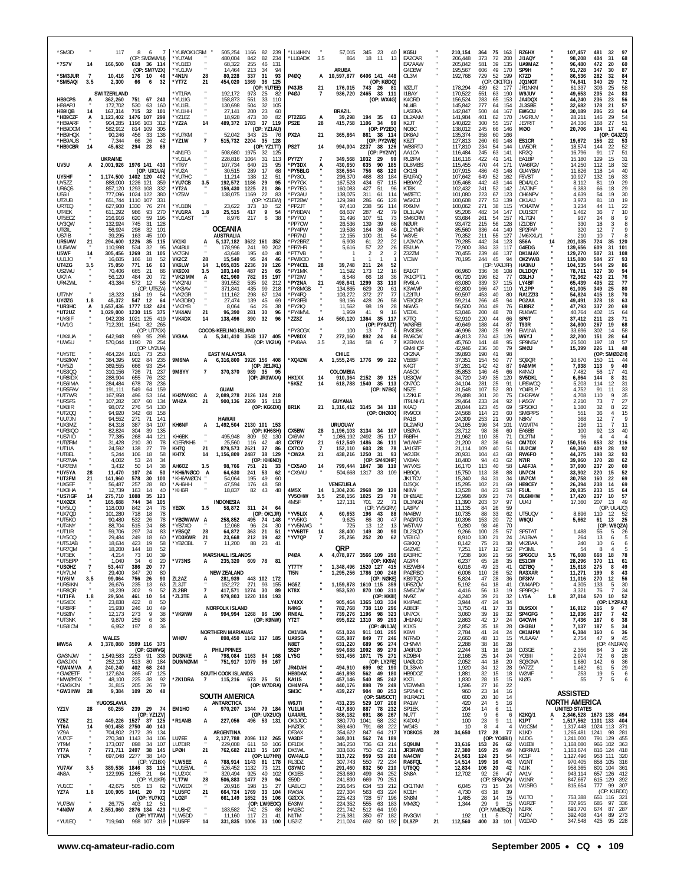| *SM3D<br>*7S7V                   | 14             | 117<br>166,500                | 8<br>- 6<br>(OP: SM3WMU)<br>618<br>36 114         | *YU8/OK1CRM<br>YU7AM<br>*YU1ED |                     | 505,254<br>480.004<br>68,322  | 82<br>239<br>1166<br>842<br>82<br>234<br>255<br>46<br>131 | *LU4HKN<br>*LU8ADX          | 3.5                   | 57,015<br>864                    | 345<br>-23<br>40<br>13<br>18<br>11                 | KG5U<br>EA2CAR<br>EA7AAW    |    | 210,154<br>206,448<br>205,842 | 75<br>364<br>163<br>373<br>72<br>200<br>581<br>39<br>135 | RZ6HX<br>JI1AQY<br>UA9MAZ      |                | 107,457<br>98,208<br>96,480    | 32<br>481<br>68<br>404<br>31<br>472<br>20<br>60       |
|----------------------------------|----------------|-------------------------------|---------------------------------------------------|--------------------------------|---------------------|-------------------------------|-----------------------------------------------------------|-----------------------------|-----------------------|----------------------------------|----------------------------------------------------|-----------------------------|----|-------------------------------|----------------------------------------------------------|--------------------------------|----------------|--------------------------------|-------------------------------------------------------|
| 'SM3JUR                          | $\overline{7}$ | 10,416                        | (OP: SM7VZX)<br>176<br>10<br>-46                  | YU1JW<br>*4N1N                 | 28                  | 14,464<br>80,228              | 213<br>-34<br>94<br>337<br>31<br>93                       | P4ØQ                        | A                     | <b>ARUBA</b>                     | 10,597,877 6406 141 448                            | G4DBW<br>OL3M               |    | 195,567<br>192,768            | 606<br>49<br>170<br>729<br>52<br>199                     | SP9H<br>K7ZD                   |                | 91,728<br>86,536               | 87<br>347<br>30<br>282<br>32<br>84                    |
| *SM5AQI                          | 3.5            | 2,300                         | 32<br>66<br>6                                     | *YT7Z                          | 21                  | 454,020                       | 1369<br>36<br>125<br>(OP: YU7EE)                          | P43JB                       | 21                    | 176,015                          | (OP: KØDQ)<br>743 26 81                            | 10ZUT                       |    | 178,294                       | (OP: OK1TGI)<br>439<br>62<br>177                         | <b>JQ1NGT</b><br>JR1NKN        |                | 74,841<br>61,337               | 72<br>29<br>340<br>58<br>303<br>25                    |
| HB9CPS                           | A              | SWITZERLAND<br>362,260        | 751<br>67 240                                     | YT1RA<br>*YU1IG                |                     | 192,172<br>158,873            | 973<br>25<br>82<br>551<br>33<br>110                       | P4ØJ                        | 7                     | 936,720                          | 2465<br>33 111<br>(OP: WX4G)                       | I1BAY<br>K40RD              |    | 170,522<br>156,524            | 551<br>63<br>190<br>283<br>65<br>153                     | W9JUV<br>JA4DQX                |                | 49,653<br>44,240               | 83<br>205<br>24<br>56<br>236<br>23                    |
| HB9APJ<br>HB9IQB                 | 14             | 172,702<br>167,314            | 530<br>63<br>160<br>715<br>32<br>101              | YU1EL<br>YU1HH                 |                     | 130,698<br>27,141             | 504<br>32<br>105<br>200<br>23<br>60                       |                             |                       | <b>BRAZIL</b>                    |                                                    | NU4B<br>LA5EKA              |    | 145,842<br>142,847            | 277<br>64<br>154<br>500<br>44<br>167                     | JL3SBE<br>EW6CU                |                | 32,682<br>30,189               | 57<br>21<br>178<br>206<br>23<br>64                    |
| *HB9CZF<br>*HB9ARF               | A              | 1,123,402                     | 1476 107<br>-299<br>1196 103<br>312               | YZ1EZ                          | 14                  | 18,928                        | 473<br>30<br>82<br>1783<br>37<br>119                      | PT2ZEG                      | А                     | 39,298                           | 194 35<br>63<br>1106<br>-34<br>99                  | DL2ANM<br>K <sub>2</sub> JT |    | 141,984                       | 401<br>62<br>170<br>300                                  | JM2RUV<br>JE7RIT               |                | 28,211                         | 29<br>54<br>146<br>27<br>51                           |
| *HB9DCM<br>*HB9HQX               |                | 904,285<br>582,912            | 814 109<br>305                                    | YZ2A<br>YU7KM                  |                     | 489,372<br>52.042             | (OP: YZ1AU)                                               | PS2E<br>PX2A                | 28                    | 415,758                          | (OP: PY2EX)                                        | NO8C                        |    | 140,822<br>138,012            | 55<br>157<br>245<br>66<br>146<br>358                     | MØO                            |                | 24,336<br>20,706               | 168<br>194<br>17<br>41                                |
| *HB9AUS<br>*HB9CBR               | 14             | 90,246<br>7,344               | 456<br>33<br>136<br>66<br>26<br>42<br>294<br>69   | *YZ1W                          | $\overline{1}$      | 515,732 2204                  | 343<br>- 25<br>-76<br>35<br>128<br>(OP: YZ1TT)            | PS2T                        | 21<br>14              | 365,864<br>994,004               | 861 38 114<br>(OP: PY2WB)<br>38 126                | DK6AJ<br>K8ZT<br>WB8RTJ     |    | 135,374<br>127,813            | 60<br>166<br>260<br>69<br>148<br>54<br>144               | ES1CR<br>LW5DR                 |                | 19,672                         | (OP: G4JZO)<br>156<br>22<br>53<br>22<br>144           |
|                                  |                | 45,632<br><b>UKRAINE</b>      | 23                                                | *4N1FG<br>YU1LA                |                     | 508,680<br>228,816 1064       | 1975<br>32<br>125<br>31<br>113                            | PY7ZY                       | $\overline{7}$        | 349,568                          | 2237<br>(OP: PY2NY)<br>1032 29<br>99               | AA1CA                       |    | 117,810<br>116,484<br>116,116 | 234<br>245<br>63<br>141<br>41<br>141                     | KR2Q<br>EA1BP                  |                | 18,574<br>16,796               | 52<br>91<br>17<br>51<br>31<br>15                      |
| UV5U                             | A              |                               | 2,001,926 1976 141 430                            | 'YT6Y                          |                     | 107,734                       | 640<br>23<br>95                                           | *PY3DX                      | A                     | 430,650                          | 635<br>90<br>185                                   | RU2FM<br>DL8MBS             |    | 115,455                       | 422<br>470<br>44<br>171                                  | WA6FGV                         |                | 15,180<br>14,250               | 129<br>32<br>112<br>18                                |
| UY5HF                            |                | 1.174.500                     | (OP: UX1UA)<br>1402 120<br>402                    | 'YU2A<br>YU7HC                 |                     | 30,515<br>11,214              | 17<br>289<br>68<br>138<br>12<br>51                        | *PY5BLG<br>*PY30L           |                       | 336,564<br>296,370               | 756<br>68<br>120<br>468<br>83<br>184               | OK1SI<br>EA1FAQ             |    | 107,915<br>107,642            | 486<br>43<br>148<br>649<br>52<br>162                     | GU4YBW<br>F5VBT                |                | 11,826<br>10,927               | 40<br>118<br>14<br>33<br>132<br>16                    |
| UY5ZZ<br>UR6QS                   |                | 888,000<br>857,120            | 1226 121<br>359<br>1293<br>108<br>332             | <b>YU7CB</b><br>YT2A           | 3.5                 | 192,572<br>159,430            | 29<br>95<br>1186<br>1225<br>21<br>86                      | *PY7GK<br>*PY7EG            |                       | 167,528<br>160,083               | 434<br>115<br>57<br>427<br>51<br>96                | HB9AYZ<br>KT8K              |    | 105,468<br>102,432            | 442<br>43<br>144<br>241<br>52<br>142                     | BD4ALC<br>JA7JNF               |                | 8.112<br>6,383                 | 29<br>19<br>81<br>29<br>66<br>18                      |
| US5II<br>UT2UB                   |                | 777.096<br>651,744            | 1024 122<br>380<br>1110<br>107<br>331             | YZ5W                           |                     | 138,075                       | 1169<br>22<br>83<br>(OP: YZ1EW)                           | *PY3AU<br>*PT2BW            |                       | 138,075<br>129,398               | 311<br>61<br>114<br>286<br>128<br>66               | WØETC<br>W5KDJ              |    | 101.080<br>100,608            | 223<br>67<br>123<br>277<br>53<br>139                     | OH6NPV<br>OK1AIJ               |                | 4,639<br>3,973                 | 30<br>54<br>19<br>19<br>81<br>10                      |
| UR7EQ<br>UT4EK                   |                | 627,900<br>611,292            | 274<br>1330<br>76<br>93<br>270<br>986             | YU1BN<br>YU1RA                 | 1.8                 | 23,622<br>25,515              | 373<br>10<br>52<br>417<br>9<br>54                         | *PP2JT<br>*PY8DAN           |                       | 97,410<br>68,607                 | 238<br>56<br>114<br>287<br>42<br>79                | RX9JM<br>DL1LAW             |    | 100,062<br>95,206             | 271<br>38<br>115<br>482<br>34<br>147                     | YO4ATW<br>DU1SDT               |                | 3,234<br>1,462                 | 22<br>44<br>11<br>36<br>10<br>$\overline{7}$          |
| UT5ECZ<br>UY3QW                  |                | 216,916<br>132.924            | 620<br>59<br>195<br>745<br>31<br>128              | YU1AST                         |                     | 8,976<br>OCEANIA              | 217<br>6<br>38                                            | *PY70J<br>*PP7CW            |                       | 31,496<br>26.536                 | 107<br>51<br>73<br>139<br>39<br>68                 | SM6CRM<br>NØUR              |    | 93,684<br>93.472              | 261<br>54<br>157<br>215<br>56<br>128                     | KL7GN<br>IZ1DBY                |                | 937<br>330                     | 24<br>8<br>18<br>8<br>3<br>9<br>$\overline{7}$        |
| UTØIL<br>US7IB                   |                | 56,924<br>39.295              | 298<br>32<br>101<br>45<br>163<br>100              |                                |                     | <b>AUSTRALIA</b>              |                                                           | *PY4PW<br>*PR7NJ            |                       | 19,598<br>12,155                 | 46<br>164<br>36<br>100<br>31<br>54                 | DL2YMR<br><b>W8VF</b>       |    | 85,560<br>79,352              | 336<br>44<br>140<br>211<br>55<br>127                     | SP2FAP<br>JM6XXU/1             |                | 320<br>210                     | 12<br>8<br>10                                         |
| UR5IAW<br>UU5WW                  | 21             | 294,600<br>110,998            | 1226<br>35<br>115<br>534<br>32<br>95              | VK1KI<br>VK4BUI                |                     | 5,137,182<br>178,996          | 3622 161<br>352<br>241<br>90<br>-202                      | *PY2BRZ<br>*PR7HR           |                       | 6,908<br>5,616                   | 22<br>61<br>22<br>22<br>26<br>57                   | LA2MOA<br>ES1UA             |    | 79,285<br>72,900              | 442<br>34<br>123<br>384<br>33<br>117                     | <b>S56A</b><br>G4EDG           | 14             | 201,035<br>139,656             | 724<br>35<br>120<br>31<br>609<br>101                  |
| U5WF<br>UU1JO                    | 14             | 305,456<br>16,605             | 1269<br>31<br>105<br>166<br>-18<br>52             | VK7GN<br><b>VK2CZ</b>          | 28                  | 43,648<br>15,540<br>1.055.835 | 195<br>40<br>48<br>95<br>24<br>46                         | *PT7VB<br>*PW800            |                       |                                  | $\overline{2}$<br>$\overline{2}$<br>2              | Z32ZM<br>VC3W               |    | 70,455<br>70,195              | 239<br>46<br>137<br>244<br>45<br>94<br>(OP: VA3JFF)      | DK1MAX<br>OK2VWB               |                | 129,270<br>115,080             | 507<br>31<br>108<br>504<br>93<br>27                   |
| UT4ZG<br>US2WU                   | 3.5            | 75,050<br>70,406              | 771<br>16<br>63<br>665<br>21<br>86                | <b>VK6LW</b><br>VK6DXI         | 14<br>3.5           | 103,140                       | 39<br>2236<br>126<br>25<br>487<br>65                      | *PY4CEL<br>*PY1MK           | 28                    | 39,748<br>11,592                 | 211<br>24<br>52<br>173<br>12<br>16                 | EA1GT                       |    | 66,960                        | 336<br>36<br>108<br>$\overline{7}$                       | HA3NU<br>DL1DQY                |                | 104,535<br>78,711              | 86<br>544<br>29<br>327<br>30<br>94                    |
| UX7IA<br>UR4ZWL                  |                | 56,120<br>43,384              | 484<br>20<br>72<br>572<br>12<br>56                | *VK2IMM<br>*VK2NU              | А                   | 621,960<br>391,552            | 782<br>95<br>197<br>92<br>535<br>212<br>435<br>99         | *PT2IW<br>*PY2NA<br>*PY8MGB | 21                    | 8,548<br>498,641                 | 18<br>36<br>66<br>1299<br>110<br>33                | 7K1CPT/1<br>RV6LA           |    | 66,720<br>63,080              | 196<br>62<br>37<br>339<br>115                            | G3LHJ<br>LY4BF<br>YL2PP        |                | 72,362<br>65,439               | 76<br>423<br>21<br>77<br>22<br>405<br>349<br>25<br>80 |
| UT7NY                            |                | 18,323                        | (OP: UT5ZA)<br>184<br>19<br>-54<br>547<br>12      | *VK8AV<br>'VK2GR<br>VK3DBO     |                     | 371,841<br>111,162            | 218<br>67<br>298<br>124                                   | *PY4FQ<br>*PY3FBI           |                       | 134,865<br>103,272<br>93.156     | 629<br>20<br>61<br>372<br>27<br>77<br>26           | K3WWP<br>LZ2ITU             |    | 62,800<br>59.597              | 166<br>47<br>110<br>453<br>40<br>80                      | <b>RA1ZZ/3</b>                 |                | 61,005<br>54,824<br>49.491     | 70<br>415<br>18<br>378<br>18                          |
| <b>UYØZG</b><br>*UR3HC<br>*UT2UZ | 1.8<br>A       | 45,372<br>1,657,436           | -64<br>1777 132<br>424<br>375                     | *VK3YB<br><b>VK4AN</b>         |                     | 27,474<br>8,064               | 139<br>45<br>69<br>26<br>64<br>38<br>96                   | *PY2IQ<br>*PY4MVL           |                       | 11,562<br>1.959                  | 428<br>58<br>98<br>19<br>28<br>9<br>41             | VE3QDR<br>N6WG<br>VF3XI     |    | 59,214<br>56,500<br>53.046    | 266<br>45<br>94<br>204<br>49<br>76<br>200                | PG2AA<br>EU8RZ                 |                | 47,793<br>40.764               | 63<br>337<br>20<br>69<br>402                          |
| *UY8IF                           |                | 1,029,000<br>942,208          | 1230 115<br>1021 125<br>419<br>82                 | *VK4DX                         | 21<br>14            | 96,390<br>138,496             | 281<br>30<br>390<br>32<br>96                              | *ZZ8Z                       | 14                    | 560,120                          | 16<br>1364<br>35<br>117<br>(OP: PY8AZT)            | K7TQ<br><b>WA8RFI</b>       |    | 52,910                        | 48<br>78<br>220<br>44<br>66<br>44<br>87                  | RU4WE<br>SP6T                  |                | 37,412                         | 15<br>64<br>71<br>211<br>23<br>19<br>267              |
| *UV1G<br>*UX4UA                  |                | 712,391<br>642.948            | 1541<br>265<br>(OP: UT7GX                         |                                |                     | COCOS-KEELING ISLAND          |                                                           | *PY3CGX                     |                       | 100                              | 13                                                 | RV3DBK                      |    | 49,649<br>46,996              | 188<br>280<br>25<br>99                                   | <b>T93R</b><br>EW1NA           |                | 34,800<br>33.696               | 68<br>58<br>302<br>14                                 |
| *UW5U                            |                | 570,044                       | 989<br>95<br>298<br>1190<br>78<br>254             | VK9AA                          | A                   |                               | 5,341,410 3548 137 405<br>(OP: VK2IA)                     | *PV8DX<br>*PV8AA            | $\overline{7}$<br>3.5 | 272,160<br>2,184                 | 892<br>24<br>84<br>58<br>6                         | RW6CW<br>K2EKM/4            |    | 46,813<br>45,760              | 224<br>43<br>126<br>141<br>48<br>95                      | W6YJ<br>SP9NSV                 |                | 32,200<br>25,500               | 28<br>64<br>151<br>57<br>197<br>18                    |
| *UY5TE                           |                | 464,224                       | (OP: UY2UA)<br>1021<br>73<br>253                  |                                |                     | <b>EAST MALAYSIA</b>          |                                                           | *XQ4ZW                      |                       | CHILE                            |                                                    | GM4HOF<br>OK2NA             |    | 42,946<br>39,893              | 79<br>236<br>30<br>98<br>190<br>41                       | SMØJ                           |                | 15,399                         | 48<br>226<br>11<br>(OP<br>SMØDZH)                     |
| *USØKW<br>*UY5ZI                 |                | 384,395<br>369,555            | 235<br>902<br>84<br>666<br>93<br>254<br>71<br>726 | 9M6NA<br>9M8YY                 | 7                   | 370,370                       | 6,316,800 3926 156 408<br>(OP: JE1JKL)<br>989 35<br>95    |                             | А                     | COLOMBIA                         | 1,555,245 1776 99 222                              | VE6BF<br>K4GT               |    | 37,351<br>37,281              | 154<br>77<br>50<br>142<br>42<br>87<br>146                | <b>SQ9QR</b><br>9A8MM<br>K4NVJ |                | 10,670<br>7,938                | 150<br>11<br>44<br>113<br>40<br>56<br>17<br>41        |
| *US3QQ<br>*UR8IDX                |                | 310,156<br>288,904            | 237<br>655<br>76<br>232<br>678<br>236<br>78       |                                |                     |                               | (OP: JR3WXA)                                              | HK1XX<br>*5K5Z              | 14<br>14              |                                  | 910,364 2152 39 125<br>1540 35 113                 | AA5CK<br>US3QW<br>ON7CC     |    | 35,853<br>34,720<br>34,104    | 45<br>66<br>249<br>35<br>120<br>281<br>25<br>91          | SV5DKL<br>UR5WCQ               |                | 7,482<br>6,864<br>5.203        | 144<br>31<br>8<br>114<br>12<br>31                     |
| *US6IMA<br>*UR5FAV               |                | 284,484<br>191.111<br>167,958 | 549<br>159<br>64<br>496<br>53                     | KH2/WX8C                       | A                   | <b>GUAM</b>                   |                                                           |                             |                       | 618,788                          | (OP: N7BG)                                         | N5ZE<br>LZ2KLE              |    | 31.548<br>29,488              | 107<br>52<br>80<br>301<br>20                             | Y04RLP<br>DH3FAW               |                | 4.752<br>4,708                 | 91<br>11<br>33<br>35<br>110<br>9                      |
| *UT7WR<br>*UR5FS<br>*UX8IR       |                | 107,282<br>98,072             | 164<br>307<br>60<br>134<br>276<br>54<br>130       | WH2A                           | 21                  | 2,089,278                     | 2126 124 218<br>900,136 2209 35 113                       |                             | 21                    | <b>GUYANA</b>                    |                                                    | IT9LNH/1<br>K4AQ            |    | 29,464<br>28,044              | 75<br>233<br>24<br>92<br>45<br>69                        | HA5GY<br>SP50XJ                |                | 2.210<br>1,380                 | 27<br>73<br>$\overline{7}$<br>8                       |
| *UT200<br>*UU7JN                 |                | 94.920<br>94,552              | 68<br>158<br>342<br>271<br>71<br>141              |                                |                     | HAWAII                        | (OP: KG6DX)                                               | <b>8R1K</b>                 |                       |                                  | 1,316,412 3145 34 119<br>(OP: OHØXX)               | RV9COI<br>PA1B              |    | 24,568<br>24,309              | 123<br>114<br>23<br>60<br>253<br>21<br>90                | SM6PPS<br>N8KV                 |                | 551<br>368                     | 32<br>22<br>15<br>36<br>$\overline{4}$<br>9<br>12     |
| *UX3MZ<br>*UR3IQ0                |                | 84,318<br>82,824              | 387<br>34<br>107<br>304<br>39<br>135              | KH6NF                          | A                   |                               | 1,492,504 2130 101 153<br>(OP: KH6SH)                     | CX5BW                       |                       | <b>URUGUAY</b><br>1,196,103 3134 | 34 107                                             | DI 2WR.<br>USØYA            |    | 24,165<br>23,712              | 196<br>34<br>101<br>98<br>36<br>60                       | W1MT/4<br>EA6BB                |                | 216<br>100                     | $\overline{7}$<br>11<br>11<br>92<br>40<br>13          |
| *US7IID<br>*UTØRM                |                | 77,385<br>31,428              | 268<br>121<br>44<br>210<br>30<br>78               | KH6BK<br>K1ER/KH6              |                     | 495,948<br>25,560             | 809<br>92<br>130<br>116<br>42<br>48                       | CX6VM<br>CX7BY              | 28<br>21              | 1,086,192<br>612,549             | 2492<br>35<br>117<br>1486<br>36<br>111             | F6BFH<br>W1AMF              |    | 21,962<br>21,200              | 110<br>35<br>71<br>36<br>82<br>64                        | DL2TM<br>OM7DX                 | $\overline{7}$ | -96<br>150,516                 | $\overline{4}$<br>32<br>853<br>116                    |
| *UT1IA<br>*UT8EL                 |                | 24,592<br>5,244               | 27<br>79<br>138<br>106<br>18<br>58                | KH7Q<br>KH7X                   | 21<br>14            | 879,573<br>1,156,809          | 2621<br>37<br>86<br>2487<br>38<br>129                     | CX7CO<br>*CW2A              | 7<br>21               | 152,110<br>438,216               | 603<br>28<br>78<br>1250<br>31<br>93                | JA1GTF<br>W2JEK             |    | 21.114<br>20,931              | 109<br>40<br>51<br>104<br>43<br>68                       | UU2CW<br>RW6FO                 |                | 69,360<br>44,375               | 409<br>28<br>92<br>93<br>198<br>32                    |
| *UR7MA<br>*UR7EM                 |                | 4,002<br>3,432                | 53<br>24<br>-34<br>50<br>14<br>38                 | AH6OZ                          | 3.5                 | 98,766                        | (OP: KH6ND)<br>751<br>21<br>33                            | *CX5AO                      | 14                    | 799,444                          | (OP: SM4DHF)<br>1847<br>38 119                     | VK8AN<br>W7VXS              |    | 18,480<br>16,170              | 94<br>43<br>62<br>113<br>40<br>58                        | N7IR.<br>LA6FJA                |                | 39,960<br>37,600               | 28<br>62<br>170<br>60<br>237<br>20                    |
| *UY5YA<br>*UT3FM                 | 28<br>21       | 11,470<br>141,960             | 107<br>50<br>24<br>578<br>30<br>100               | *KH6/NØCO<br>KH6/WØCN          | A                   | 64,630<br>54,064              | 241<br>53<br>62<br>195<br>49<br>60                        | *CX9AU                      |                       | 504,668                          | 1317<br>33<br>109                                  | HB9QA<br><b>JK1TCV</b>      |    | 15,750<br>15,340              | 38<br>88<br>113<br>31<br>84<br>34                        | UN7CN<br>UN7CM                 |                | 33.902<br>30,758               | 52<br>15<br>220<br>160<br>69<br>22                    |
| *UX5EF<br>*UX3HA                 |                | 56,487<br>12,739              | 257<br>28<br>80<br>40<br>163<br>14                | *АН6НН<br>*KH6FI               |                     | 47,594<br>18,837              | 176<br>48<br>58<br>82<br>43<br>48                         | 4M5X                        | 14                    | VENEZUELA<br>1,304,206           | 2968<br>39<br>139                                  | DJ50K<br>NI8W               |    | 15,295<br>13,528              | 102<br>21<br>69<br>23<br>84<br>53                        | HB9CEY<br>F5UL                 |                | 26,394<br>20,935               | 238<br>14<br>69<br>64<br>233<br>15                    |
| *US7IGF<br>*UXØZX                | 14             | 275,710<br>165.688            | 1088<br>35<br>123<br>34<br>105<br>744             |                                |                     | <b>INDONESIA</b>              |                                                           | YV50HW<br>4M5F              | 3.5                   | 258,156<br>127.131               | 1025<br>23<br>78<br>22<br>701<br>71                | DHØJAE<br>DL3NGN            |    | 12,998<br>11,390              | 109<br>23<br>74<br>203<br>37<br>97                       | DL6MHW<br>UU4J                 |                | 17,420<br>17,360               | 57<br>237<br>10<br>49<br>207<br>13                    |
| *UY5LQ<br>*UX7QD                 |                | 118,000<br>101,280            | 842<br>24<br>76<br>718<br>18<br>78                | YEØX                           | 3.5                 | 58,872                        | 311 24<br>64<br>(OP: OK1JR)                               | *YV5LIX                     | А                     | 60,653                           | (OP: YV5GRV)<br>196<br>-43<br>88                   | LA8PV<br>NA4BW              |    | 11,135<br>10,735              | 84<br>26<br>59<br>88<br>33<br>62                         | UT5UQV                         |                | 8.896                          | (OP: UU4JO)<br>110<br>12 52                           |
| *UT5KO<br>*UT4NY                 |                | 90,480<br>88.704              | 532<br>26<br>78<br>515<br>88<br>24                | *YBØWWW A<br>YB7XO             |                     | 258,852<br>12,068             | 495<br>74<br>148<br>96<br>-24<br>30                       | *YV5KG<br>*YV5NWG           |                       | 9,625<br>725                     | 86<br>30<br>47<br>13<br>-12<br>13                  | PAØATG<br>W5TVW             |    | 10,396<br>9,280               | 72<br>153<br>20<br>98<br>70<br>46                        | W6QU                           |                | 5,662                          | 25<br>61<br>13<br>(OP: W8QZA)                         |
| *ut1ir<br>*UY500                 |                | 59,706<br>29.484              | 297<br>24<br>83<br>249<br>18<br>60                | *YB5QZ<br>YD3KWR               | 28<br>-21           | 64,872<br>23,668              | 363<br>21<br>51<br>212<br>- 19<br>42                      | *YV6BTF<br>*YV7QP           | 14<br>7               | 38,400<br>25,256                 | 149<br>30<br>90<br>252<br>20<br>62                 | DL2BQD<br>VE3IGJ            |    | 9,266<br>8,910                | 100<br>25<br>57<br>21<br>24<br>130                       | SP5TAT<br>JA1BVA               |                | 1,488<br>264                   | 55<br>-5<br>26<br>13<br>6                             |
| UT5JAB<br>*UR7QM                 |                | 18.034<br>18,200              | 423<br>19.<br>58<br>144<br>18<br>52               | <b>YBZUBL</b>                  |                     | 11,200                        | 88<br>- 23<br>4                                           |                             |                       | QRP                              |                                                    | G3KKU<br>G4ZME              |    | 8.142<br>7,251                | 38<br>$\sqrt{2}$<br>$\mathbf{Z}$<br>52<br>117<br>12      | <b>VKZBAA</b><br>PY3ML         |                | 240<br>54                      | 10<br>$\circ$<br>$\circ$<br>8<br>$\overline{4}$<br>-5 |
| *UT3EK<br>*UT5EPP                |                | 4,214<br>1,040                | 73<br>10<br>39<br>34<br>6<br>20                   | *V73NS                         | А                   | <b>MARSHALL ISLANDS</b>       | 235,320 609 78<br>- 81                                    | <b>P40A</b>                 | А                     |                                  | 4,078,977 3566 109 290<br>(OP: KK9A)               | EA3FHC<br>AI2P/4            |    | 7,238<br>6,237                | 56<br>106<br>21<br>35<br>28<br>65                        | SP6GCU<br>ES1CW                | 3.5            | 76,608<br>28,296               | 78<br>668<br>18<br>11<br>61<br>370                    |
| *USØHZ<br>*UY7LM                 | 7              | 53,447<br>29,400              | 386<br>20<br>77<br>347<br>20<br>80                |                                |                     | <b>NEW ZEALAND</b>            |                                                           | YT7TY<br>TI5N               |                       | 1,295,256                        | 1,348,496 1520 127 415<br>1786 100 248             | KE2WB/4<br>PAØRBO           |    | 6,016<br>6,006                | 49<br>23<br>41<br>110<br>26<br>52                        | OZ7BQ<br>RA3XAR                |                | 15,618<br>11,271               | 275<br>49<br>8<br>199<br>8<br>43                      |
| *UY6IM<br>*UR5IKN                | $3.5\,$        | 99,064<br>26,676              | 756<br>26<br>90<br>235<br>13<br>63                | ZL2AZ<br>ZL3JT                 | A                   | 152,272                       | 281,939 443 102 172<br>271 93<br>155                      | HG5Z                        |                       |                                  | (OP: NØKE)<br>1,159,878 1610 115 359               | KB9TQO<br>UR5ZQV            |    | 5,824<br>5,192                | 47<br>28<br>36<br>64<br>18<br>41                         | DF3KV<br>OM4APD                |                | 11,016<br>4,305                | 270<br>12<br>56<br>30<br>133<br>5                     |
| *UR8QR<br>*UT1FA                 | 1.8            | 18,239<br>29,504              | 302<br>9<br>52<br>461<br>10<br>54                 | ZL2BR<br>*ZL3TE                | $\overline{7}$<br>A |                               | 417,571 1274 30<br>-89<br>979,803 1220 104 193            | KT8X                        |                       | 953,520                          | 870 100 311<br>(OP: KK8I)                          | SM5CJW<br>NV9Z              |    | 4,416<br>4,240                | 56<br>13<br>19<br>39<br>21<br>32                         | SP9ROH<br>LY5A                 | 1.8            | 3,321<br>37,014                | $\overline{7}$<br>$\frac{34}{52}$<br>-76<br>10<br>570 |
| *US4EX<br>*UR8RF                 |                | 23,838<br>15,930              | 422<br>-8<br>50<br>246<br>10<br>49                |                                |                     | <b>NORFOLK ISLAND</b>         |                                                           | LY4XX<br>N4KG               |                       | 782,768                          | 905,464 1365 103 334<br>738 110 296                | KI4FWE<br>AB8DF             |    | 3,944<br>3,750                | 47<br>24<br>34<br>41<br>17<br>33                         | DL9SXX                         |                | 16,912                         | (OP: LY2PAJ)<br>9<br>316<br>47                        |
| *USØIV<br>*UT3NK                 |                | 12,173<br>9,870               | 9<br>38<br>273<br>259<br>6<br>36                  | *VK9NW                         | А                   |                               | 994,994 1268 96 190<br>(OP: K9NW)                         | RN6AL<br>YT2T               | $\mathbf{u}$          |                                  | 739,276 1196 98 323<br>695,622 1310 89 293         | UN7CX<br>JH1NXU             |    | 3,060<br>2,863                | 32<br>39<br>19<br>42<br>24<br>17                         | SP4GFG<br>G4CWH                |                | 12,936<br>7,436                | 42<br>$\overline{7}$<br>267<br>38<br>187<br>6         |
| *US8ICM                          |                | 6,952                         | 197<br>8<br>36                                    |                                |                     | <b>NORTHERN MARIANAS</b>      |                                                           | OK1VBA                      |                       | 651,024                          | (OP: 4N1JA)<br>911 101 295                         | K <sub>1</sub> XS<br>K6MI   |    | 2,852<br>2,784                | 28<br>35<br>18<br>41<br>24<br>24                         | OH3BU<br>OK1MPM                | ×              | 7,137<br>6,384                 | 34<br>187<br>5<br>36<br>160<br>6                      |
| MW5A                             | A              | WALES                         | 3,378,080 3599 116 375                            | WHØV                           | A                   |                               | 898,450 1142 117 185                                      | UA9SG<br>N8ET               |                       | 635,987<br>631,220               | 849 77<br>246<br>689<br>96<br>274                  | N7RVD<br>OH9VM              |    | 2,660<br>2,288                | 48<br>13<br>15<br>28<br>38<br>16                         | YU1AAV                         |                | 2,754                          | 45<br>9<br>47<br>(OP: 4N1FAN)                         |
| GW3NJW                           |                | 1,549,583                     | (OP: G3WVG)<br>2253 91 336                        | DU3NXE                         | A                   | <b>PHILIPPINES</b>            | 798,084 1163 84 168                                       | S52P<br>LY5G                |                       | 594,688<br>531,456 1071          | 1092<br>89<br>279<br>75 271                        | JA6RJD<br>KD9B/4            |    | 2,244<br>2,166                | 31<br>16<br>18<br>25<br>24<br>14                         | DJ3GE<br>YO3III                |                | 2,356<br>2,074                 | 84<br>3<br>28<br>28<br>72<br>6                        |
| GW3JXN<br>*GW4MVA                | $\mathbf{A}$   | 252,120<br>240,240            | 513 80<br>184<br>402<br>68<br>-240                | DU9/NØNM                       |                     |                               | 751,917 1079 96 167                                       | JR4DAH                      |                       | 494.910                          | (OP: LY2FE)<br>699 92 190                          | <b>UAØLOD</b><br>DI 3BVA    |    | 2,052<br>1,920                | 44<br>18<br>20<br>28<br>34<br>12                         | SQ3GNA<br>9A777                |                | 1,680<br>1.462                 | 142<br>6<br>36<br>29<br>61<br>5                       |
| *GWØETF<br>*MWØYDX               |                | 127,624<br>48,100             | 365<br>47<br>125<br>225<br>38<br>92               | *ZK1DRA                        | $\overline{7}$      | SOUTH COOK ISLANDS            | 115,216 673 25 51                                         | HB9DAX<br>KA1IS<br>OH4MFA   |                       | 461,898<br>457,146               | 562<br>49<br>180<br>540<br>85 242                  | HB9DOZ<br>KX71              |    | 1,881<br>1,830                | 32<br>15<br>18<br>28<br>15<br>15                         | W2MF<br>KIØG                   |                | 253<br>55                      | 19<br>5<br>6<br>$\overline{7}$<br>5<br>6              |
| *GW3KJN<br>*GW3INW               | 28             | 31,815<br>9,384               | 205<br>26<br>79<br>109<br>20<br>48                |                                |                     | SOUTH AMERICA                 | (OP: W7DRA)                                               | SM3C                        |                       | 440,176<br>439,227               | 898<br>79<br>249<br>904<br>80 253                  | VE3WMB<br>SP2MHC            |    | 1,596<br>960                  | 27<br>16<br>22<br>23<br>14<br>16                         |                                |                | <b>ASSISTED</b>                |                                                       |
| YZ1V                             |                | YUGOSLAVIA                    |                                                   | EM1HO                          |                     | ANTARCTICA                    |                                                           | W6JTI                       |                       | 431,235                          | (OP: SM5CCT)<br>529 107 208<br>887                 | IK1RAC/1<br>PA1W            |    | 600<br>420                    | 20<br>10<br>14<br>5<br>24<br>16                          |                                |                | NORTH AMERICA<br>UNITED STATES |                                                       |
| YZ5Z                             | 28<br>21       | 60,255                        | 239 29 74<br>(OP: YZ1ZV)<br>449,226 1527 37 125   | *R1ANB                         | A<br>A              | 227,056                       | 970,207 1344 79 184<br>(OP: UX2UO)<br>496 53 131          | YU1LM<br>UA4ARL<br>OK1JOC   |                       | 417,880<br>386,182<br>380,770    | 78<br>232<br>691<br>86<br>267<br>1041<br>58<br>232 | SP1EK<br>NU7T<br>K4DXU      |    | 204<br>192<br>100             | 14<br>6<br>11<br>-9<br>6<br>6<br>9<br>23<br>11           | <b>K2KQ/1</b><br>K1PT          | А              | 1,517,562                      | 2,846,528 1673 138 494<br>1101 133 404                |
| YT6A<br>YZ9A                     | 14             | 901,458 2750<br>704,802 2172  | 40 143<br>39<br>134                               |                                |                     | ARGENTINA                     |                                                           | <b>HAØGK</b><br>DF3AX       |                       | 369,460<br>354,622               | 791<br>68<br>222<br>847<br>64<br>217               | WG4S<br>Y08K0S              | 28 | -10<br>34,650                 | 8<br>$\overline{4}$<br>Δ<br>172 28<br>77                 | W1CSM<br>K1KD                  |                | 1,317,448<br>1,265,481         | 1024<br>113 371<br>1241<br>98 281                     |
| YU7CF<br>YT9M                    |                | 270,340 1143<br>173,007       | - 34<br>106<br>898<br>34<br>107                   | LU7EE<br>LU7DIR                | А                   | 229.008                       | 2,127,788 2096 112 265<br>611 50 106                      | VA3DF<br>DF1DX              |                       | 349,001<br>346,250               | 562<br>74<br>189<br>736<br>214<br>63               | SQ9UM                       |    | 33,616                        | (OP: YO4BII)<br>153 26<br>-62                            | N1DG<br>W1EBI                  |                | 1,241,000<br>1,168,080         | 791 129 455<br>966 102<br>363                         |
| YT7A<br>YTØA                     | $\overline{7}$ | 771,711 2497                  | 38<br>145<br>697,048 2277 38<br>140               | LPØH                           | 21                  |                               | 762,682 2113 35<br>107<br>(OP: LU7HN)                     | DK5WL<br><b>GW4ALG</b>      |                       | 333,606<br>313,722               | 750<br>62<br>211<br>959<br>53 208                  | <b>JR3RWB</b><br>NA4CW      |    | 27,380<br>24,563              | 169<br>25<br>49<br>23<br>124<br>54                       | N6RFM/1<br>KC1F                |                | 1,163,674<br>1,127,496         | 816 124 418<br>953 111 320                            |
| YU7AV                            | 3.5            |                               | (OP: YZ1BX)<br>389,536 1846 33 115                | *LW5EE<br>*LU1EWL              | A                   |                               | 788,914 1143 81 178<br>526,452 1132 73<br>-121            | RL3DZ<br>G3YMC              |                       | 307,743<br>291,460               | 550<br>72<br>234<br>832<br>210<br>50               | RA6FQL<br><b>UT800</b>      |    | 14,514<br>12,834              | 199<br>16<br>43<br>106<br>42<br>20                       | W1NT<br>N <sub>1</sub> K       |                | 970,405<br>958,365             | 858 105 316<br>801 104 361                            |
| 4N8A                             |                | 122,995                       | 1265<br>21<br>-64<br>(OP: YU1KR)                  | *LU2XX<br>*LT7W                | 28                  | 320,494<br>506,883 1477       | 925<br>40<br>102<br>29<br>94                              | OK1ES<br>S59D               |                       | 253,680<br>241,890               | 499<br>84<br>252<br>79<br>251<br>669               | SN8A                        |    | 12,702                        | 92<br>26<br>47<br>(OP: SP8AQA)                           | AA1V<br>W1NR                   | ×              | 943,114<br>847,667             | 657 126 412<br>615 129 392                            |
| YU1CC<br>YZ7A                    | 1.8            | 42,675                        | 505 13<br>62<br>100,905 1041 20<br>73             | *LW2DX<br>*LU5FC               | 21                  | 20,916<br>664,724 1769        | 198<br>15<br>27<br>33<br>104                              | UA6LCJ<br>RW3AI             |                       | 236,645<br>227,304               | 634<br>53<br>212<br>563<br>63<br>224               | OK1TNM<br>KO1H              |    | 6,045<br>4,730                | 73<br>15<br>24<br>39<br>63<br>16                         | W1SRG                          |                | 815,654                        | 777 99 307<br>(OP: K1RDD)                             |
| YU7BW                            |                | 26,775                        | (OP: YU7KC)<br>403 12<br>- 51                     | *LO2F                          |                     | 661,149                       | 1852<br>35<br>106<br>(OP: LW9EOC)                         | <b>GØDCK</b><br>EA3IW       |                       | 225,423<br>224,352               | 728<br>57<br>196<br>555<br>63<br>183               | SN8M<br>MM00                |    | 1,485<br>1,344                | 15<br>28<br>14<br>9<br>29<br>15                          | W1TO<br>W1RZF                  |                | 753,388<br>707,955             | 651 116 321<br>685 97 336                             |
| *4NØW                            | A              |                               | 2,551,060 2876 134 423<br>(OP: YT7AW)             | *LU8HZ<br>*LW5DD               | $\sim$              | 183,582<br>11,160             | 742<br>25<br>68<br>117 21<br>-41                          | HA1BC<br>N1TM               |                       | 221,742<br>216,381               | 512<br>64<br>190<br>67<br>182<br>350               | RV3GM                       |    | 192                           | (OP: MMØBQI)<br>5<br>-11                                 | N1RK<br>K <sub>1</sub> RV      | $\alpha$       | 693,770<br>392,408             | 674 87 287<br>89 273<br>414                           |
| *YU1EQ                           |                | 719,940                       | 998 107 319                                       | *LU5FF                         | 14                  |                               | 331,835 1006 33 100                                       | US2IZ                       |                       | 211,024                          | 692 50 192                                         | DL9ZP                       | 21 | 112,560                       | 400 33 101                                               | W1DAD                          |                | 347,548                        | 425 95 228                                            |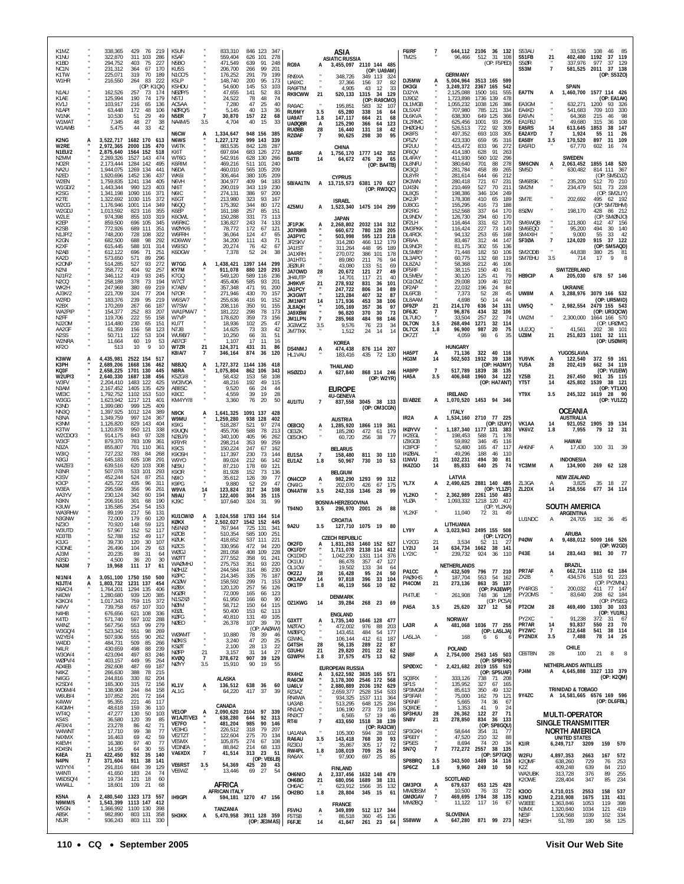| K1MZ<br>K1NU<br>K1BD                                        |                | 338,365<br>322,870<br>294,752                       | 429<br>311 103<br>403            | 76 219<br>286<br>75<br>227                    | K5UN<br>K5AF<br>N <sub>5</sub> BO                                         |                       | 833,310<br>559,404<br>471,549         | 846 123 347<br>626 101<br>278<br>639<br>91<br>248                          |                                       |                       | ASIA<br><b>ASIATIC RUSSIA</b>                    |                               |                                         | F6IRF<br>TM2S                            |                       | 96,466                              | 644,112 2106 36 132<br>512 31 108<br>(OP: F5PED)                   | S53AU<br>S51FB<br>S5ØR              | 21              | 33,536<br>402,480<br>337,976                                      | 108<br>1192<br>977 | 85<br>46<br>37 119<br>37 129                 |
|-------------------------------------------------------------|----------------|-----------------------------------------------------|----------------------------------|-----------------------------------------------|---------------------------------------------------------------------------|-----------------------|---------------------------------------|----------------------------------------------------------------------------|---------------------------------------|-----------------------|--------------------------------------------------|-------------------------------|-----------------------------------------|------------------------------------------|-----------------------|-------------------------------------|--------------------------------------------------------------------|-------------------------------------|-----------------|-------------------------------------------------------------------|--------------------|----------------------------------------------|
| NC <sub>1</sub> N<br>K1TW<br>W1HR                           |                | 231,312<br>225,071<br>216,550                       | 364<br>319<br>264                | 67<br>170<br>70<br>189<br>83<br>222           | KU <sub>5</sub> S<br>N <sub>1</sub> CC/5<br>K <sub>5</sub> I <sub>P</sub> |                       | 206,700<br>176,252<br>148,740         | 99<br>266<br>201<br>291<br>79<br>199<br>200<br>95<br>173                   | RG9A<br>RN9XA<br>UA9XC                | А                     | 3,455,097 2110 144 485<br>348,726<br>37,366      | 349 113<br>156                | (OP: UA9AM)<br>324<br>-37<br>-82        | DJ5MW                                    |                       | <b>GERMANY</b><br>5,004,964         | 3513 165 599                                                       | <b>S53M</b>                         | $\overline{7}$  | 581,525 2011 37 138                                               |                    | (OP: S53ZO)                                  |
| N <sub>1</sub> AU<br>K1AE                                   |                | 162,526<br>125,994                                  | 257<br>190                       | (OP: K1QX)<br>73<br>174<br>74<br>179          | K5HDU<br>NEØP/5<br>N5TJ                                                   |                       | 54,600<br>47,655<br>24,522            | 145<br>53<br>103<br>141<br>52<br>83<br>78<br>48<br>74                      | RA9FTM<br><b>RK9CWW</b>               | 21                    | 4,905<br>520,133                                 | 43<br>1315                    | 12<br>33<br>-34<br>129<br>(OP: RA9CMO)  | DK3GI<br>DJ2YA<br>DJ9DZ                  |                       | 3,249,372<br>2,125,088<br>1,723,898 | 2367 165<br>542<br>1500 161<br>555<br>1736 139<br>478              | EA7TN                               | A               | <b>SPAIN</b><br>1,460,700                                         |                    | 1577 114 426<br>(OP: EA1AK)                  |
| KV1J<br>N1API<br>W1NK                                       |                | 103,917<br>63,448<br>10,530                         | 216<br>172<br>51                 | 65<br>136<br>48<br>106<br>29<br>49            | AC5AA<br>NØRQ/5<br>N5ER                                                   | $\overline{7}$        | 7,280<br>5,145<br>30,870              | 47<br>25<br>40<br>40<br>13<br>36<br>157<br>22<br>68                        | RA9AC<br>RU9MY<br>UA9AT               | 3.5<br>1.8            | 195,851<br>65,280<br>147,117                     | 583<br>338<br>664             | 32<br>107<br>16<br>64<br>-21<br>68      | DL1MGB<br>DL5XAT<br>DL6KVA               |                       | 1,055,232<br>707,980<br>638,300     | 1038 126<br>386<br>785<br>121<br>334<br>649<br>125<br>366          | EA3GM<br>EA4KD<br>EA5VN             |                 | 632,271<br>541,683<br>64,368                                      | 1200<br>709<br>215 | 93 326<br>103<br>330<br>98<br>46             |
| W1MAT<br>W1AWB                                              |                | 7,345<br>5,475                                      | 48<br>44                         | 27<br>38<br>33<br>42                          | NA4M/5<br><b>N6CW</b>                                                     | 3.5<br>А              | 4,704<br>1,334,647                    | 40<br>15<br>33<br>948 156<br>385                                           | <b>UAØQBR</b><br>RUØBB<br>RZØAF       | A<br>28               | 125,290<br>16,440<br>90,625                      | 366<br>131<br>298             | 64<br>123<br>18<br>42<br>30<br>95       | DL2RMC<br><b>DHØGHU</b><br>DK8FS         |                       | 625,456<br>526,513<br>497,352       | 1001<br>93<br>295<br>92<br>309<br>722<br>693<br>103<br>305         | EA1FBJ<br>EA5RS<br>EA2AYD           | 14<br>7         | 49,680<br>613,645<br>1,924                                        | 315<br>1853<br>55  | 36<br>108<br>147<br>38<br>11<br>26           |
| K2NG<br>W2RE<br>N1EU/2                                      |                | 3,522,717 1682 170<br>2,972,365<br>2,875,640        | 2000 135<br>1564 152             | 613<br>470<br>518                             | N6WS<br>W6TK<br>KI6T                                                      |                       | 1,227,172<br>883,535<br>697,694       | 999 143<br>339<br>842 128<br>287<br>683 126<br>272                         | BA4RF                                 | A                     | CHINA<br>1,756,170 1777 142 352                  |                               |                                         | DF5ZV<br>DF2UU<br>DF6QV                  |                       | 423,330<br>415,472<br>414,180       | 659<br>95<br>316<br>833<br>96<br>272<br>628<br>91<br>263           | EA5BY<br>EA5FID                     | 3.5             | 170,520<br>67,770                                                 | 897<br>602         | 109<br>31<br>74<br>16                        |
| N <sub>2</sub> MM<br>NO <sub>2</sub> R<br>NA <sub>2U</sub>  |                | 2,269,326<br>2,173,444<br>1.944.075                 | 1527<br>1284<br>1269 134         | 143<br>474<br>142<br>495<br>441               | WT6G<br>K6RIM<br>N6DA                                                     |                       | 542.916<br>469,216<br>460,010         | 628 130<br>266<br>511<br>101<br>240<br>565 105<br>209                      | B4TB                                  | 14                    | 64,672                                           | 476 29                        | - 65<br>(OP: BA4TB)                     | DL4FAY<br>DL8NFU<br>DK30.1               |                       | 411.930<br>380,640<br>281,784       | 560<br>102<br>296<br>701<br>88<br>278<br>458<br>89<br>265          | SM6CNN<br>SM5D                      | А               | <b>SWEDEN</b><br>2,063,452<br>630,482                             |                    | 1855 148 520<br>814 111 367                  |
| N <sub>2ED</sub><br>W2EN<br>W1GD/2                          |                | 1,920,696<br>1,759,835<br>1,443,344                 | 1452 136<br>1241 134<br>990      | 437<br>405<br>123<br>403                      | WK6I<br>N6VH<br>NI6T                                                      |                       | 306,464<br>304.977<br>290,019         | 380 105<br>209<br>409<br>94<br>183<br>343<br>119<br>230                    | 5B/AA1TN                              |                       | <b>CYPRUS</b><br>A 13,715,573 6381 170 627       |                               | (OP: RW3QC)                             | DL8YR<br>DK3WN<br>DJ4SN                  |                       | 281,614<br>280,418<br>210,469       | 644<br>212<br>66<br>721<br>231<br>67<br>527<br>70<br>211           | SM6BSK<br>SM2M                      |                 | 235,200<br>234,479                                                | 512<br>501         | (OP: SM5DJZ)<br>70 210<br>73<br>228          |
| K <sub>2</sub> SG<br>K2TE<br>W2CG                           |                | 1,341,198<br>1,322,692<br>1,176,946                 | 1090 116<br>1030<br>1001         | 371<br>115<br>372<br>114<br>349               | N6IC<br>K6GT<br>N6QQ                                                      |                       | 274,131<br>213,980<br>175,392         | 386<br>97<br>200<br>323<br>93<br>167<br>344<br>-80<br>172                  | 4Z5MU                                 | A                     | <b>ISRAEL</b><br>1,523,340 1475 104 299          |                               |                                         | DL8QS<br>DK2JP<br>DJ80G                  |                       | 198,386<br>178,308<br>155,295       | 346<br>104<br>249<br>410<br>65<br>189<br>188<br>416<br>73          | SM7E                                |                 | 202,692                                                           | 495                | (OP: SM2LIY)<br>62 192<br>(OP: SM7BHM)       |
| W2GDJ<br>W2LE<br>K2EP                                       |                | 1,013,592<br>974.398<br>859,500                     | 823<br>855 103<br>696 105        | 116<br>355<br>319<br>345                      | K6EP<br>K6OWL<br>W6RKC                                                    |                       | 161,188<br>150,288<br>136,827         | 257<br>85<br>151<br>331<br>73<br>113<br>243<br>74<br>133                   | JF1PJK                                | A                     | <b>JAPAN</b><br>2,268,802                        |                               | 2032 134 312                            | DF2RG<br>DL9NDV<br>DF2LH                 |                       | 152,568<br>126,730<br>116,464       | 337<br>64<br>170<br>294<br>60<br>170<br>331<br>62<br>170           | 8SØW<br>SM6WQB                      |                 | 198,170<br>121,800                                                | 428<br>412         | 86 212<br>(OP: SMØNJO)<br>47 156             |
| K2SB<br>N1JP/2<br>K2GN                                      |                | 772,926<br>748,200<br>682,500                       | 689 111<br>728<br>688            | 351<br>108<br>322<br>98<br>292                | WØYK/6<br>W6FRH<br>KD6WW                                                  |                       | 78,772<br>36,064<br>34,200            | 172<br>67<br>121<br>124<br>47<br>65<br>111<br>43<br>71                     | JO7KMB<br>JA3PYC<br>JF2SKV            |                       | 660,672<br>503,998<br>314,280                    | 780 128<br>595 123<br>466 112 | 205<br>218<br>179                       | DM3PKK<br>DL4RCK<br>DF8AA                |                       | 116,424<br>94,132<br>83,467         | 227<br>73<br>143<br>253<br>65<br>168<br>312<br>44<br>147           | SM6EQO<br>SM4XIH<br>SF3ØA           | $\overline{7}$  | 95,200<br>9,000<br>124,020                                        | 494<br>55<br>915   | 30 140<br>33<br>- 42<br>37 122               |
| K <sub>2</sub> XF<br>N <sub>2</sub> AB<br>KA <sub>2</sub> D |                | 615,445<br>612,122<br>573,650                       | 588<br>696<br>571                | 101<br>314<br>71<br>251<br>89<br>296          | W6ISO<br>K6DGW                                                            |                       | 20,274<br>7,378                       | 76<br>42<br>67<br>52<br>24<br>38                                           | JA1IST<br>JA1XRH<br>JA1HTG            |                       | 311.264<br>270,072<br>89.080                     | 448<br>386<br>211             | 95<br>189<br>101<br>178<br>76<br>94     | DL9NCR<br>DL5MBY<br>DL3APO               |                       | 81,175<br>71,448<br>60.775          | 302<br>55<br>136<br>182<br>50<br>106<br>132<br>119<br>68           | SM2ODB<br>SM7EHU                    | 3.5             | 44,838<br>714                                                     | 380<br>17          | (OP: SM5AQD)<br>25<br>-81<br>9<br>8          |
| K2ONP<br>N <sub>2</sub> NI<br><b>NJ1F/2</b>                 |                | 514,285<br>358,772<br>346.112                       | 527<br>404<br>419                | 93<br>272<br>92<br>257<br>93<br>245           | W7GG<br>KY7M<br>K7GQ                                                      | А                     | 1,438,421<br>911.078<br>549,120       | 1397 144<br>299<br>880 120<br>293<br>589 116<br>236                        | jeøiur<br><b>JA70WD</b><br>JH4UTP     | 28                    | 43,080<br>20,672<br>14,701                       | 133<br>121<br>117             | 51<br>69<br>49<br>27<br>21<br>40        | DL8ZAJ<br>DE5RF<br>DL5MEV                |                       | 58,368<br>38.115<br>30,120          | 212<br>46<br>106<br>150<br>40<br>81<br>125<br>41<br>79             | HB9CIP                              | A               | <b>SWITZERLAND</b><br>205,030                                     |                    | 678 57 146                                   |
| N2CQ<br>WK2H<br>AJ3K/2                                      |                | 258,189<br>247,968<br>221,709                       | 378<br>380<br>324                | 73<br>194<br>69<br>219<br>77<br>204           | W7CT<br>K7ABV<br>N7OR                                                     |                       | 455,406<br>357,348<br>271,946         | 585<br>201<br>93<br>471<br>91<br>200<br>430<br>70<br>157                   | JH9KVF<br><b>JA1PCY</b><br>JK3GWT     | 21                    | 278,932<br>247,722<br>123,284                    | 831<br>806<br>407             | 101<br>36<br>34<br>89<br>87<br>32       | DG1CMZ<br>DF2AP<br>DL6FCB                |                       | 29,008<br>22,032<br>7,373           | 109<br>46<br>102<br>84<br>196<br>24<br>52<br>28<br>45              | UW8M                                | A               | <b>UKRAINE</b><br>3,288,976                                       |                    | 3079 166 532                                 |
| W2RD<br>K2BX<br>WA2PIP                                      |                | 183,376<br>170,269<br>154,377                       | 239<br>267<br>252                | 95<br>219<br>66<br>187<br>83<br>207           | W6SA/7<br>W7SW<br>WA1PMA/7                                                |                       | 255,636<br>208,116<br>181,222         | 416<br>91<br>152<br>350<br>91<br>155<br>298<br>78<br>173                   | JM1NKT<br>JL8AQH<br>JA9XBW            | 14                    | 171,936<br>105,169<br>96,820                     | 453<br>357<br>370             | 38<br>106<br>36<br>97<br>30<br>73       | DL8AAM<br>DF9ZP<br>DF6JC                 | 21                    | 4,698<br>214,170<br>96,876          | 50<br>44<br>14<br>131<br>636<br>-34<br>434<br>32<br>106            | <b>UW50</b>                         |                 | 2,982,554                                                         |                    | (OP: UR5MID)<br>2479 155 543<br>(OP: UR3QCW) |
| N <sub>2</sub> FF<br>NJ20M<br>AA2GF                         |                | 119,706<br>114,480<br>61,359                        | 222<br>230<br>156                | 55<br>158<br>65<br>151<br>58<br>123           | W7VP<br>KU7T<br>N7JB                                                      |                       | 178,620<br>18,936<br>14,625           | 359<br>73<br>156<br>102<br>25<br>47<br>73<br>33<br>42                      | JM1LPN<br>JG3WCZ<br>JM7TKK            | $\overline{7}$<br>3.5 | 285,968<br>9,576<br>1,512                        | 484<br>76<br>24               | 146<br>98<br>23<br>34<br>14<br>14       | DL7UIO<br>DL70N<br>DL7CX                 | 3.5<br>1.8            | 33.504<br>268,494<br>96,900         | 257<br>22<br>-74<br>1271<br>32<br>114<br>987<br>20<br>75           | UW2M<br><b>UU2JQ</b>                |                 | 2,300,000<br>41,561                                               | 202                | 1664 166 570<br>(OP: URØMC)<br>38 101        |
| N <sub>2</sub> SS<br>W2NRA<br>KF <sub>20</sub>              |                | 50.711<br>11,664<br>513                             | 122<br>60<br>10                  | 53<br>104<br>19<br>53<br>9<br>10              | <b>WU9B/7</b><br>AB7CF<br>W7ZR                                            | 21                    | 10,250<br>1,107<br>124,371            | 66<br>31<br>51<br>17<br>11<br>16<br>431<br>31<br>86                        | <b>DS4NMJ</b>                         | A                     | KOREA<br>474,438                                 |                               | 876 114 207                             | DK77T                                    |                       | 4,059<br><b>HUNGARY</b>             | 98<br>6<br>35                                                      | UZ8M                                | 21              | 251,823                                                           | 1101               | 32 111<br>(OP: USØMR)                        |
| K3WW<br>K3PH                                                |                | 4.435.981 2522 154<br>2,689,206                     | 1668 136                         | 517<br>462                                    | K8IA/7<br>N8BJQ                                                           |                       | 346,164                               | 874<br>36<br>120<br>1,727,372 1144 136<br>418                              | HL1VAU                                |                       | 183,416<br>THAILAND                              | 435                           | 72<br>130                               | HA5PT<br>HG3M                            | 14                    | 71,136<br>502,503                   | 322 40<br>- 116<br>1932<br>39<br>138<br>(ОР: НАЗМҮ)                | YU9VK<br>YU5A                       | A<br>28         | YUGOSLAVIA<br>122,540<br>202,419                                  | 662                | 372 59 161<br>34 119                         |
| KQ3F<br><b>W2UP/3</b><br>W3FV                               |                | 2.658.225<br>2,640,330<br>2,204,410                 | 1701 130<br>1687 138<br>1483 122 | 445<br>456<br>425                             | N8RA<br>K5ZG/8<br>WC8VOA                                                  |                       | 1,075,804<br>58,432<br>48,216         | 862 106<br>343<br>153<br>58<br>108<br>192<br>49<br>115                     | <b>HSØZDJ</b>                         | А                     | 627,840                                          |                               | 868 114 246<br>(OP: W2YR)               | HA9PP<br>HA5A                            | -7<br>3.5             | 517,789<br>406,848                  | 1839<br>38 135<br>1960 34 122<br>(OP: HA7ANT)                      | YZ5B<br>YT5T                        | 21<br>14        | 267,450<br>425,802                                                | 1539               | (OP: YU1EW)<br>901 35 115<br>38 121          |
| N3AM<br>WE3C<br>W3GG                                        |                | 2,167,452<br>1,792,752<br>1,623,942                 | 1405<br>1102<br>1217 121         | 135<br>429<br>153<br>510<br>401               | AB8SC<br>K8CC<br>KM4YY/8                                                  |                       | 9,520<br>4,559<br>3,360               | 66<br>24<br>44<br>19<br>39<br>28<br>76<br>20<br>50                         | 4U1ITU                                | $\overline{7}$        | EUROPE<br><b>4U-GENEVA</b><br>837,558            |                               | 3045 38 133                             | EI/AB2E                                  | A                     | <b>IRELAND</b>                      | 1,070,520 1453 94 346                                              | YT9X                                | 3.5             | 245,322 1619                                                      |                    | (OP: YT1XX)<br>28 90<br>(OP: YU1ZZ)          |
| K3ND<br>NN3Q<br>N3NA                                        |                | 1,399,080<br>1,397,925<br>1,349,759                 | 999 125<br>1012 124<br>997 124   | 409<br>389<br>367                             | N9CK<br>W9MU                                                              |                       | 1,641,325<br>1,259,280                | 1091 137<br>428<br>938 128<br>402                                          |                                       |                       | AUSTRIA                                          |                               | (OP: OM3CGN)                            | IR <sub>2</sub> A                        | A                     | <b>ITALY</b>                        | 1,534,160 2710 77 225                                              |                                     |                 | <b>OCEANIA</b><br><b>AUSTRALIA</b>                                |                    |                                              |
| K3NM<br>K3TW<br>W2CDO/3                                     |                | 1,126,820<br>1,120,878<br>914,175                   | 829 143<br>950 121<br>843        | 404<br>338<br>97<br>328                       | K9IG<br>K9UQN<br>N2BJ/9                                                   |                       | 518,287<br>455.706<br>340,100         | 521<br>97<br>274<br>588<br>78<br>213<br>405<br>96<br>262                   | OE8CIQ<br>OE3ZK<br>OE5OHO             | A                     | 1,285,920<br>185,280<br>60.720                   | 472 61<br>256                 | 1866 119 361<br>179<br>77<br>-38        | <b>IKØYVV</b><br>IK2FGL                  |                       | 198.453                             | (OP: I2UIY)<br>1,187,340 1177 131<br>-383<br>588<br>178<br>-71     | VK1AA<br>VK6VZ                      | 14<br>1.8       | 921,052<br>7,955                                                  | 79                 | 1905 39 134<br>12<br>-31                     |
| W3CF<br>N3ZA<br>W3IQ                                        |                | 879,370<br>855,807<br>727,232                       | 783<br>701<br>783                | 109<br>361<br>110<br>361<br>84<br>268<br>-291 | KF9YR<br>K <sub>9</sub> CS<br>K90SH                                       |                       | 298,214<br>150,224<br>117,397         | 353<br>99<br>259<br>247<br>67<br>162<br>230<br>73<br>144                   | EU1SA                                 | $\overline{7}$        | <b>BELARUS</b><br>158,480                        |                               | 811 30 110                              | IZ8GCB<br><b>IC8POF</b><br><b>IKØBAL</b> | 21                    | 59,892<br>52,480<br>49,296          | 346<br>45<br>116<br>47<br>165<br>117<br>188<br>46<br>110           | AH6NF                               | A               | HAWAII<br>17,430<br><b>INDONESIA</b>                              | 100                | 31 39                                        |
| N3GJ<br>W4ZE/3<br>N3NR<br>K3SV                              |                | 645,183<br>639,516<br>507,078<br>452,244            | 605<br>620<br>533<br>524         | 108<br>103<br>308<br>101<br>293<br>87<br>251  | W9YO<br>NE9U<br>K9OR                                                      |                       | 89,024<br>87,210<br>81,928            | 212<br>66<br>142<br>178<br>69<br>121<br>152<br>73<br>136                   | EU1AZ                                 | 1.8                   | 50,967<br><b>BELGIUM</b>                         | 730                           | - 10<br>-53                             | <b>I1NVU</b><br><b>IK4ZGO</b>            | 14                    | 102,231<br>85,833<br>LATVIA         | 494<br>81<br>-30<br>640<br>25<br>74                                | YC3MM                               | A               | 134,900<br><b>NEW ZEALAND</b>                                     |                    | 269 62 128                                   |
| K3CP<br>W3EA<br>AA3YV                                       |                | 425,722<br>295,596<br>230,124                       | 435<br>356<br>342                | 96<br>311<br>96<br>261<br>60<br>194           | N9IO<br>K9PG<br>W9VA<br>N9AU                                              | 14<br>$\overline{7}$  | 35,612<br>9,880<br>123,824<br>122,400 | 126<br>39<br>-77<br>52<br>29<br>47<br>317<br>34<br>108<br>304<br>35<br>115 | ON4CCP<br>ON4IG<br>ON4ATW             | A<br>3.5              | 982,290<br>202,070<br>242,316 1346               | 1293 99<br>426                | 312<br>67<br>175<br>28<br>99            | YL7X<br>YL2KO                            | A                     | 2,490,625<br>2,362,989              | 2881 140 485<br>(OP: YL1ZF)<br>2261 150 483                        | ZL3GA<br>ZL2DX                      | А<br>14         | 3,825<br>258,556                                                  | 35<br>677          | 18<br>27<br>34 114                           |
| N3KN<br>K3UW<br>WA3RHW                                      |                | 206,916<br>135,585<br>89.199                        | 301<br>254<br>217                | 68<br>190<br>54<br>153<br>56<br>131           | KJ9C                                                                      |                       | 107,640                               | 324<br>-31<br>-99                                                          | <b>T94NO</b>                          | 3.5                   | BOSNIA-HERZEGOVINA<br>296,970 2001 26            |                               | 88                                      | YLØA<br>YL2KF                            |                       | 1,093,332<br>11,040                 | 1218 120<br>417<br>(OP: YL2KA)<br>72 31<br>49                      |                                     |                 | SOUTH AMERICA<br>ARGENTINA                                        |                    |                                              |
| N3GNW<br>N730<br>W3UTD                                      |                | 72,000<br>70.920<br>57,967                          | 179<br>148<br>152                | 60<br>120<br>59<br>121<br>52<br>117           | KU1CW/Ø<br>KØKX<br>N5IN/Ø                                                 | A                     | 3,024,558<br>2,502,027<br>767,944     | 1783 164 514<br>1542 152<br>445<br>725 131<br>-341                         | <b>9A2U</b>                           | 3.5                   | CROATIA<br>127,710 1075 19 80                    |                               |                                         | LY9Y                                     |                       | LITHUANIA                           | 3,023,943 2495 155 508                                             | LU1NDC                              | A               | 24,705                                                            |                    | 182 36 45                                    |
| KD3TB<br>K3JG<br>K3DNE                                      |                | 52,788<br>39,730<br>26,496                          | 152<br>120<br>104                | 49<br>117<br>30<br>107<br>29<br>63            | KØOB<br>KØUK<br>KØCS                                                      |                       | 510,354<br>418,652<br>330,956         | 585 100<br>251<br>537 111<br>221<br>472 94<br>220                          | OK2FD                                 | А                     | <b>CZECH REPUBLIC</b><br>1,831,263 1460 152      |                               | 527                                     | LY2CG<br>LY2IJ                           | $2^{\circ}$<br>14     | 3.534<br>634,734 1662               | (OP: LY2CY)<br>52<br>$\blacksquare$<br>$\overline{z}$<br>141<br>38 | <b>P40W</b>                         |                 | ARUBA<br>9,488,012 5009 166 526                                   |                    | (OP: W2GD)                                   |
| AJ3M<br>N3SD<br>NA3M                                        | $\overline{7}$ | 20,235<br>4,500<br>19,968                           | 89<br>36<br>111 17               | 31<br>-64<br>30<br>20<br>61                   | WØGJ<br><b>WOTT</b><br><b>WAØMHJ</b>                                      |                       | 281,058<br>277,552<br>275,753         | 408<br>109<br>228<br>358<br>91<br>241<br>351<br>93<br>220                  | OK1FDY<br>OK1DXD<br>OK1UU             |                       | 1,711,078 2138 114 412<br>1,042,230<br>86,478    | 1331 114<br>357               | 376<br>47<br>127                        | LY2IC                                    |                       | 239,732<br>NETHERLANDS              | 924<br>36<br>110                                                   | <b>P43E</b>                         | 14              | 283,443<br><b>BRAZIL</b>                                          |                    | 981 30 77                                    |
| <b>NI1N/4</b><br>N3JT/4                                     | A<br>A         | 3,051,100 1750 150<br>1,803,732 1231 137            |                                  | 500<br>454                                    | NØHJZ<br>KØPC<br>AC OW                                                    |                       | 244,584<br>214,345<br>158,592         | 314<br>86<br>230<br>335<br>76<br>187<br>299<br>71<br>153                   | OL1CW<br>OK2ZJ<br>OK1AOV              | 28<br>14<br>1.8       | 19,502<br>16,428<br>97,818                       | 133<br>95<br>396<br>566       | 34<br>64<br>50<br>24<br>33<br>104<br>82 | PA1CC<br><b>PAØKHS</b><br>PI4COM         | A<br>21               | 432,509<br>187,704<br>273,136       | 796<br>77 210<br>553<br>54<br>162<br>863<br>35 137                 | PR7AF<br>ZX2B                       | A               | 662,724 1110 62 184<br>434,576                                    |                    | 518 91 223<br>(OP: PY2MNL)                   |
| K8AC/4<br>N4DW<br>K3KO/4                                    |                | 1,764,201<br>1,280,680<br>1,017,343                 | 1294 135<br>939 120<br>759 115   | 406<br>385<br>372                             | KØBX<br>NGØR<br>N1SZ/Ø                                                    |                       | 120,120<br>72,009<br>61,950           | 257<br>56<br>126<br>165<br>123<br>66<br>166<br>60<br>90                    | OK1TP<br>OZ1KWG                       | 14                    | 46,119<br><b>DENMARK</b>                         |                               | 10<br>268 23 69                         | PI4TUE                                   |                       | 261,908                             | (OP: PA3EWP)<br>748 36 128<br>(OP: PC5A)                           | PY4RGS<br>PY20MS                    | ×               | 200,032<br>83,640                                                 | 208                | 411 77 147<br>62 184<br>(OP: PY5EG)          |
| N4VV<br>N4HB<br>K4TD                                        |                | 739,758<br>676,656<br>571,740                       | 657 107<br>621 108<br>597        | 310<br>-336<br>102<br>288                     | NØIM<br>KEØL<br>KØFG                                                      |                       | 58,712<br>50,400<br>40,810            | 150<br>64<br>115<br>153<br>62<br>113<br>49<br>131<br>105                   | G3XTT                                 |                       | 39,284<br><b>ENGLAND</b><br>1,735,140            |                               | 1646 128 477                            | PA5A                                     | 3.5                   | 25,620<br><b>NORWAY</b>             | 327 12 58                                                          | PT2CM<br>PY2XC                      | 28<br>×         | 469,490<br>91,238                                                 | 372                | 1303 30 103<br>(OP: YU1RL)<br>31 67          |
| W4NZ<br>W3GQ/4<br>W2YE/4                                    |                | 567,756<br>523,342<br>507,936                       | 553<br>551<br>555                | 99<br>279<br>98<br>269<br>90<br>262           | <b>NØEO</b><br><b>WØAMT</b>                                               |                       | 26,378<br>10,880                      | 39<br>107<br>70<br>(OP: AAØAW)<br>78<br>39<br>46                           | <b>MØTAO</b><br><b>MØBPQ</b><br>G3WKL | Ą.                    | 472,002<br>143,451<br>106,144                    | 976<br>484<br>412             | 88<br>203<br>54<br>177<br>187<br>61     | LA3R<br>LA5LJA                           | A                     | 481,068<br>168                      | 1036 77 255<br>(OP: LA5LJA)<br>6<br>6<br>ć                         | PR7AR<br>PY2WC<br>PY2NDX            | 14<br>-7<br>3.5 | 93,837<br>212,648<br>7,488                                        | 550<br>541<br>78   | 23 70<br>38 114<br>14 25                     |
| W4DD<br>N4LR<br>W30A/4                                      |                | 484,731<br>430,659<br>423,094                       | 509<br>498<br>497                | 85<br>266<br>88<br>239<br>83<br>246           | NØKIS<br><b>KSØT</b><br><b>NØFP</b>                                       | 21                    | 3,240<br>2,100<br>3,157               | 47<br>20<br>25<br>28<br>13<br>22<br>31<br>14<br>27                         | G4TSH<br>G3UHU<br>G3WPH               | 28<br>21<br>1.8       | 56,135<br>29,820<br>37,575                       | 289<br>201<br>475             | 22<br>87<br>-22<br>62<br>13<br>62       | SN8F                                     | А                     | POLAND                              | 2,754,000 2563 145 503                                             | CE6TBN                              | 28              | CHILE<br>100                                                      | 21                 | 8<br>8                                       |
| WØPV/4<br>AD4EB<br>N4KZ                                     |                | 403,157<br>292,608<br>266,630                       | 449<br>487<br>388                | 95<br>264<br>69<br>187<br>78<br>215           | <b>KVØQ</b><br><b>NØYY</b>                                                | $\overline{7}$<br>3.5 | 378,672<br>15,910                     | 907<br>39<br>129<br>90<br>19<br>55                                         | RX4HZ                                 | A                     | <b>EUROPEAN RUSSIA</b><br>3,622,592 3835 165 571 |                               |                                         | SPØDXC                                   |                       |                                     | (OP: SP8FHK)<br>2,421,682 2019 155 519<br>(OP: SP5UAF)             | PJ4M                                | A               | NETHERLANDS ANTILLES<br>4,645,888 3327 133 379                    |                    |                                              |
| N4GG<br>K2SD/4<br>W06M/4                                    |                | 244,816<br>165,300<br>138,908                       | 330<br>315<br>244                | 82<br>204<br>72<br>156<br>84<br>158           | KL <sub>1V</sub><br>AL1G                                                  | A                     | ALASKA<br>136,512<br>64.220           | 638 36<br>60<br>417<br>- 37<br>39                                          | RA6CM<br>UA6LV<br>RZ3AZ               |                       | 3,178,300<br>2,880,889<br>2,659,377              | 2036 192<br>2528 154          | 2546 172 568<br>629<br>533              | SQ3RX<br>SP1S<br>SP3MGM                  |                       | 333,126<br>135,952<br>85,613        | 738<br>71 208<br>327<br>67<br>165<br>350<br>49<br>132              |                                     |                 | <b>TRINIDAD &amp; TOBAGO</b>                                      |                    | (OP: K2QM)                                   |
| W6UB/4<br>K4WW<br>K4GMH                                     |                | 107,852<br>95,355<br>48,618                         | 201<br>221<br>159                | 72<br>164<br>46<br>117<br>36<br>110           |                                                                           |                       | CANADA                                |                                                                            | RN4WA<br>UA3AB<br>RN1AO               |                       | 934,325<br>513,295<br>106,190                    | 1537 111<br>648 125<br>273    | 364<br>284<br>73<br>186                 | SP3FAR<br>SP6NIF<br>SQ9IDE               |                       | 75,000<br>5,665<br>1,353            | 162<br>79<br>121<br>74<br>36<br>67<br>41<br>9<br>24                | 9Y4ZC                               |                 | A 14,581,665 6576 169 596                                         |                    | (OP: DL6FBL)                                 |
| WT4Q<br>KS4S<br>AF3X/4                                      |                | 47,277<br>36,580<br>23,278                          | 130<br>120<br>86                 | 50<br>103<br>39<br>85<br>42<br>71             | VE1OP<br>W1AJT/VE3<br>VE7FO                                               | A                     | 638,280<br>481,204                    | 2,090,620 2104 97 339<br>644<br>92<br>313<br>985<br>90<br>146              | RN3CT<br>RT41                         | ×<br>$\overline{7}$   | 6,565<br>433,650                                 | 57                            | 19<br>46<br>1518 38 139<br>(OP: RA3CW)  | SP3HUU<br>SN8V                           | 28<br>21              | 26,362<br>278,850                   | 27<br>71<br>122<br>834<br>36 133<br>(OP: SP8GQU)                   |                                     |                 | <b>MULTI-OPERATOR</b><br>SINGLE TRANSMITTER                       |                    |                                              |
| W4WNT<br>N4XMX<br>K4EVH                                     |                | 17,710<br>16,463<br>16,380                          | 99<br>69<br>97                   | 38<br>77<br>42<br>59<br>77<br>40              | VE3HG<br>VE2TZT<br>VE5MX                                                  |                       | 226,512<br>122,604<br>105,875         | 318<br>79<br>207<br>275<br>70<br>134<br>274<br>67<br>108                   | UA1ANA<br>RA6AU<br>RZ3DJ              | 3.5                   | 105,300<br>143,418<br>35,867                     | 594<br>768<br>305             | 28<br>102<br>93<br>30<br>17<br>72       | SP3GXH<br>SP6EIY<br>SP5ES                | ×,                    | 58,644<br>47,520<br>8,694           | 354<br>31<br>77<br>210<br>88<br>32<br>34<br>74<br>20               | K <sub>1</sub> IR                   |                 | <b>NORTH AMERICA</b><br><b>UNITED STATES</b><br>6,249,717<br>3209 |                    | 159 570                                      |
| KD4SN<br>K4EA<br>N4PN                                       | 21<br>7        | 14,195<br>422,450<br>371,604                        | 64<br>932<br>911                 | 30<br>55<br>35<br>140<br>141<br>38            | VF3NFA<br>VA6XDX                                                          | $\overline{7}$        | 88,842<br>41,514                      | 214 68<br>133<br>313<br>23<br>51<br>(OP: VE6LB)                            | RW4PL<br>RA6AX                        | 1.8                   | 108,019<br>97,900                                | 709<br>697                    | 25<br>84<br>85<br>25                    | SN7Q<br>SP8BRQ                           | $\overline{7}$<br>3.5 | 772,272                             | 2557<br>38<br>135<br>(OP: SP7GIQ)<br>343,500 1489 34 116           | W2FU<br>K2QMF                       |                 | 4,897,353<br>2663<br>638,260                                      | 167<br>729         | 572<br>76<br>253                             |
| W3YY/4<br>W4NTI<br>W6DSQ/4                                  |                | 291,816<br>41,650<br>19,734                         | 684<br>183<br>121                | 39<br>129<br>24<br>74<br>18<br>60             | <b>VE6RST</b><br>VE6WZ                                                    | 3.5                   | 54,369<br>13,446                      | 425 20<br>43<br>69<br>27<br>54                                             | OH6NIO<br>OH6BG                       | А<br>$^{21}$          | <b>FINLAND</b><br>2,337,456<br>680,056           | 1689 38                       | 1632 148 479<br>131                     | SP6CZ                                    | 1.8                   | 9,960<br><b>SCOTLAND</b>            | 249 10<br>50                                                       | K <sub>2</sub> Z<br>WA2UBK<br>K2OWE |                 | 409,248<br>313,728<br>228,404                                     | 639<br>376<br>347  | 210<br>84<br>89<br>255<br>234<br>85          |
| WW4LL<br>K5NA                                               |                | 18,601<br>2,480,540 1323 173                        | 109                              | 21<br>68<br>557                               | IH9GPI                                                                    | A                     | AFRICA<br><b>AFRICAN ITALY</b>        | 594,181 1270 47 156                                                        | OH6AC<br>OH2BO                        | 1.8                   | 623,912<br>28,804                                | 1566<br>345 15                | 35<br>132<br>61                         | GM3POI<br><b>MMØBSM</b><br><b>GMØGAV</b> | A<br>$\overline{7}$   | 679,637<br>10,500<br>469,695        | 653 125 428<br>76<br>-33<br>- 72<br>1784<br>38<br>135              | K300<br>K3MD                        |                 | 2553<br>4,710,015<br>2,210,908<br>1675                            | 158<br>131         | 537<br>431                                   |
| N9MM/5<br>W5GN<br>AB5K                                      |                | 1,543,399 1113 147<br>1,366,992 1100 130<br>982,890 | 803 131                          | 412<br>398<br>358                             | 5H3KK                                                                     | A                     | TANZANIA<br>5,470,958                 | 3911 128 359                                                               | F5VHJ<br>F5TSB                        | А                     | <b>FRANCE</b><br>349,899<br>86,518               | 360                           | 512 117 344<br>45<br>136                | <b>MMØBQI</b>                            |                       | 11,122<br><b>SLOVENIA</b>           | 117<br>-16<br>-67                                                  | W3EEE<br>N3MX<br>NE3F               |                 | 1,363,846<br>1053<br>1034<br>1,320,840<br>1,106,568<br>1039       | 119<br>121<br>102  | 398<br>419<br>334                            |
| N <sub>5</sub> JR                                           |                | 936,243                                             |                                  | 803 111 330                                   |                                                                           |                       |                                       | (OP: JE3MAS)                                                               | F6FJE                                 | 14                    | 41,847                                           | 261                           | 23<br>64                                | <b>S58WW</b>                             | А                     | 647,280                             | 871 99 273                                                         | NE3H                                |                 | 51,789                                                            | 180                | 125<br>58                                    |